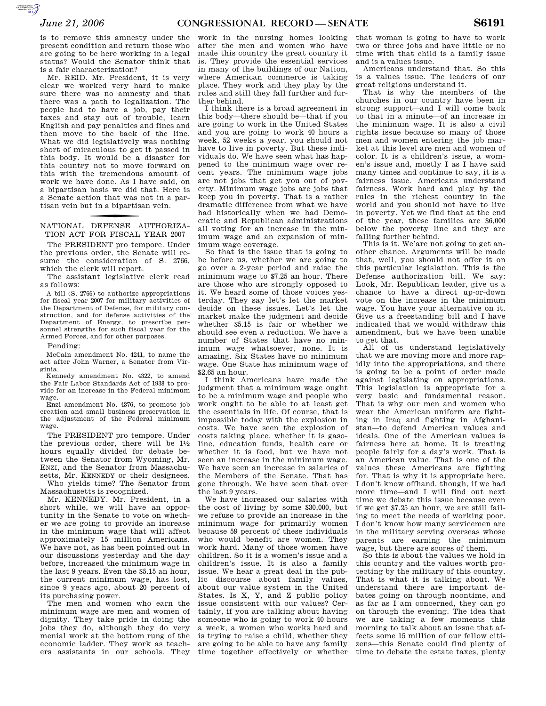is to remove this amnesty under the present condition and return those who are going to be here working in a legal status? Would the Senator think that is a fair characterization?

Mr. REID. Mr. President, it is very clear we worked very hard to make sure there was no amnesty and that there was a path to legalization. The people had to have a job, pay their taxes and stay out of trouble, learn English and pay penalties and fines and then move to the back of the line. What we did legislatively was nothing short of miraculous to get it passed in this body. It would be a disaster for this country not to move forward on this with the tremendous amount of work we have done. As I have said, on a bipartisan basis we did that. Here is a Senate action that was not in a partisan vein but in a bipartisan vein.

f NATIONAL DEFENSE AUTHORIZA-TION ACT FOR FISCAL YEAR 2007

The PRESIDENT pro tempore. Under the previous order, the Senate will resume the consideration of S. 2766, which the clerk will report.

The assistant legislative clerk read as follows:

A bill (S. 2766) to authorize appropriations for fiscal year 2007 for military activities of the Department of Defense, for military construction, and for defense activities of the Department of Energy, to prescribe personnel strengths for such fiscal year for the Armed Forces, and for other purposes.

Pending:

McCain amendment No. 4241, to name the act after John Warner, a Senator from Virginia.

Kennedy amendment No. 4322, to amend the Fair Labor Standards Act of 1938 to provide for an increase in the Federal minimum wage.

Enzi amendment No. 4376, to promote job creation and small business preservation in the adjustment of the Federal minimum wage.

The PRESIDENT pro tempore. Under the previous order, there will be  $1\frac{1}{2}$ hours equally divided for debate between the Senator from Wyoming, Mr. ENZI, and the Senator from Massachusetts, Mr. KENNEDY or their designees.

Who yields time? The Senator from Massachusetts is recognized.

Mr. KENNEDY. Mr. President, in a short while, we will have an opportunity in the Senate to vote on whether we are going to provide an increase in the minimum wage that will affect approximately 15 million Americans. We have not, as has been pointed out in our discussions yesterday and the day before, increased the minimum wage in the last 9 years. Even the \$5.15 an hour, the current minimum wage, has lost, since 9 years ago, about 20 percent of its purchasing power.

The men and women who earn the minimum wage are men and women of dignity. They take pride in doing the jobs they do, although they do very menial work at the bottom rung of the economic ladder. They work as teachers assistants in our schools. They

work in the nursing homes looking after the men and women who have made this country the great country it is. They provide the essential services in many of the buildings of our Nation, where American commerce is taking place. They work and they play by the rules and still they fall further and further behind.

I think there is a broad agreement in this body—there should be—that if you are going to work in the United States and you are going to work 40 hours a week, 52 weeks a year, you should not have to live in poverty. But these individuals do. We have seen what has happened to the minimum wage over recent years. The minimum wage jobs are not jobs that get you out of poverty. Minimum wage jobs are jobs that keep you in poverty. That is a rather dramatic difference from what we have had historically when we had Democratic and Republican administrations all voting for an increase in the minimum wage and an expansion of minimum wage coverage.

So that is the issue that is going to be before us, whether we are going to go over a 2-year period and raise the minimum wage to \$7.25 an hour. There are those who are strongly opposed to it. We heard some of those voices yesterday. They say let's let the market decide on these issues. Let's let the market make the judgment and decide whether \$5.15 is fair or whether we should see even a reduction. We have a number of States that have no minimum wage whatsoever, none. It is amazing. Six States have no minimum wage. One State has minimum wage of \$2.65 an hour.

I think Americans have made the judgment that a minimum wage ought to be a minimum wage and people who work ought to be able to at least get the essentials in life. Of course, that is impossible today with the explosion in costs. We have seen the explosion of costs taking place, whether it is gasoline, education funds, health care or whether it is food, but we have not seen an increase in the minimum wage. We have seen an increase in salaries of the Members of the Senate. That has gone through. We have seen that over the last 9 years.

We have increased our salaries with the cost of living by some \$30,000, but we refuse to provide an increase in the minimum wage for primarily women because 59 percent of these individuals who would benefit are women. They work hard. Many of those women have children. So it is a women's issue and a children's issue. It is also a family issue. We hear a great deal in the public discourse about family values, about our value system in the United States. Is X, Y, and Z public policy issue consistent with our values? Certainly, if you are talking about having someone who is going to work 40 hours a week, a women who works hard and is trying to raise a child, whether they are going to be able to have any family time together effectively or whether

that woman is going to have to work two or three jobs and have little or no time with that child is a family issue and is a values issue.

Americans understand that. So this is a values issue. The leaders of our great religions understand it.

That is why the members of the churches in our country have been in strong support—and I will come back to that in a minute—of an increase in the minimum wage. It is also a civil rights issue because so many of those men and women entering the job market at this level are men and women of color. It is a children's issue, a women's issue and, mostly I as I have said many times and continue to say, it is a fairness issue. Americans understand fairness. Work hard and play by the rules in the richest country in the world and you should not have to live in poverty. Yet we find that at the end of the year, these families are \$6,000 below the poverty line and they are falling further behind.

This is it. We'are not going to get another chance. Arguments will be made that, well, you should not offer it on this particular legislation. This is the Defense authorization bill. We say: Look, Mr. Republican leader, give us a chance to have a direct up-or-down vote on the increase in the minimum wage. You have your alternative on it. Give us a freestanding bill and I have indicated that we would withdraw this amendment, but we have been unable to get that.

All of us understand legislatively that we are moving more and more rapidly into the appropriations, and there is going to be a point of order made against legislating on appropriations. This legislation is appropriate for a very basic and fundamental reason. That is why our men and women who wear the American uniform are fighting in Iraq and fighting in Afghanistan—to defend American values and ideals. One of the American values is fairness here at home. It is treating people fairly for a day's work. That is an American value. That is one of the values these Americans are fighting for. That is why it is appropriate here. I don't know offhand, though, if we had more time—and I will find out next time we debate this issue because even if we get \$7.25 an hour, we are still failing to meet the needs of working poor. I don't know how many servicemen are in the military serving overseas whose parents are earning the minimum wage, but there are scores of them.

So this is about the values we hold in this country and the values worth protecting by the military of this country. That is what it is talking about. We understand there are important debates going on through noontime, and as far as I am concerned, they can go on through the evening. The idea that we are taking a few moments this morning to talk about an issue that affects some 15 million of our fellow citizens—this Senate could find plenty of time to debate the estate taxes, plenty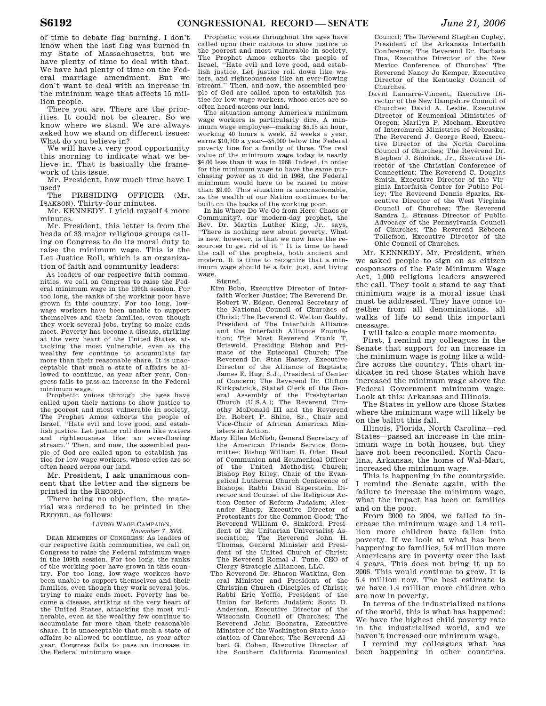of time to debate flag burning. I don't know when the last flag was burned in my State of Massachusetts, but we have plenty of time to deal with that. We have had plenty of time on the Federal marriage amendment. But we don't want to deal with an increase in the minimum wage that affects 15 million people.

There you are. There are the priorities. It could not be clearer. So we know where we stand. We are always asked how we stand on different issues: What do you believe in?

We will have a very good opportunity this morning to indicate what we believe in. That is basically the framework of this issue.

Mr. President, how much time have I used?<br>The

PRESIDING OFFICER (Mr. ISAKSON). Thirty-four minutes.

Mr. KENNEDY. I yield myself 4 more minutes.

Mr. President, this letter is from the heads of 33 major religious groups calling on Congress to do its moral duty to raise the minimum wage. This is the Let Justice Roll, which is an organization of faith and community leaders:

As leaders of our respective faith communities, we call on Congress to raise the Federal minimum wage in the 109th session. For too long, the ranks of the working poor have grown in this country. For too long, lowwage workers have been unable to support themselves and their families, even though they work several jobs, trying to make ends meet. Poverty has become a disease, striking at the very heart of the United States, attacking the most vulnerable, even as the wealthy few continue to accumulate far more than their reasonable share. It is unacceptable that such a state of affairs be allowed to continue, as year after year, Congress fails to pass an increase in the Federal minimum wage.

Prophetic voices through the ages have called upon their nations to show justice to the poorest and most vulnerable in society. The Prophet Amos exhorts the people of Israel, ''Hate evil and love good, and establish justice. Let justice roll down like waters and righteousness like an ever-flowing stream.'' Then, and now, the assembled people of God are called upon to establish justice for low-wage workers, whose cries are so often heard across our land.

Mr. President, I ask unanimous consent that the letter and the signers be printed in the RECORD.

There being no objection, the material was ordered to be printed in the RECORD, as follows:

## LIVING WAGE CAMPAIGN,

### *November 7, 2005.*

DEAR MEMBERS OF CONGRESS: As leaders of our respective faith communities, we call on Congress to raise the Federal minimum wage in the 109th session. For too long, the ranks of the working poor have grown in this country. For too long, low-wage workers have been unable to support themselves and their families, even though they work several jobs, trying to make ends meet. Poverty has become a disease, striking at the very heart of the United States, attacking the most vulnerable, even as the wealthy few continue to accumulate far more than their reasonable share. It is unacceptable that such a state of affairs be allowed to continue, as year after year, Congress fails to pass an increase in the Federal minimum wage.

Prophetic voices throughout the ages have called upon their nations to show justice to the poorest and most vulnerable in society. The Prophet Amos exhorts the people of Israel, ''Hate evil and love good, and establish justice. Let justice roll down like waters, and righteousness like an ever-flowing stream.'' Then, and now, the assembled people of God are called upon to establish justice for low-wage workers, whose cries are so often heard across our land.

The situation among America's minimum wage workers is particularly dire. A minimum wage employee—making \$5.15 an hour, working 40 hours a week, 52 weeks a year, earns \$10,700 a year—\$5,000 below the Federal poverty line for a family of three. The real value of the minimum wage today is nearly \$4.00 less than it was in 1968. Indeed, in order for the minimum wage to have the same purchasing power as it did in 1968, the Federal minimum would have to be raised to more than \$9.00. This situation is unconscionable, as the wealth of our Nation continues to be built on the backs of the working poor.

In his Where Do We Go from Here: Chaos or Community?, our modern-day prophet, the Rev. Dr. Martin Luther King, Jr., says, ''There is nothing new about poverty. What is new, however, is that we now have the resources to get rid of it.'' It is time to heed the call of the prophets, both ancient and modern. It is time to recognize that a minimum wage should be a fair, just, and living wage.

## Signed,

- Kim Bobo, Executive Director of Interfaith Worker Justice; The Reverend Dr. Robert W. Edgar, General Secretary of the National Council of Churches of Christ; The Reverend C. Welton Gaddy, President of The Interfaith Alliance and the Interfaith Alliance Foundation; The Most Reverend Frank T. Griswold, Presiding Bishop and Primate of the Episcopal Church; The Reverend Dr. Stan Hastey, Executive Director of the Alliance of Baptists; James E. Hug, S.J., President of Center of Concern; The Reverend Dr. Clifton Kirkpatrick, Stated Clerk of the General Assembly of the Presbyterian Church (U.S.A.); The Reverend Timothy McDonald III and the Reverend Dr. Robert P. Shine, Sr., Chair and Vice-Chair of African American Ministers in Action.
- Mary Ellen McNish, General Secretary of the American Friends Service Committee; Bishop William B. Oden, Head of Communion and Ecumenical Officer of the United Methodist Church; Bishop Roy Riley, Chair of the Evangelical Lutheran Church Conference of Bishops; Rabbi David Saperstein, Director and Counsel of the Religious Action Center of Reform Judaism; Alexander Sharp, Executive Director of Protestants for the Common Good; The Reverend William G. Sinkford, President of the Unitarian Universalist Association; The Reverend John H. Thomas, General Minister and President of the United Church of Christ; The Reverend Romal J. Tune, CEO of Clergy Strategic Alliances, LLC.
- The Reverend Dr. Sharon Watkins, General Minister and President of the Christian Church (Disciples of Christ); Rabbi Eric Yoffie, President of the Union for Reform Judaism; Scott D. Anderson, Executive Director of the Wisconsin Council of Churches; The Reverend John Boonstra, Executive Minister of the Washington State Association of Churches; The Reverend Albert G. Cohen, Executive Director of the Southern California Ecumenical

Council; The Reverend Stephen Copley, President of the Arkansas Interfaith Conference; The Reverend Dr. Barbara Dua, Executive Director of the New Mexico Conference of Churches' The Reverend Nancy Jo Kemper, Executive Director of the Kentucky Council of Churches.

David Lamarre-Vincent, Executive Director of the New Hampshire Council of Churches; David A. Leslie, Executive Director of Ecumenical Ministries of Oregon; Marilyn P. Mecham, Exeutive of Interchurch Ministries of Nebraska; The Reverend J. George Reed, Executive Director of the North Carolina Council of Churches; The Reverend Dr. Stephen J. Sidorak, Jr., Executive Director of the Christian Conference of Connecticut; The Reverend C. Douglas Smith, Executive Director of the Virginia Interfaith Center for Public Policy; The Reverend Dennis Sparks, Executive Director of the West Virginia Council of Churches; The Reverend Sandra L. Strauss Director of Public Advocacy of the Pennsylvania Council of Churches; The Reverend Rebecca Tollefson, Executive Director of the Ohio Council of Churches.

Mr. KENNEDY. Mr. President, when we asked people to sign on as citizen cosponsors of the Fair Minimum Wage Act, 1,000 religious leaders answered the call. They took a stand to say that minimum wage is a moral issue that must be addressed. They have come together from all denominations, all walks of life to send this important message.

I will take a couple more moments.

First, I remind my colleagues in the Senate that support for an increase in the minimum wage is going like a wildfire across the country. This chart indicates in red those States which have increased the minimum wage above the Federal Government minimum wage. Look at this: Arkansas and Illinois.

The States in yellow are those States where the minimum wage will likely be on the ballot this fall.

Illinois, Florida, North Carolina—red States—passed an increase in the minimum wage in both houses, but they have not been reconciled. North Carolina, Arkansas, the home of Wal-Mart, increased the minimum wage.

This is happening in the countryside. I remind the Senate again, with the failure to increase the minimum wage, what the impact has been on families and on the poor.

From 2000 to 2004, we failed to increase the minimum wage and 1.4 million more children have fallen into poverty. If we look at what has been happening to families, 5.4 million more Americans are in poverty over the last 4 years. This does not bring it up to 2006. This would continue to grow. It is 5.4 million now. The best estimate is we have 1.4 million more children who are now in poverty.

In terms of the industrialized nations of the world, this is what has happened: We have the highest child poverty rate in the industrialized world, and we haven't increased our minimum wage.

I remind my colleagues what has been happening in other countries.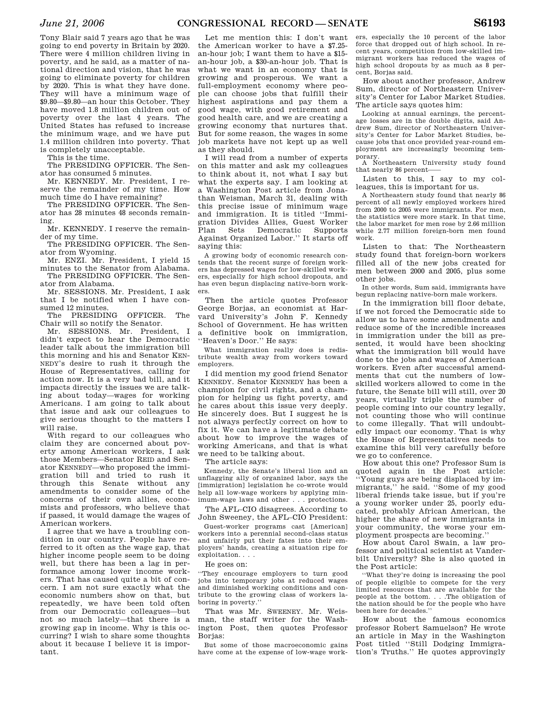Tony Blair said 7 years ago that he was going to end poverty in Britain by 2020. There were 4 million children living in poverty, and he said, as a matter of national direction and vision, that he was going to eliminate poverty for children by 2020. This is what they have done. They will have a minimum wage of \$9.80—\$9.80—an hour this October. They have moved 1.8 million children out of poverty over the last 4 years. The United States has refused to increase the minimum wage, and we have put 1.4 million children into poverty. That is completely unacceptable.

This is the time.

The PRESIDING OFFICER. The Senator has consumed 5 minutes.

Mr. KENNEDY. Mr. President, I reserve the remainder of my time. How much time do I have remaining?

The PRESIDING OFFICER. The Senator has 28 minutes 48 seconds remaining.

Mr. KENNEDY. I reserve the remainder of my time.

The PRESIDING OFFICER. The Senator from Wyoming.

Mr. ENZI. Mr. President, I yield 15 minutes to the Senator from Alabama. The PRESIDING OFFICER. The Sen-

ator from Alabama. Mr. SESSIONS. Mr. President, I ask

that I be notified when I have consumed 12 minutes.

The PRESIDING OFFICER. The Chair will so notify the Senator.

Mr. SESSIONS. Mr. President, I didn't expect to hear the Democratic leader talk about the immigration bill this morning and his and Senator KEN-NEDY's desire to rush it through the House of Representatives, calling for action now. It is a very bad bill, and it impacts directly the issues we are talking about today—wages for working Americans. I am going to talk about that issue and ask our colleagues to give serious thought to the matters I will raise.

With regard to our colleagues who claim they are concerned about poverty among American workers, I ask those Members—Senator REID and Senator KENNEDY—who proposed the immigration bill and tried to rush it through this Senate without any amendments to consider some of the concerns of their own allies, economists and professors, who believe that if passed, it would damage the wages of American workers.

I agree that we have a troubling condition in our country. People have referred to it often as the wage gap, that higher income people seem to be doing well, but there has been a lag in performance among lower income workers. That has caused quite a bit of concern. I am not sure exactly what the economic numbers show on that, but repeatedly, we have been told often from our Democratic colleagues—but not so much lately—that there is a growing gap in income. Why is this occurring? I wish to share some thoughts about it because I believe it is important.

Let me mention this: I don't want the American worker to have a \$7.25 an-hour job; I want them to have a \$15 an-hour job, a \$30-an-hour job. That is what we want in an economy that is growing and prosperous. We want a full-employment economy where people can choose jobs that fulfill their highest aspirations and pay them a good wage, with good retirement and good health care, and we are creating a growing economy that nurtures that. But for some reason, the wages in some job markets have not kept up as well as they should.

I will read from a number of experts on this matter and ask my colleagues to think about it, not what I say but what the experts say. I am looking at a Washington Post article from Jonathan Weisman, March 31, dealing with this precise issue of minimum wage and immigration. It is titled ''Immigration Divides Allies, Guest Worker Plan Sets Democratic Supports Against Organized Labor.'' It starts off saying this:

A growing body of economic research contends that the recent surge of foreign workers has depressed wages for low-skilled workers, especially for high school dropouts, and has even begun displacing native-born workers.

Then the article quotes Professor George Borjas, an economist at Harvard University's John F. Kennedy School of Government. He has written a definitive book on immigration, ''Heaven's Door.'' He says:

What immigration really does is redistribute wealth away from workers toward employers.

I did mention my good friend Senator KENNEDY. Senator KENNEDY has been a champion for civil rights, and a champion for helping us fight poverty, and he cares about this issue very deeply. He sincerely does. But I suggest he is not always perfectly correct on how to fix it. We can have a legitimate debate about how to improve the wages of working Americans, and that is what we need to be talking about.

The article says:

Kennedy, the Senate's liberal lion and an unflagging ally of organized labor, says the [immigration] legislation he co-wrote would help all low-wage workers by applying minimum-wage laws and other . . . protections.

The AFL–CIO disagrees. According to John Sweeney, the AFL–CIO President:

Guest-worker programs cast [American] workers into a perennial second-class status and unfairly put their fates into their employers' hands, creating a situation ripe for exploitation. . . .

#### He goes on:

''They encourage employers to turn good jobs into temporary jobs at reduced wages and diminished working conditions and contribute to the growing class of workers laboring in poverty.''

That was Mr. SWEENEY. Mr. Weisman, the staff writer for the Washington Post, then quotes Professor Borjas:

But some of those macroeconomic gains have come at the expense of low-wage work-

ers, especially the 10 percent of the labor force that dropped out of high school. In recent years, competition from low-skilled immigrant workers has reduced the wages of high school dropouts by as much as 8 percent, Borjas said.

How about another professor, Andrew Sum, director of Northeastern University's Center for Labor Market Studies. The article says quotes him:

Looking at annual earnings, the percentage losses are in the double digits, said Andrew Sum, director of Northeastern University's Center for Labor Market Studies, because jobs that once provided year-round employment are increasingly becoming temporary.

A Northeastern University study found that nearly 86 percent—

Listen to this, I say to my colleagues, this is important for us.

A Northeastern study found that nearly 86 percent of all newly employed workers hired from 2000 to 2005 were immigrants. For men, the statistics were more stark. In that time, the labor market for men rose by 2.66 million while 2.77 million foreign-born men found work.

Listen to that: The Northeastern study found that foreign-born workers filled all of the new jobs created for men between 2000 and 2005, plus some other jobs.

In other words, Sum said, immigrants have begun replacing native-born male workers.

In the immigration bill floor debate, if we not forced the Democratic side to allow us to have some amendments and reduce some of the incredible increases in immigration under the bill as presented, it would have been shocking what the immigration bill would have done to the jobs and wages of American workers. Even after successful amendments that cut the numbers of lowskilled workers allowed to come in the future, the Senate bill will still, over 20 years, virtually triple the number of people coming into our country legally, not counting those who will continue to come illegally. That will undoubtedly impact our economy. That is why the House of Representatives needs to examine this bill very carefully before we go to conference.

How about this one? Professor Sum is quoted again in the Post article: ''Young guys are being displaced by immigrants,'' he said. ''Some of my good liberal friends take issue, but if you're a young worker under 25, poorly educated, probably African American, the higher the share of new immigrants in your community, the worse your employment prospects are becoming.''

How about Carol Swain, a law professor and political scientist at Vanderbilt University? She is also quoted in the Post article:

''What they're doing is increasing the pool of people eligible to compete for the very limited resources that are available for the people at the bottom. . . .The obligation of the nation should be for the people who have been here for decades.''

How about the famous economics professor Robert Samuelson? He wrote an article in May in the Washington Post titled ''Still Dodging Immigration's Truths.'' He quotes approvingly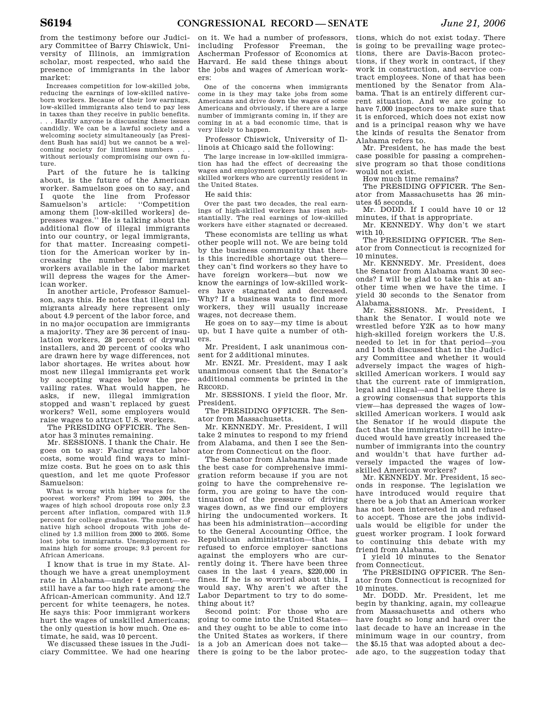from the testimony before our Judiciary Committee of Barry Chiswick, University of Illinois, an immigration scholar, most respected, who said the presence of immigrants in the labor market:

Increases competition for low-skilled jobs, reducing the earnings of low-skilled nativeborn workers. Because of their low earnings, low-skilled immigrants also tend to pay less in taxes than they receive in public benefits. . Hardly anyone is discussing these issues candidly. We can be a lawful society and a welcoming society simultaneously [as President Bush has said] but we cannot be a welcoming society for limitless numbers. without seriously compromising our own future.

Part of the future he is talking about, is the future of the American worker. Samuelson goes on to say, and I quote the line from Professor<br>Samuelson's article: "Competition ''Competition among them [low-skilled workers] depresses wages.'' He is talking about the additional flow of illegal immigrants into our country, or legal immigrants, for that matter. Increasing competition for the American worker by increasing the number of immigrant workers available in the labor market will depress the wages for the American worker.

In another article, Professor Samuelson, says this. He notes that illegal immigrants already here represent only about 4.9 percent of the labor force, and in no major occupation are immigrants a majority. They are 36 percent of insulation workers, 28 percent of drywall installers, and 20 percent of cooks who are drawn here by wage differences, not labor shortages. He writes about how most new illegal immigrants get work by accepting wages below the prevailing rates. What would happen, he asks, if new, illegal immigration stopped and wasn't replaced by guest workers? Well, some employers would raise wages to attract U.S. workers.

The PRESIDING OFFICER. The Senator has 3 minutes remaining.

Mr. SESSIONS. I thank the Chair. He goes on to say: Facing greater labor costs, some would find ways to minimize costs. But he goes on to ask this question, and let me quote Professor Samuelson:

What is wrong with higher wages for the poorest workers? From 1994 to 2004, the wages of high school dropouts rose only 2.3 percent after inflation, compared with 11.9 percent for college graduates. The number of native high school dropouts with jobs declined by 1.3 million from 2000 to 2005. Some lost jobs to immigrants. Unemployment remains high for some groups; 9.3 percent for African Americans.

I know that is true in my State. Although we have a great unemployment rate in Alabama—under 4 percent—we still have a far too high rate among the African-American community. And 12.7 percent for white teenagers, he notes. He says this: Poor immigrant workers hurt the wages of unskilled Americans; the only question is how much. One estimate, he said, was 10 percent.

We discussed these issues in the Judiciary Committee. We had one hearing

on it. We had a number of professors, including Professor Freeman, the Ascherman Professor of Economics at Harvard. He said these things about the jobs and wages of American workers:

One of the concerns when immigrants come in is they may take jobs from some Americans and drive down the wages of some Americans and obviously, if there are a large number of immigrants coming in, if they are coming in at a bad economic time, that is very likely to happen.

Professor Chiswick, University of Illinois at Chicago said the following:

The large increase in low-skilled immigration has had the effect of decreasing the wages and employment opportunities of lowskilled workers who are currently resident in the United States.

He said this:

Over the past two decades, the real earnings of high-skilled workers has risen substantially. The real earnings of low-skilled workers have either stagnated or decreased.

These economists are telling us what other people will not. We are being told by the business community that there is this incredible shortage out there they can't find workers so they have to have foreign workers—but now we know the earnings of low-skilled workers have stagnated and decreased. Why? If a business wants to find more workers, they will usually increase wages, not decrease them.

He goes on to say—my time is about up, but I have quite a number of others.

Mr. President, I ask unanimous consent for 2 additional minutes.

Mr. ENZI. Mr. President, may I ask unanimous consent that the Senator's additional comments be printed in the RECORD.

Mr. SESSIONS. I yield the floor, Mr. President.

The PRESIDING OFFICER. The Senator from Massachusetts.

Mr. KENNEDY. Mr. President, I will take 2 minutes to respond to my friend from Alabama, and then I see the Senator from Connecticut on the floor.

The Senator from Alabama has made the best case for comprehensive immigration reform because if you are not going to have the comprehensive reform, you are going to have the continuation of the pressure of driving wages down, as we find our employers hiring the undocumented workers. It has been his administration—according to the General Accounting Office, the Republican administration—that has refused to enforce employer sanctions against the employers who are currently doing it. There have been three cases in the last 4 years, \$220,000 in fines. If he is so worried about this, I would say, Why aren't we after the Labor Department to try to do something about it?

Second point: For those who are going to come into the United States and they ought to be able to come into the United States as workers, if there is a job an American does not take there is going to be the labor protec-

tions, which do not exist today. There is going to be prevailing wage protections, there are Davis-Bacon protections, if they work in contract, if they work in construction, and service contract employees. None of that has been mentioned by the Senator from Alabama. That is an entirely different current situation. And we are going to have 7,000 inspectors to make sure that it is enforced, which does not exist now and is a principal reason why we have the kinds of results the Senator from Alabama refers to.

Mr. President, he has made the best case possible for passing a comprehensive program so that those conditions would not exist.

How much time remains?

The PRESIDING OFFICER. The Senator from Massachusetts has 26 minutes 45 seconds.

Mr. DODD. If I could have 10 or 12 minutes, if that is appropriate.

Mr. KENNEDY. Why don't we start with 10.

The PRESIDING OFFICER. The Senator from Connecticut is recognized for 10 minutes.

Mr. KENNEDY. Mr. President, does the Senator from Alabama want 30 seconds? I will be glad to take this at another time when we have the time. I yield 30 seconds to the Senator from Alabama.

Mr. SESSIONS. Mr. President, I thank the Senator. I would note we wrestled before Y2K as to how many high-skilled foreign workers the U.S. needed to let in for that period—you and I both discussed that in the Judiciary Committee and whether it would adversely impact the wages of highskilled American workers. I would say that the current rate of immigration, legal and illegal—and I believe there is a growing consensus that supports this view—has depressed the wages of lowskilled American workers. I would ask the Senator if he would dispute the fact that the immigration bill he introduced would have greatly increased the number of immigrants into the country and wouldn't that have further adversely impacted the wages of lowskilled American workers?

Mr. KENNEDY. Mr. President, 15 seconds in response. The legislation we have introduced would require that there be a job that an American worker has not been interested in and refused to accept. Those are the jobs individuals would be eligible for under the guest worker program. I look forward to continuing this debate with my friend from Alabama.

I yield 10 minutes to the Senator from Connecticut.

The PRESIDING OFFICER. The Senator from Connecticut is recognized for 10 minutes.

Mr. DODD. Mr. President, let me begin by thanking, again, my colleague from Massachusetts and others who have fought so long and hard over the last decade to have an increase in the minimum wage in our country, from the \$5.15 that was adopted about a decade ago, to the suggestion today that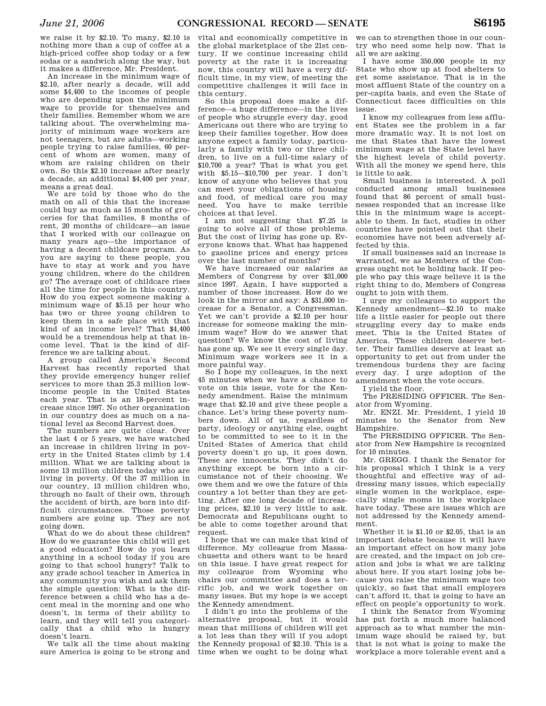we raise it by \$2.10. To many, \$2.10 is nothing more than a cup of coffee at a high-priced coffee shop today or a few sodas or a sandwich along the way, but it makes a difference, Mr. President.

An increase in the minimum wage of \$2.10, after nearly a decade, will add some \$4,400 to the incomes of people who are depending upon the minimum wage to provide for themselves and their families. Remember whom we are talking about. The overwhelming majority of minimum wage workers are not teenagers, but are adults—working people trying to raise families, 60 percent of whom are women, many of whom are raising children on their own. So this \$2.10 increase after nearly a decade, an additional \$4,400 per year, means a great deal.

We are told by those who do the math on all of this that the increase could buy as much as 15 months of groceries for that families, 8 months of rent, 20 months of childcare—an issue that I worked with our colleague on many years ago—the importance of having a decent childcare program. As you are saying to these people, you have to stay at work and you have young children, where do the children go? The average cost of childcare rises all the time for people in this country. How do you expect someone making a minimum wage of \$5.15 per hour who has two or three young children to keep them in a safe place with that kind of an income level? That \$4,400 would be a tremendous help at that income level. That is the kind of difference we are talking about.

A group called America's Second Harvest has recently reported that they provide emergency hunger relief services to more than 25.3 million lowincome people in the United States each year. That is an 18-percent increase since 1997. No other organization in our country does as much on a national level as Second Harvest does.

The numbers are quite clear. Over the last 4 or 5 years, we have watched an increase in children living in poverty in the United States climb by 1.4 million. What we are talking about is some 13 million children today who are living in poverty. Of the 37 million in our country, 13 million children who, through no fault of their own, through the accident of birth, are born into difficult circumstances. Those poverty numbers are going up. They are not going down.

What do we do about these children? How do we guarantee this child will get a good education? How do you learn anything in a school today if you are going to that school hungry? Talk to any grade school teacher in America in any community you wish and ask them the simple question: What is the difference between a child who has a decent meal in the morning and one who doesn't, in terms of their ability to learn, and they will tell you categorically that a child who is hungry doesn't learn.

We talk all the time about making sure America is going to be strong and

vital and economically competitive in the global marketplace of the 21st century. If we continue increasing child poverty at the rate it is increasing now, this country will have a very difficult time, in my view, of meeting the competitive challenges it will face in this century.

So this proposal does make a difference—a huge difference—in the lives of people who struggle every day, good Americans out there who are trying to keep their families together. How does anyone expect a family today, particularly a family with two or three children, to live on a full-time salary of \$10,700 a year? That is what you get with \$5.15—\$10,700 per year. I don't know of anyone who believes that you can meet your obligations of housing and food, of medical care you may need. You have to make terrible choices at that level.

I am not suggesting that \$7.25 is going to solve all of those problems. But the cost of living has gone up. Everyone knows that. What has happened to gasoline prices and energy prices over the last number of months?

We have increased our salaries as Members of Congress by over \$31,000 since 1997. Again, I have supported a number of those increases. How do we look in the mirror and say: A \$31,000 increase for a Senator, a Congressman. Yet we can't provide a \$2.10 per hour increase for someone making the minimum wage? How do we answer that question? We know the cost of living has gone up. We see it every single day. Minimum wage workers see it in a more painful way.

So I hope my colleagues, in the next 45 minutes when we have a chance to vote on this issue, vote for the Kennedy amendment. Raise the minimum wage that \$2.10 and give these people a chance. Let's bring these poverty numbers down. All of us, regardless of party, ideology or anything else, ought to be committed to see to it in the United States of America that child poverty doesn't go up, it goes down. These are innocents. They didn't do anything except be born into a circumstance not of their choosing. We owe them and we owe the future of this country a lot better than they are getting. After one long decade of increasing prices, \$2.10 is very little to ask. Democrats and Republicans ought to be able to come together around that request.

I hope that we can make that kind of difference. My colleague from Massachusetts and others want to be heard on this issue. I have great respect for my colleague from Wyoming who chairs our committee and does a terrific job, and we work together on many issues. But my hope is we accept the Kennedy amendment.

I didn't go into the problems of the alternative proposal, but it would mean that millions of children will get a lot less than they will if you adopt the Kennedy proposal of \$2.10. This is a time when we ought to be doing what

we can to strengthen those in our country who need some help now. That is all we are asking.

I have some 350,000 people in my State who show up at food shelters to get some assistance. That is in the most affluent State of the country on a per-capita basis, and even the State of Connecticut faces difficulties on this issue.

I know my colleagues from less affluent States see the problem in a far more dramatic way. It is not lost on me that States that have the lowest minimum wage at the State level have the highest levels of child poverty. With all the money we spend here, this is little to ask.

Small business is interested. A poll conducted among small businesses found that 86 percent of small businesses responded that an increase like this in the minimum wage is acceptable to them. In fact, studies in other countries have pointed out that their economies have not been adversely affected by this.

If small businesses said an increase is warranted, we as Members of the Congress ought not be holding back. If people who pay this wage believe it is the right thing to do, Members of Congress ought to join with them.

I urge my colleagues to support the Kennedy amendment—\$2.10 to make life a little easier for people out there struggling every day to make ends meet. This is the United States of America. These children deserve better. Their families deserve at least an opportunity to get out from under the tremendous burdens they are facing every day. I urge adoption of the amendment when the vote occurs.

I yield the floor.

The PRESIDING OFFICER. The Senator from Wyoming.

Mr. ENZI. Mr. President, I yield 10 minutes to the Senator from New Hampshire.

The PRESIDING OFFICER. The Senator from New Hampshire is recognized for 10 minutes.

Mr. GREGG. I thank the Senator for his proposal which I think is a very thoughtful and effective way of addressing many issues, which especially single women in the workplace, especially single moms in the workplace have today. These are issues which are not addressed by the Kennedy amendment.

Whether it is \$1.10 or \$2.05, that is an important debate because it will have an important effect on how many jobs are created, and the impact on job creation and jobs is what we are talking about here. If you start losing jobs because you raise the minimum wage too quickly, so fast that small employers can't afford it, that is going to have an effect on people's opportunity to work.

I think the Senator from Wyoming has put forth a much more balanced approach as to what number the minimum wage should be raised by, but that is not what is going to make the workplace a more tolerable event and a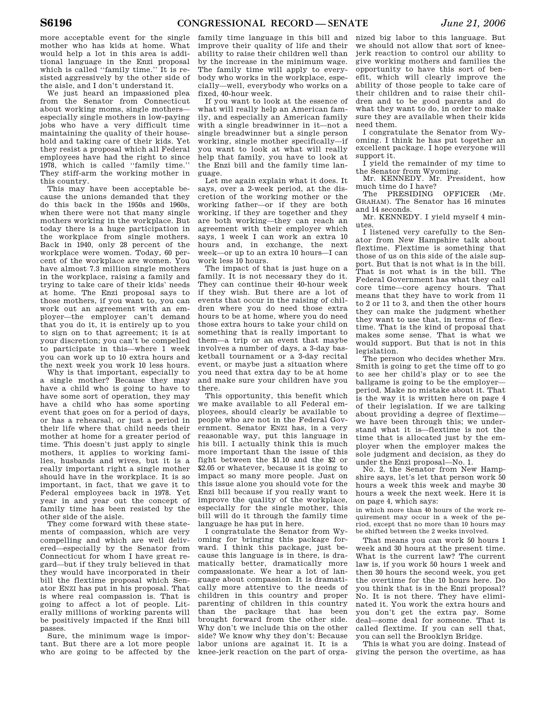more acceptable event for the single mother who has kids at home. What would help a lot in this area is additional language in the Enzi proposal which is called ''family time.'' It is resisted aggressively by the other side of the aisle, and I don't understand it.

We just heard an impassioned plea from the Senator from Connecticut about working moms, single mothers especially single mothers in low-paying jobs who have a very difficult time maintaining the quality of their household and taking care of their kids. Yet they resist a proposal which all Federal employees have had the right to since 1978, which is called ''family time.'' They stiff-arm the working mother in this country.

This may have been acceptable because the unions demanded that they do this back in the 1950s and 1960s, when there were not that many single mothers working in the workplace. But today there is a huge participation in the workplace from single mothers. Back in 1940, only 28 percent of the workplace were women. Today, 60 percent of the workplace are women. You have almost 7.3 million single mothers in the workplace, raising a family and trying to take care of their kids' needs at home. The Enzi proposal says to those mothers, if you want to, you can work out an agreement with an employer—the employer can't demand that you do it, it is entirely up to you to sign on to that agreement; it is at your discretion; you can't be compelled to participate in this—where 1 week you can work up to 10 extra hours and the next week you work 10 less hours.

Why is that important, especially to a single mother? Because they may have a child who is going to have to have some sort of operation, they may have a child who has some sporting event that goes on for a period of days, or has a rehearsal, or just a period in their life where that child needs their mother at home for a greater period of time. This doesn't just apply to single mothers, it applies to working families, husbands and wives, but it is a really important right a single mother should have in the workplace. It is so important, in fact, that we gave it to Federal employees back in 1978. Yet year in and year out the concept of family time has been resisted by the other side of the aisle.

They come forward with these statements of compassion, which are very compelling and which are well delivered—especially by the Senator from Connecticut for whom I have great regard—but if they truly believed in that they would have incorporated in their bill the flextime proposal which Senator ENZI has put in his proposal. That is where real compassion is. That is going to affect a lot of people. Literally millions of working parents will be positively impacted if the Enzi bill passes.

Sure, the minimum wage is important. But there are a lot more people who are going to be affected by the

family time language in this bill and improve their quality of life and their ability to raise their children well than by the increase in the minimum wage. The family time will apply to everybody who works in the workplace, especially—well, everybody who works on a fixed, 40-hour week.

If you want to look at the essence of what will really help an American family, and especially an American family with a single breadwinner in it—not a single breadwinner but a single person working, single mother specifically—if you want to look at what will really help that family, you have to look at the Enzi bill and the family time language.

Let me again explain what it does. It says, over a 2-week period, at the discretion of the working mother or the working father—or if they are both working, if they are together and they are both working—they can reach an agreement with their employer which says, 1 week I can work an extra 10 hours and, in exchange, the next week—or up to an extra 10 hours—I can work less 10 hours.

The impact of that is just huge on a family. It is not necessary they do it. They can continue their 40-hour week if they wish. But there are a lot of events that occur in the raising of children where you do need those extra hours to be at home, where you do need those extra hours to take your child on something that is really important to them—a trip or an event that maybe involves a number of days, a 3-day basketball tournament or a 3-day recital event, or maybe just a situation where you need that extra day to be at home and make sure your children have you there.

This opportunity, this benefit which we make available to all Federal employees, should clearly be available to people who are not in the Federal Government. Senator ENZI has, in a very reasonable way, put this language in his bill. I actually think this is much more important than the issue of this fight between the \$1.10 and the \$2 or \$2.05 or whatever, because it is going to impact so many more people. Just on this issue alone you should vote for the Enzi bill because if you really want to improve the quality of the workplace, especially for the single mother, this bill will do it through the family time language he has put in here.

I congratulate the Senator from Wyoming for bringing this package forward. I think this package, just because this language is in there, is dramatically better, dramatically more compassionate. We hear a lot of language about compassion. It is dramatically more attentive to the needs of children in this country and proper parenting of children in this country than the package that has been brought forward from the other side. Why don't we include this on the other side? We know why they don't: Because labor unions are against it. It is a knee-jerk reaction on the part of orga-

nized big labor to this language. But we should not allow that sort of kneejerk reaction to control our ability to give working mothers and families the opportunity to have this sort of benefit, which will clearly improve the ability of those people to take care of their children and to raise their children and to be good parents and do what they want to do, in order to make sure they are available when their kids need them.

I congratulate the Senator from Wyoming. I think he has put together an excellent package. I hope everyone will support it.

I yield the remainder of my time to the Senator from Wyoming.

Mr. KENNEDY. Mr. President, how much time do I have?

The PRESIDING OFFICER (Mr. GRAHAM). The Senator has 16 minutes and 14 seconds.

Mr. KENNEDY. I yield myself 4 minutes.

I listened very carefully to the Senator from New Hampshire talk about flextime. Flextime is something that those of us on this side of the aisle support. But that is not what is in the bill. That is not what is in the bill. The Federal Government has what they call core time—core agency hours. That means that they have to work from 11 to 2 or 11 to 3, and then the other hours they can make the judgment whether they want to use that, in terms of flextime. That is the kind of proposal that makes some sense. That is what we would support. But that is not in this legislation.

The person who decides whether Mrs. Smith is going to get the time off to go to see her child's play or to see the ballgame is going to be the employer period. Make no mistake about it. That is the way it is written here on page 4 of their legislation. If we are talking about providing a degree of flextime we have been through this; we understand what it is—flextime is not the time that is allocated just by the employer when the employer makes the sole judgment and decision, as they do under the Enzi proposal—No. 1.

No. 2, the Senator from New Hampshire says, let's let that person work 50 hours a week this week and maybe 30 hours a week the next week. Here it is on page 4, which says:

in which more than 40 hours of the work requirement may occur in a week of the period, except that no more than 10 hours may be shifted between the 2 weeks involved.

That means you can work 50 hours 1 week and 30 hours at the present time. What is the current law? The current law is, if you work 50 hours 1 week and then 30 hours the second week, you get the overtime for the 10 hours here. Do you think that is in the Enzi proposal? No. It is not there. They have eliminated it. You work the extra hours and you don't get the extra pay. Some deal—some deal for someone. That is called flextime. If you can sell that, you can sell the Brooklyn Bridge.

This is what you are doing. Instead of giving the person the overtime, as has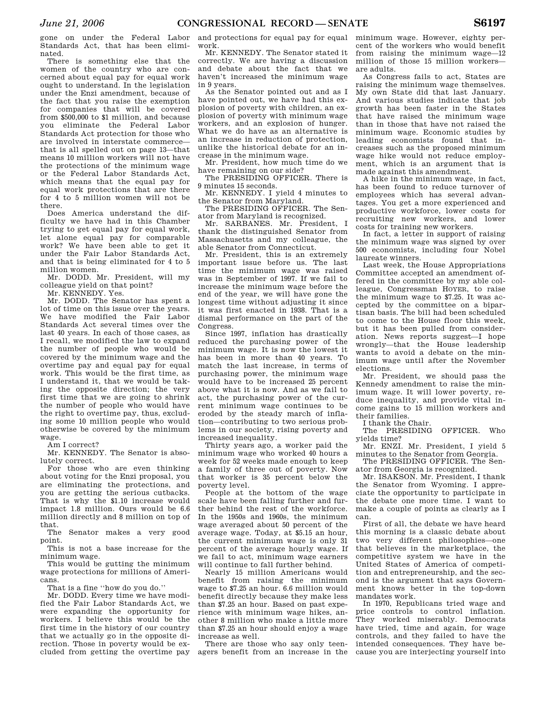gone on under the Federal Labor Standards Act, that has been eliminated.

There is something else that the women of the country who are concerned about equal pay for equal work ought to understand. In the legislation under the Enzi amendment, because of the fact that you raise the exemption for companies that will be covered from \$500,000 to \$1 million, and because you eliminate the Federal Labor Standards Act protection for those who are involved in interstate commerce that is all spelled out on page 13—that means 10 million workers will not have the protections of the minimum wage or the Federal Labor Standards Act, which means that the equal pay for equal work protections that are there for 4 to 5 million women will not be there.

Does America understand the difficulty we have had in this Chamber trying to get equal pay for equal work, let alone equal pay for comparable work? We have been able to get it under the Fair Labor Standards Act, and that is being eliminated for 4 to 5 million women.

Mr. DODD. Mr. President, will my colleague yield on that point?

Mr. KENNEDY. Yes.

Mr. DODD. The Senator has spent a lot of time on this issue over the years. We have modified the Fair Labor Standards Act several times over the last 40 years. In each of those cases, as I recall, we modified the law to expand the number of people who would be covered by the minimum wage and the overtime pay and equal pay for equal work. This would be the first time, as I understand it, that we would be taking the opposite direction; the very first time that we are going to shrink the number of people who would have the right to overtime pay, thus, excluding some 10 million people who would otherwise be covered by the minimum wage.

Am I correct?

Mr. KENNEDY. The Senator is absolutely correct.

For those who are even thinking about voting for the Enzi proposal, you are eliminating the protections, and you are getting the serious cutbacks. That is why the \$1.10 increase would impact 1.8 million. Ours would be 6.6 million directly and 8 million on top of that.

The Senator makes a very good point.

This is not a base increase for the minimum wage.

This would be gutting the minimum wage protections for millions of Americans.

That is a fine ''how do you do.''

Mr. DODD. Every time we have modified the Fair Labor Standards Act, we were expanding the opportunity for workers. I believe this would be the first time in the history of our country that we actually go in the opposite direction. Those in poverty would be excluded from getting the overtime pay

and protections for equal pay for equal work.

Mr. KENNEDY. The Senator stated it correctly. We are having a discussion and debate about the fact that we haven't increased the minimum wage in 9 years.

As the Senator pointed out and as I have pointed out, we have had this explosion of poverty with children, an explosion of poverty with minimum wage workers, and an explosion of hunger. What we do have as an alternative is an increase in reduction of protection, unlike the historical debate for an increase in the minimum wage.

Mr. President, how much time do we have remaining on our side?

The PRESIDING OFFICER. There is 9 minutes 15 seconds.

Mr. KENNEDY. I yield 4 minutes to the Senator from Maryland.

The PRESIDING OFFICER. The Senator from Maryland is recognized.

Mr. SARBANES. Mr. President, I thank the distinguished Senator from Massachusetts and my colleague, the able Senator from Connecticut.

Mr. President, this is an extremely important issue before us. The last time the minimum wage was raised was in September of 1997. If we fail to increase the minimum wage before the end of the year, we will have gone the longest time without adjusting it since it was first enacted in 1938. That is a dismal performance on the part of the Congress.

Since 1997, inflation has drastically reduced the purchasing power of the minimum wage. It is now the lowest it has been in more than 40 years. To match the last increase, in terms of purchasing power, the minimum wage would have to be increased 25 percent above what it is now. And as we fail to act, the purchasing power of the current minimum wage continues to be eroded by the steady march of inflation—contributing to two serious problems in our society, rising poverty and increased inequality.

Thirty years ago, a worker paid the minimum wage who worked 40 hours a week for 52 weeks made enough to keep a family of three out of poverty. Now that worker is 35 percent below the poverty level.

People at the bottom of the wage scale have been falling further and further behind the rest of the workforce. In the 1950s and 1960s, the minimum wage averaged about 50 percent of the average wage. Today, at \$5.15 an hour, the current minimum wage is only 31 percent of the average hourly wage. If we fail to act, minimum wage earners will continue to fall further behind.

Nearly 15 million Americans would benefit from raising the minimum wage to \$7.25 an hour. 6.6 million would benefit directly because they make less than \$7.25 an hour. Based on past experience with minimum wage hikes, another 8 million who make a little more than \$7.25 an hour should enjoy a wage increase as well.

There are those who say only teenagers benefit from an increase in the minimum wage. However, eighty percent of the workers who would benefit from raising the minimum wage—12 million of those 15 million workers are adults.

As Congress fails to act, States are raising the minimum wage themselves. My own State did that last January. And various studies indicate that job growth has been faster in the States that have raised the minimum wage than in those that have not raised the minimum wage. Economic studies by leading economists found that increases such as the proposed minimum wage hike would not reduce employment, which is an argument that is made against this amendment.

A hike in the minimum wage, in fact, has been found to reduce turnover of employees which has several advantages. You get a more experienced and productive workforce, lower costs for recruiting new workers, and lower costs for training new workers.

In fact, a letter in support of raising the minimum wage was signed by over 500 economists, including four Nobel laureate winners.

Last week, the House Appropriations Committee accepted an amendment offered in the committee by my able colleague, Congressman HOYER, to raise the minimum wage to \$7.25. It was accepted by the committee on a bipartisan basis. The bill had been scheduled to come to the House floor this week, but it has been pulled from consideration. News reports suggest—I hope wrongly—that the House leadership wants to avoid a debate on the minimum wage until after the November elections.

Mr. President, we should pass the Kennedy amendment to raise the minimum wage. It will lower poverty, reduce inequality, and provide vital income gains to 15 million workers and their families.

I thank the Chair.

The PRESIDING OFFICER. Who yields time?

Mr. ENZI. Mr. President, I yield 5 minutes to the Senator from Georgia.

The PRESIDING OFFICER. The Senator from Georgia is recognized.

Mr. ISAKSON. Mr. President, I thank the Senator from Wyoming. I appreciate the opportunity to participate in the debate one more time. I want to make a couple of points as clearly as I can.

First of all, the debate we have heard this morning is a classic debate about two very different philosophies—one that believes in the marketplace, the competitive system we have in the United States of America of competition and entrepreneurship, and the second is the argument that says Government knows better in the top-down mandates work.

In 1970, Republicans tried wage and price controls to control inflation. They worked miserably. Democrats have tried, time and again, for wage controls, and they failed to have the intended consequences. They have because you are interjecting yourself into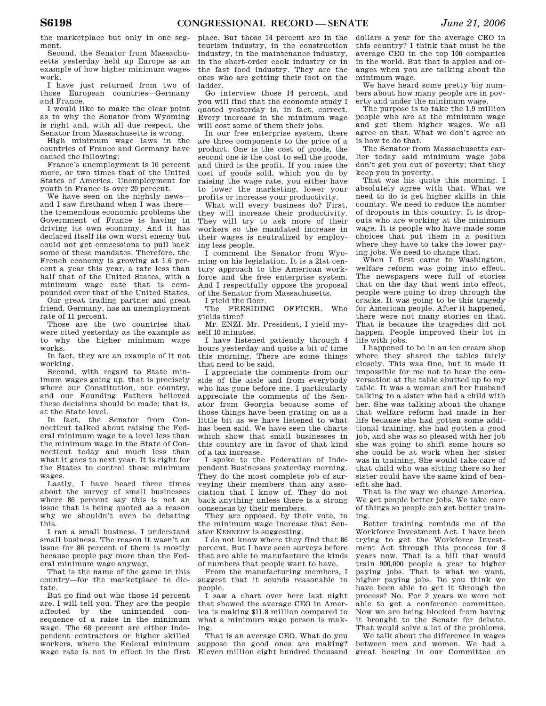the marketplace but only in one segment.

Second, the Senator from Massachusetts yesterday held up Europe as an example of how higher minimum wages work.

I have just returned from two of those European countries—Germany and France.

I would like to make the clear point as to why the Senator from Wyoming is right and, with all due respect, the Senator from Massachusetts is wrong.

High minimum wage laws in the countries of France and Germany have caused the following:

France's unemployment is 10 percent more, or two times that of the United States of America. Unemployment for youth in France is over 20 percent.

We have seen on the nightly news and I saw firsthand when I was there the tremendous economic problems the Government of France is having in driving its own economy. And it has declared itself its own worst enemy but could not get concessions to pull back some of these mandates. Therefore, the French economy is growing at 1.6 percent a year this year, a rate less than half that of the United States, with a minimum wage rate that is compounded over that of the United States.

Our great trading partner and great friend, Germany, has an unemployment rate of 11 percent.

Those are the two countries that were cited yesterday as the example as to why the higher minimum wage works.

In fact, they are an example of it not working.

Second, with regard to State minimum wages going up, that is precisely where our Constitution, our country, and our Founding Fathers believed these decisions should be made; that is, at the State level.

In fact, the Senator from Connecticut talked about raising the Federal minimum wage to a level less than the minimum wage in the State of Connecticut today and much less than what it goes to next year. It is right for the States to control those minimum wages.

Lastly, I have heard three times about the survey of small businesses where 86 percent say this is not an issue that is being quoted as a reason why we shouldn't even be debating this.

I ran a small business. I understand small business. The reason it wasn't an issue for 86 percent of them is mostly because people pay more than the Federal minimum wage anyway.

That is the name of the game in this country—for the marketplace to dictate.

But go find out who those 14 percent are. I will tell you. They are the people affected by the unintended consequence of a raise in the minimum wage. The 68 percent are either independent contractors or higher skilled workers, where the Federal minimum wage rate is not in effect in the first

place. But those 14 percent are in the tourism industry, in the construction industry, in the maintenance industry, in the short-order cook industry or in the fast food industry. They are the ones who are getting their foot on the ladder.

Go interview those 14 percent, and you will find that the economic study I quoted yesterday is, in fact, correct. Every increase in the minimum wage will cost some of them their jobs.

In our free enterprise system, there are three components to the price of a product. One is the cost of goods, the second one is the cost to sell the goods, and third is the profit. If you raise the cost of goods sold, which you do by raising the wage rate, you either have to lower the marketing, lower your profits or increase your productivity.

What will every business do? First, they will increase their productivity. They will try to ask more of their workers so the mandated increase in their wages is neutralized by employing less people.

I commend the Senator from Wyoming on his legislation. It is a 21st century approach to the American workforce and the free enterprise system. And I respectfully oppose the proposal of the Senator from Massachusetts.

I yield the floor.

The PRESIDING OFFICER. Who yields time?

Mr. ENZI. Mr. President, I yield myself 10 minutes.

I have listened patiently through 4 hours yesterday and quite a bit of time this morning. There are some things that need to be said.

I appreciate the comments from our side of the aisle and from everybody who has gone before me. I particularly appreciate the comments of the Senator from Georgia because some of those things have been grating on us a little bit as we have listened to what has been said. We have seen the charts which show that small businesses in this country are in favor of that kind of a tax increase.

I spoke to the Federation of Independent Businesses yesterday morning. They do the most complete job of surveying their members than any association that I know of. They do not back anything unless there is a strong consensus by their members.

They are opposed, by their vote, to the minimum wage increase that Senator KENNEDY is suggesting.

I do not know where they find that 86 percent. But I have seen surveys before that are able to manufacture the kinds of numbers that people want to have.

From the manufacturing members, I suggest that it sounds reasonable to people.

I saw a chart over here last night that showed the average CEO in America is making \$11.8 million compared to what a minimum wage person is making.

That is an average CEO. What do you suppose the good ones are making? Eleven million eight hundred thousand

dollars a year for the average CEO in this country? I think that must be the average CEO in the top 100 companies in the world. But that is apples and oranges when you are talking about the minimum wage.

We have heard some pretty big numbers about how many people are in poverty and under the minimum wage.

The purpose is to take the 1.9 million people who are at the minimum wage and get them higher wages. We all agree on that. What we don't agree on is how to do that.

The Senator from Massachusetts earlier today said minimum wage jobs don't get you out of poverty; that they keep you in poverty.

That was his quote this morning. I absolutely agree with that. What we need to do is get higher skills in this country. We need to reduce the number of dropouts in this country. It is dropouts who are working at the minimum wage. It is people who have made some choices that put them in a position where they have to take the lower paying jobs. We need to change that.

When I first came to Washington, welfare reform was going into effect. The newspapers were full of stories that on the day that went into effect, people were going to drop through the cracks. It was going to be this tragedy for American people. After it happened, there were not many stories on that. That is because the tragedies did not happen. People improved their lot in life with jobs.

I happened to be in an ice cream shop where they shared the tables fairly closely. This was fine, but it made it impossible for me not to hear the conversation at the table abutted up to my table. It was a woman and her husband talking to a sister who had a child with her. She was talking about the change that welfare reform had made in her life because she had gotten some additional training, she had gotten a good job, and she was so pleased with her job she was going to shift some hours so she could be at work when her sister was in training. She would take care of that child who was sitting there so her sister could have the same kind of benefit she had.

That is the way we change America. We get people better jobs. We take care of things so people can get better training.

Better training reminds me of the Workforce Investment Act. I have been trying to get the Workforce Investment Act through this process for 3 years now. That is a bill that would train 900,000 people a year to higher paying jobs. That is what we want, higher paying jobs. Do you think we have been able to get it through the process? No. For 2 years we were not able to get a conference committee. Now we are being blocked from having it brought to the Senate for debate. That would solve a lot of the problems.

We talk about the difference in wages between men and women. We had a great hearing in our Committee on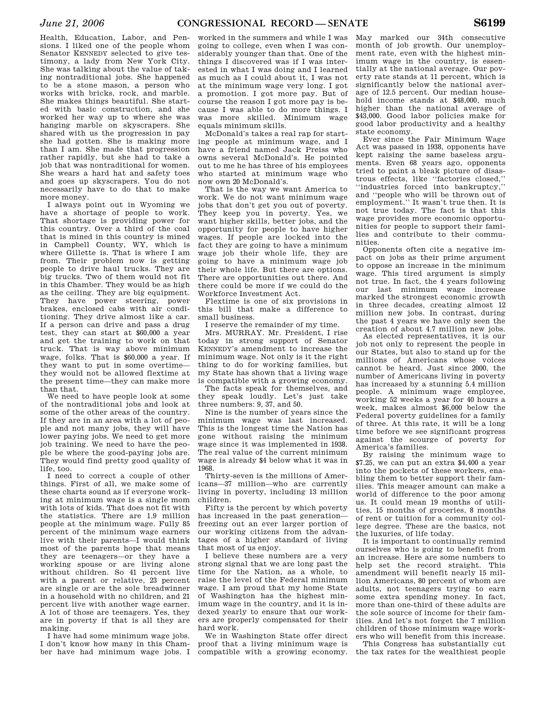Health, Education, Labor, and Pensions. I liked one of the people whom Senator KENNEDY selected to give testimony, a lady from New York City. She was talking about the value of taking nontraditional jobs. She happened to be a stone mason, a person who works with bricks, rock, and marble. She makes things beautiful. She started with basic construction, and she worked her way up to where she was hanging marble on skyscrapers. She shared with us the progression in pay she had gotten. She is making more than I am. She made that progression rather rapidly, but she had to take a job that was nontraditional for women. She wears a hard hat and safety toes and goes up skyscrapers. You do not necessarily have to do that to make more money.

I always point out in Wyoming we have a shortage of people to work. That shortage is providing power for this country. Over a third of the coal that is mined in this country is mined in Campbell County, WY, which is where Gillette is. That is where I am from. Their problem now is getting people to drive haul trucks. They are big trucks. Two of them would not fit in this Chamber. They would be as high as the ceiling. They are big equipment. They have power steering, power brakes, enclosed cabs with air conditioning. They drive almost like a car. If a person can drive and pass a drug test, they can start at \$60,000 a year and get the training to work on that truck. That is way above minimum wage, folks. That is \$60,000 a year. If they want to put in some overtime they would not be allowed flextime at the present time—they can make more than that.

We need to have people look at some of the nontraditional jobs and look at some of the other areas of the country. If they are in an area with a lot of people and not many jobs, they will have lower paying jobs. We need to get more job training. We need to have the people be where the good-paying jobs are. They would find pretty good quality of life, too.

I need to correct a couple of other things. First of all, we make some of these charts sound as if everyone working at minimum wage is a single mom with lots of kids. That does not fit with the statistics. There are 1.9 million people at the minimum wage. Fully 85 percent of the minimum wage earners live with their parents—I would think most of the parents hope that means they are teenagers—or they have a working spouse or are living alone without children. So 41 percent live with a parent or relative, 23 percent are single or are the sole breadwinner in a household with no children, and 21 percent live with another wage earner. A lot of those are teenagers. Yes, they are in poverty if that is all they are making.

I have had some minimum wage jobs. I don't know how many in this Chamber have had minimum wage jobs. I

worked in the summers and while I was going to college, even when I was considerably younger than that. One of the things I discovered was if I was interested in what I was doing and I learned as much as I could about it, I was not at the minimum wage very long. I got a promotion. I got more pay. But of course the reason I got more pay is because I was able to do more things. I was more skilled. Minimum wage equals minimum skills.

McDonald's takes a real rap for starting people at minimum wage, and I have a friend named Jack Preiss who owns several McDonald's. He pointed out to me he has three of his employees who started at minimum wage who now own 20 McDonald's.

That is the way we want America to work. We do not want minimum wage jobs that don't get you out of poverty. They keep you in poverty. Yes, we want higher skills, better jobs, and the opportunity for people to have higher wages. If people are locked into the fact they are going to have a minimum wage job their whole life, they are going to have a minimum wage job their whole life. But there are options. There are opportunities out there. And there could be more if we could do the Workforce Investment Act.

Flextime is one of six provisions in this bill that make a difference to small business.

I reserve the remainder of my time.

Mrs. MURRAY. Mr. President, I rise today in strong support of Senator KENNEDY's amendment to increase the minimum wage. Not only is it the right thing to do for working families, but my State has shown that a living wage is compatible with a growing economy.

The facts speak for themselves, and they speak loudly. Let's just take three numbers: 9, 37, and 50.

Nine is the number of years since the minimum wage was last increased. This is the longest time the Nation has gone without raising the minimum wage since it was implemented in 1938. The real value of the current minimum wage is already \$4 below what it was in 1968.

Thirty-seven is the millions of Americans—37 million—who are currently living in poverty, including 13 million children.

Fifty is the percent by which poverty has increased in the past generation freezing out an ever larger portion of our working citizens from the advantages of a higher standard of living that most of us enjoy.

I believe these numbers are a very strong signal that we are long past the time for the Nation, as a whole, to raise the level of the Federal minimum wage. I am proud that my home State of Washington has the highest minimum wage in the country, and it is indexed yearly to ensure that our workers are properly compensated for their hard work.

We in Washington State offer direct proof that a living minimum wage is compatible with a growing economy.

May marked our 34th consecutive month of job growth. Our unemployment rate, even with the highest minimum wage in the country, is essentially at the national average. Our poverty rate stands at 11 percent, which is significantly below the national average of 12.5 percent. Our median household income stands at \$48,000, much higher than the national average of \$43,000. Good labor policies make for good labor productivity and a healthy state economy.

Ever since the Fair Minimum Wage Act was passed in 1938, opponents have kept raising the same baseless arguments. Even 68 years ago, opponents tried to paint a bleak picture of disastrous effects, like ''factories closed,'' ''industries forced into bankruptcy,'' and ''people who will be thrown out of employment.'' It wasn't true then. It is not true today. The fact is that this wage provides more economic opportunities for people to support their families and contribute to their communities.

Opponents often cite a negative impact on jobs as their prime argument to oppose an increase in the minimum wage. This tired argument is simply not true. In fact, the 4 years following our last minimum wage increase marked the strongest economic growth in three decades, creating almost 12 million new jobs. In contrast, during the past 4 years we have only seen the creation of about 4.7 million new jobs.

As elected representatives, it is our job not only to represent the people in our States, but also to stand up for the millions of Americans whose voices cannot be heard. Just since 2000, the number of Americans living in poverty has increased by a stunning 5.4 million people. A minimum wage employee, working 52 weeks a year for 40 hours a week, makes almost \$6,000 below the Federal poverty guidelines for a family of three. At this rate, it will be a long time before we see significant progress against the scourge of poverty for America's families.

By raising the minimum wage to \$7.25, we can put an extra \$4,400 a year into the pockets of these workers, enabling them to better support their families. This meager amount can make a world of difference to the poor among us. It could mean 19 months of utilities, 15 months of groceries, 8 months of rent or tuition for a community college degree. These are the basics, not the luxuries, of life today.

It is important to continually remind ourselves who is going to benefit from an increase. Here are some numbers to help set the record straight. This amendment will benefit nearly 15 million Americans, 80 percent of whom are adults, not teenagers trying to earn some extra spending money. In fact, more than one-third of these adults are the sole source of income for their families. And let's not forget the 7 million children of those minimum wage workers who will benefit from this increase.

This Congress has substantially cut the tax rates for the wealthiest people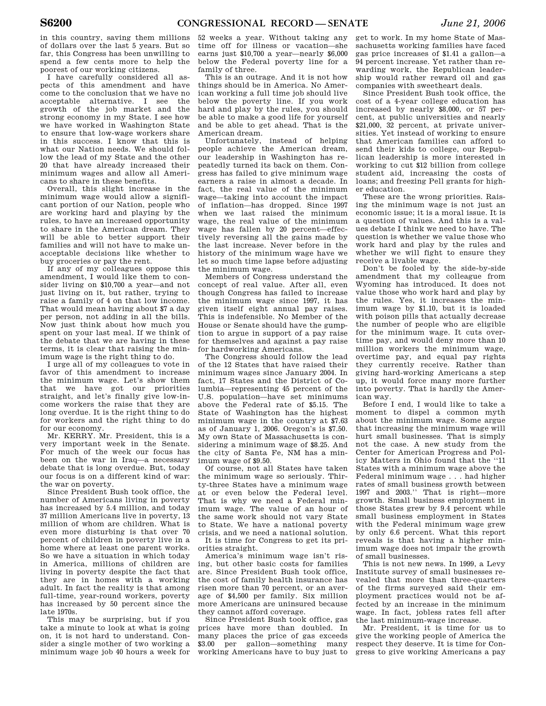in this country, saving them millions of dollars over the last 5 years. But so far, this Congress has been unwilling to spend a few cents more to help the poorest of our working citizens.

I have carefully considered all aspects of this amendment and have come to the conclusion that we have no acceptable alternative. I see the growth of the job market and the strong economy in my State. I see how we have worked in Washington State to ensure that low-wage workers share in this success. I know that this is what our Nation needs. We should follow the lead of my State and the other 20 that have already increased their minimum wages and allow all Americans to share in these benefits.

Overall, this slight increase in the minimum wage would allow a significant portion of our Nation, people who are working hard and playing by the rules, to have an increased opportunity to share in the American dream. They will be able to better support their families and will not have to make unacceptable decisions like whether to buy groceries or pay the rent.

If any of my colleagues oppose this amendment, I would like them to consider living on \$10,700 a year—and not just living on it, but rather, trying to raise a family of 4 on that low income. That would mean having about \$7 a day per person, not adding in all the bills. Now just think about how much you spent on your last meal. If we think of the debate that we are having in these terms, it is clear that raising the minimum wage is the right thing to do.

I urge all of my colleagues to vote in favor of this amendment to increase the minimum wage. Let's show them that we have got our priorities straight, and let's finally give low-income workers the raise that they are long overdue. It is the right thing to do for workers and the right thing to do for our economy.

Mr. KERRY. Mr. President, this is a very important week in the Senate. For much of the week our focus has been on the war in Iraq—a necessary debate that is long overdue. But, today our focus is on a different kind of war: the war on poverty.

Since President Bush took office, the number of Americans living in poverty has increased by 5.4 million, and today 37 million Americans live in poverty, 13 million of whom are children. What is even more disturbing is that over 70 percent of children in poverty live in a home where at least one parent works. So we have a situation in which today in America, millions of children are living in poverty despite the fact that they are in homes with a working adult. In fact the reality is that among full-time, year-round workers, poverty has increased by 50 percent since the late 1970s.

This may be surprising, but if you take a minute to look at what is going on, it is not hard to understand. Consider a single mother of two working a minimum wage job 40 hours a week for

52 weeks a year. Without taking any time off for illness or vacation—she earns just \$10,700 a year—nearly \$6,000 below the Federal poverty line for a family of three.

This is an outrage. And it is not how things should be in America. No American working a full time job should live below the poverty line. If you work hard and play by the rules, you should be able to make a good life for yourself and be able to get ahead. That is the American dream.

Unfortunately, instead of helping people achieve the American dream, our leadership in Washington has repeatedly turned its back on them. Congress has failed to give minimum wage earners a raise in almost a decade. In fact, the real value of the minimum wage—taking into account the impact of inflation—has dropped. Since 1997 when we last raised the minimum wage, the real value of the minimum wage has fallen by 20 percent—effectively reversing all the gains made by the last increase. Never before in the history of the minimum wage have we let so much time lapse before adjusting the minimum wage.

Members of Congress understand the concept of real value. After all, even though Congress has failed to increase the minimum wage since 1997, it has given itself eight annual pay raises. This is indefensible. No Member of the House or Senate should have the gumption to argue in support of a pay raise for themselves and against a pay raise for hardworking Americans.

The Congress should follow the lead of the 12 States that have raised their minimum wages since January 2004. In fact, 17 States and the District of Columbia—representing 45 percent of the U.S. population—have set minimums above the Federal rate of \$5.15. The State of Washington has the highest minimum wage in the country at \$7.63 as of January 1, 2006. Oregon's is \$7.50. My own State of Massachusetts is considering a minimum wage of \$8.25. And the city of Santa Fe, NM has a minimum wage of \$9.50.

Of course, not all States have taken the minimum wage so seriously. Thirty-three States have a minimum wage at or even below the Federal level. That is why we need a Federal minimum wage. The value of an hour of the same work should not vary State to State. We have a national poverty crisis, and we need a national solution.

It is time for Congress to get its priorities straight.

America's minimum wage isn't rising, but other basic costs for families are. Since President Bush took office, the cost of family health insurance has risen more than 70 percent, or an average of \$4,500 per family. Six million more Americans are uninsured because they cannot afford coverage.

Since President Bush took office, gas prices have more than doubled. In many places the price of gas exceeds \$3.00 per gallon—something many working Americans have to buy just to

get to work. In my home State of Massachusetts working families have faced gas price increases of \$1.41 a gallon—a 94 percent increase. Yet rather than rewarding work, the Republican leadership would rather reward oil and gas companies with sweetheart deals.

Since President Bush took office, the cost of a 4-year college education has increased by nearly \$8,000, or 57 percent, at public universities and nearly \$21,000, 32 percent, at private universities. Yet instead of working to ensure that American families can afford to send their kids to college, our Republican leadership is more interested in working to cut \$12 billion from college student aid, increasing the costs of loans; and freezing Pell grants for higher education.

These are the wrong priorities. Raising the minimum wage is not just an economic issue; it is a moral issue. It is a question of values. And this is a values debate I think we need to have. The question is whether we value those who work hard and play by the rules and whether we will fight to ensure they receive a livable wage.

Don't be fooled by the side-by-side amendment that my colleague from Wyoming has introduced. It does not value those who work hard and play by the rules. Yes, it increases the minimum wage by \$1.10, but it is loaded with poison pills that actually decrease the number of people who are eligible for the minimum wage. It cuts overtime pay, and would deny more than 10 million workers the minimum wage, overtime pay, and equal pay rights they currently receive. Rather than giving hard-working Americans a step up, it would force many more further into poverty. That is hardly the American way.

Before I end, I would like to take a moment to dispel a common myth about the minimum wage. Some argue that increasing the minimum wage will hurt small businesses. That is simply not the case. A new study from the Center for American Progress and Policy Matters in Ohio found that the ''11 States with a minimum wage above the Federal minimum wage . . . had higher rates of small business growth between 1997 and 2003.'' That is right—more growth. Small business employment in those States grew by 9.4 percent while small business employment in States with the Federal minimum wage grew by only 6.6 percent. What this report reveals is that having a higher minimum wage does not impair the growth of small businesses.

This is not new news. In 1999, a Levy Institute survey of small businesses revealed that more than three-quarters of the firms surveyed said their employment practices would not be affected by an increase in the minimum wage. In fact, jobless rates fell after the last minimum-wage increase.

Mr. President, it is time for us to give the working people of America the respect they deserve. It is time for Congress to give working Americans a pay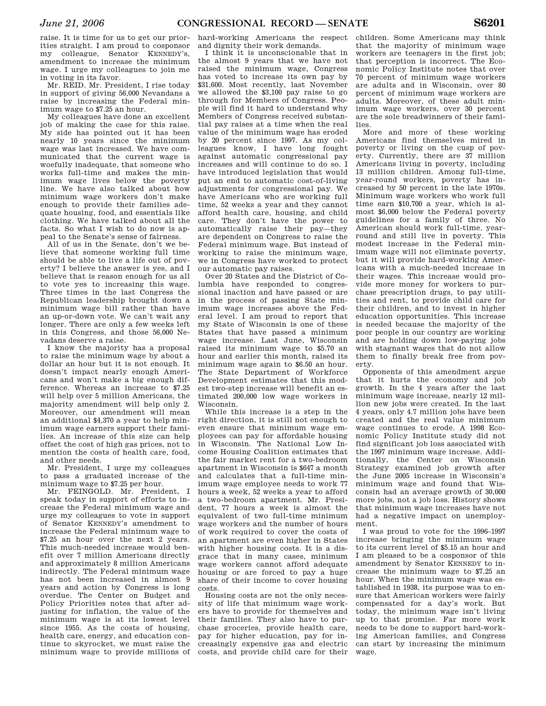raise. It is time for us to get our priorities straight. I am proud to cosponsor my colleague, Senator KENNEDY's, amendment to increase the minimum wage. I urge my colleagues to join me in voting in its favor.

Mr. REID. Mr. President, I rise today in support of giving 56,000 Nevandans a raise by increasing the Federal minimum wage to \$7.25 an hour.

My colleagues have done an excellent job of making the case for this raise. My side has pointed out it has been nearly 10 years since the minimum wage was last increased. We have communicated that the current wage is woefully inadequate, that someone who works full-time and makes the minimum wage lives below the poverty line. We have also talked about how minimum wage workers don't make enough to provide their families adequate housing, food, and essentials like clothing. We have talked about all the facts. So what I wish to do now is appeal to the Senate's sense of fairness.

All of us in the Senate, don't we believe that someone working full time should be able to live a life out of poverty? I believe the answer is yes, and I believe that is reason enough for us all to vote yes to increasing this wage. Three times in the last Congress the Republican leadership brought down a minimum wage bill rather than have an up-or-down vote. We can't wait any longer. There are only a few weeks left in this Congress, and those 56,000 Nevadans deserve a raise.

I know the majority has a proposal to raise the minimum wage by about a dollar an hour but it is not enough. It doesn't impact nearly enough Americans and won't make a big enough difference. Whereas an increase to \$7.25 will help over 5 million Americans, the majority amendment will help only 2. Moreover, our amendment will mean an additional \$4,370 a year to help minimum wage earners support their families. An increase of this size can help offset the cost of high gas prices, not to mention the costs of health care, food, and other needs.

Mr. President, I urge my colleagues to pass a graduated increase of the minimum wage to \$7.25 per hour.

Mr. FEINGOLD. Mr. President, I speak today in support of efforts to increase the Federal minimum wage and urge my colleagues to vote in support of Senator KENNEDY's amendment to increase the Federal minimum wage to \$7.25 an hour over the next 2 years. This much-needed increase would benefit over 7 million Americans directly and approximately 8 million Americans indirectly. The Federal minimum wage has not been increased in almost 9 years and action by Congress is long overdue. The Center on Budget and Policy Priorities notes that after adjusting for inflation, the value of the minimum wage is at its lowest level since 1955. As the costs of housing, health care, energy, and education continue to skyrocket, we must raise the minimum wage to provide millions of

hard-working Americans the respect and dignity their work demands.

I think it is unconscionable that in the almost 9 years that we have not raised the minimum wage, Congress has voted to increase its own pay by \$31,600. Most recently, last November we allowed the \$3,100 pay raise to go through for Members of Congress. People will find it hard to understand why Members of Congress received substantial pay raises at a time when the real value of the minimum wage has eroded by 20 percent since 1997. As my colleagues know, I have long fought against automatic congressional pay increases and will continue to do so. I have introduced legislation that would put an end to automatic cost-of-living adjustments for congressional pay. We have Americans who are working full time, 52 weeks a year and they cannot afford health care, housing, and child care. They don't have the power to automatically raise their pay—they are dependent on Congress to raise the Federal minimum wage. But instead of working to raise the minimum wage, we in Congress have worked to protect our automatic pay raises.

Over 20 States and the District of Columbia have responded to congressional inaction and have passed or are in the process of passing State minimum wage increases above the Federal level. I am proud to report that my State of Wisconsin is one of these States that have passed a minimum wage increase. Last June, Wisconsin raised its minimum wage to \$5.70 an hour and earlier this month, raised its minimum wage again to \$6.50 an hour. The State Department of Workforce Development estimates that this modest two-step increase will benefit an estimated 200,000 low wage workers in Wisconsin.

While this increase is a step in the right direction, it is still not enough to even ensure that minimum wage employees can pay for affordable housing in Wisconsin. The National Low Income Housing Coalition estimates that the fair market rent for a two-bedroom apartment in Wisconsin is \$647 a month and calculates that a full-time minimum wage employee needs to work 77 hours a week, 52 weeks a year to afford a two-bedroom apartment. Mr. President, 77 hours a week is almost the equivalent of two full-time minimum wage workers and the number of hours of work required to cover the costs of an apartment are even higher in States with higher housing costs. It is a disgrace that in many cases, minimum wage workers cannot afford adequate housing or are forced to pay a huge share of their income to cover housing costs.

Housing costs are not the only necessity of life that minimum wage workers have to provide for themselves and their families. They also have to purchase groceries, provide health care, pay for higher education, pay for increasingly expensive gas and electric costs, and provide child care for their

children. Some Americans may think that the majority of minimum wage workers are teenagers in the first job; that perception is incorrect. The Economic Policy Institute notes that over 70 percent of minimum wage workers are adults and in Wisconsin, over 80 percent of minimum wage workers are adults. Moreover, of these adult minimum wage workers, over 30 percent are the sole breadwinners of their families.

More and more of these working Americans find themselves mired in poverty or living on the cusp of poverty. Currently, there are 37 million Americans living in poverty, including 13 million children. Among full-time, year-round workers, poverty has increased by 50 percent in the late 1970s. Minimum wage workers who work full time earn \$10,700 a year, which is almost \$6,000 below the Federal poverty guidelines for a family of three. No American should work full-time, yearround and still live in poverty. This modest increase in the Federal minimum wage will not eliminate poverty, but it will provide hard-working Americans with a much-needed increase in their wages. This increase would provide more money for workers to purchase prescription drugs, to pay utilities and rent, to provide child care for their children, and to invest in higher education opportunities. This increase is needed because the majority of the poor people in our country are working and are holding down low-paying jobs with stagnant wages that do not allow them to finally break free from poverty.

Opponents of this amendment argue that it hurts the economy and job growth. In the 4 years after the last minimum wage increase, nearly 12 million new jobs were created. In the last 4 years, only 4.7 million jobs have been created and the real value minimum wage continues to erode. A 1998 Economic Policy Institute study did not find significant job loss associated with the 1997 minimum wage increase. Additionally, the Center on Wisconsin Strategy examined job growth after the June 2005 increase in Wisconsin's minimum wage and found that Wisconsin had an average growth of 30,000 more jobs, not a job loss. History shows that minimum wage increases have not had a negative impact on unemployment.

I was proud to vote for the 1996–1997 increase bringing the minimum wage to its current level of \$5.15 an hour and I am pleased to be a cosponsor of this amendment by Senator KENNEDY to increase the minimum wage to \$7.25 an hour. When the minimum wage was established in 1938, its purpose was to ensure that American workers were fairly compensated for a day's work. But today, the minimum wage isn't living up to that promise. Far more work needs to be done to support hard-working American families, and Congress can start by increasing the minimum wage.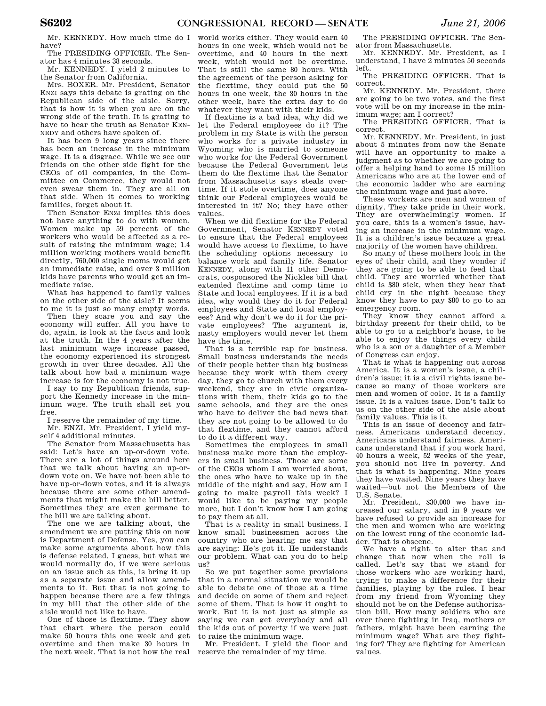Mr. KENNEDY. How much time do I have?

The PRESIDING OFFICER. The Senator has 4 minutes 38 seconds.

Mr. KENNEDY. I yield 2 minutes to the Senator from California.

Mrs. BOXER. Mr. President, Senator ENZI says this debate is grating on the Republican side of the aisle. Sorry, that is how it is when you are on the wrong side of the truth. It is grating to have to hear the truth as Senator KEN-NEDY and others have spoken of.

It has been 9 long years since there has been an increase in the minimum wage. It is a disgrace. While we see our friends on the other side fight for the CEOs of oil companies, in the Committee on Commerce, they would not even swear them in. They are all on that side. When it comes to working families, forget about it.

Then Senator ENZI implies this does not have anything to do with women. Women make up 59 percent of the workers who would be affected as a result of raising the minimum wage; 1.4 million working mothers would benefit directly, 760,000 single moms would get an immediate raise, and over 3 million kids have parents who would get an immediate raise.

What has happened to family values on the other side of the aisle? It seems to me it is just so many empty words.

Then they scare you and say the economy will suffer. All you have to do, again, is look at the facts and look at the truth. In the 4 years after the last minimum wage increase passed, the economy experienced its strongest growth in over three decades. All the talk about how bad a minimum wage increase is for the economy is not true.

I say to my Republican friends, support the Kennedy increase in the minimum wage. The truth shall set you free.

I reserve the remainder of my time.

Mr. ENZI. Mr. President, I yield myself 4 additional minutes.

The Senator from Massachusetts has said: Let's have an up-or-down vote. There are a lot of things around here that we talk about having an up-ordown vote on. We have not been able to have up-or-down votes, and it is always because there are some other amendments that might make the bill better. Sometimes they are even germane to the bill we are talking about.

The one we are talking about, the amendment we are putting this on now is Department of Defense. Yes, you can make some arguments about how this is defense related, I guess, but what we would normally do, if we were serious on an issue such as this, is bring it up as a separate issue and allow amendments to it. But that is not going to happen because there are a few things in my bill that the other side of the aisle would not like to have.

One of those is flextime. They show that chart where the person could make 50 hours this one week and get overtime and then make 30 hours in the next week. That is not how the real

world works either. They would earn 40 hours in one week, which would not be overtime, and 40 hours in the next week, which would not be overtime. That is still the same 80 hours. With the agreement of the person asking for the flextime, they could put the 50 hours in one week, the 30 hours in the other week, have the extra day to do whatever they want with their kids.

If flextime is a bad idea, why did we let the Federal employees do it? The problem in my State is with the person who works for a private industry in Wyoming who is married to someone who works for the Federal Government because the Federal Government lets them do the flextime that the Senator from Massachusetts says steals overtime. If it stole overtime, does anyone think our Federal employees would be interested in it? No; they have other values.

When we did flextime for the Federal Government, Senator KENNEDY voted to ensure that the Federal employees would have access to flextime, to have the scheduling options necessary to balance work and family life. Senator KENNEDY, along with 11 other Democrats, cosponsored the Nickles bill that extended flextime and comp time to State and local employees. If it is a bad idea, why would they do it for Federal employees and State and local employees? And why don't we do it for the private employees? The argument is, nasty employers would never let them have the time.

That is a terrible rap for business. Small business understands the needs of their people better than big business because they work with them every day, they go to church with them every weekend, they are in civic organizations with them, their kids go to the same schools, and they are the ones who have to deliver the bad news that they are not going to be allowed to do that flextime, and they cannot afford to do it a different way.

Sometimes the employees in small business make more than the employers in small business. Those are some of the CEOs whom I am worried about, the ones who have to wake up in the middle of the night and say, How am I going to make payroll this week? I would like to be paying my people more, but I don't know how I am going to pay them at all.

That is a reality in small business. I know small businessmen across the country who are hearing me say that are saying: He's got it. He understands our problem. What can you do to help us?

So we put together some provisions that in a normal situation we would be able to debate one of those at a time and decide on some of them and reject some of them. That is how it ought to work. But it is not just as simple as saying we can get everybody and all the kids out of poverty if we were just to raise the minimum wage.

Mr. President, I yield the floor and reserve the remainder of my time.

The PRESIDING OFFICER. The Senator from Massachusetts.

Mr. KENNEDY. Mr. President, as I understand, I have 2 minutes 50 seconds left.

The PRESIDING OFFICER. That is correct.

Mr. KENNEDY. Mr. President, there are going to be two votes, and the first vote will be on my increase in the minimum wage; am I correct?

The PRESIDING OFFICER. That is correct.

Mr. KENNEDY. Mr. President, in just about 5 minutes from now the Senate will have an opportunity to make a judgment as to whether we are going to offer a helping hand to some 15 million Americans who are at the lower end of the economic ladder who are earning the minimum wage and just above.

These workers are men and women of dignity. They take pride in their work. They are overwhelmingly women. If you care, this is a women's issue, having an increase in the minimum wage. It is a children's issue because a great majority of the women have children.

So many of these mothers look in the eyes of their child, and they wonder if they are going to be able to feed that child. They are worried whether that child is \$80 sick, when they hear that child cry in the night because they know they have to pay \$80 to go to an emergency room.

They know they cannot afford a birthday present for their child, to be able to go to a neighbor's house, to be able to enjoy the things every child who is a son or a daughter of a Member of Congress can enjoy.

That is what is happening out across America. It is a women's issue, a children's issue; it is a civil rights issue because so many of those workers are men and women of color. It is a family issue. It is a values issue. Don't talk to us on the other side of the aisle about family values. This is it.

This is an issue of decency and fairness. Americans understand decency. Americans understand fairness. Americans understand that if you work hard, 40 hours a week, 52 weeks of the year, you should not live in poverty. And that is what is happening. Nine years they have waited. Nine years they have waited—but not the Members of the U.S. Senate.

Mr. President, \$30,000 we have increased our salary, and in 9 years we have refused to provide an increase for the men and women who are working on the lowest rung of the economic ladder. That is obscene.

We have a right to alter that and change that now when the roll is called. Let's say that we stand for those workers who are working hard, trying to make a difference for their families, playing by the rules. I hear from my friend from Wyoming they should not be on the Defense authorization bill. How many soldiers who are over there fighting in Iraq, mothers or fathers, might have been earning the minimum wage? What are they fighting for? They are fighting for American values.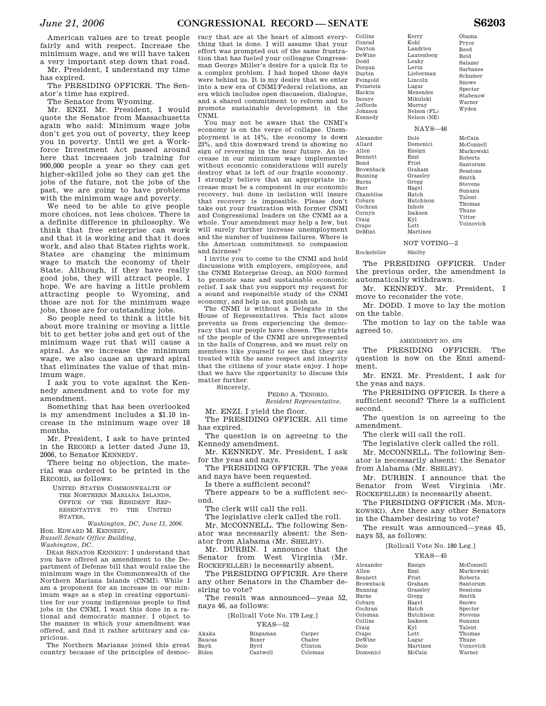American values are to treat people fairly and with respect. Increase the minimum wage, and we will have taken a very important step down that road.

Mr. President, I understand my time has expired.

The PRESIDING OFFICER. The Senator's time has expired.

The Senator from Wyoming.

Mr. ENZI. Mr. President, I would quote the Senator from Massachusetts again who said: Minimum wage jobs don't get you out of poverty, they keep you in poverty. Until we get a Workforce Investment Act passed around here that increases job training for 900,000 people a year so they can get higher-skilled jobs so they can get the jobs of the future, not the jobs of the past, we are going to have problems with the minimum wage and poverty.

We need to be able to give people more choices, not less choices. There is a definite difference in philosophy. We think that free enterprise can work and that it is working and that it does work, and also that States rights work. States are changing the minimum wage to match the economy of their State. Although, if they have really good jobs, they will attract people, I hope. We are having a little problem attracting people to Wyoming, and those are not for the minimum wage jobs, those are for outstanding jobs.

So people need to think a little bit about more training or moving a little bit to get better jobs and get out of the minimum wage rut that will cause a spiral. As we increase the minimum wage, we also cause an upward spiral that eliminates the value of that minimum wage.

I ask you to vote against the Kennedy amendment and to vote for my amendment.

Something that has been overlooked is my amendment includes a \$1.10 increase in the minimum wage over 18 months.

Mr. President, I ask to have printed in the RECORD a letter dated June 13, 2006, to Senator KENNEDY.

There being no objection, the material was ordered to be printed in the RECORD, as follows:

UNITED STATES COMMONWEALTH OF THE NORTHERN MARIANA ISLANDS, OFFICE OF THE RESIDENT REP-RESENTATIVE TO THE UNITED STATES,

*Washington, DC, June 13, 2006.*  Hon. EDWARD M. KENNEDY,

*Russell Senate Office Building,* 

*Washington, DC.* 

DEAR SENATOR KENNEDY: I understand that you have offered an amendment to the Department of Defense bill that would raise the minimum wage in the Commonwealth of the Northern Mariana Islands (CNMI). While I am a proponent for an increase in our minimum wage as a step in creating opportunities for our young indigenous people to find jobs in the CNMI, I want this done in a rational and democratic manner. I object to the manner in which your amendment was offered, and find it rather arbitrary and capricious.

The Northern Marianas joined this great country because of the principles of democ-Bau Bayh Bid

racy that are at the heart of almost everything that is done. I will assume that your effort was prompted out of the same frustration that has fueled your colleague Congressman George Miller's desire for a quick fix to a complex problem. I had hoped those days were behind us. It is my desire that we enter into a new era of CNMI/Federal relations, an era which includes open discussion, dialogue, and a shared commitment to reform and to promote sustainable development in the CNMI.

You may not be aware that the CNMI's economy is on the verge of collapse. Unemployment is at 14%, the economy is down 23%, and this downward trend is showing no sign of reversing in the near future. An increase in our minimum wage implemented without economic considerations will surely destroy what is left of our fragile economy. I strongly believe that an appropriate increase must be a component in our economic recovery, but done in isolation will insure that recovery is impossible. Please don't take out your frustration with former CNMI and Congressional leaders on the CNMI as a whole. Your amendment may help a few, but will surely further increase unemployment and the number of business failures. Where is the American commitment to compassion and fairness?

I invite you to come to the CNMI and hold discussions with employers, employees, and the CNMI Enterprise Group, an NGO formed to promote sane and sustainable economic relief. I ask that you support my request for a sound and responsible study of the CNMI economy, and help us, not punish us.

The CNMI is without a Delegate in the House of Representatives. This fact alone prevents us from experiencing the democracy that our people have chosen. The rights of the people of the CNMI are unrepresented in the halls of Congress, and we must rely on members like yourself to see that they are treated with the same respect and integrity that the citizens of your state enjoy. I hope that we have the opportunity to discuss this matter further.

Sincerely,

PEDRO A. TENORIO, *Resident Representative.* 

Mr. ENZI. I yield the floor.

The PRESIDING OFFICER. All time has expired.

The question is on agreeing to the Kennedy amendment.

Mr. KENNEDY. Mr. President, I ask for the yeas and nays.

The PRESIDING OFFICER. The yeas and nays have been requested.

Is there a sufficient second?

There appears to be a sufficient second.

The clerk will call the roll.

The legislative clerk called the roll.

Mr. MCCONNELL. The following Senator was necessarily absent: the Senator from Alabama (Mr. SHELBY).

Mr. DURBIN. I announce that the Senator from West Virginia (Mr. ROCKEFELLER) is necessarily absent.

The PRESIDING OFFICER. Are there any other Senators in the Chamber desiring to vote?

The result was announced—yeas 52, nays 46, as follows:

[Rollcall Vote No. 179 Leg.]

|        | $YEAS - 52$ |         |
|--------|-------------|---------|
| Akaka  | Bingaman    | Carper  |
| Baucus | Boxer       | Chafee  |
| Bayh   | Byrd        | Clinton |
| Biden  | Cantwell    | Coleman |

| Collins   |
|-----------|
| Conrad    |
| Dayton    |
| DeWine    |
| Dodd      |
| Dorgan    |
| Durbin    |
| Feingold  |
| Feinstein |
| Harkin    |
| Inouve    |
| Jeffords. |
| Johnson   |
| Kennedy   |

Burns Bur Cha  $Coh$ Coc Cor Cra Cra DeM

Reed Reid Salazar Sarbanes Schumer Snowe Specter Stabenow Warner Wyden

Obama Pryor

NAYS—46

Kerry Kohl Landrieu Lautenberg Leahy Levin Lieberman Lincoln Lugar Menendez Mikulski Murray<br>Nelson (FL) Nelson (NE)

NOT VOTING—2

Rockefeller Shelby

The PRESIDING OFFICER. Under the previous order, the amendment is automatically withdrawn.

Mr. KENNEDY. Mr. President, I move to reconsider the vote.

Mr. DODD. I move to lay the motion on the table.

The motion to lay on the table was agreed to.

#### AMENDMENT NO. 4376

The PRESIDING OFFICER. The question is now on the Enzi amendment.

Mr. ENZI. Mr. President, I ask for the yeas and nays.

The PRESIDING OFFICER. Is there a sufficient second? There is a sufficient second.

The question is on agreeing to the amendment.

The clerk will call the roll.

The legislative clerk called the roll.

Mr. MCCONNELL. The following Senator is necessarily absent: the Senator from Alabama (Mr. SHELBY).

Mr. DURBIN. I announce that the Senator from West Virginia (Mr. ROCKEFELLER) is necessarily absent.

The PRESIDING OFFICER (Ms. MUR-KOWSKI). Are there any other Senators in the Chamber desiring to vote?

The result was announced—yeas 45, nays 53, as follows:

# [Rollcall Vote No. 180 Leg.]

|                  | $YFAS - 45$    |           |
|------------------|----------------|-----------|
| Alexander        | Ensign         | McConnell |
| Allen            | Enzi           | Murkowski |
| <b>Bennett</b>   | Frist          | Roberts   |
| <b>Brownback</b> | Graham         | Santorum  |
| Bunning          | Grasslev       | Sessions  |
| Burns            | Gregg          | Smith     |
| Coburn           | Hagel          | Snowe     |
| Cochran          | Hatch          | Specter   |
| Coleman          | Hutchison      | Stevens   |
| Collins          | <b>Isakson</b> | Sununu    |
| Craig            | Kyl            | Talent    |
| Crapo            | Lott           | Thomas    |
| DeWine           | Lugar          | Thune     |
| Dole             | Martinez       | Voinovich |
| Domenici         | McCain         | Warner    |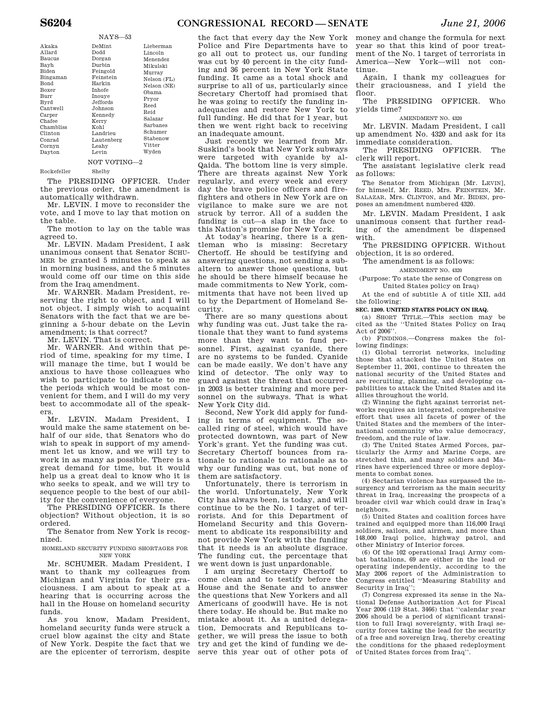|                                                                                                                                                                                      | $NAYS - 53$                                                                                                                                                                                      |                                                                                                                                                                                         |  |
|--------------------------------------------------------------------------------------------------------------------------------------------------------------------------------------|--------------------------------------------------------------------------------------------------------------------------------------------------------------------------------------------------|-----------------------------------------------------------------------------------------------------------------------------------------------------------------------------------------|--|
| Akaka<br>Allard<br>Baucus<br>Bayh<br><b>Biden</b><br>Bingaman<br>Bond<br>Boxer<br>Burr<br>Byrd<br>Cantwell<br>Carper<br>Chafee<br>Chambliss<br>Clinton<br>Conrad<br>Cornyn<br>Dayton | DeMint<br>Dodd<br>Dorgan<br>Durbin<br>Feingold<br>Feinstein<br>Harkin<br><b>Inhofe</b><br>Inouye<br>Jeffords.<br>Johnson<br>Kennedy<br>Kerry<br>Kohl<br>Landrieu<br>Lautenberg<br>Leahv<br>Levin | Lieberman<br>Lincoln<br>Menendez<br>Mikulski<br>Murray<br>Nelson (FL)<br>Nelson (NE)<br>Obama<br>Pryor<br>Reed<br>Reid<br>Salazar<br>Sarbanes<br>Schumer<br>Stabenow<br>Vitter<br>Wyden |  |
| NOT VOTING                                                                                                                                                                           |                                                                                                                                                                                                  |                                                                                                                                                                                         |  |

Rockefeller Shelby

The PRESIDING OFFICER. Under the previous order, the amendment is automatically withdrawn.

Mr. LEVIN. I move to reconsider the vote, and I move to lay that motion on the table.

The motion to lay on the table was agreed to.

Mr. LEVIN. Madam President, I ask unanimous consent that Senator SCHU-MER be granted 5 minutes to speak as in morning business, and the 5 minutes would come off our time on this side from the Iraq amendment.

Mr. WARNER. Madam President, reserving the right to object, and I will not object, I simply wish to acquaint Senators with the fact that we are beginning a 5-hour debate on the Levin amendment; is that correct?

Mr. LEVIN. That is correct.

Mr. WARNER. And within that period of time, speaking for my time, I will manage the time, but I would be anxious to have those colleagues who wish to participate to indicate to me the periods which would be most convenient for them, and I will do my very best to accommodate all of the speakers.

Mr. LEVIN. Madam President, I would make the same statement on behalf of our side, that Senators who do wish to speak in support of my amendment let us know, and we will try to work in as many as possible. There is a great demand for time, but it would help us a great deal to know who it is who seeks to speak, and we will try to sequence people to the best of our ability for the convenience of everyone.

The PRESIDING OFFICER. Is there objection? Without objection, it is so ordered.

The Senator from New York is recognized.

HOMELAND SECURITY FUNDING SHORTAGES FOR NEW YORK

Mr. SCHUMER. Madam President, I want to thank my colleagues from Michigan and Virginia for their graciousness. I am about to speak at a hearing that is occurring across the hall in the House on homeland security funds.

As you know, Madam President, homeland security funds were struck a cruel blow against the city and State of New York. Despite the fact that we are the epicenter of terrorism, despite the fact that every day the New York Police and Fire Departments have to go all out to protect us, our funding was cut by 40 percent in the city funding and 36 percent in New York State funding. It came as a total shock and surprise to all of us, particularly since Secretary Chertoff had promised that he was going to rectify the funding inadequacies and restore New York to full funding. He did that for 1 year, but then we went right back to receiving an inadequate amount.

Just recently we learned from Mr. Suskind's book that New York subways were targeted with cyanide by al-Qaida. The bottom line is very simple. There are threats against New York regularly, and every week and every day the brave police officers and firefighters and others in New York are on vigilance to make sure we are not struck by terror. All of a sudden the funding is cut—a slap in the face to this Nation's promise for New York.

At today's hearing, there is a gentleman who is missing: Secretary Chertoff. He should be testifying and answering questions, not sending a subaltern to answer those questions, but he should be there himself because he made commitments to New York, commitments that have not been lived up to by the Department of Homeland Security.

There are so many questions about why funding was cut. Just take the rationale that they want to fund systems more than they want to fund personnel. First, against cyanide, there are no systems to be funded. Cyanide can be made easily. We don't have any kind of detector. The only way to guard against the threat that occurred in 2003 is better training and more personnel on the subways. That is what New York City did.

Second, New York did apply for funding in terms of equipment. The socalled ring of steel, which would have protected downtown, was part of New York's grant. Yet the funding was cut. Secretary Chertoff bounces from rationale to rationale to rationale as to why our funding was cut, but none of them are satisfactory.

Unfortunately, there is terrorism in the world. Unfortunately, New York City has always been, is today, and will continue to be the No. 1 target of terrorists. And for this Department of Homeland Security and this Government to abdicate its responsibility and not provide New York with the funding that it needs is an absolute disgrace. The funding cut, the percentage that we went down is just unpardonable.

I am urging Secretary Chertoff to come clean and to testify before the House and the Senate and to answer the questions that New Yorkers and all Americans of goodwill have. He is not there today. He should be. But make no mistake about it. As a united delegation, Democrats and Republicans together, we will press the issue to both try and get the kind of funding we deserve this year out of other pots of

money and change the formula for next year so that this kind of poor treatment of the No. 1 target of terrorists in America—New York—will not continue.

Again, I thank my colleagues for their graciousness, and I yield the floor.

The PRESIDING OFFICER. Who yields time?

AMENDMENT NO. 4320

Mr. LEVIN. Madam President, I call up amendment No. 4320 and ask for its immediate consideration.

The PRESIDING OFFICER. The clerk will report.

The assistant legislative clerk read as follows:

The Senator from Michigan [Mr. LEVIN], for himself, Mr. REED, Mrs. FEINSTEIN, Mr. SALAZAR, Mrs. CLINTON, and Mr. BIDEN, proposes an amendment numbered 4320.

Mr. LEVIN. Madam President, I ask unanimous consent that further reading of the amendment be dispensed with.

The PRESIDING OFFICER. Without objection, it is so ordered.

The amendment is as follows:

AMENDMENT NO. 4320

(Purpose: To state the sense of Congress on United States policy on Iraq)

At the end of subtitle A of title XII, add the following:

**SEC. 1209. UNITED STATES POLICY ON IRAQ.** 

(a) SHORT TITLE.—This section may be cited as the ''United States Policy on Iraq Act of 2006''.

(b) FINDINGS.—Congress makes the following findings:

(1) Global terrorist networks, including those that attacked the United States on September 11, 2001, continue to threaten the national security of the United States and are recruiting, planning, and developing capabilities to attack the United States and its allies throughout the world.

(2) Winning the fight against terrorist networks requires an integrated, comprehensive effort that uses all facets of power of the United States and the members of the international community who value democracy, freedom, and the rule of law.

(3) The United States Armed Forces, particularly the Army and Marine Corps, are stretched thin, and many soldiers and Marines have experienced three or more deployments to combat zones.

(4) Sectarian violence has surpassed the insurgency and terrorism as the main security threat in Iraq, increasing the prospects of a broader civil war which could draw in Iraq's neighbors.

(5) United States and coalition forces have trained and equipped more than 116,000 Iraqi soldiers, sailors, and airmen, and more than 148,000 Iraqi police, highway patrol, and other Ministry of Interior forces.

(6) Of the 102 operational Iraqi Army combat battalions, 69 are either in the lead or operating independently, according to the May 2006 report of the Administration to Congress entitled ''Measuring Stability and Security in Iraq'';

(7) Congress expressed its sense in the National Defense Authorization Act for Fiscal Year 2006 (119 Stat. 3466) that ''calendar year 2006 should be a period of significant transition to full Iraqi sovereignty, with Iraqi security forces taking the lead for the security of a free and sovereign Iraq, thereby creating the conditions for the phased redeployment of United States forces from Iraq''.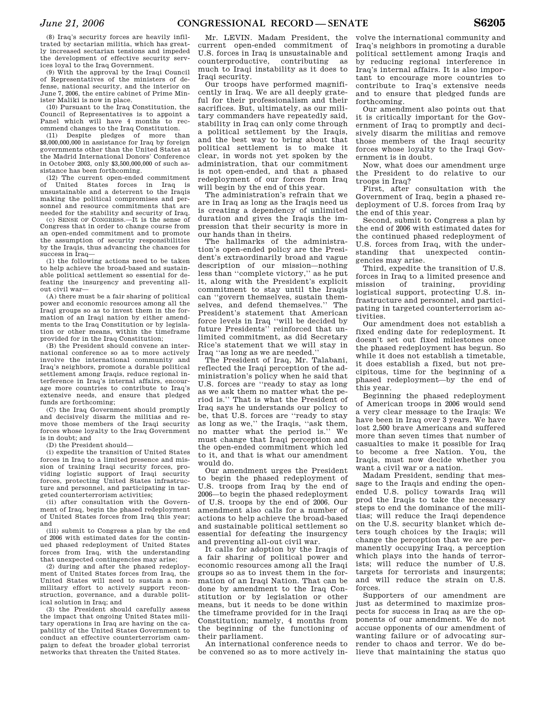(8) Iraq's security forces are heavily infiltrated by sectarian militia, which has greatly increased sectarian tensions and impeded the development of effective security services loyal to the Iraq Government.

(9) With the approval by the Iraqi Council of Representatives of the ministers of defense, national security, and the interior on June 7, 2006, the entire cabinet of Prime Minister Maliki is now in place.

(10) Pursuant to the Iraq Constitution, the Council of Representatives is to appoint a Panel which will have 4 months to recommend changes to the Iraq Constitution.

(11) Despite pledges of more than \$8,000,000,000 in assistance for Iraq by foreign governments other than the United States at the Madrid International Donors' Conference in October 2003, only \$3,500,000,000 of such assistance has been forthcoming.

(12) The current open-ended commitment of United States forces in Iraq is unsustainable and a deterrent to the Iraqis making the political compromises and personnel and resource commitments that are needed for the stability and security of Iraq.

(c) SENSE OF CONGRESS.—It is the sense of Congress that in order to change course from an open-ended commitment and to promote the assumption of security responsibilities by the Iraqis, thus advancing the chances for success in Iraq—

(1) the following actions need to be taken to help achieve the broad-based and sustainable political settlement so essential for defeating the insurgency and preventing allout civil war—

(A) there must be a fair sharing of political power and economic resources among all the Iraqi groups so as to invest them in the formation of an Iraqi nation by either amendments to the Iraq Constitution or by legislation or other means, within the timeframe provided for in the Iraq Constitution;

(B) the President should convene an international conference so as to more actively involve the international community and Iraq's neighbors, promote a durable political settlement among Iraqis, reduce regional interference in Iraq's internal affairs, encourage more countries to contribute to Iraq's extensive needs, and ensure that pledged funds are forthcoming;

(C) the Iraq Government should promptly and decisively disarm the militias and remove those members of the Iraqi security forces whose loyalty to the Iraq Government is in doubt; and

(D) the President should—

(i) expedite the transition of United States forces in Iraq to a limited presence and mission of training Iraqi security forces, providing logistic support of Iraqi security forces, protecting United States infrastructure and personnel, and participating in targeted counterterrorism activities;

(ii) after consultation with the Government of Iraq, begin the phased redeployment of United States forces from Iraq this year; and

(iii) submit to Congress a plan by the end of 2006 with estimated dates for the continued phased redeployment of United States forces from Iraq, with the understanding that unexpected contingencies may arise;

(2) during and after the phased redeployment of United States forces from Iraq, the United States will need to sustain a nonmilitary effort to actively support reconstruction, governance, and a durable political solution in Iraq; and

(3) the President should carefully assess the impact that ongoing United States military operations in Iraq are having on the capability of the United States Government to conduct an effective counterterrorism campaign to defeat the broader global terrorist networks that threaten the United States.

Mr. LEVIN. Madam President, the current open-ended commitment of U.S. forces in Iraq is unsustainable and counterproductive, contributing as much to Iraqi instability as it does to Iraqi security.

Our troops have performed magnificently in Iraq. We are all deeply grateful for their professionalism and their sacrifices. But, ultimately, as our military commanders have repeatedly said, stability in Iraq can only come through a political settlement by the Iraqis, and the best way to bring about that political settlement is to make it clear, in words not yet spoken by the administration, that our commitment is not open-ended, and that a phased redeployment of our forces from Iraq will begin by the end of this year.

The administration's refrain that we are in Iraq as long as the Iraqis need us is creating a dependency of unlimited duration and gives the Iraqis the impression that their security is more in our hands than in theirs.

The hallmarks of the administration's open-ended policy are the President's extraordinarily broad and vague description of our mission—nothing less than ''complete victory,'' as he put it, along with the President's explicit commitment to stay until the Iraqis can ''govern themselves, sustain themselves, and defend themselves.'' The President's statement that American force levels in Iraq ''will be decided by future Presidents'' reinforced that unlimited commitment, as did Secretary Rice's statement that we will stay in Iraq "as long as we are needed.

The President of Iraq, Mr. Talabani, reflected the Iraqi perception of the administration's policy when he said that U.S. forces are ''ready to stay as long as we ask them no matter what the period is.'' That is what the President of Iraq says he understands our policy to be, that U.S. forces are ''ready to stay as long as we,'' the Iraqis, ''ask them, no matter what the period is.'' We must change that Iraqi perception and the open-ended commitment which led to it, and that is what our amendment would do.

Our amendment urges the President to begin the phased redeployment of U.S. troops from Iraq by the end of 2006—to begin the phased redeployment of U.S. troops by the end of 2006. Our amendment also calls for a number of actions to help achieve the broad-based and sustainable political settlement so essential for defeating the insurgency and preventing all-out civil war.

It calls for adoption by the Iraqis of a fair sharing of political power and economic resources among all the Iraqi groups so as to invest them in the formation of an Iraqi Nation. That can be done by amendment to the Iraq Constitution or by legislation or other means, but it needs to be done within the timeframe provided for in the Iraqi Constitution; namely, 4 months from the beginning of the functioning of their parliament.

An international conference needs to be convened so as to more actively in-

volve the international community and Iraq's neighbors in promoting a durable political settlement among Iraqis and by reducing regional interference in Iraq's internal affairs. It is also important to encourage more countries to contribute to Iraq's extensive needs and to ensure that pledged funds are forthcoming.

Our amendment also points out that it is critically important for the Government of Iraq to promptly and decisively disarm the militias and remove those members of the Iraqi security forces whose loyalty to the Iraqi Government is in doubt.

Now, what does our amendment urge the President to do relative to our troops in Iraq?

First, after consultation with the Government of Iraq, begin a phased redeployment of U.S. forces from Iraq by the end of this year.

Second, submit to Congress a plan by the end of 2006 with estimated dates for the continued phased redeployment of U.S. forces from Iraq, with the understanding that unexpected contingencies may arise.

Third, expedite the transition of U.S. forces in Iraq to a limited presence and mission of training, providing logistical support, protecting U.S. infrastructure and personnel, and participating in targeted counterterrorism activities.

Our amendment does not establish a fixed ending date for redeployment. It doesn't set out fixed milestones once the phased redeployment has begun. So while it does not establish a timetable, it does establish a fixed, but not precipitous, time for the beginning of a phased redeployment—by the end of this year.

Beginning the phased redeployment of American troops in 2006 would send a very clear message to the Iraqis: We have been in Iraq over 3 years. We have lost 2,500 brave Americans and suffered more than seven times that number of casualties to make it possible for Iraq to become a free Nation. You, the Iraqis, must now decide whether you want a civil war or a nation.

Madam President, sending that message to the Iraqis and ending the openended U.S. policy towards Iraq will prod the Iraqis to take the necessary steps to end the dominance of the militias; will reduce the Iraqi dependence on the U.S. security blanket which deters tough choices by the Iraqis; will change the perception that we are permanently occupying Iraq, a perception which plays into the hands of terrorists; will reduce the number of U.S. targets for terrorists and insurgents; and will reduce the strain on U.S. forces.

Supporters of our amendment are just as determined to maximize prospects for success in Iraq as are the opponents of our amendment. We do not accuse opponents of our amendment of wanting failure or of advocating surrender to chaos and terror. We do believe that maintaining the status quo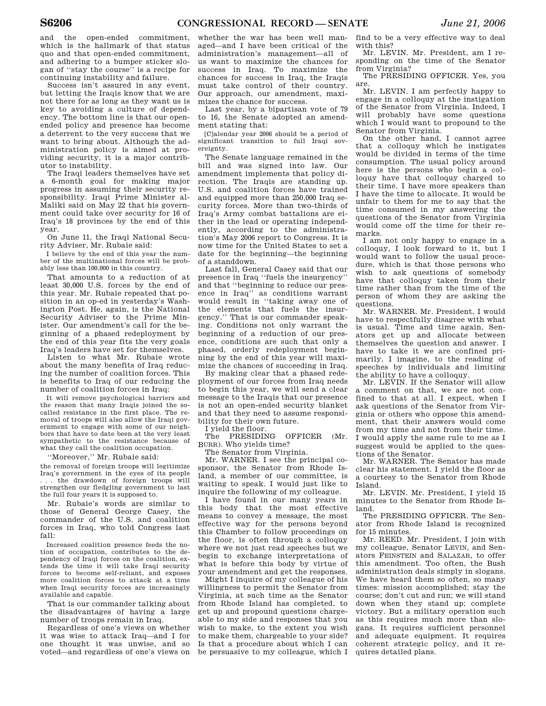and the open-ended commitment, which is the hallmark of that status quo and that open-ended commitment, and adhering to a bumper sticker slogan of ''stay the course'' is a recipe for continuing instability and failure.

Success isn't assured in any event, but letting the Iraqis know that we are not there for as long as they want us is key to avoiding a culture of dependency. The bottom line is that our openended policy and presence has become a deterrent to the very success that we want to bring about. Although the administration policy is aimed at providing security, it is a major contributor to instability.

The Iraqi leaders themselves have set a 6-month goal for making major progress in assuming their security responsibility. Iraqi Prime Minister al-Maliki said on May 22 that his government could take over security for 16 of Iraq's 18 provinces by the end of this year.

On June 11, the Iraqi National Security Adviser, Mr. Rubaie said:

I believe by the end of this year the number of the multinational forces will be probably less than 100,000 in this country.

That amounts to a reduction of at least 30,000 U.S. forces by the end of this year. Mr. Rubaie repeated that position in an op-ed in yesterday's Washington Post. He, again, is the National Security Adviser to the Prime Minister. Our amendment's call for the beginning of a phased redeployment by the end of this year fits the very goals Iraq's leaders have set for themselves.

Listen to what Mr. Rubaie wrote about the many benefits of Iraq reducing the number of coalition forces. This is benefits to Iraq of our reducing the number of coalition forces in Iraq:

It will remove psychological barriers and the reason that many Iraqis joined the socalled resistance in the first place. The removal of troops will also allow the Iraqi government to engage with some of our neighbors that have to date been at the very least sympathetic to the resistance because of what they call the coalition occupation.

''Moreover,'' Mr. Rubaie said:

the removal of foreign troops will legitimize Iraq's government in the eyes of its people . . . the drawdown of foreign troops will strengthen our fledgling government to last the full four years it is supposed to.

Mr. Rubaie's words are similar to those of General George Casey, the commander of the U.S. and coalition forces in Iraq, who told Congress last fall:

Increased coalition presence feeds the notion of occupation, contributes to the dependency of Iraqi forces on the coalition, extends the time it will take Iraqi security forces to become self-reliant, and exposes more coalition forces to attack at a time when Iraqi security forces are increasingly available and capable.

That is our commander talking about the disadvantages of having a large number of troops remain in Iraq.

Regardless of one's views on whether it was wise to attack Iraq—and I for one thought it was unwise, and so voted—and regardless of one's views on

whether the war has been well managed—and I have been critical of the administration's management—all of us want to maximize the chances for success in Iraq. To maximize the chances for success in Iraq, the Iraqis must take control of their country. Our approach, our amendment, maximizes the chance for success.

Last year, by a bipartisan vote of 79 to 16, the Senate adopted an amendment stating that:

[C]alendar year 2006 should be a period of significant transition to full Iraqi sovereignty.

The Senate language remained in the bill and was signed into law. Our amendment implements that policy direction. The Iraqis are standing up. U.S. and coalition forces have trained and equipped more than 250,000 Iraq security forces. More than two-thirds of Iraq's Army combat battalions are either in the lead or operating independently, according to the administration's May 2006 report to Congress. It is now time for the United States to set a date for the beginning—the beginning of a standdown.

Last fall, General Casey said that our presence in Iraq ''fuels the insurgency'' and that ''beginning to reduce our presence in Iraq'' as conditions warrant would result in ''taking away one of the elements that fuels the insurgency.'' That is our commander speaking. Conditions not only warrant the beginning of a reduction of our presence, conditions are such that only a phased, orderly redeployment beginning by the end of this year will maximize the chances of succeeding in Iraq.

By making clear that a phased redeployment of our forces from Iraq needs to begin this year, we will send a clear message to the Iraqis that our presence is not an open-ended security blanket and that they need to assume responsibility for their own future.

I yield the floor.

The PRESIDING OFFICER (Mr. BURR). Who yields time?

The Senator from Virginia.

Mr. WARNER. I see the principal cosponsor, the Senator from Rhode Island, a member of our committee, is waiting to speak. I would just like to inquire the following of my colleague.

I have found in our many years in this body that the most effective means to convey a message, the most effective way for the persons beyond this Chamber to follow proceedings on the floor, is often through a colloquy where we not just read speeches but we begin to exchange interpretations of what is before this body by virtue of your amendment and get the responses.

Might I inquire of my colleague of his willingness to permit the Senator from Virginia, at such time as the Senator from Rhode Island has completed, to get up and propound questions chargeable to my side and responses that you wish to make, to the extent you wish to make them, chargeable to your side? Is that a procedure about which I can be persuasive to my colleague, which I

find to be a very effective way to deal with this?

Mr. LEVIN. Mr. President, am I responding on the time of the Senator from Virginia?

The PRESIDING OFFICER. Yes, you are.

Mr. LEVIN. I am perfectly happy to engage in a colloquy at the instigation of the Senator from Virginia. Indeed, I will probably have some questions which I would want to propound to the Senator from Virginia.

On the other hand, I cannot agree that a colloquy which he instigates would be divided in terms of the time consumption. The usual policy around here is the persons who begin a colloquy have that colloquy charged to their time. I have more speakers than I have the time to allocate. It would be unfair to them for me to say that the time consumed in my answering the questions of the Senator from Virginia would come off the time for their remarks.

I am not only happy to engage in a colloquy, I look forward to it, but I would want to follow the usual procedure, which is that those persons who wish to ask questions of somebody have that colloquy taken from their time rather than from the time of the person of whom they are asking the questions.

Mr. WARNER. Mr. President, I would have to respectfully disagree with what is usual. Time and time again, Senators get up and allocate between themselves the question and answer. I have to take it we are confined primarily, I imagine, to the reading of speeches by individuals and limiting the ability to have a colloquy.

Mr. LEVIN. If the Senator will allow a comment on that, we are not confined to that at all. I expect, when I ask questions of the Senator from Virginia or others who oppose this amendment, that their answers would come from my time and not from their time. I would apply the same rule to me as I suggest would be applied to the questions of the Senator.

Mr. WARNER. The Senator has made clear his statement. I yield the floor as a courtesy to the Senator from Rhode Island.

Mr. LEVIN. Mr. President, I yield 15 minutes to the Senator from Rhode Island.

The PRESIDING OFFICER. The Senator from Rhode Island is recognized for 15 minutes.

Mr. REED. Mr. President, I join with my colleague, Senator LEVIN, and Senators FEINSTEIN and SALAZAR, to offer this amendment. Too often, the Bush administration deals simply in slogans. We have heard them so often, so many times: mission accomplished; stay the course; don't cut and run; we will stand down when they stand up; complete victory. But a military operation such as this requires much more than slogans. It requires sufficient personnel and adequate equipment. It requires coherent strategic policy, and it requires detailed plans.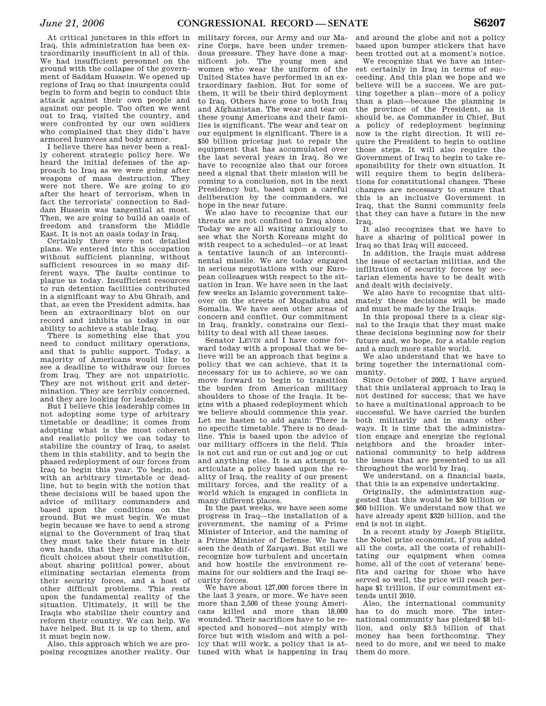At critical junctures in this effort in Iraq, this administration has been extraordinarily insufficient in all of this. We had insufficient personnel on the ground with the collapse of the government of Saddam Hussein. We opened up regions of Iraq so that insurgents could begin to form and begin to conduct this attack against their own people and against our people. Too often we went out to Iraq, visited the country, and were confronted by our own soldiers who complained that they didn't have armored humvees and body armor.

I believe there has never been a really coherent strategic policy here. We heard the initial defenses of the approach to Iraq as we were going after weapons of mass destruction. were not there. We are going to go after the heart of terrorism, when in fact the terrorists' connection to Saddam Hussein was tangential at most. Then, we are going to build an oasis of freedom and transform the Middle East. It is not an oasis today in Iraq.

Certainly there were not detailed plans. We entered into this occupation without sufficient planning, without sufficient resources in so many different ways. The faults continue to plague us today. Insufficient resources to run detention facilities contributed in a significant way to Abu Ghraib, and that, as even the President admits, has been an extraordinary blot on our record and inhibits us today in our ability to achieve a stable Iraq.

There is something else that you need to conduct military operations, and that is public support. Today, a majority of Americans would like to see a deadline to withdraw our forces from Iraq. They are not unpatriotic. They are not without grit and determination. They are terribly concerned, and they are looking for leadership.

But I believe this leadership comes in not adopting some type of arbitrary timetable or deadline; it comes from adopting what is the most coherent and realistic policy we can today to stabilize the country of Iraq, to assist them in this stability, and to begin the phased redeployment of our forces from Iraq to begin this year. To begin, not with an arbitrary timetable or deadline, but to begin with the notion that these decisions will be based upon the advice of military commanders and based upon the conditions on the ground. But we must begin. We must begin because we have to send a strong signal to the Government of Iraq that they must take their future in their own hands, that they must make difficult choices about their constitution, about sharing political power, about eliminating sectarian elements from their security forces, and a host of other difficult problems. This rests upon the fundamental reality of the situation. Ultimately, it will be the Iraqis who stabilize their country and reform their country. We can help. We have helped. But it is up to them, and it must begin now.

Also, this approach which we are proposing recognizes another reality. Our

military forces, our Army and our Marine Corps, have been under tremendous pressure. They have done a magnificent job. The young men and women who wear the uniform of the United States have performed in an extraordinary fashion. But for some of them, it will be their third deployment to Iraq. Others have gone to both Iraq and Afghanistan. The wear and tear on these young Americans and their families is significant. The wear and tear on our equipment is significant. There is a \$50 billion pricetag just to repair the equipment that has accumulated over the last several years in Iraq. So we have to recognize also that our forces need a signal that their mission will be coming to a conclusion, not in the next Presidency but, based upon a careful deliberation by the commanders, we hope in the near future.

We also have to recognize that our threats are not confined to Iraq alone. Today we are all waiting anxiously to see what the North Koreans might do with respect to a scheduled—or at least a tentative launch of an intercontinental missile. We are today engaged in serious negotiations with our European colleagues with respect to the situation in Iran. We have seen in the last few weeks an Islamic government takeover on the streets of Mogadishu and Somalia. We have seen other areas of concern and conflict. Our commitment in Iraq, frankly, constrains our flexibility to deal with all these issues.

Senator LEVIN and I have come forward today with a proposal that we believe will be an approach that begins a policy that we can achieve, that it is necessary for us to achieve, so we can move forward to begin to transition the burden from American military shoulders to those of the Iraqis. It begins with a phased redeployment which we believe should commence this year. Let me hasten to add again: There is no specific timetable. There is no deadline. This is based upon the advice of our military officers in the field. This is not cut and run or cut and jog or cut and anything else. It is an attempt to articulate a policy based upon the reality of Iraq, the reality of our present military forces, and the reality of a world which is engaged in conflicts in many different places.

In the past weeks, we have seen some progress in Iraq—the installation of a government, the naming of a Prime Minister of Interior, and the naming of a Prime Minister of Defense. We have seen the death of Zarqawi. But still we recognize how turbulent and uncertain and how hostile the environment remains for our soldiers and the Iraqi security forces.

We have about 127,000 forces there in the last 3 years, or more. We have seen more than 2,500 of these young Americans killed and more than 18,000 wounded. Their sacrifices have to be respected and honored—not simply with force but with wisdom and with a policy that will work, a policy that is attuned with what is happening in Iraq

and around the globe and not a policy based upon bumper stickers that have been trotted out at a moment's notice.

We recognize that we have an interest certainly in Iraq in terms of succeeding. And this plan we hope and we believe will be a success. We are putting together a plan—more of a policy than a plan—because the planning is the province of the President, as it should be, as Commander in Chief. But a policy of redeployment beginning now is the right direction. It will require the President to begin to outline those steps. It will also require the Government of Iraq to begin to take responsibility for their own situation. It will require them to begin deliberations for constitutional changes. These changes are necessary to ensure that this is an inclusive Government in Iraq, that the Sunni community feels that they can have a future in the new Iraq.

It also recognizes that we have to have a sharing of political power in Iraq so that Iraq will succeed.

In addition, the Iraqis must address the issue of sectarian militias, and the infiltration of security forces by sectarian elements have to be dealt with and dealt with decisively.

We also have to recognize that ultimately these decisions will be made and must be made by the Iraqis.

In this proposal there is a clear signal to the Iraqis that they must make these decisions beginning now for their future and, we hope, for a stable region and a much more stable world.

We also understand that we have to bring together the international community.

Since October of 2002, I have argued that this unilateral approach to Iraq is not destined for success; that we have to have a multinational approach to be successful. We have carried the burden both militarily and in many other ways. It is time that the administration engage and energize the regional neighbors and the broader international community to help address the issues that are presented to us all throughout the world by Iraq.

We understand, on a financial basis, that this is an expensive undertaking.

Originally, the administration suggested that this would be \$50 billion or \$60 billion. We understand now that we have already spent \$320 billion, and the end is not in sight.

In a recent study by Joseph Stiglitz, the Nobel prize economist, if you added all the costs, all the costs of rehabilitating our equipment when comes home, all of the cost of veterans' benefits and caring for those who have served so well, the price will reach perhaps \$1 trillion, if our commitment extends until 2010.

Also, the international community has to do much more. The international community has pledged \$8 billion, and only \$3.5 billion of that money has been forthcoming. They need to do more, and we need to make them do more.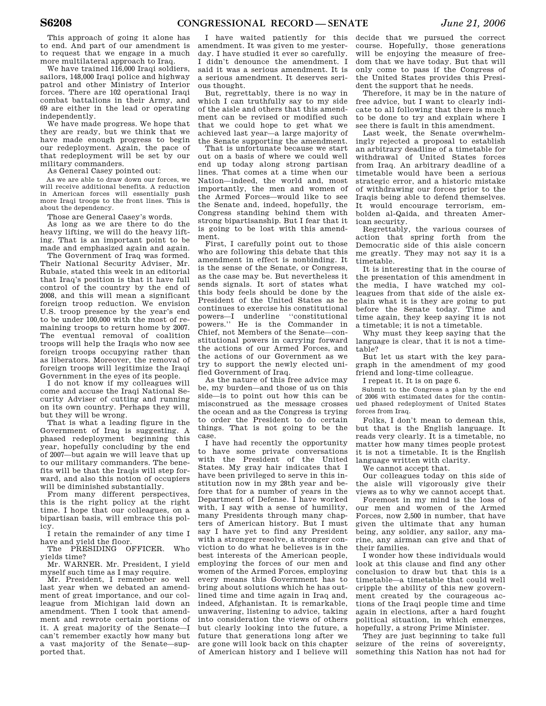This approach of going it alone has to end. And part of our amendment is to request that we engage in a much more multilateral approach to Iraq.

We have trained 116,000 Iraqi soldiers, sailors, 148,000 Iraqi police and highway patrol and other Ministry of Interior forces. There are 102 operational Iraqi combat battalions in their Army, and 69 are either in the lead or operating independently.

We have made progress. We hope that they are ready, but we think that we have made enough progress to begin our redeployment. Again, the pace of that redeployment will be set by our military commanders.

As General Casey pointed out:

As we are able to draw down our forces, we will receive additional benefits. A reduction in American forces will essentially push more Iraqi troops to the front lines. This is about the dependency.

Those are General Casey's words.

As long as we are there to do the heavy lifting, we will do the heavy lifting. That is an important point to be made and emphasized again and again.

The Government of Iraq was formed. Their National Security Adviser, Mr. Rubaie, stated this week in an editorial that Iraq's position is that it have full control of the country by the end of 2008, and this will mean a significant foreign troop reduction. We envision U.S. troop presence by the year's end to be under 100,000 with the most of remaining troops to return home by 2007. The eventual removal of coalition troops will help the Iraqis who now see foreign troops occupying rather than as liberators. Moreover, the removal of foreign troops will legitimize the Iraqi Government in the eyes of its people.

I do not know if my colleagues will come and accuse the Iraqi National Security Adviser of cutting and running on its own country. Perhaps they will, but they will be wrong.

That is what a leading figure in the Government of Iraq is suggesting. A phased redeployment beginning this year, hopefully concluding by the end of 2007—but again we will leave that up to our military commanders. The benefits will be that the Iraqis will step forward, and also this notion of occupiers will be diminished substantially.

From many different perspectives, this is the right policy at the right time. I hope that our colleagues, on a bipartisan basis, will embrace this policy.

I retain the remainder of any time I have and yield the floor.

The PRESIDING OFFICER. Who yields time?

Mr. WARNER. Mr. President, I yield myself such time as I may require.

Mr. President, I remember so well last year when we debated an amendment of great importance, and our colleague from Michigan laid down an amendment. Then I took that amendment and rewrote certain portions of it. A great majority of the Senate—I can't remember exactly how many but a vast majority of the Senate—supported that.

I have waited patiently for this amendment. It was given to me yesterday. I have studied it ever so carefully. I didn't denounce the amendment. I said it was a serious amendment. It is a serious amendment. It deserves serious thought.

But, regrettably, there is no way in which I can truthfully say to my side of the aisle and others that this amendment can be revised or modified such that we could hope to get what we achieved last year—a large majority of the Senate supporting the amendment.

That is unfortunate because we start out on a basis of where we could well end up today along strong partisan lines. That comes at a time when our Nation—indeed, the world and, most importantly, the men and women of the Armed Forces—would like to see the Senate and, indeed, hopefully, the Congress standing behind them with strong bipartisanship. But I fear that it is going to be lost with this amendment.

First, I carefully point out to those who are following this debate that this amendment in effect is nonbinding. It is the sense of the Senate, or Congress, as the case may be. But nevertheless it sends signals. It sort of states what this body feels should be done by the President of the United States as he continues to exercise his constitutional powers—I underline ''constitutional powers.'' He is the Commander in Chief, not Members of the Senate—constitutional powers in carrying forward the actions of our Armed Forces, and the actions of our Government as we try to support the newly elected unified Government of Iraq.

As the nature of this free advice may be, my burden—and those of us on this side—is to point out how this can be misconstrued as the message crosses the ocean and as the Congress is trying to order the President to do certain things. That is not going to be the case.

I have had recently the opportunity to have some private conversations with the President of the United States. My gray hair indicates that I have been privileged to serve in this institution now in my 28th year and before that for a number of years in the Department of Defense. I have worked with, I say with a sense of humility, many Presidents through many chapters of American history. But I must say I have yet to find any President with a stronger resolve, a stronger conviction to do what he believes is in the best interests of the American people, employing the forces of our men and women of the Armed Forces, employing every means this Government has to bring about solutions which he has outlined time and time again in Iraq and, indeed, Afghanistan. It is remarkable, unwavering, listening to advice, taking into consideration the views of others but clearly looking into the future, a future that generations long after we are gone will look back on this chapter of American history and I believe will

decide that we pursued the correct course. Hopefully, those generations will be enjoying the measure of freedom that we have today. But that will only come to pass if the Congress of the United States provides this President the support that he needs.

Therefore, it may be in the nature of free advice, but I want to clearly indicate to all following that there is much to be done to try and explain where I see there is fault in this amendment.

Last week, the Senate overwhelmingly rejected a proposal to establish an arbitrary deadline of a timetable for withdrawal of United States forces from Iraq. An arbitrary deadline of a timetable would have been a serious strategic error, and a historic mistake of withdrawing our forces prior to the Iraqis being able to defend themselves. It would encourage terrorism, embolden al-Qaida, and threaten American security.

Regrettably, the various courses of action that spring forth from the Democratic side of this aisle concern me greatly. They may not say it is a timetable.

It is interesting that in the course of the presentation of this amendment in the media, I have watched my colleagues from that side of the aisle explain what it is they are going to put before the Senate today. Time and time again, they keep saying it is not a timetable; it is not a timetable.

Why must they keep saying that the language is clear, that it is not a timetable?

But let us start with the key paragraph in the amendment of my good friend and long-time colleague.

I repeat it. It is on page 6.

Submit to the Congress a plan by the end of 2006 with estimated dates for the continued phased redeployment of United States forces from Iraq.

Folks, I don't mean to demean this, but that is the English language. It reads very clearly. It is a timetable, no matter how many times people protest it is not a timetable. It is the English language written with clarity.

We cannot accept that.

Our colleagues today on this side of the aisle will vigorously give their views as to why we cannot accept that.

Foremost in my mind is the loss of our men and women of the Armed Forces, now 2,500 in number, that have given the ultimate that any human being, any soldier, any sailor, any marine, any airman can give and that of their families.

I wonder how these individuals would look at this clause and find any other conclusion to draw but that this is a timetable—a timetable that could well cripple the ability of this new government created by the courageous actions of the Iraqi people time and time again in elections, after a hard fought political situation, in which emerges, hopefully, a strong Prime Minister.

They are just beginning to take full seizure of the reins of sovereignty, something this Nation has not had for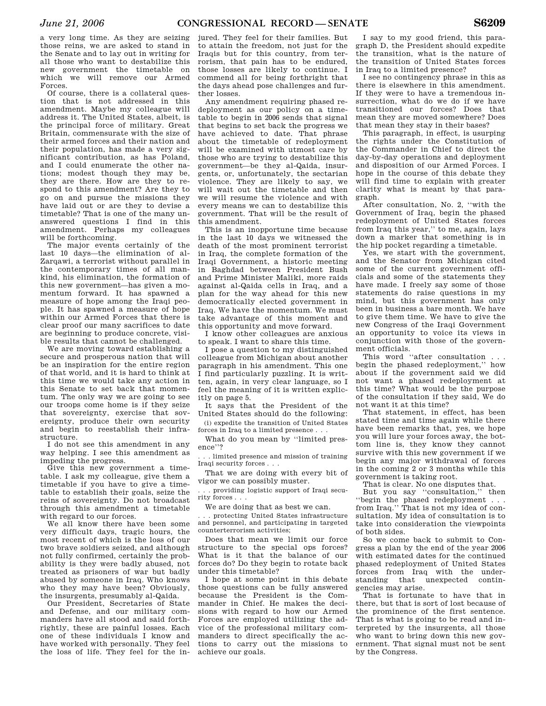a very long time. As they are seizing those reins, we are asked to stand in the Senate and to lay out in writing for all those who want to destabilize this new government the timetable on which we will remove our Armed Forces.

Of course, there is a collateral question that is not addressed in this amendment. Maybe my colleague will address it. The United States, albeit, is the principal force of military. Great Britain, commensurate with the size of their armed forces and their nation and their population, has made a very significant contribution, as has Poland, and I could enumerate the other nations; modest though they may be, they are there. How are they to respond to this amendment? Are they to go on and pursue the missions they have laid out or are they to devise a timetable? That is one of the many unanswered questions I find in this amendment. Perhaps my colleagues will be forthcoming.

The major events certainly of the last 10 days—the elimination of al-Zarqawi, a terrorist without parallel in the contemporary times of all mankind, his elimination, the formation of this new government—has given a momentum forward. It has spawned a measure of hope among the Iraqi people. It has spawned a measure of hope within our Armed Forces that there is clear proof our many sacrifices to date are beginning to produce concrete, visible results that cannot be challenged.

We are moving toward establishing a secure and prosperous nation that will be an inspiration for the entire region of that world, and it is hard to think at this time we would take any action in this Senate to set back that momentum. The only way we are going to see our troops come home is if they seize that sovereignty, exercise that sovereignty, produce their own security and begin to reestablish their infrastructure.

I do not see this amendment in any way helping. I see this amendment as impeding the progress.

Give this new government a timetable. I ask my colleague, give them a timetable if you have to give a timetable to establish their goals, seize the reins of sovereignty. Do not broadcast through this amendment a timetable with regard to our forces.

We all know there have been some very difficult days, tragic hours, the most recent of which is the loss of our two brave soldiers seized, and although not fully confirmed, certainly the probability is they were badly abused, not treated as prisoners of war but badly abused by someone in Iraq. Who knows who they may have been? Obviously, the insurgents, presumably al-Qaida.

Our President, Secretaries of State and Defense, and our military commanders have all stood and said forthrightly, these are painful losses. Each one of these individuals I know and have worked with personally. They feel the loss of life. They feel for the in-

jured. They feel for their families. But to attain the freedom, not just for the Iraqis but for this country, from terrorism, that pain has to be endured, those losses are likely to continue. I commend all for being forthright that the days ahead pose challenges and further losses.

Any amendment requiring phased redeployment as our policy on a timetable to begin in 2006 sends that signal that begins to set back the progress we have achieved to date. That phrase about the timetable of redeployment will be examined with utmost care by those who are trying to destabilize this government—be they al-Qaida, insurgents, or, unfortunately, the sectarian violence. They are likely to say, we will wait out the timetable and then we will resume the violence and with every means we can to destabilize this government. That will be the result of this amendment.

This is an inopportune time because in the last 10 days we witnessed the death of the most prominent terrorist in Iraq, the complete formation of the Iraqi Government, a historic meeting in Baghdad between President Bush and Prime Minister Maliki, more raids against al-Qaida cells in Iraq, and a plan for the way ahead for this new democratically elected government in Iraq. We have the momentum. We must take advantage of this moment and this opportunity and move forward.

I know other colleagues are anxious to speak. I want to share this time.

I pose a question to my distinguished colleague from Michigan about another paragraph in his amendment. This one I find particularly puzzling. It is written, again, in very clear language, so I feel the meaning of it is written explicitly on page 5.

It says that the President of the United States should do the following: (i) expedite the transition of United States forces in Iraq to a limited presence . . .

What do you mean by ''limited presence''?

. . . limited presence and mission of training Iraqi security forces . . .

That we are doing with every bit of vigor we can possibly muster.

. providing logistic support of Iraqi security forces . . .

We are doing that as best we can.

. . . protecting United States infrastructure and personnel, and participating in targeted counterterrorism activities;

Does that mean we limit our force structure to the special ops forces? What is it that the balance of our forces do? Do they begin to rotate back under this timetable?

I hope at some point in this debate those questions can be fully answered because the President is the Commander in Chief. He makes the decisions with regard to how our Armed Forces are employed utilizing the advice of the professional military commanders to direct specifically the actions to carry out the missions to achieve our goals.

I say to my good friend, this paragraph D, the President should expedite the transition, what is the nature of the transition of United States forces in Iraq to a limited presence?

I see no contingency phrase in this as there is elsewhere in this amendment. If they were to have a tremendous insurrection, what do we do if we have transitioned our forces? Does that mean they are moved somewhere? Does that mean they stay in their bases?

This paragraph, in effect, is usurping the rights under the Constitution of the Commander in Chief to direct the day-by-day operations and deployment and disposition of our Armed Forces. I hope in the course of this debate they will find time to explain with greater clarity what is meant by that paragraph.

After consultation, No. 2, ''with the Government of Iraq, begin the phased redeployment of United States forces from Iraq this year,'' to me, again, lays down a marker that something is in the hip pocket regarding a timetable.

Yes, we start with the government, and the Senator from Michigan cited some of the current government officials and some of the statements they have made. I freely say some of those statements do raise questions in my mind, but this government has only been in business a bare month. We have to give them time. We have to give the new Congress of the Iraqi Government an opportunity to voice its views in conjunction with those of the government officials.

This word ''after consultation . . . begin the phased redeployment,'' how about if the government said we did not want a phased redeployment at this time? What would be the purpose of the consultation if they said, We do not want it at this time?

That statement, in effect, has been stated time and time again while there have been remarks that, yes, we hope you will lure your forces away, the bottom line is, they know they cannot survive with this new government if we begin any major withdrawal of forces in the coming 2 or 3 months while this government is taking root.

That is clear. No one disputes that. But you say ''consultation,'' then

''begin the phased redeployment . . . from Iraq.'' That is not my idea of consultation. My idea of consultation is to take into consideration the viewpoints of both sides.

So we come back to submit to Congress a plan by the end of the year 2006 with estimated dates for the continued phased redeployment of United States forces from Iraq with the understanding that unexpected contingencies may arise.

That is fortunate to have that in there, but that is sort of lost because of the prominence of the first sentence. That is what is going to be read and interpreted by the insurgents, all those who want to bring down this new government. That signal must not be sent by the Congress.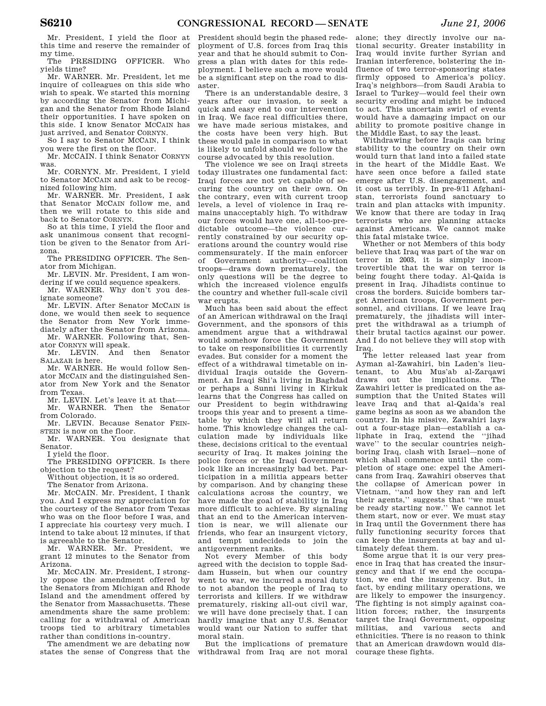Mr. President, I yield the floor at this time and reserve the remainder of my time.

The PRESIDING OFFICER. Who yields time?

Mr. WARNER. Mr. President, let me inquire of colleagues on this side who wish to speak. We started this morning by according the Senator from Michigan and the Senator from Rhode Island their opportunities. I have spoken on this side. I know Senator MCCAIN has just arrived, and Senator CORNYN.

So I say to Senator MCCAIN, I think you were the first on the floor.

Mr. MCCAIN. I think Senator CORNYN was.

Mr. CORNYN. Mr. President, I yield to Senator MCCAIN and ask to be recognized following him.

Mr. WARNER. Mr. President, I ask that Senator MCCAIN follow me, and then we will rotate to this side and back to Senator CORNYN.

So at this time, I yield the floor and ask unanimous consent that recognition be given to the Senator from Arizona.

The PRESIDING OFFICER. The Senator from Michigan.

Mr. LEVIN. Mr. President, I am wondering if we could sequence speakers.

Mr. WARNER. Why don't you designate someone?

Mr. LEVIN. After Senator MCCAIN is done, we would then seek to sequence the Senator from New York immediately after the Senator from Arizona.

Mr. WARNER. Following that, Senator CORNYN will speak.

Mr. LEVIN. And then Senator SALAZAR is here.

Mr. WARNER. He would follow Senator MCCAIN and the distinguished Senator from New York and the Senator from Texas.

Mr. LEVIN. Let's leave it at that-Mr. WARNER. Then the Senator from Colorado.

Mr. LEVIN. Because Senator FEIN-STEIN is now on the floor.

Mr. WARNER. You designate that Senator.

I yield the floor.

The PRESIDING OFFICER. Is there objection to the request?

Without objection, it is so ordered. The Senator from Arizona.

Mr. MCCAIN. Mr. President, I thank you. And I express my appreciation for the courtesy of the Senator from Texas who was on the floor before I was, and I appreciate his courtesy very much. I intend to take about 12 minutes, if that is agreeable to the Senator.

Mr. WARNER. Mr. President, we grant 12 minutes to the Senator from Arizona.

Mr. MCCAIN. Mr. President, I strongly oppose the amendment offered by the Senators from Michigan and Rhode Island and the amendment offered by the Senator from Massachusetts. These amendments share the same problem: calling for a withdrawal of American troops tied to arbitrary timetables rather than conditions in-country.

The amendment we are debating now states the sense of Congress that the

President should begin the phased redeployment of U.S. forces from Iraq this year and that he should submit to Congress a plan with dates for this redeployment. I believe such a move would be a significant step on the road to disaster.

There is an understandable desire, 3 years after our invasion, to seek a quick and easy end to our intervention in Iraq. We face real difficulties there, we have made serious mistakes, and the costs have been very high. But these would pale in comparison to what is likely to unfold should we follow the course advocated by this resolution.

The violence we see on Iraqi streets today illustrates one fundamental fact: Iraqi forces are not yet capable of securing the country on their own. On the contrary, even with current troop levels, a level of violence in Iraq remains unacceptably high. To withdraw our forces would have one, all-too-predictable outcome—the violence currently constrained by our security operations around the country would rise commensurately. If the main enforcer of Government authority—coalition troops—draws down prematurely, the only questions will be the degree to which the increased violence engulfs the country and whether full-scale civil war erupts.

Much has been said about the effect of an American withdrawal on the Iraqi Government, and the sponsors of this amendment argue that a withdrawal would somehow force the Government to take on responsibilities it currently evades. But consider for a moment the effect of a withdrawal timetable on individual Iraqis outside the Government. An Iraqi Shi'a living in Baghdad or perhaps a Sunni living in Kirkuk learns that the Congress has called on our President to begin withdrawing troops this year and to present a timetable by which they will all return home. This knowledge changes the calculation made by individuals like these, decisions critical to the eventual security of Iraq. It makes joining the police forces or the Iraqi Government look like an increasingly bad bet. Participation in a militia appears better by comparison. And by changing these calculations across the country, we have made the goal of stability in Iraq more difficult to achieve. By signaling that an end to the American intervention is near, we will alienate our friends, who fear an insurgent victory, and tempt undecideds to join the antigovernment ranks.

Not every Member of this body agreed with the decision to topple Saddam Hussein, but when our country went to war, we incurred a moral duty to not abandon the people of Iraq to terrorists and killers. If we withdraw prematurely, risking all-out civil war, we will have done precisely that. I can hardly imagine that any U.S. Senator would want our Nation to suffer that moral stain.

But the implications of premature withdrawal from Iraq are not moral

alone; they directly involve our national security. Greater instability in Iraq would invite further Syrian and Iranian interference, bolstering the influence of two terror-sponsoring states firmly opposed to America's policy. Iraq's neighbors—from Saudi Arabia to Israel to Turkey—would feel their own security eroding and might be induced to act. This uncertain swirl of events would have a damaging impact on our ability to promote positive change in the Middle East, to say the least.

Withdrawing before Iraqis can bring stability to the country on their own would turn that land into a failed state in the heart of the Middle East. We have seen once before a failed state emerge after U.S. disengagement, and it cost us terribly. In pre-9/11 Afghanistan, terrorists found sanctuary to train and plan attacks with impunity. We know that there are today in Iraq terrorists who are planning attacks against Americans. We cannot make this fatal mistake twice.

Whether or not Members of this body believe that Iraq was part of the war on terror in 2003, it is simply incontrovertible that the war on terror is being fought there today. Al-Qaida is present in Iraq. Jihadists continue to cross the borders. Suicide bombers target American troops, Government personnel, and civilians. If we leave Iraq prematurely, the jihadists will interpret the withdrawal as a triumph of their brutal tactics against our power. And I do not believe they will stop with Iraq.

The letter released last year from Ayman al-Zawahiri, bin Laden's lieutenant, to Abu Mus'ab al-Zarqawi draws out the implications. The Zawahiri letter is predicated on the assumption that the United States will leave Iraq and that al-Qaida's real game begins as soon as we abandon the country. In his missive, Zawahiri lays out a four-stage plan—establish a caliphate in Iraq, extend the ''jihad wave'' to the secular countries neighboring Iraq, clash with Israel—none of which shall commence until the completion of stage one: expel the Americans from Iraq. Zawahiri observes that the collapse of American power in Vietnam, ''and how they ran and left their agents,'' suggests that ''we must be ready starting now.'' We cannot let them start, now or ever. We must stay in Iraq until the Government there has fully functioning security forces that can keep the insurgents at bay and ultimately defeat them.

Some argue that it is our very presence in Iraq that has created the insurgency and that if we end the occupation, we end the insurgency. But, in fact, by ending military operations, we are likely to empower the insurgency. The fighting is not simply against coalition forces; rather, the insurgents target the Iraqi Government, opposing militias, and various sects and ethnicities. There is no reason to think that an American drawdown would discourage these fights.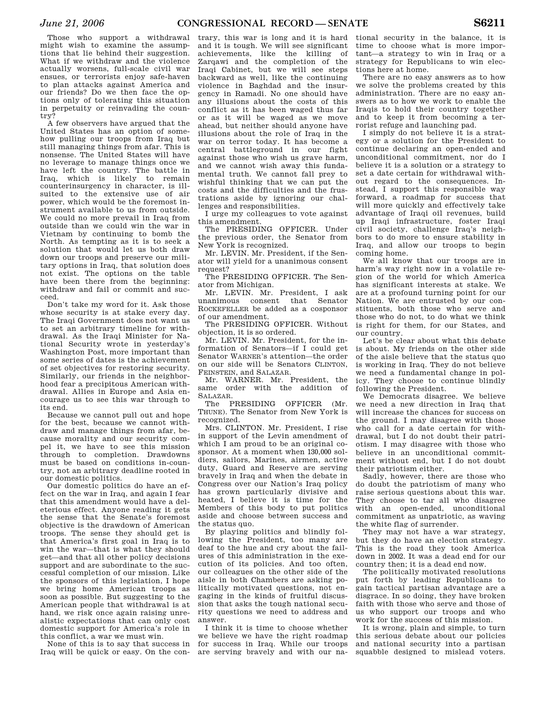Those who support a withdrawal might wish to examine the assumptions that lie behind their suggestion. What if we withdraw and the violence actually worsens, full-scale civil war ensues, or terrorists enjoy safe-haven to plan attacks against America and our friends? Do we then face the options only of tolerating this situation in perpetuity or reinvading the country?

A few observers have argued that the United States has an option of somehow pulling our troops from Iraq but still managing things from afar. This is nonsense. The United States will have no leverage to manage things once we have left the country. The battle in Iraq, which is likely to remain counterinsurgency in character, is illsuited to the extensive use of air power, which would be the foremost instrument available to us from outside. We could no more prevail in Iraq from outside than we could win the war in Vietnam by continuing to bomb the North. As tempting as it is to seek a solution that would let us both draw down our troops and preserve our military options in Iraq, that solution does not exist. The options on the table have been there from the beginning: withdraw and fail or commit and succeed.

Don't take my word for it. Ask those whose security is at stake every day. The Iraqi Government does not want us to set an arbitrary timeline for withdrawal. As the Iraqi Minister for National Security wrote in yesterday's Washington Post, more important than some series of dates is the achievement of set objectives for restoring security. Similarly, our friends in the neighborhood fear a precipitous American withdrawal. Allies in Europe and Asia encourage us to see this war through to its end.

Because we cannot pull out and hope for the best, because we cannot withdraw and manage things from afar, because morality and our security compel it, we have to see this mission through to completion. Drawdowns must be based on conditions in-country, not an arbitrary deadline rooted in our domestic politics.

Our domestic politics do have an effect on the war in Iraq, and again I fear that this amendment would have a deleterious effect. Anyone reading it gets the sense that the Senate's foremost objective is the drawdown of American troops. The sense they should get is that America's first goal in Iraq is to win the war—that is what they should get—and that all other policy decisions support and are subordinate to the successful completion of our mission. Like the sponsors of this legislation, I hope we bring home American troops as soon as possible. But suggesting to the American people that withdrawal is at hand, we risk once again raising unrealistic expectations that can only cost domestic support for America's role in this conflict, a war we must win.

None of this is to say that success in Iraq will be quick or easy. On the con-

trary, this war is long and it is hard and it is tough. We will see significant achievements, like the killing of Zarqawi and the completion of the Iraqi Cabinet, but we will see steps backward as well, like the continuing violence in Baghdad and the insurgency in Ramadi. No one should have any illusions about the costs of this conflict as it has been waged thus far or as it will be waged as we move ahead, but neither should anyone have illusions about the role of Iraq in the war on terror today. It has become a central battleground in our fight against those who wish us grave harm, and we cannot wish away this fundamental truth. We cannot fall prey to wishful thinking that we can put the costs and the difficulties and the frustrations aside by ignoring our challenges and responsibilities.

I urge my colleagues to vote against this amendment.

The PRESIDING OFFICER. Under the previous order, the Senator from New York is recognized.

Mr. LEVIN. Mr. President, if the Senator will yield for a unanimous consent request?

The PRESIDING OFFICER. The Senator from Michigan.

Mr. LEVIN. Mr. President, I ask unanimous consent that Senator ROCKEFELLER be added as a cosponsor of our amendment.

The PRESIDING OFFICER. Without objection, it is so ordered.

Mr. LEVIN. Mr. President, for the information of Senators—if I could get Senator WARNER's attention—the order on our side will be Senators CLINTON, FEINSTEIN, and SALAZAR.

Mr. WARNER. Mr. President, the same order with the addition of SALAZAR.

The PRESIDING OFFICER (Mr. THUNE). The Senator from New York is recognized.

Mrs. CLINTON. Mr. President, I rise in support of the Levin amendment of which I am proud to be an original cosponsor. At a moment when 130,000 soldiers, sailors, Marines, airmen, active duty, Guard and Reserve are serving bravely in Iraq and when the debate in Congress over our Nation's Iraq policy has grown particularly divisive and heated, I believe it is time for the Members of this body to put politics aside and choose between success and the status quo.

By playing politics and blindly following the President, too many are deaf to the hue and cry about the failures of this administration in the execution of its policies. And too often, our colleagues on the other side of the aisle in both Chambers are asking politically motivated questions, not engaging in the kinds of fruitful discussion that asks the tough national security questions we need to address and answer.

I think it is time to choose whether we believe we have the right roadmap for success in Iraq. While our troops are serving bravely and with our na-

tional security in the balance, it is time to choose what is more important—a strategy to win in Iraq or a strategy for Republicans to win elections here at home.

There are no easy answers as to how we solve the problems created by this administration. There are no easy answers as to how we work to enable the Iraqis to hold their country together and to keep it from becoming a terrorist refuge and launching pad.

I simply do not believe it is a strategy or a solution for the President to continue declaring an open-ended and unconditional commitment, nor do I believe it is a solution or a strategy to set a date certain for withdrawal without regard to the consequences. Instead, I support this responsible way forward, a roadmap for success that will more quickly and effectively take advantage of Iraqi oil revenues, build up Iraqi infrastructure, foster Iraqi civil society, challenge Iraq's neighbors to do more to ensure stability in Iraq, and allow our troops to begin coming home.

We all know that our troops are in harm's way right now in a volatile region of the world for which America has significant interests at stake. We are at a profound turning point for our Nation. We are entrusted by our constituents, both those who serve and those who do not, to do what we think is right for them, for our States, and our country.

Let's be clear about what this debate is about. My friends on the other side of the aisle believe that the status quo is working in Iraq. They do not believe we need a fundamental change in policy. They choose to continue blindly following the President.

We Democrats disagree. We believe we need a new direction in Iraq that will increase the chances for success on the ground. I may disagree with those who call for a date certain for withdrawal, but I do not doubt their patriotism. I may disagree with those who believe in an unconditional commitment without end, but I do not doubt their patriotism either.

Sadly, however, there are those who do doubt the patriotism of many who raise serious questions about this war. They choose to tar all who disagree with an open-ended, unconditional commitment as unpatriotic, as waving the white flag of surrender.

They may not have a war strategy, but they do have an election strategy. This is the road they took America down in 2002. It was a dead end for our country then; it is a dead end now.

The politically motivated resolutions put forth by leading Republicans to gain tactical partisan advantage are a disgrace. In so doing, they have broken faith with those who serve and those of us who support our troops and who work for the success of this mission.

It is wrong, plain and simple, to turn this serious debate about our policies and national security into a partisan squabble designed to mislead voters.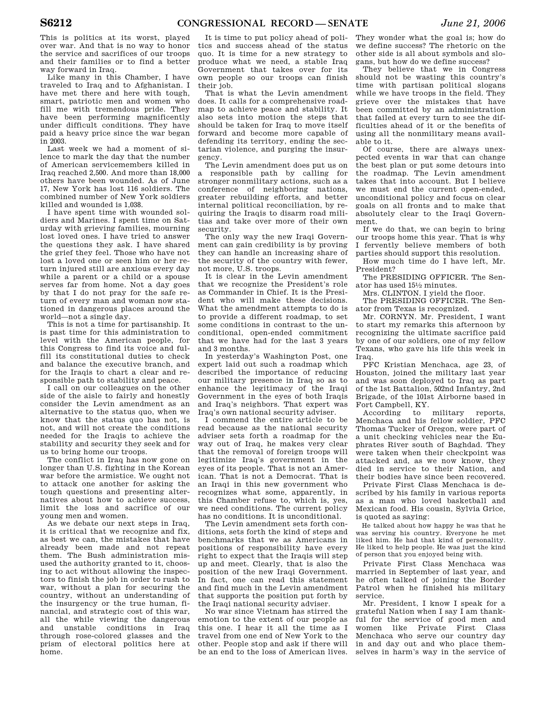This is politics at its worst, played over war. And that is no way to honor the service and sacrifices of our troops and their families or to find a better way forward in Iraq.

Like many in this Chamber, I have traveled to Iraq and to Afghanistan. I have met there and here with tough, smart, patriotic men and women who fill me with tremendous pride. They have been performing magnificently under difficult conditions. They have paid a heavy price since the war began in 2003.

Last week we had a moment of silence to mark the day that the number of American servicemembers killed in Iraq reached 2,500. And more than 18,000 others have been wounded. As of June 17, New York has lost 116 soldiers. The combined number of New York soldiers killed and wounded is 1,038.

I have spent time with wounded soldiers and Marines. I spent time on Saturday with grieving families, mourning lost loved ones. I have tried to answer the questions they ask. I have shared the grief they feel. Those who have not lost a loved one or seen him or her return injured still are anxious every day while a parent or a child or a spouse serves far from home. Not a day goes by that I do not pray for the safe return of every man and woman now stationed in dangerous places around the world—not a single day.

This is not a time for partisanship. It is past time for this administration to level with the American people, for this Congress to find its voice and fulfill its constitutional duties to check and balance the executive branch, and for the Iraqis to chart a clear and responsible path to stability and peace.

I call on our colleagues on the other side of the aisle to fairly and honestly consider the Levin amendment as an alternative to the status quo, when we know that the status quo has not, is not, and will not create the conditions needed for the Iraqis to achieve the stability and security they seek and for us to bring home our troops.

The conflict in Iraq has now gone on longer than U.S. fighting in the Korean war before the armistice. We ought not to attack one another for asking the tough questions and presenting alternatives about how to achieve success, limit the loss and sacrifice of our young men and women.

As we debate our next steps in Iraq, it is critical that we recognize and fix, as best we can, the mistakes that have already been made and not repeat them. The Bush administration misused the authority granted to it, choosing to act without allowing the inspectors to finish the job in order to rush to war, without a plan for securing the country, without an understanding of the insurgency or the true human, financial, and strategic cost of this war, all the while viewing the dangerous and unstable conditions in Iraq through rose-colored glasses and the prism of electoral politics here at home.

It is time to put policy ahead of politics and success ahead of the status quo. It is time for a new strategy to produce what we need, a stable Iraq Government that takes over for its own people so our troops can finish their job.

That is what the Levin amendment does. It calls for a comprehensive roadmap to achieve peace and stability. It also sets into motion the steps that should be taken for Iraq to move itself forward and become more capable of defending its territory, ending the sectarian violence, and purging the insurgency.

The Levin amendment does put us on a responsible path by calling for stronger nonmilitary actions, such as a conference of neighboring nations, greater rebuilding efforts, and better internal political reconciliation, by requiring the Iraqis to disarm road militias and take over more of their own security.

The only way the new Iraqi Government can gain credibility is by proving they can handle an increasing share of the security of the country with fewer, not more, U.S. troops.

It is clear in the Levin amendment that we recognize the President's role as Commander in Chief. It is the President who will make these decisions. What the amendment attempts to do is to provide a different roadmap, to set some conditions in contrast to the unconditional, open-ended commitment that we have had for the last 3 years and 3 months.

In yesterday's Washington Post, one expert laid out such a roadmap which described the importance of reducing our military presence in Iraq so as to enhance the legitimacy of the Iraqi Government in the eyes of both Iraqis and Iraq's neighbors. That expert was Iraq's own national security adviser.

I commend the entire article to be read because as the national security adviser sets forth a roadmap for the way out of Iraq, he makes very clear that the removal of foreign troops will legitimize Iraq's government in the eyes of its people. That is not an American. That is not a Democrat. That is an Iraqi in this new government who recognizes what some, apparently, in this Chamber refuse to, which is, yes, we need conditions. The current policy has no conditions. It is unconditional.

The Levin amendment sets forth conditions, sets forth the kind of steps and benchmarks that we as Americans in positions of responsibility have every right to expect that the Iraqis will step up and meet. Clearly, that is also the position of the new Iraqi Government. In fact, one can read this statement and find much in the Levin amendment that supports the position put forth by the Iraqi national security adviser.

No war since Vietnam has stirred the emotion to the extent of our people as this one. I hear it all the time as I travel from one end of New York to the other. People stop and ask if there will be an end to the loss of American lives.

They wonder what the goal is; how do we define success? The rhetoric on the other side is all about symbols and slogans, but how do we define success?

They believe that we in Congress should not be wasting this country's time with partisan political slogans while we have troops in the field. They grieve over the mistakes that have been committed by an administration that failed at every turn to see the difficulties ahead of it or the benefits of using all the nonmilitary means available to it.

Of course, there are always unexpected events in war that can change the best plan or put some detours into the roadmap. The Levin amendment takes that into account. But I believe we must end the current open-ended. unconditional policy and focus on clear goals on all fronts and to make that absolutely clear to the Iraqi Government.

If we do that, we can begin to bring our troops home this year. That is why I fervently believe members of both parties should support this resolution.

How much time do I have left, Mr. President?

The PRESIDING OFFICER. The Senator has used 151⁄2 minutes.

Mrs. CLINTON. I yield the floor.

The PRESIDING OFFICER. The Senator from Texas is recognized.

Mr. CORNYN. Mr. President, I want to start my remarks this afternoon by recognizing the ultimate sacrifice paid by one of our soldiers, one of my fellow Texans, who gave his life this week in Iraq.

PFC Kristian Menchaca, age 23, of Houston, joined the military last year and was soon deployed to Iraq as part of the 1st Battalion, 502nd Infantry, 2nd Brigade, of the 101st Airborne based in Fort Campbell, KY.

According to military reports, Menchaca and his fellow soldier, PFC Thomas Tucker of Oregon, were part of a unit checking vehicles near the Euphrates River south of Baghdad. They were taken when their checkpoint was attacked and, as we now know, they died in service to their Nation, and their bodies have since been recovered.

Private First Class Menchaca is described by his family in various reports as a man who loved basketball and Mexican food. His cousin, Sylvia Grice, is quoted as saying:

He talked about how happy he was that he was serving his country. Everyone he met liked him. He had that kind of personality. He liked to help people. He was just the kind of person that you enjoyed being with.

Private First Class Menchaca was married in September of last year, and he often talked of joining the Border Patrol when he finished his military service.

Mr. President, I know I speak for a grateful Nation when I say I am thankful for the service of good men and women like Private First Class Menchaca who serve our country day in and day out and who place themselves in harm's way in the service of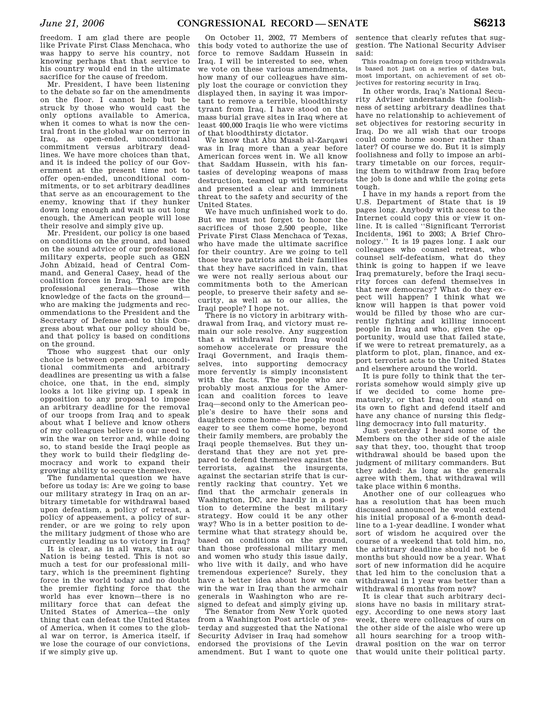freedom. I am glad there are people like Private First Class Menchaca, who was happy to serve his country, not knowing perhaps that that service to his country would end in the ultimate sacrifice for the cause of freedom.

Mr. President, I have been listening to the debate so far on the amendments on the floor. I cannot help but be struck by those who would cast the only options available to America, when it comes to what is now the central front in the global war on terror in Iraq, as open-ended, unconditional commitment versus arbitrary deadlines. We have more choices than that, and it is indeed the policy of our Government at the present time not to offer open-ended, unconditional commitments, or to set arbitrary deadlines that serve as an encouragement to the enemy, knowing that if they hunker down long enough and wait us out long enough, the American people will lose their resolve and simply give up.

Mr. President, our policy is one based on conditions on the ground, and based on the sound advice of our professional military experts, people such as GEN John Abizaid, head of Central Command, and General Casey, head of the coalition forces in Iraq. These are the professional generals—those with knowledge of the facts on the ground who are making the judgments and recommendations to the President and the Secretary of Defense and to this Congress about what our policy should be, and that policy is based on conditions on the ground.

Those who suggest that our only choice is between open-ended, unconditional commitments and arbitrary deadlines are presenting us with a false choice, one that, in the end, simply looks a lot like giving up. I speak in opposition to any proposal to impose an arbitrary deadline for the removal of our troops from Iraq and to speak about what I believe and know others of my colleagues believe is our need to win the war on terror and, while doing so, to stand beside the Iraqi people as they work to build their fledgling democracy and work to expand their growing ability to secure themselves.

The fundamental question we have before us today is: Are we going to base our military strategy in Iraq on an arbitrary timetable for withdrawal based upon defeatism, a policy of retreat, a policy of appeasement, a policy of surrender, or are we going to rely upon the military judgment of those who are currently leading us to victory in Iraq?

It is clear, as in all wars, that our Nation is being tested. This is not so much a test for our professional military, which is the preeminent fighting force in the world today and no doubt the premier fighting force that the world has ever known—there is no military force that can defeat the United States of America—the only thing that can defeat the United States of America, when it comes to the global war on terror, is America itself, if we lose the courage of our convictions, if we simply give up.

On October 11, 2002, 77 Members of this body voted to authorize the use of force to remove Saddam Hussein in Iraq. I will be interested to see, when we vote on these various amendments, how many of our colleagues have simply lost the courage or conviction they displayed then, in saying it was important to remove a terrible, bloodthirsty tyrant from Iraq. I have stood on the mass burial grave sites in Iraq where at least 400,000 Iraqis lie who were victims of that bloodthirsty dictator.

We know that Abu Musab al-Zarqawi was in Iraq more than a year before American forces went in. We all know that Saddam Hussein, with his fantasies of developing weapons of mass destruction, teamed up with terrorists and presented a clear and imminent threat to the safety and security of the United States.

We have much unfinished work to do. But we must not forget to honor the sacrifices of those 2,500 people, like Private First Class Menchaca of Texas, who have made the ultimate sacrifice for their country. Are we going to tell those brave patriots and their families that they have sacrificed in vain, that we were not really serious about our commitments both to the American people, to preserve their safety and security, as well as to our allies, the Iraqi people? I hope not.

There is no victory in arbitrary withdrawal from Iraq, and victory must remain our sole resolve. Any suggestion that a withdrawal from Iraq would somehow accelerate or pressure the Iraqi Government, and Iraqis themselves, into supporting democracy more fervently is simply inconsistent with the facts. The people who are probably most anxious for the American and coalition forces to leave Iraq—second only to the American people's desire to have their sons and daughters come home—the people most eager to see them come home, beyond their family members, are probably the Iraqi people themselves. But they understand that they are not yet prepared to defend themselves against the terrorists, against the insurgents, against the sectarian strife that is currently racking that country. Yet we find that the armchair generals in Washington, DC, are hardly in a position to determine the best military strategy. How could it be any other way? Who is in a better position to determine what that strategy should be, based on conditions on the ground, than those professional military men and women who study this issue daily, who live with it daily, and who have tremendous experience? Surely, they have a better idea about how we can win the war in Iraq than the armchair generals in Washington who are resigned to defeat and simply giving up.

The Senator from New York quoted from a Washington Post article of yesterday and suggested that the National Security Adviser in Iraq had somehow endorsed the provisions of the Levin amendment. But I want to quote one

sentence that clearly refutes that suggestion. The National Security Adviser said:

This roadmap on foreign troop withdrawals is based not just on a series of dates but, most important, on achievement of set objectives for restoring security in Iraq.

In other words, Iraq's National Security Adviser understands the foolishness of setting arbitrary deadlines that have no relationship to achievement of set objectives for restoring security in Iraq. Do we all wish that our troops could come home sooner rather than later? Of course we do. But it is simply foolishness and folly to impose an arbitrary timetable on our forces, requiring them to withdraw from Iraq before the job is done and while the going gets tough.

I have in my hands a report from the U.S. Department of State that is 19 pages long. Anybody with access to the Internet could copy this or view it online. It is called ''Significant Terrorist Incidents, 1961 to 2003; A Brief Chronology.'' It is 19 pages long. I ask our colleagues who counsel retreat, who counsel self-defeatism, what do they think is going to happen if we leave Iraq prematurely, before the Iraqi security forces can defend themselves in that new democracy? What do they expect will happen? I think what we know will happen is that power void would be filled by those who are currently fighting and killing innocent people in Iraq and who, given the opportunity, would use that failed state, if we were to retreat prematurely, as a platform to plot, plan, finance, and export terrorist acts to the United States and elsewhere around the world.

It is pure folly to think that the terrorists somehow would simply give up if we decided to come home prematurely, or that Iraq could stand on its own to fight and defend itself and have any chance of nursing this fledgling democracy into full maturity.

Just yesterday I heard some of the Members on the other side of the aisle say that they, too, thought that troop withdrawal should be based upon the judgment of military commanders. But they added: As long as the generals agree with them, that withdrawal will take place within 6 months.

Another one of our colleagues who has a resolution that has been much discussed announced he would extend his initial proposal of a 6-month deadline to a 1-year deadline. I wonder what sort of wisdom he acquired over the course of a weekend that told him, no, the arbitrary deadline should not be 6 months but should now be a year. What sort of new information did he acquire that led him to the conclusion that a withdrawal in 1 year was better than a withdrawal 6 months from now?

It is clear that such arbitrary decisions have no basis in military strategy. According to one news story last week, there were colleagues of ours on the other side of the aisle who were up all hours searching for a troop withdrawal position on the war on terror that would unite their political party.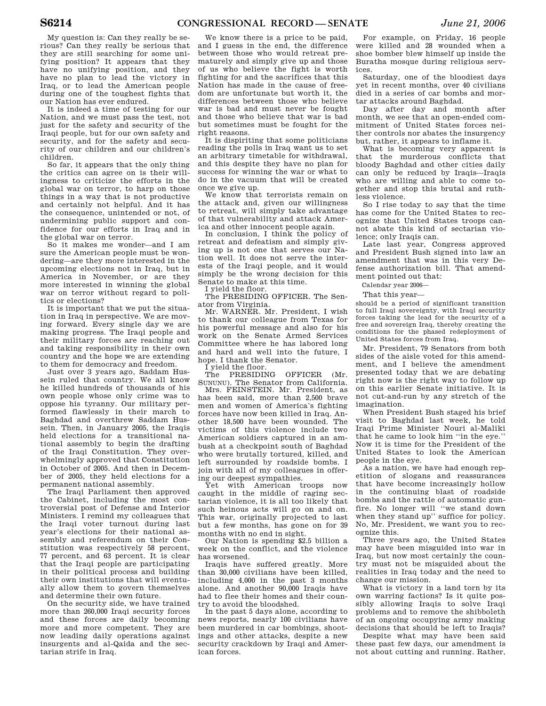My question is: Can they really be serious? Can they really be serious that they are still searching for some unifying position? It appears that they have no unifying position, and they have no plan to lead the victory in Iraq, or to lead the American people during one of the toughest fights that our Nation has ever endured.

It is indeed a time of testing for our Nation, and we must pass the test, not just for the safety and security of the Iraqi people, but for our own safety and security, and for the safety and security of our children and our children's children.

So far, it appears that the only thing the critics can agree on is their willingness to criticize the efforts in the global war on terror, to harp on those things in a way that is not productive and certainly not helpful. And it has the consequence, unintended or not, of undermining public support and confidence for our efforts in Iraq and in the global war on terror.

So it makes me wonder—and I am sure the American people must be wondering—are they more interested in the upcoming elections not in Iraq, but in America in November, or are they more interested in winning the global war on terror without regard to politics or elections?

It is important that we put the situation in Iraq in perspective. We are moving forward. Every single day we are making progress. The Iraqi people and their military forces are reaching out and taking responsibility in their own country and the hope we are extending to them for democracy and freedom.

Just over 3 years ago, Saddam Hussein ruled that country. We all know he killed hundreds of thousands of his own people whose only crime was to oppose his tyranny. Our military performed flawlessly in their march to Baghdad and overthrew Saddam Hussein. Then, in January 2005, the Iraqis held elections for a transitional national assembly to begin the drafting of the Iraqi Constitution. They overwhelmingly approved that Constitution in October of 2005. And then in December of 2005, they held elections for a permanent national assembly.

The Iraqi Parliament then approved the Cabinet, including the most controversial post of Defense and Interior Ministers. I remind my colleagues that the Iraqi voter turnout during last year's elections for their national assembly and referendum on their Constitution was respectively 58 percent, 77 percent, and 63 percent. It is clear that the Iraqi people are participating in their political process and building their own institutions that will eventually allow them to govern themselves and determine their own future.

On the security side, we have trained more than 260,000 Iraqi security forces and these forces are daily becoming more and more competent. They are now leading daily operations against insurgents and al-Qaida and the sectarian strife in Iraq.

We know there is a price to be paid, and I guess in the end, the difference between those who would retreat prematurely and simply give up and those of us who believe the fight is worth fighting for and the sacrifices that this Nation has made in the cause of freedom are unfortunate but worth it, the differences between those who believe war is bad and must never be fought and those who believe that war is bad but sometimes must be fought for the right reasons.

It is dispiriting that some politicians reading the polls in Iraq want us to set an arbitrary timetable for withdrawal, and this despite they have no plan for success for winning the war or what to do in the vacuum that will be created once we give up.

We know that terrorists remain on the attack and, given our willingness to retreat, will simply take advantage of that vulnerability and attack America and other innocent people again.

In conclusion, I think the policy of retreat and defeatism and simply giving up is not one that serves our Nation well. It does not serve the interests of the Iraqi people, and it would simply be the wrong decision for this Senate to make at this time.

I yield the floor.

The PRESIDING OFFICER. The Senator from Virginia.

Mr. WARNER. Mr. President, I wish to thank our colleague from Texas for his powerful message and also for his work on the Senate Armed Services Committee where he has labored long and hard and well into the future, I hope. I thank the Senator.

I yield the floor.

The PRESIDING OFFICER (Mr. SUNUNU). The Senator from California.

Mrs. FEINSTEIN. Mr. President, as has been said, more than 2,500 brave men and women of America's fighting forces have now been killed in Iraq. Another 18,500 have been wounded. The victims of this violence include two American soldiers captured in an ambush at a checkpoint south of Baghdad who were brutally tortured, killed, and left surrounded by roadside bombs. I join with all of my colleagues in offering our deepest sympathies.

Yet with American troops now caught in the middle of raging sectarian violence, it is all too likely that such heinous acts will go on and on. This war, originally projected to last but a few months, has gone on for 39 months with no end in sight.

Our Nation is spending \$2.5 billion a week on the conflict, and the violence has worsened.

Iraqis have suffered greatly. More than 30,000 civilians have been killed, including 4,000 in the past 3 months alone. And another 90,000 Iraqis have had to flee their homes and their country to avoid the bloodshed.

In the past 5 days alone, according to news reports, nearly 100 civilians have been murdered in car bombings, shootings and other attacks, despite a new security crackdown by Iraqi and American forces.

For example, on Friday, 16 people were killed and 28 wounded when a shoe bomber blew himself up inside the Buratha mosque during religious services.

Saturday, one of the bloodiest days yet in recent months, over 40 civilians died in a series of car bombs and mortar attacks around Baghdad.

Day after day and month after month, we see that an open-ended commitment of United States forces neither controls nor abates the insurgency but, rather, it appears to inflame it.

What is becoming very apparent is that the murderous conflicts that bloody Baghdad and other cities daily can only be reduced by Iraqis—Iraqis who are willing and able to come together and stop this brutal and ruthless violence.

So I rise today to say that the time has come for the United States to recognize that United States troops cannot abate this kind of sectarian violence; only Iraqis can.

Late last year, Congress approved and President Bush signed into law an amendment that was in this very Defense authorization bill. That amendment pointed out that:

Calendar year 2006—

That this year—

should be a period of significant transition to full Iraqi sovereignty, with Iraqi security forces taking the lead for the security of a free and sovereign Iraq, thereby creating the conditions for the phased redeployment of United States forces from Iraq.

Mr. President, 79 Senators from both sides of the aisle voted for this amendment, and I believe the amendment presented today that we are debating right now is the right way to follow up on this earlier Senate initiative. It is not cut-and-run by any stretch of the imagination.

When President Bush staged his brief visit to Baghdad last week, he told Iraqi Prime Minister Nouri al-Maliki that he came to look him ''in the eye.'' Now it is time for the President of the United States to look the American people in the eye.

As a nation, we have had enough repetition of slogans and reassurances that have become increasingly hollow in the continuing blast of roadside bombs and the rattle of automatic gunfire. No longer will ''we stand down when they stand up'' suffice for policy. No, Mr. President, we want you to recognize this.

Three years ago, the United States may have been misguided into war in Iraq, but now most certainly the country must not be misguided about the realities in Iraq today and the need to change our mission.

What is victory in a land torn by its own warring factions? Is it quite possibly allowing Iraqis to solve Iraqi problems and to remove the shibboleth of an ongoing occupying army making decisions that should be left to Iraqis?

Despite what may have been said these past few days, our amendment is not about cutting and running. Rather,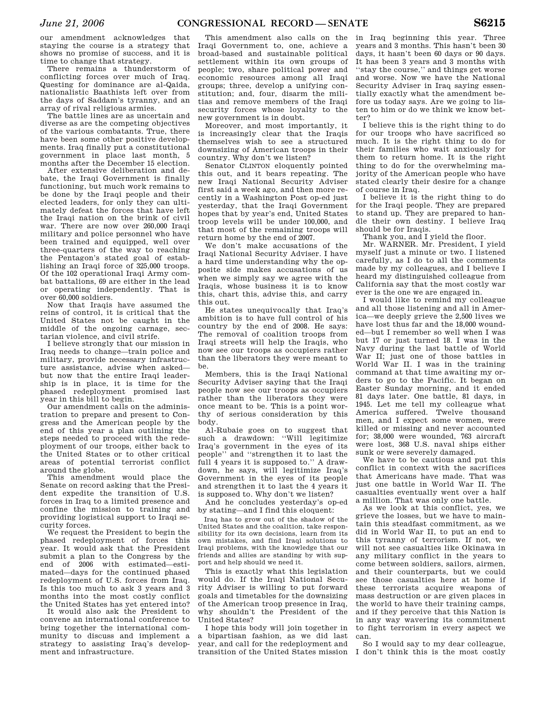our amendment acknowledges that staying the course is a strategy that shows no promise of success, and it is time to change that strategy.

There remains a thunderstorm of conflicting forces over much of Iraq. Questing for dominance are al-Qaida, nationalistic Baathists left over from the days of Saddam's tyranny, and an array of rival religious armies.

The battle lines are as uncertain and diverse as are the competing objectives of the various combatants. True, there have been some other positive developments. Iraq finally put a constitutional government in place last month, 5 months after the December 15 election.

After extensive deliberation and debate, the Iraqi Government is finally functioning, but much work remains to be done by the Iraqi people and their elected leaders, for only they can ultimately defeat the forces that have left the Iraqi nation on the brink of civil war. There are now over 260,000 Iraqi military and police personnel who have been trained and equipped, well over three-quarters of the way to reaching the Pentagon's stated goal of establishing an Iraqi force of 325,000 troops. Of the 102 operational Iraqi Army combat battalions, 69 are either in the lead or operating independently. That is over 60,000 soldiers.

Now that Iraqis have assumed the reins of control, it is critical that the United States not be caught in the middle of the ongoing carnage, sectarian violence, and civil strife.

I believe strongly that our mission in Iraq needs to change—train police and military, provide necessary infrastructure assistance, advise when asked but now that the entire Iraqi leadership is in place, it is time for the phased redeployment promised last year in this bill to begin.

Our amendment calls on the administration to prepare and present to Congress and the American people by the end of this year a plan outlining the steps needed to proceed with the redeployment of our troops, either back to the United States or to other critical areas of potential terrorist conflict around the globe.

This amendment would place the Senate on record asking that the President expedite the transition of U.S. forces in Iraq to a limited presence and confine the mission to training and providing logistical support to Iraqi security forces.

We request the President to begin the phased redeployment of forces this year. It would ask that the President submit a plan to the Congress by the end of 2006 with estimated—estimated—days for the continued phased redeployment of U.S. forces from Iraq. Is this too much to ask 3 years and 3 months into the most costly conflict the United States has yet entered into?

It would also ask the President to convene an international conference to bring together the international community to discuss and implement a strategy to assisting Iraq's development and infrastructure.

This amendment also calls on the Iraqi Government to, one, achieve a broad-based and sustainable political settlement within its own groups of people; two, share political power and economic resources among all Iraqi groups; three, develop a unifying constitution; and, four, disarm the militias and remove members of the Iraqi security forces whose loyalty to the new government is in doubt.

Moreover, and most importantly, it is increasingly clear that the Iraqis themselves wish to see a structured downsizing of American troops in their country. Why don't we listen?

Senator CLINTON eloquently pointed this out, and it bears repeating. The new Iraqi National Security Adviser first said a week ago, and then more recently in a Washington Post op-ed just yesterday, that the Iraqi Government hopes that by year's end, United States troop levels will be under 100,000, and that most of the remaining troops will return home by the end of 2007.

We don't make accusations of the Iraqi National Security Adviser. I have a hard time understanding why the opposite side makes accusations of us when we simply say we agree with the Iraqis, whose business it is to know this, chart this, advise this, and carry this out.

He states unequivocally that Iraq's ambition is to have full control of his country by the end of 2008. He says: The removal of coalition troops from Iraqi streets will help the Iraqis, who now see our troops as occupiers rather than the liberators they were meant to be.

Members, this is the Iraqi National Security Adviser saying that the Iraqi people now see our troops as occupiers rather than the liberators they were once meant to be. This is a point worthy of serious consideration by this body.

Al-Rubaie goes on to suggest that such a drawdown: ''Will legitimize Iraq's government in the eyes of its people'' and ''strengthen it to last the full 4 years it is supposed to.'' A drawdown, he says, will legitimize Iraq's Government in the eyes of its people and strengthen it to last the 4 years it is supposed to. Why don't we listen?

And he concludes yesterday's op-ed by stating—and I find this eloquent:

Iraq has to grow out of the shadow of the United States and the coalition, take responsibility for its own decisions, learn from its own mistakes, and find Iraqi solutions to Iraqi problems, with the knowledge that our friends and allies are standing by with support and help should we need it.

This is exactly what this legislation would do. If the Iraqi National Security Adviser is willing to put forward goals and timetables for the downsizing of the American troop presence in Iraq, why shouldn't the President of the United States?

I hope this body will join together in a bipartisan fashion, as we did last year, and call for the redeployment and

in Iraq beginning this year. Three years and 3 months. This hasn't been 30 days, it hasn't been 60 days or 90 days. It has been 3 years and 3 months with ''stay the course,'' and things get worse and worse. Now we have the National Security Adviser in Iraq saying essentially exactly what the amendment before us today says. Are we going to listen to him or do we think we know better?

I believe this is the right thing to do for our troops who have sacrificed so much. It is the right thing to do for their families who wait anxiously for them to return home. It is the right thing to do for the overwhelming majority of the American people who have stated clearly their desire for a change of course in Iraq.

I believe it is the right thing to do for the Iraqi people. They are prepared to stand up. They are prepared to handle their own destiny. I believe Iraq should be for Iraqis.

Thank you, and I yield the floor.

Mr. WARNER. Mr. President, I yield myself just a minute or two. I listened carefully, as I do to all the comments made by my colleagues, and I believe I heard my distinguished colleague from California say that the most costly war ever is the one we are engaged in.

I would like to remind my colleague and all those listening and all in America—we deeply grieve the 2,500 lives we have lost thus far and the 18,000 wounded—but I remember so well when I was but 17 or just turned 18. I was in the Navy during the last battle of World War II; just one of those battles in World War II. I was in the training command at that time awaiting my orders to go to the Pacific. It began on Easter Sunday morning, and it ended 81 days later. One battle, 81 days, in 1945. Let me tell my colleague what America suffered. Twelve thousand men, and I expect some women, were killed or missing and never accounted for; 38,000 were wounded, 763 aircraft were lost, 368 U.S. naval ships either sunk or were severely damaged.

We have to be cautious and put this conflict in context with the sacrifices that Americans have made. That was just one battle in World War II. The casualties eventually went over a half a million. That was only one battle.

As we look at this conflict, yes, we grieve the losses, but we have to maintain this steadfast commitment, as we did in World War II, to put an end to this tyranny of terrorism. If not, we will not see casualties like Okinawa in any military conflict in the years to come between soldiers, sailors, airmen, and their counterparts, but we could see those casualties here at home if these terrorists acquire weapons of mass destruction or are given places in the world to have their training camps, and if they perceive that this Nation is in any way wavering its commitment to fight terrorism in every aspect we can.

transition of the United States mission I don't think this is the most costly So I would say to my dear colleague,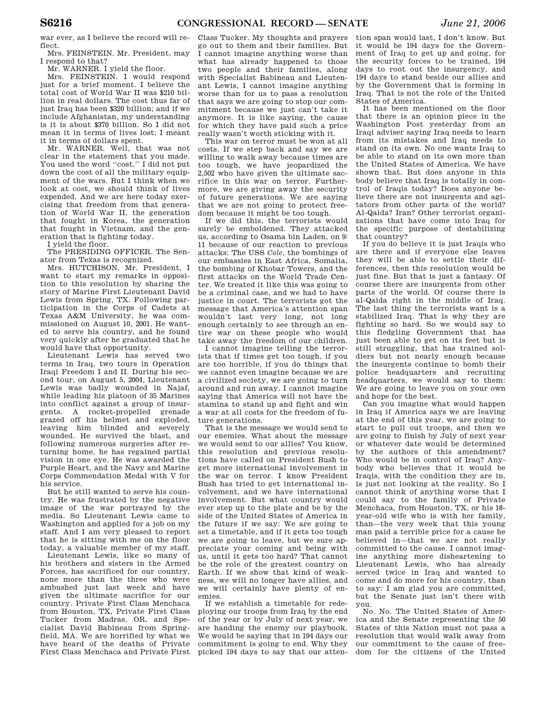war ever, as I believe the record will reflect. Mrs. FEINSTEIN. Mr. President, may

I respond to that? Mr. WARNER. I yield the floor.

Mrs. FEINSTEIN. I would respond just for a brief moment. I believe the total cost of World War II was \$210 billion in real dollars. The cost thus far of just Iraq has been \$320 billion; and if we include Afghanistan, my understanding is it is about \$370 billion. So I did not mean it in terms of lives lost; I meant it in terms of dollars spent.

Mr. WARNER. Well, that was not clear in the statement that you made. You used the word ''cost.'' I did not put down the cost of all the military equipment of the wars. But I think when we look at cost, we should think of lives expended. And we are here today exercising that freedom from that generation of World War II, the generation that fought in Korea, the generation that fought in Vietnam, and the generation that is fighting today.

I yield the floor.

The PRESIDING OFFICER. The Senator from Texas is recognized.

Mrs. HUTCHISON. Mr. President, I want to start my remarks in opposition to this resolution by sharing the story of Marine First Lieutenant David Lewis from Spring, TX. Following participation in the Corps of Cadets at Texas A&M University, he was commissioned on August 10, 2001. He wanted to serve his country, and he found very quickly after he graduated that he would have that opportunity.

Lieutenant Lewis has served two terms in Iraq, two tours in Operation Iraqi Freedom I and II. During his second tour, on August 5, 2004, Lieutenant Lewis was badly wounded in Najaf, while leading his platoon of 35 Marines into conflict against a group of insurgents. A rocket-propelled grenade grazed off his helmet and exploded, leaving him blinded and severely wounded. He survived the blast, and following numerous surgeries after returning home, he has regained partial vision in one eye. He was awarded the Purple Heart, and the Navy and Marine Corps Commendation Medal with V for his service.

But he still wanted to serve his country. He was frustrated by the negative image of the war portrayed by the media. So Lieutenant Lewis came to Washington and applied for a job on my staff. And I am very pleased to report that he is sitting with me on the floor today, a valuable member of my staff.

Lieutenant Lewis, like so many of his brothers and sisters in the Armed Forces, has sacrificed for our country, none more than the three who were ambushed just last week and have given the ultimate sacrifice for our country. Private First Class Menchaca from Houston, TX, Private First Class Tucker from Madras, OR, and Specialist David Babineau from Springfield, MA. We are horrified by what we have heard of the deaths of Private First Class Menchaca and Private First

Class Tucker. My thoughts and prayers go out to them and their families. But I cannot imagine anything worse than what has already happened to those two people and their families, along with Specialist Babineau and Lieutenant Lewis, I cannot imagine anything worse than for us to pass a resolution that says we are going to stop our commitment because we just can't take it anymore. It is like saying, the cause for which they have paid such a price really wasn't worth sticking with it.

This war on terror must be won at all costs. If we step back and say we are willing to walk away because times are too tough, we have jeopardized the 2,502 who have given the ultimate sacrifice in this war on terror. Furthermore, we are giving away the security of future generations. We are saying that we are not going to protect freedom because it might be too tough.

If we did this, the terrorists would surely be emboldened. They attacked us, according to Osama bin Laden, on 9/ 11 because of our reaction to previous attacks: The USS *Cole,* the bombings of our embassies in East Africa, Somalia, the bombing of Khobar Towers, and the first attacks on the World Trade Center. We treated it like this was going to be a criminal case, and we had to have justice in court. The terrorists got the message that America's attention span wouldn't last very long, not long enough certainly to see through an entire war on these people who would take away the freedom of our children.

I cannot imagine telling the terrorists that if times get too tough, if you are too horrible, if you do things that we cannot even imagine because we are a civilized society, we are going to turn around and run away. I cannot imagine saying that America will not have the stamina to stand up and fight and win a war at all costs for the freedom of future generations.

That is the message we would send to our enemies. What about the message we would send to our allies? You know, this resolution and previous resolutions have called on President Bush to get more international involvement in the war on terror. I know President Bush has tried to get international involvement, and we have international involvement. But what country would ever step up to the plate and be by the side of the United States of America in the future if we say: We are going to set a timetable, and if it gets too tough we are going to leave, but we sure appreciate your coming and being with us, until it gets too hard? That cannot be the role of the greatest country on Earth. If we show that kind of weakness, we will no longer have allies, and we will certainly have plenty of enemies.

If we establish a timetable for redeploying our troops from Iraq by the end of the year or by July of next year, we are handing the enemy our playbook. We would be saying that in 194 days our commitment is going to end. Why they picked 194 days to say that our atten-

tion span would last, I don't know. But it would be 194 days for the Government of Iraq to get up and going, for the security forces to be trained, 194 days to root out the insurgency, and 194 days to stand beside our allies and by the Government that is forming in Iraq. That is not the role of the United States of America.

It has been mentioned on the floor that there is an opinion piece in the Washington Post yesterday from an Iraqi adviser saying Iraq needs to learn from its mistakes and Iraq needs to stand on its own. No one wants Iraq to be able to stand on its own more than the United States of America. We have shown that. But does anyone in this body believe that Iraq is totally in control of Iraqis today? Does anyone believe there are not insurgents and agitators from other parts of the world? Al-Qaida? Iran? Other terrorist organizations that have come into Iraq for the specific purpose of destabilizing that country?

If you do believe it is just Iraqis who are there and if everyone else leaves they will be able to settle their differences, then this resolution would be just fine. But that is just a fantasy. Of course there are insurgents from other parts of the world. Of course there is al-Qaida right in the middle of Iraq. The last thing the terrorists want is a stabilized Iraq. That is why they are fighting so hard. So we would say to this fledgling Government that has just been able to get on its feet but is still struggling, that has trained soldiers but not nearly enough because the insurgents continue to bomb their police headquarters and recruiting headquarters, we would say to them: We are going to leave you on your own and hope for the best.

Can you imagine what would happen in Iraq if America says we are leaving at the end of this year, we are going to start to pull out troops, and then we are going to finish by July of next year or whatever date would be determined by the authors of this amendment? Who would be in control of Iraq? Anybody who believes that it would be Iraqis, with the condition they are in, is just not looking at the reality. So I cannot think of anything worse that I could say to the family of Private Menchaca, from Houston, TX, or his 18 year-old wife who is with her family, than—the very week that this young man paid a terrible price for a cause he believed in—that we are not really committed to the cause. I cannot imagine anything more disheartening to Lieutenant Lewis, who has already served twice in Iraq and wanted to come and do more for his country, than to say: I am glad you are committed, but the Senate just isn't there with you.

No. No. The United States of America and the Senate representing the 50 States of this Nation must not pass a resolution that would walk away from our commitment to the cause of freedom for the citizens of the United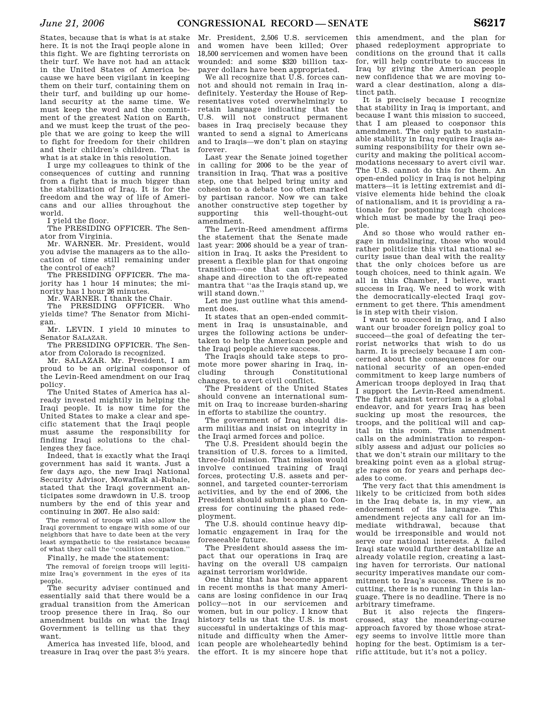States, because that is what is at stake here. It is not the Iraqi people alone in this fight. We are fighting terrorists on their turf. We have not had an attack in the United States of America because we have been vigilant in keeping them on their turf, containing them on their turf, and building up our homeland security at the same time. We must keep the word and the commitment of the greatest Nation on Earth, and we must keep the trust of the people that we are going to keep the will to fight for freedom for their children and their children's children. That is what is at stake in this resolution.

I urge my colleagues to think of the consequences of cutting and running from a fight that is much bigger than the stabilization of Iraq. It is for the freedom and the way of life of Americans and our allies throughout the world.

I yield the floor.

The PRESIDING OFFICER. The Senator from Virginia.

Mr. WARNER. Mr. President, would you advise the managers as to the allocation of time still remaining under the control of each?

The PRESIDING OFFICER. The majority has 1 hour 14 minutes; the minority has 1 hour 26 minutes.

Mr. WARNER. I thank the Chair.<br>The PRESIDING OFFICER. Who

The PRESIDING OFFICER. yields time? The Senator from Michigan.

Mr. LEVIN. I yield 10 minutes to Senator SALAZAR.

The PRESIDING OFFICER. The Senator from Colorado is recognized.

Mr. SALAZAR. Mr. President, I am proud to be an original cosponsor of the Levin-Reed amendment on our Iraq policy.

The United States of America has already invested mightily in helping the Iraqi people. It is now time for the United States to make a clear and specific statement that the Iraqi people must assume the responsibility for finding Iraqi solutions to the challenges they face.

Indeed, that is exactly what the Iraqi government has said it wants. Just a few days ago, the new Iraqi National Security Advisor, Mowaffak al-Rubaie, stated that the Iraqi government anticipates some drawdown in U.S. troop numbers by the end of this year and continuing in 2007. He also said:

The removal of troops will also allow the Iraqi government to engage with some of our neighbors that have to date been at the very least sympathetic to the resistance because of what they call the ''coalition occupation.''

Finally, he made the statement:

The removal of foreign troops will legitimize Iraq's government in the eyes of its people.

The security adviser continued and essentially said that there would be a gradual transition from the American troop presence there in Iraq. So our amendment builds on what the Iraqi Government is telling us that they want.

America has invested life, blood, and treasure in Iraq over the past 31⁄2 years.

Mr. President, 2,506 U.S. servicemen and women have been killed; Over 18,500 servicemen and women have been wounded: and some \$320 billion taxpayer dollars have been appropriated.

We all recognize that U.S. forces cannot and should not remain in Iraq indefinitely. Yesterday the House of Representatives voted overwhelmingly to retain language indicating that the U.S. will not construct permanent bases in Iraq precisely because they wanted to send a signal to Americans and to Iraqis—we don't plan on staying forever.

Last year the Senate joined together in calling for 2006 to be the year of transition in Iraq. That was a positive step, one that helped bring unity and cohesion to a debate too often marked by partisan rancor. Now we can take another constructive step together by supporting this well-thought-out amendment.

The Levin-Reed amendment affirms the statement that the Senate made last year: 2006 should be a year of transition in Iraq. It asks the President to present a flexible plan for that ongoing transition—one that can give some shape and direction to the oft-repeated mantra that ''as the Iraqis stand up, we will stand down.''

Let me just outline what this amendment does.

It states that an open-ended commitment in Iraq is unsustainable, and urges the following actions be undertaken to help the American people and the Iraqi people achieve success.

The Iraqis should take steps to promote more power sharing in Iraq, including through Constitutional changes, to avert civil conflict.

The President of the United States should convene an international summit on Iraq to increase burden-sharing in efforts to stabilize the country.

The government of Iraq should disarm militias and insist on integrity in the Iraqi armed forces and police.

The U.S. President should begin the transition of U.S. forces to a limited, three-fold mission. That mission would involve continued training of Iraqi forces, protecting U.S. assets and personnel, and targeted counter-terrorism activities, and by the end of 2006, the President should submit a plan to Congress for continuing the phased redeployment.

The U.S. should continue heavy diplomatic engagement in Iraq for the foreseeable future.

The President should assess the impact that our operations in Iraq are having on the overall US campaign against terrorism worldwide.

One thing that has become apparent in recent months is that many Americans are losing confidence in our Iraq policy—not in our servicemen and women, but in our policy. I know that history tells us that the U.S. is most successful in undertakings of this magnitude and difficulty when the American people are wholeheartedly behind the effort. It is my sincere hope that

this amendment, and the plan for phased redeployment appropriate to conditions on the ground that it calls for, will help contribute to success in Iraq by giving the American people new confidence that we are moving toward a clear destination, along a distinct path.

It is precisely because I recognize that stability in Iraq is important, and because I want this mission to succeed, that I am pleased to cosponsor this amendment. The only path to sustainable stability in Iraq requires Iraqis assuming responsibility for their own security and making the political accommodations necessary to avert civil war. The U.S. cannot do this for them. An open-ended policy in Iraq is not helping matters—it is letting extremist and divisive elements hide behind the cloak of nationalism, and it is providing a rationale for postponing tough choices which must be made by the Iraqi people.

And so those who would rather engage in mudslinging, those who would rather politicize this vital national security issue than deal with the reality that the only choices before us are tough choices, need to think again. We all in this Chamber, I believe, want success in Iraq. We need to work with the democratically-elected Iraqi government to get there. This amendment is in step with their vision.

I want to succeed in Iraq, and I also want our broader foreign policy goal to succeed—the goal of defeating the terrorist networks that wish to do us harm. It is precisely because I am concerned about the consequences for our national security of an open-ended commitment to keep large numbers of American troops deployed in Iraq that I support the Levin-Reed amendment. The fight against terrorism is a global endeavor, and for years Iraq has been sucking up most the resources, the troops, and the political will and capital in this room. This amendment calls on the administration to responsibly assess and adjust our policies so that we don't strain our military to the breaking point even as a global struggle rages on for years and perhaps decades to come.

The very fact that this amendment is likely to be criticized from both sides in the Iraq debate is, in my view, an endorsement of its language. This amendment rejects any call for an immediate withdrawal, because that would be irresponsible and would not serve our national interests. A failed Iraqi state would further destabilize an already volatile region, creating a lasting haven for terrorists. Our national security imperatives mandate our commitment to Iraq's success. There is no cutting, there is no running in this language. There is no deadline. There is no arbitrary timeframe.

But it also rejects the fingerscrossed, stay the meandering-course approach favored by those whose strategy seems to involve little more than hoping for the best. Optimism is a terrific attitude, but it's not a policy.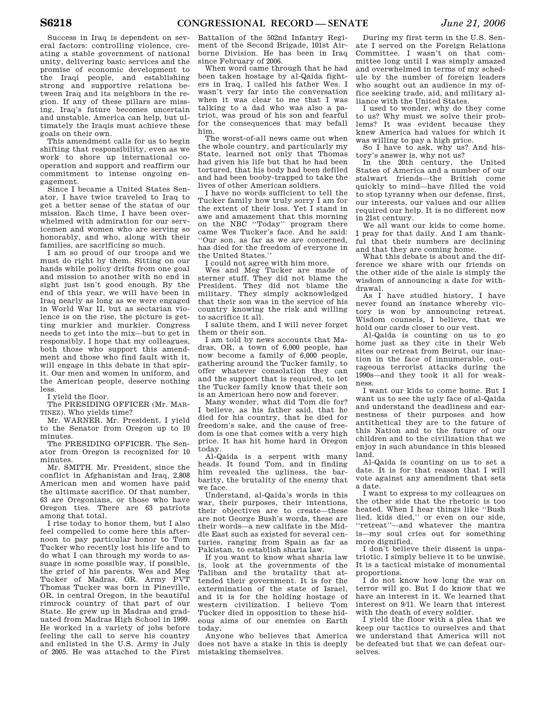Success in Iraq is dependent on several factors: controlling violence, creating a stable government of national unity, delivering basic services and the promise of economic development to the Iraqi people, and establishing strong and supportive relations between Iraq and its neighbors in the region. If any of these pillars are missing, Iraq's future becomes uncertain and unstable. America can help, but ultimately the Iraqis must achieve these goals on their own.

This amendment calls for us to begin shifting that responsibility, even as we work to shore up international cooperation and support and reaffirm our commitment to intense ongoing engagement.

Since I became a United States Senator, I have twice traveled to Iraq to get a better sense of the status of our mission. Each time, I have been overwhelmed with admiration for our servicemen and women who are serving so honorably, and who, along with their families, are sacrificing so much.

I am so proud of our troops and we must do right by them. Sitting on our hands while policy drifts from one goal and mission to another with no end in sight just isn't good enough. By the end of this year, we will have been in Iraq nearly as long as we were engaged in World War II, but as sectarian violence is on the rise, the picture is getting murkier and murkier. Congress needs to get into the mix—but to get in responsibly. I hope that my colleagues, both those who support this amendment and those who find fault with it, will engage in this debate in that spirit. Our men and women in uniform, and the American people, deserve nothing less.

I yield the floor.

The PRESIDING OFFICER (Mr. MAR-TINEZ). Who yields time?

Mr. WARNER. Mr. President, I yield to the Senator from Oregon up to 10 minutes.

The PRESIDING OFFICER. The Senator from Oregon is recognized for 10 minutes.

Mr. SMITH. Mr. President, since the conflict in Afghanistan and Iraq, 2,808 American men and women have paid the ultimate sacrifice. Of that number, 63 are Oregonians, or those who have Oregon ties. There are 63 patriots among that total.

I rise today to honor them, but I also feel compelled to come here this afternoon to pay particular honor to Tom Tucker who recently lost his life and to do what I can through my words to assuage in some possible way, if possible, the grief of his parents, Wes and Meg Tucker of Madras, OR. Army PVT Thomas Tucker was born in Pineville, OR, in central Oregon, in the beautiful rimrock country of that part of our State. He grew up in Madras and graduated from Madras High School in 1999. He worked in a variety of jobs before feeling the call to serve his country and enlisted in the U.S. Army in July of 2005. He was attached to the First

Battalion of the 502nd Infantry Regiment of the Second Brigade, 101st Airborne Division. He has been in Iraq since February of 2006.

When word came through that he had been taken hostage by al-Qaida fighters in Iraq, I called his father Wes. I wasn't very far into the conversation when it was clear to me that I was talking to a dad who was also a patriot, was proud of his son and fearful for the consequences that may befall him.

The worst-of-all news came out when the whole country, and particularly my State, learned not only that Thomas had given his life but that he had been tortured, that his body had been defiled and had been booby-trapped to take the lives of other American soldiers.

I have no words sufficient to tell the Tucker family how truly sorry I am for the extent of their loss. Yet I stand in awe and amazement that this morning on the NBC ''Today'' program there came Wes Tucker's face. And he said: ''Our son, as far as we are concerned, has died for the freedom of everyone in the United States.''

I could not agree with him more.

Wes and Meg Tucker are made of sterner stuff. They did not blame the President. They did not blame the military. They simply acknowledged that their son was in the service of his country knowing the risk and willing to sacrifice it all.

I salute them, and I will never forget them or their son.

I am told by news accounts that Madras, OR, a town of 6,000 people, has now become a family of 6,000 people, gathering around the Tucker family, to offer whatever consolation they can and the support that is required, to let the Tucker family know that their son is an American hero now and forever.

Many wonder, what did Tom die for? I believe, as his father said, that he died for his country, that he died for freedom's sake, and the cause of freedom is one that comes with a very high price. It has hit home hard in Oregon today.

Al-Qaida is a serpent with many heads. It found Tom, and in finding him revealed the ugliness, the barbarity, the brutality of the enemy that we face.

Understand, al-Qaida's words in this war, their purposes, their intentions, their objectives are to create—these are not George Bush's words, these are their words—a new califate in the Middle East such as existed for several centuries, ranging from Spain as far as Pakistan, to establish sharia law.

If you want to know what sharia law is, look at the governments of the Taliban and the brutality that attended their government. It is for the extermination of the state of Israel, and it is for the holding hostage of western civilization. I believe Tom Tucker died in opposition to these hideous aims of our enemies on Earth today.

Anyone who believes that America does not have a stake in this is deeply mistaking themselves.

During my first term in the U.S. Senate I served on the Foreign Relations Committee. I wasn't on that committee long until I was simply amazed and overwhelmed in terms of my schedule by the number of foreign leaders who sought out an audience in my office seeking trade, aid, and military alliance with the United States.

I used to wonder, why do they come to us? Why must we solve their problems? It was evident because they knew America had values for which it was willing to pay a high price.

So I have to ask, why us? And history's answer is, why not us?

In the 20th century, the United States of America and a number of our stalwart friends—the British come quickly to mind—have filled the void to stop tyranny when our defense, first, our interests, our values and our allies required our help. It is no different now in 21st century.

We all want our kids to come home. I pray for that daily. And I am thankful that their numbers are declining and that they are coming home.

What this debate is about and the difference we share with our friends on the other side of the aisle is simply the wisdom of announcing a date for withdrawal.

As I have studied history, I have never found an instance whereby victory is won by announcing retreat. Wisdom counsels, I believe, that we hold our cards closer to our vest.

Al-Qaida is counting on us to go home just as they cite in their Web sites our retreat from Beirut, our inaction in the face of innumerable, outrageous terrorist attacks during the 1990s—and they took it all for weakness.

I want our kids to come home. But I want us to see the ugly face of al-Qaida and understand the deadliness and earnestness of their purposes and how antithetical they are to the future of this Nation and to the future of our children and to the civilization that we enjoy in such abundance in this blessed land.

Al-Qaida is counting on us to set a date. It is for that reason that I will vote against any amendment that sets a date.

I want to express to my colleagues on the other side that the rhetoric is too heated. When I hear things like ''Bush lied, kids died,'' or even on our side, ''retreat''—and whatever the mantra is—my soul cries out for something more dignified.

I don't believe their dissent is unpatriotic. I simply believe it to be unwise. It is a tactical mistake of monumental proportions.

I do not know how long the war on terror will go. But I do know that we have an interest in it. We learned that interest on 9/11. We learn that interest with the death of every soldier.

I yield the floor with a plea that we keep our tactics to ourselves and that we understand that America will not be defeated but that we can defeat ourselves.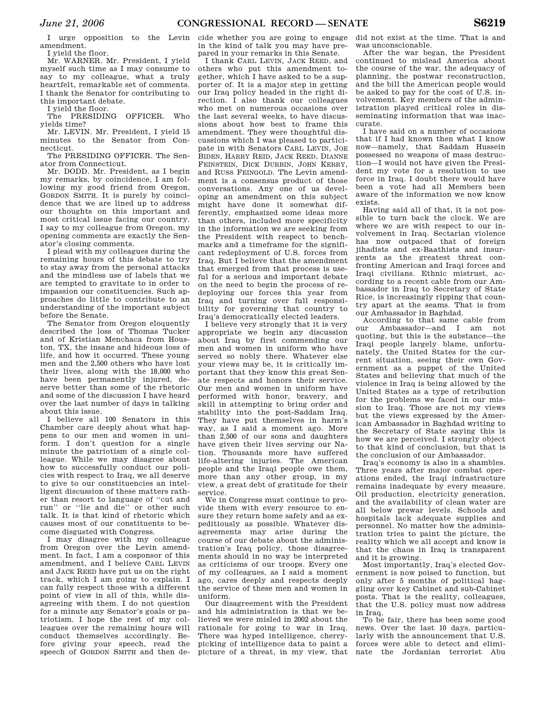I urge opposition to the Levin amendment.

I yield the floor.

Mr. WARNER. Mr. President, I yield myself such time as I may consume to say to my colleague, what a truly heartfelt, remarkable set of comments. I thank the Senator for contributing to this important debate.

I yield the floor.

The PRESIDING OFFICER. Who yields time?

Mr. LEVIN. Mr. President, I yield 15 minutes to the Senator from Connecticut.

The PRESIDING OFFICER. The Senator from Connecticut.

Mr. DODD. Mr. President, as I begin my remarks, by coincidence, I am following my good friend from Oregon, GORDON SMITH. It is purely by coincidence that we are lined up to address our thoughts on this important and most critical issue facing our country. I say to my colleague from Oregon, my opening comments are exactly the Senator's closing comments.

I plead with my colleagues during the remaining hours of this debate to try to stay away from the personal attacks and the mindless use of labels that we are tempted to gravitate to in order to impassion our constituencies. Such approaches do little to contribute to an understanding of the important subject before the Senate.

The Senator from Oregon eloquently described the loss of Thomas Tucker and of Kristian Menchaca from Houston, TX, the insane and hideous loss of life, and how it occurred. These young men and the 2,500 others who have lost their lives, along with the 18,000 who have been permanently injured, deserve better than some of the rhetoric and some of the discussion I have heard over the last number of days in talking about this issue.

I believe all 100 Senators in this Chamber care deeply about what happens to our men and women in uniform. I don't question for a single minute the patriotism of a single colleague. While we may disagree about how to successfully conduct our policies with respect to Iraq, we all deserve to give to our constituencies an intelligent discussion of these matters rather than resort to language of ''cut and run'' or ''lie and die'' or other such talk. It is that kind of rhetoric which causes most of our constituents to become disgusted with Congress.

I may disagree with my colleague from Oregon over the Levin amendment. In fact, I am a cosponsor of this amendment, and I believe CARL LEVIN and JACK REED have put us on the right track, which I am going to explain. I can fully respect those with a different point of view in all of this, while disagreeing with them. I do not question for a minute any Senator's goals or patriotism. I hope the rest of my colleagues over the remaining hours will conduct themselves accordingly. Before giving your speech, read the speech of GORDON SMITH and then de-

cide whether you are going to engage in the kind of talk you may have prepared in your remarks in this Senate.

I thank CARL LEVIN, JACK REED, and others who put this amendment together, which I have asked to be a supporter of. It is a major step in getting our Iraq policy headed in the right direction. I also thank our colleagues who met on numerous occasions over the last several weeks, to have discussions about how best to frame this amendment. They were thoughtful discussions which I was pleased to participate in with Senators CARL LEVIN, JOE BIDEN, HARRY REID, JACK REED, DIANNE FEINSTEIN, DICK DURBIN, JOHN KERRY, and RUSS FEINGOLD. The Levin amendment is a consensus product of those conversations. Any one of us developing an amendment on this subject might have done it somewhat differently, emphasized some ideas more than others, included more specificity in the information we are seeking from the President with respect to benchmarks and a timeframe for the significant redeployment of U.S. forces from Iraq. But I believe that the amendment that emerged from that process is useful for a serious and important debate on the need to begin the process of redeploying our forces this year from Iraq and turning over full responsibility for governing that country to Iraq's democratically elected leaders.

I believe very strongly that it is very appropriate we begin any discussion about Iraq by first commending our men and women in uniform who have served so nobly there. Whatever else your views may be, it is critically important that they know this great Senate respects and honors their service. Our men and women in uniform have performed with honor, bravery, and skill in attempting to bring order and stability into the post-Saddam Iraq. They have put themselves in harm's way, as I said a moment ago. More than 2,500 of our sons and daughters have given their lives serving our Nation. Thousands more have suffered life-altering injuries. The American people and the Iraqi people owe them, more than any other group, in my view, a great debt of gratitude for their service.

We in Congress must continue to provide them with every resource to ensure they return home safely and as expeditiously as possible. Whatever disagreements may arise during the course of our debate about the administration's Iraq policy, those disagreements should in no way be interpreted as criticisms of our troops. Every one of my colleagues, as I said a moment ago, cares deeply and respects deeply the service of these men and women in uniform.

Our disagreement with the President and his administration is that we believed we were misled in 2002 about the rationale for going to war in Iraq. There was hyped intelligence, cherrypicking of intelligence data to paint a picture of a threat, in my view, that

did not exist at the time. That is and was unconscionable.

After the war began, the President continued to mislead America about the course of the war, the adequacy of planning, the postwar reconstruction, and the bill the American people would be asked to pay for the cost of U.S. involvement. Key members of the administration played critical roles in disseminating information that was inaccurate.

I have said on a number of occasions that if I had known then what I know now—namely, that Saddam Hussein possessed no weapons of mass destruction—I would not have given the President my vote for a resolution to use force in Iraq. I doubt there would have been a vote had all Members been aware of the information we now know exists.

Having said all of that, it is not possible to turn back the clock. We are where we are with respect to our involvement in Iraq. Sectarian violence has now outpaced that of foreign jihadists and ex-Baathists and insurgents as the greatest threat confronting American and Iraqi forces and Iraqi civilians. Ethnic mistrust, according to a recent cable from our Ambassador in Iraq to Secretary of State Rice, is increasingly ripping that country apart at the seams. That is from our Ambassador in Baghdad.

According to that same cable from our Ambassador—and I am not quoting, but this is the substance—the Iraqi people largely blame, unfortunately, the United States for the current situation, seeing their own Government as a puppet of the United States and believing that much of the violence in Iraq is being allowed by the United States as a type of retribution for the problems we faced in our mission to Iraq. Those are not my views but the views expressed by the American Ambassador in Baghdad writing to the Secretary of State saying this is how we are perceived. I strongly object to that kind of conclusion, but that is the conclusion of our Ambassador.

Iraq's economy is also in a shambles. Three years after major combat operations ended, the Iraqi infrastructure remains inadequate by every measure. Oil production, electricity generation, and the availability of clean water are all below prewar levels. Schools and hospitals lack adequate supplies and personnel. No matter how the administration tries to paint the picture, the reality which we all accept and know is that the chaos in Iraq is transparent and it is growing.

Most importantly, Iraq's elected Government is now poised to function, but only after 5 months of political haggling over key Cabinet and sub-Cabinet posts. That is the reality, colleagues, that the U.S. policy must now address in Iraq.

To be fair, there has been some good news. Over the last 10 days, particularly with the announcement that U.S. forces were able to detect and eliminate the Jordanian terrorist Abu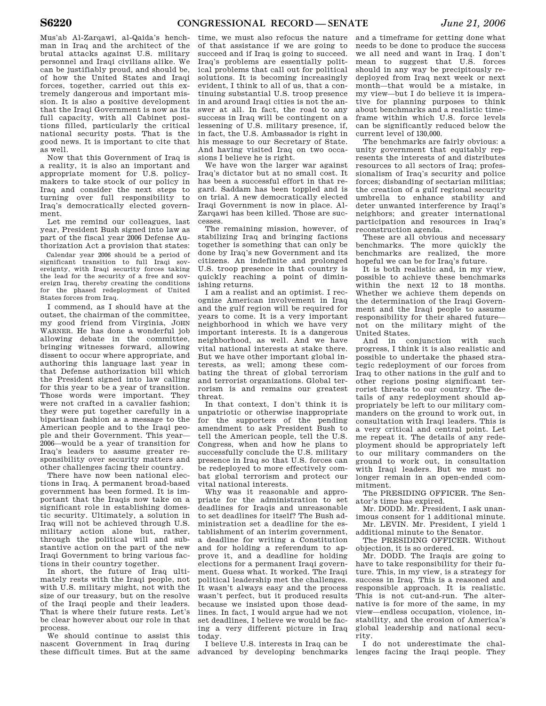Mus'ab Al-Zarqawi, al-Qaida's henchman in Iraq and the architect of the brutal attacks against U.S. military personnel and Iraqi civilians alike. We can be justifiably proud, and should be, of how the United States and Iraqi forces, together, carried out this extremely dangerous and important mission. It is also a positive development that the Iraqi Government is now as its full capacity, with all Cabinet positions filled, particularly the critical national security posts. That is the good news. It is important to cite that as well.

Now that this Government of Iraq is a reality, it is also an important and appropriate moment for U.S. policymakers to take stock of our policy in Iraq and consider the next steps to turning over full responsibility to Iraq's democratically elected government.

Let me remind our colleagues, last year, President Bush signed into law as part of the fiscal year 2006 Defense Authorization Act a provision that states:

Calendar year 2006 should be a period of significant transition to full Iraqi sovereignty, with Iraqi security forces taking the lead for the security of a free and sovereign Iraq, thereby creating the conditions for the phased redeployment of United States forces from Iraq.

I commend, as I should have at the outset, the chairman of the committee, my good friend from Virginia, JOHN WARNER. He has done a wonderful job allowing debate in the committee, bringing witnesses forward, allowing dissent to occur where appropriate, and authoring this language last year in that Defense authorization bill which the President signed into law calling for this year to be a year of transition. Those words were important. They were not crafted in a cavalier fashion; they were put together carefully in a bipartisan fashion as a message to the American people and to the Iraqi people and their Government. This year— 2006—would be a year of transition for Iraq's leaders to assume greater responsibility over security matters and other challenges facing their country.

There have now been national elections in Iraq. A permanent broad-based government has been formed. It is important that the Iraqis now take on a significant role in establishing domestic security. Ultimately, a solution in Iraq will not be achieved through U.S. military action alone but, rather, through the political will and substantive action on the part of the new Iraqi Government to bring various factions in their country together.

In short, the future of Iraq ultimately rests with the Iraqi people, not with U.S. military might, not with the size of our treasury, but on the resolve of the Iraqi people and their leaders. That is where their future rests. Let's be clear however about our role in that process.

We should continue to assist this nascent Government in Iraq during these difficult times. But at the same

time, we must also refocus the nature of that assistance if we are going to succeed and if Iraq is going to succeed. Iraq's problems are essentially political problems that call out for political solutions. It is becoming increasingly evident, I think to all of us, that a continuing substantial U.S. troop presence in and around Iraqi cities is not the answer at all. In fact, the road to any success in Iraq will be contingent on a lessening of U.S. military presence, if, in fact, the U.S. Ambassador is right in his message to our Secretary of State. And having visited Iraq on two occasions I believe he is right.

We have won the larger war against Iraq's dictator but at no small cost. It has been a successful effort in that regard. Saddam has been toppled and is on trial. A new democratically elected Iraqi Government is now in place. Al-Zarqawi has been killed. Those are successes.

The remaining mission, however, of stabilizing Iraq and bringing factions together is something that can only be done by Iraq's new Government and its citizens. An indefinite and prolonged U.S. troop presence in that country is quickly reaching a point of diminishing returns.

I am a realist and an optimist. I recognize American involvement in Iraq and the gulf region will be required for years to come. It is a very important neighborhood in which we have very important interests. It is a dangerous neighborhood, as well. And we have vital national interests at stake there. But we have other important global interests, as well; among these combating the threat of global terrorism and terrorist organizations. Global terrorism is and remains our greatest threat.

In that context, I don't think it is unpatriotic or otherwise inappropriate for the supporters of the pending amendment to ask President Bush to tell the American people, tell the U.S. Congress, when and how he plans to successfully conclude the U.S. military presence in Iraq so that U.S. forces can be redeployed to more effectively combat global terrorism and protect our vital national interests.

Why was it reasonable and appropriate for the administration to set deadlines for Iraqis and unreasonable to set deadlines for itself? The Bush administration set a deadline for the establishment of an interim government, a deadline for writing a Constitution and for holding a referendum to approve it, and a deadline for holding elections for a permanent Iraqi government. Guess what. It worked. The Iraqi political leadership met the challenges. It wasn't always easy and the process wasn't perfect, but it produced results because we insisted upon those deadlines. In fact, I would argue had we not set deadlines, I believe we would be facing a very different picture in Iraq today.

I believe U.S. interests in Iraq can be advanced by developing benchmarks

and a timeframe for getting done what needs to be done to produce the success we all need and want in Iraq. I don't mean to suggest that U.S. forces should in any way be precipitously redeployed from Iraq next week or next month—that would be a mistake, in my view—but I do believe it is imperative for planning purposes to think about benchmarks and a realistic timeframe within which U.S. force levels can be significantly reduced below the current level of 130,000.

The benchmarks are fairly obvious: a unity government that equitably represents the interests of and distributes resources to all sectors of Iraq; professionalism of Iraq's security and police forces; disbanding of sectarian militias; the creation of a gulf regional security umbrella to enhance stability and deter unwanted interference by Iraqi's neighbors; and greater international participation and resources in Iraq's reconstruction agenda.

These are all obvious and necessary benchmarks. The more quickly the benchmarks are realized, the more hopeful we can be for Iraq's future.

It is both realistic and, in my view, possible to achieve these benchmarks within the next 12 to 18 months. Whether we achieve them depends on the determination of the Iraqi Government and the Iraqi people to assume responsibility for their shared future not on the military might of the United States.

And in conjunction with such progress, I think it is also realistic and possible to undertake the phased strategic redeployment of our forces from Iraq to other nations in the gulf and to other regions posing significant terrorist threats to our country. The details of any redeployment should appropriately be left to our military commanders on the ground to work out, in consultation with Iraqi leaders. This is a very critical and central point. Let me repeat it. The details of any redeployment should be appropriately left to our military commanders on the ground to work out, in consultation with Iraqi leaders. But we must no longer remain in an open-ended commitment.

The PRESIDING OFFICER. The Senator's time has expired.

Mr. DODD. Mr. President, I ask unanimous consent for 1 additional minute. Mr. LEVIN. Mr. President, I yield 1

additional minute to the Senator.

The PRESIDING OFFICER. Without objection, it is so ordered.

Mr. DODD. The Iraqis are going to have to take responsibility for their future. This, in my view, is a strategy for success in Iraq. This is a reasoned and responsible approach. It is realistic. This is not cut-and-run. The alternative is for more of the same, in my view—endless occupation, violence, instability, and the erosion of America's global leadership and national security.

I do not underestimate the challenges facing the Iraqi people. They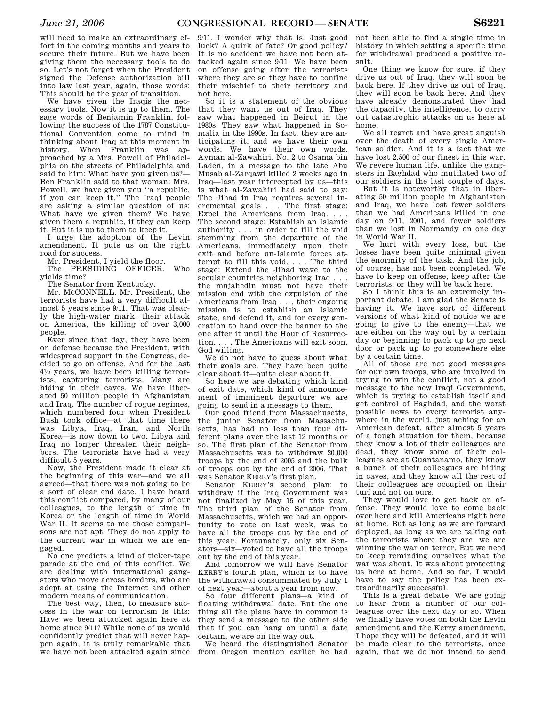will need to make an extraordinary effort in the coming months and years to secure their future. But we have been giving them the necessary tools to do so. Let's not forget when the President signed the Defense authorization bill into law last year, again, those words: This should be the year of transition.

We have given the Iraqis the necessary tools. Now it is up to them. The sage words of Benjamin Franklin, following the success of the 1787 Constitutional Convention come to mind in thinking about Iraq at this moment in history. When Franklin was approached by a Mrs. Powell of Philadelphia on the streets of Philadelphia and said to him: What have you given us?— Ben Franklin said to that woman: Mrs. Powell, we have given you ''a republic, if you can keep it.'' The Iraqi people are asking a similar question of us: What have we given them? We have given them a republic, if they can keep it. But it is up to them to keep it.

I urge the adoption of the Levin amendment. It puts us on the right road for success.

Mr. President, I yield the floor.

The PRESIDING OFFICER. Who yields time?

The Senator from Kentucky.

Mr. MCCONNELL. Mr. President, the terrorists have had a very difficult almost 5 years since 9/11. That was clearly the high-water mark, their attack on America, the killing of over 3,000 people.

Ever since that day, they have been on defense because the President, with widespread support in the Congress, decided to go on offense. And for the last 41⁄2 years, we have been killing terrorists, capturing terrorists. Many are hiding in their caves. We have liberated 50 million people in Afghanistan and Iraq. The number of rogue regimes, which numbered four when President Bush took office—at that time there was Libya, Iraq, Iran, and North Korea—is now down to two. Libya and Iraq no longer threaten their neighbors. The terrorists have had a very difficult 5 years.

Now, the President made it clear at the beginning of this war—and we all agreed—that there was not going to be a sort of clear end date. I have heard this conflict compared, by many of our colleagues, to the length of time in Korea or the length of time in World War II. It seems to me those comparisons are not apt. They do not apply to the current war in which we are engaged.

No one predicts a kind of ticker-tape parade at the end of this conflict. We are dealing with international gangsters who move across borders, who are adept at using the Internet and other modern means of communication.

The best way, then, to measure success in the war on terrorism is this: Have we been attacked again here at home since 9/11? While none of us would confidently predict that will never happen again, it is truly remarkable that we have not been attacked again since

9/11. I wonder why that is. Just good luck? A quirk of fate? Or good policy? It is no accident we have not been attacked again since 9/11. We have been on offense going after the terrorists where they are so they have to confine their mischief to their territory and not here.

So it is a statement of the obvious that they want us out of Iraq. They saw what happened in Beirut in the 1980s. They saw what happened in Somalia in the 1990s. In fact, they are anticipating it, and we have their own words. We have their own words. Ayman al-Zawahiri, No. 2 to Osama bin Laden, in a message to the late Abu Musab al-Zarqawi killed 2 weeks ago in Iraq—last year intercepted by us—this is what al-Zawahiri had said to say: The Jihad in Iraq requires several incremental goals . . . The first stage: Expel the Americans from Iraq. . . . The second stage: Establish an Islamic authority . . . in order to fill the void stemming from the departure of the Americans, immediately upon their exit and before un-Islamic forces attempt to fill this void. . . . The third stage: Extend the Jihad wave to the secular countries neighboring Iraq . . .

the mujahedin must not have their mission end with the expulsion of the Americans from Iraq . . . their ongoing mission is to establish an Islamic state, and defend it, and for every generation to hand over the banner to the one after it until the Hour of Resurrection. . . . The Americans will exit soon, God willing.

We do not have to guess about what their goals are. They have been quite clear about it—quite clear about it.

So here we are debating which kind of exit date, which kind of announcement of imminent departure we are going to send in a message to them.

Our good friend from Massachusetts, the junior Senator from Massachusetts, has had no less than four different plans over the last 12 months or so. The first plan of the Senator from Massachusetts was to withdraw 20,000 troops by the end of 2005 and the bulk of troops out by the end of 2006. That was Senator KERRY's first plan.

Senator KERRY's second plan: to withdraw if the Iraq Government was not finalized by May 15 of this year. The third plan of the Senator from Massachusetts, which we had an opportunity to vote on last week, was to have all the troops out by the end of this year. Fortunately, only six Senators—six—voted to have all the troops out by the end of this year.

And tomorrow we will have Senator KERRY's fourth plan, which is to have the withdrawal consummated by July 1 of next year—about a year from now.

So four different plans—a kind of floating withdrawal date. But the one thing all the plans have in common is they send a message to the other side that if you can hang on until a date certain, we are on the way out.

We heard the distinguished Senator from Oregon mention earlier he had

not been able to find a single time in history in which setting a specific time for withdrawal produced a positive result.

One thing we know for sure, if they drive us out of Iraq, they will soon be back here. If they drive us out of Iraq, they will soon be back here. And they have already demonstrated they had the capacity, the intelligence, to carry out catastrophic attacks on us here at home.

We all regret and have great anguish over the death of every single American soldier. And it is a fact that we have lost 2,500 of our finest in this war. We revere human life, unlike the gangsters in Baghdad who mutilated two of our soldiers in the last couple of days.

But it is noteworthy that in liberating 50 million people in Afghanistan and Iraq, we have lost fewer soldiers than we had Americans killed in one day on 9/11, 2001, and fewer soldiers than we lost in Normandy on one day in World War II.

We hurt with every loss, but the losses have been quite minimal given the enormity of the task. And the job, of course, has not been completed. We have to keep on offense, keep after the terrorists, or they will be back here.

So I think this is an extremely important debate. I am glad the Senate is having it. We have sort of different versions of what kind of notice we are going to give to the enemy—that we are either on the way out by a certain day or beginning to pack up to go next door or pack up to go somewhere else by a certain time.

All of those are not good messages for our own troops, who are involved in trying to win the conflict, not a good message to the new Iraqi Government, which is trying to establish itself and get control of Baghdad, and the worst possible news to every terrorist anywhere in the world, just aching for an American defeat, after almost 5 years of a tough situation for them, because they know a lot of their colleagues are dead, they know some of their colleagues are at Guantanamo, they know a bunch of their colleagues are hiding in caves, and they know all the rest of their colleagues are occupied on their turf and not on ours.

They would love to get back on offense. They would love to come back over here and kill Americans right here at home. But as long as we are forward deployed, as long as we are taking out the terrorists where they are, we are winning the war on terror. But we need to keep reminding ourselves what the war was about. It was about protecting us here at home. And so far, I would have to say the policy has been extraordinarily successful.

This is a great debate. We are going to hear from a number of our colleagues over the next day or so. When we finally have votes on both the Levin amendment and the Kerry amendment, I hope they will be defeated, and it will be made clear to the terrorists, once again, that we do not intend to send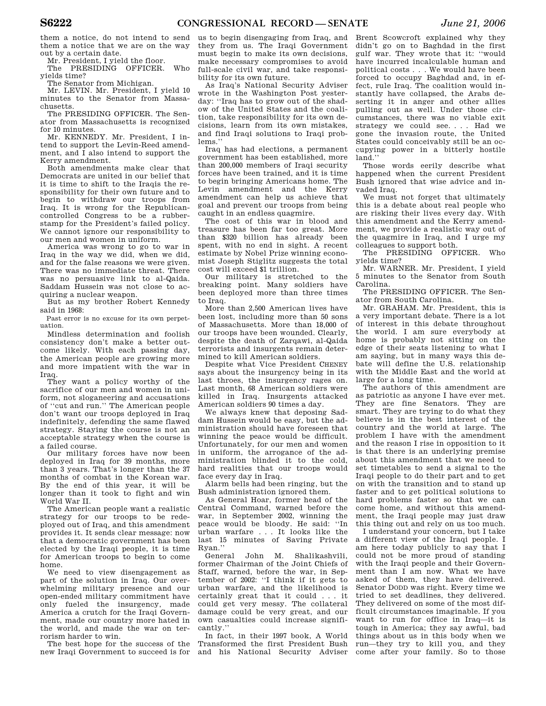them a notice, do not intend to send them a notice that we are on the way out by a certain date.

Mr. President, I yield the floor.

The PRESIDING OFFICER. Who yields time?

The Senator from Michigan.

Mr. LEVIN. Mr. President, I yield 10 minutes to the Senator from Massachusetts.

The PRESIDING OFFICER. The Senator from Massachusetts is recognized for 10 minutes.

Mr. KENNEDY. Mr. President, I intend to support the Levin-Reed amendment, and I also intend to support the Kerry amendment.

Both amendments make clear that Democrats are united in our belief that it is time to shift to the Iraqis the responsibility for their own future and to begin to withdraw our troops from Iraq. It is wrong for the Republicancontrolled Congress to be a rubberstamp for the President's failed policy. We cannot ignore our responsibility to our men and women in uniform.

America was wrong to go to war in Iraq in the way we did, when we did, and for the false reasons we were given. There was no immediate threat. There was no persuasive link to al-Qaida. Saddam Hussein was not close to acquiring a nuclear weapon.

But as my brother Robert Kennedy said in 1968:

Past error is no excuse for its own perpetuation.

Mindless determination and foolish consistency don't make a better outcome likely. With each passing day, the American people are growing more and more impatient with the war in Iraq.

They want a policy worthy of the sacrifice of our men and women in uniform, not sloganeering and accusations of ''cut and run.'' The American people don't want our troops deployed in Iraq indefinitely, defending the same flawed strategy. Staying the course is not an acceptable strategy when the course is a failed course.

Our military forces have now been deployed in Iraq for 39 months, more than 3 years. That's longer than the 37 months of combat in the Korean war. By the end of this year, it will be longer than it took to fight and win World War II.

The American people want a realistic strategy for our troops to be redeployed out of Iraq, and this amendment provides it. It sends clear message: now that a democratic government has been elected by the Iraqi people, it is time for American troops to begin to come home.

We need to view disengagement as part of the solution in Iraq. Our overwhelming military presence and our open-ended military commitment have only fueled the insurgency, made America a crutch for the Iraqi Government, made our country more hated in the world, and made the war on terrorism harder to win.

The best hope for the success of the

us to begin disengaging from Iraq, and they from us. The Iraqi Government must begin to make its own decisions, make necessary compromises to avoid full-scale civil war, and take responsibility for its own future.

As Iraq's National Security Adviser wrote in the Washington Post yesterday: ''Iraq has to grow out of the shadow of the United States and the coalition, take responsibility for its own decisions, learn from its own mistakes, and find Iraqi solutions to Iraqi problems<sup>"</sup>

Iraq has had elections, a permanent government has been established, more than 200,000 members of Iraqi security forces have been trained, and it is time to begin bringing Americans home. The Levin amendment and the Kerry amendment can help us achieve that goal and prevent our troops from being caught in an endless quagmire.

The cost of this war in blood and treasure has been far too great. More than \$320 billion has already been spent, with no end in sight. A recent estimate by Nobel Prize winning economist Joseph Stiglitz suggests the total cost will exceed \$1 trillion.

Our military is stretched to the breaking point. Many soldiers have been deployed more than three times to Iraq.

More than 2,500 American lives have been lost, including more than 50 sons of Massachusetts. More than 18,000 of our troops have been wounded. Clearly, despite the death of Zarqawi, al-Qaida terrorists and insurgents remain determined to kill American soldiers.

Despite what Vice President CHENEY says about the insurgency being in its last throes, the insurgency rages on. Last month, 68 American soldiers were killed in Iraq. Insurgents attacked American soldiers 90 times a day.

We always knew that deposing Saddam Hussein would be easy, but the administration should have foreseen that winning the peace would be difficult. Unfortunately, for our men and women in uniform, the arrogance of the administration blinded it to the cold, hard realities that our troops would face every day in Iraq.

Alarm bells had been ringing, but the Bush administration ignored them.

As General Hoar, former head of the Central Command, warned before the war, in September 2002, winning the peace would be bloody. He said: ''In urban warfare . . . It looks like the last 15 minutes of Saving Private Ryan.''

General John M. Shalikashvili, former Chairman of the Joint Chiefs of Staff, warned, before the war, in September of 2002: ''I think if it gets to urban warfare, and the likelihood is certainly great that it could . . . it could get very messy. The collateral damage could be very great, and our own casualties could increase significantly.''

new Iraqi Government to succeed is for and his National Security Adviser In fact, in their 1997 book, A World Transformed the first President Bush

Brent Scowcroft explained why they didn't go on to Baghdad in the first gulf war. They wrote that it: ''would have incurred incalculable human and political costs . . . We would have been forced to occupy Baghdad and, in effect, rule Iraq. The coalition would instantly have collapsed, the Arabs deserting it in anger and other allies pulling out as well. Under those circumstances, there was no viable exit strategy we could see. . . . Had we gone the invasion route, the United States could conceivably still be an occupying power in a bitterly hostile land.''

Those words eerily describe what happened when the current President Bush ignored that wise advice and invaded Iraq.

We must not forget that ultimately this is a debate about real people who are risking their lives every day. With this amendment and the Kerry amendment, we provide a realistic way out of the quagmire in Iraq, and I urge my colleagues to support both.

The PRESIDING OFFICER. Who yields time?

Mr. WARNER. Mr. President, I yield 5 minutes to the Senator from South Carolina.

The PRESIDING OFFICER. The Senator from South Carolina.

Mr. GRAHAM. Mr. President, this is a very important debate. There is a lot of interest in this debate throughout the world. I am sure everybody at home is probably not sitting on the edge of their seats listening to what I am saying, but in many ways this debate will define the U.S. relationship with the Middle East and the world at large for a long time.

The authors of this amendment are as patriotic as anyone I have ever met. They are fine Senators. They are smart. They are trying to do what they believe is in the best interest of the country and the world at large. The problem I have with the amendment and the reason I rise in opposition to it is that there is an underlying premise about this amendment that we need to set timetables to send a signal to the Iraqi people to do their part and to get on with the transition and to stand up faster and to get political solutions to hard problems faster so that we can come home, and without this amendment, the Iraqi people may just draw this thing out and rely on us too much.

I understand your concern, but I take a different view of the Iraqi people. I am here today publicly to say that I could not be more proud of standing with the Iraqi people and their Government than I am now. What we have asked of them, they have delivered. Senator DODD was right. Every time we tried to set deadlines, they delivered. They delivered on some of the most difficult circumstances imaginable. If you want to run for office in Iraq—it is tough in America; they say awful, bad things about us in this body when we run—they try to kill you, and they come after your family. So to those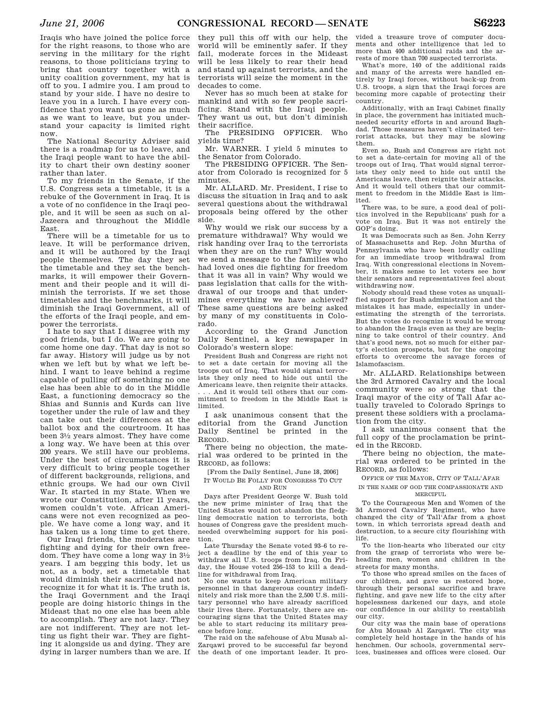Iraqis who have joined the police force for the right reasons, to those who are serving in the military for the right reasons, to those politicians trying to bring that country together with a unity coalition government, my hat is off to you. I admire you. I am proud to stand by your side. I have no desire to leave you in a lurch. I have every confidence that you want us gone as much as we want to leave, but you understand your capacity is limited right now.

The National Security Adviser said there is a roadmap for us to leave, and the Iraqi people want to have the ability to chart their own destiny sooner rather than later.

To my friends in the Senate, if the U.S. Congress sets a timetable, it is a rebuke of the Government in Iraq. It is a vote of no confidence in the Iraqi people, and it will be seen as such on al-Jazeera and throughout the Middle East.

There will be a timetable for us to leave. It will be performance driven, and it will be authored by the Iraqi people themselves. The day they set the timetable and they set the benchmarks, it will empower their Government and their people and it will diminish the terrorists. If we set those timetables and the benchmarks, it will diminish the Iraqi Government, all of the efforts of the Iraqi people, and empower the terrorists.

I hate to say that I disagree with my good friends, but I do. We are going to come home one day. That day is not so far away. History will judge us by not when we left but by what we left behind. I want to leave behind a regime capable of pulling off something no one else has been able to do in the Middle East, a functioning democracy so the Shias and Sunnis and Kurds can live together under the rule of law and they can take out their differences at the ballot box and the courtroom. It has been 31⁄2 years almost. They have come a long way. We have been at this over 200 years. We still have our problems. Under the best of circumstances it is very difficult to bring people together of different backgrounds, religions, and ethnic groups. We had our own Civil War. It started in my State. When we wrote our Constitution, after 11 years, women couldn't vote. African Americans were not even recognized as people. We have come a long way, and it has taken us a long time to get there.

Our Iraqi friends, the moderates are fighting and dying for their own freedom. They have come a long way in 31⁄2 years. I am begging this body, let us not, as a body, set a timetable that would diminish their sacrifice and not recognize it for what it is. The truth is, the Iraqi Government and the Iraqi people are doing historic things in the Mideast that no one else has been able to accomplish. They are not lazy. They are not indifferent. They are not letting us fight their war. They are fighting it alongside us and dying. They are dying in larger numbers than we are. If

they pull this off with our help, the world will be eminently safer. If they fail, moderate forces in the Mideast will be less likely to rear their head and stand up against terrorists, and the terrorists will seize the moment in the decades to come.

Never has so much been at stake for mankind and with so few people sacrificing. Stand with the Iraqi people. They want us out, but don't diminish their sacrifice.

The PRESIDING OFFICER. Who yields time?

Mr. WARNER. I yield 5 minutes to the Senator from Colorado.

The PRESIDING OFFICER. The Senator from Colorado is recognized for 5 minutes.

Mr. ALLARD. Mr. President, I rise to discuss the situation in Iraq and to ask several questions about the withdrawal proposals being offered by the other side.

Why would we risk our success by a premature withdrawal? Why would we risk handing over Iraq to the terrorists when they are on the run? Why would we send a message to the families who had loved ones die fighting for freedom that it was all in vain? Why would we pass legislation that calls for the withdrawal of our troops and that undermines everything we have achieved? These same questions are being asked by many of my constituents in Colorado.

According to the Grand Junction Daily Sentinel, a key newspaper in Colorado's western slope:

President Bush and Congress are right not to set a date certain for moving all the troops out of Iraq. That would signal terrorists they only need to hide out until the Americans leave, then reignite their attacks. . And it would tell others that our commitment to freedom in the Middle East is limited.

I ask unanimous consent that the editorial from the Grand Junction Daily Sentinel be printed in the RECORD.

There being no objection, the material was ordered to be printed in the RECORD, as follows:

[From the Daily Sentinel, June 18, 2006]

IT WOULD BE FOLLY FOR CONGRESS TO CUT AND RUN

Days after President George W. Bush told the new prime minister of Iraq that the United States would not abandon the fledgling democratic nation to terrorists, both houses of Congress gave the president muchneeded overwhelming support for his position.

Late Thursday the Senate voted 93–6 to reject a deadline by the end of this year to withdraw all U.S. troops from Iraq. On Friday, the House voted 256–153 to kill a deadline for withdrawal from Iraq.

No one wants to keep American military personnel in that dangerous country indefinitely and risk more than the 2,500 U.S. military personnel who have already sacrificed their lives there. Fortunately, there are encouraging signs that the United States may be able to start reducing its military presence before long.

The raid on the safehouse of Abu Musab al-Zarqawi proved to be successful far beyond the death of one important leader. It pro-

vided a treasure trove of computer documents and other intelligence that led to more than 400 additional raids and the arrests of more than 700 suspected terrorists.

What's more, 140 of the additional raids and many of the arrests were handled entirely by Iraqi forces, without back-up from U.S. troops, a sign that the Iraqi forces are becoming more capable of protecting their country.

Additionally, with an Iraqi Cabinet finally in place, the government has initiated muchneeded security efforts in and around Baghdad. Those measures haven't eliminated terrorist attacks, but they may be slowing them.

Even so, Bush and Congress are right not to set a date-certain for moving all of the troops out of Iraq. That would signal terrorists they only need to hide out until the Americans leave, then reignite their attacks. And it would tell others that our commitment to freedom in the Middle East is limited.

There was, to be sure, a good deal of politics involved in the Republicans' push for a vote on Iraq. But it was not entirely the GOP's doing.

It was Democrats such as Sen. John Kerry of Massachusetts and Rep. John Murtha of Pennsylvania who have been loudly calling for an immediate troop withdrawal from Iraq. With congressional elections in November, it makes sense to let voters see how their senators and representatives feel about withdrawing now.

Nobody should read these votes as unqualified support for Bush administration and the mistakes it has made, especially in underestimating the strength of the terrorists. But the votes do recognize it would be wrong to abandon the Iraqis even as they are beginning to take control of their country. And that's good news, not so much for either party's election prospects, but for the ongoing efforts to overcome the savage forces of Islamofascism.

Mr. ALLARD. Relationships between the 3rd Armored Cavalry and the local community were so strong that the Iraqi mayor of the city of Tall Afar actually traveled to Colorado Springs to present these soldiers with a proclamation from the city.

I ask unanimous consent that the full copy of the proclamation be printed in the RECORD.

There being no objection, the material was ordered to be printed in the RECORD, as follows:

OFFICE OF THE MAYOR, CITY OF TALL'AFAR IN THE NAME OF GOD THE COMPASSIONATE AND MERCIFUL

To the Courageous Men and Women of the 3d Armored Cavalry Regiment, who have changed the city of Tall'Afar from a ghost town, in which terrorists spread death and destruction, to a secure city flourishing with life.

To the lion-hearts who liberated our city from the grasp of terrorists who were beheading men, women and children in the streets for many months.

To those who spread smiles on the faces of our children, and gave us restored hope, through their personal sacrifice and brave fighting, and gave new life to the city after hopelessness darkened our days, and stole our confidence in our ability to reestablish our city.

Our city was the main base of operations for Abu Mousab Al Zarqawi. The city was completely held hostage in the hands of his henchmen. Our schools, governmental services, businesses and offices were closed. Our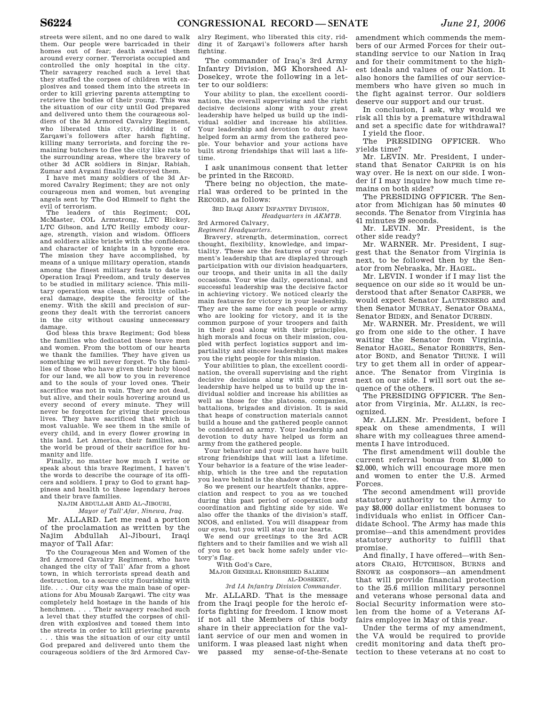streets were silent, and no one dared to walk them. Our people were barricaded in their homes out of fear; death awaited them around every corner. Terrorists occupied and controlled the only hospital in the city. Their savagery reached such a level that they stuffed the corpses of children with explosives and tossed them into the streets in order to kill grieving parents attempting to retrieve the bodies of their young. This was the situation of our city until God prepared and delivered unto them the courageous soldiers of the 3d Armored Cavalry Regiment, who liberated this city, ridding it of Zarqawi's followers after harsh fighting, killing many terrorists, and forcing the remaining butchers to flee the city like rats to the surrounding areas, where the bravery of other 3d ACR soldiers in Sinjar, Rabiah, Zumar and Avgani finally destroyed them.

I have met many soldiers of the 3d Armored Cavalry Regiment; they are not only courageous men and women, but avenging angels sent by The God Himself to fight the evil of terrorism.

The leaders of this Regiment; COL McMaster, COL Armstrong, LTC Hickey, LTC Gibson, and LTC Reilly embody courage, strength, vision and wisdom. Officers and soldiers alike bristle with the confidence and character of knights in a bygone era. The mission they have accomplished, by means of a unique military operation, stands among the finest military feats to date in Operation Iraqi Freedom, and truly deserves to be studied in military science. This military operation was clean, with little collateral damage, despite the ferocity of the enemy. With the skill and precision of surgeons they dealt with the terrorist cancers in the city without causing unnecessary damage.

God bless this brave Regiment; God bless the families who dedicated these brave men and women. From the bottom of our hearts we thank the families. They have given us something we will never forget. To the families of those who have given their holy blood for our land, we all bow to you in reverence and to the souls of your loved ones. Their sacrifice was not in vain. They are not dead, but alive, and their souls hovering around us every second of every minute. They will never be forgotten for giving their precious lives. They have sacrificed that which is most valuable. We see them in the smile of every child, and in every flower growing in this land. Let America, their families, and the world be proud of their sacrifice for humanity and life.

Finally, no matter how much I write or speak about this brave Regiment, I haven't the words to describe the courage of its officers and soldiers. I pray to God to grant happiness and health to these legendary heroes and their brave families.

NAJIM ABDULLAH ABID AL-JIBOURI,

*Mayor of Tall'Afar, Ninewa, Iraq.* 

Mr. ALLARD. Let me read a portion of the proclamation as written by the Najim Abdullah Al-Jibouri, Iraqi mayor of Tall Afar:

To the Courageous Men and Women of the 3rd Armored Cavalry Regiment, who have changed the city of Tall' Afar from a ghost town, in which terrorists spread death and destruction, to a secure city flourishing with life. . . . Our city was the main base of operations for Abu Mousab Zarqawi. The city was completely held hostage in the hands of his henchmen. . . . Their savagery reached such a level that they stuffed the corpses of children with explosives and tossed them into the streets in order to kill grieving parents . . . this was the situation of our city until God prepared and delivered unto them the courageous soldiers of the 3rd Armored Cav-

alry Regiment, who liberated this city, ridding it of Zarqawi's followers after harsh fighting.

The commander of Iraq's 3rd Army Infantry Division, MG Khorsheed Al-Dosekey, wrote the following in a letter to our soldiers:

Your ability to plan, the excellent coordination, the overall supervising and the right decisive decisions along with your great leadership have helped us build up the individual soldier and increase his abilities. Your leadership and devotion to duty have helped form an army from the gathered people. Your behavior and your actions have built strong friendships that will last a lifetime.

I ask unanimous consent that letter be printed in the RECORD.

There being no objection, the material was ordered to be printed in the RECORD, as follows:

3RD IRAQI ARMY INFANTRY DIVISION, *Headquarters in AKMTB.* 

3rd Armored Calvary,

*Regiment Headquarters.* 

Bravery, strength, determination, correct thought, flexibility, knowledge, and impartiality. These are the features of your regiment's leadership that are displayed through participation with our division headquarters, our troops, and their units in all the daily occasions. Your wise daily, operational, and successful leadership was the decisive factor in achieving victory. We noticed clearly the main features for victory in your leadership. They are the same for each people or army who are looking for victory, and it is the common purpose of your troopers and faith in their goal along with their principles, high morals and focus on their mission, coupled with perfect logistics support and impartiality and sincere leadership that makes you the right people for this mission.

Your abilities to plan, the excellent coordination, the overall supervising and the right decisive decisions along with your great leadership have helped us to build up the individual soldier and increase his abilities as well as those for the platoons, companies, battalions, brigades and division. It is said that heaps of construction materials cannot build a house and the gathered people cannot be considered an army. Your leadership and devotion to duty have helped us form an army from the gathered people.

Your behavior and your actions have built strong friendships that will last a lifetime. Your behavior is a feature of the wise leadership, which is the tree and the reputation you leave behind is the shadow of the tree.

So we present our heartfelt thanks, appreciation and respect to you as we touched during this past period of cooperation and coordination and fighting side by side. We also offer the thanks of the division's staff, NCOS, and enlisted. You will disappear from our eyes, but you will stay in our hearts.

We send our greetings to the 3rd ACR fighters and to their families and we wish all of you to get back home safely under victory's flag.

With God's Care,

MAJOR GENERAL KHORSHEED SALEEM AL-DOSEKEY,

*3rd IA Infantry Division Commander.* 

Mr. ALLARD. That is the message from the Iraqi people for the heroic efforts fighting for freedom. I know most if not all the Members of this body share in their appreciation for the valiant service of our men and women in uniform. I was pleased last night when we passed my sense-of-the-Senate

amendment which commends the members of our Armed Forces for their outstanding service to our Nation in Iraq and for their commitment to the highest ideals and values of our Nation. It also honors the families of our servicemembers who have given so much in the fight against terror. Our soldiers deserve our support and our trust.

In conclusion, I ask, why would we risk all this by a premature withdrawal and set a specific date for withdrawal? I yield the floor.

The PRESIDING OFFICER. Who yields time?

Mr. LEVIN. Mr. President, I understand that Senator CARPER is on his way over. He is next on our side. I wonder if I may inquire how much time remains on both sides?

The PRESIDING OFFICER. The Senator from Michigan has 50 minutes 40 seconds. The Senator from Virginia has 41 minutes 29 seconds.

Mr. LEVIN. Mr. President, is the other side ready?

Mr. WARNER. Mr. President, I suggest that the Senator from Virginia is next, to be followed then by the Senator from Nebraska, Mr. HAGEL.

Mr. LEVIN. I wonder if I may list the sequence on our side so it would be understood that after Senator CARPER, we would expect Senator LAUTENBERG and then Senator MURRAY, Senator OBAMA, Senator BIDEN, and Senator DURBIN.

Mr. WARNER. Mr. President, we will go from one side to the other. I have waiting the Senator from Virginia, Senator HAGEL, Senator ROBERTS, Senator BOND, and Senator THUNE. I will try to get them all in order of appearance. The Senator from Virginia is next on our side. I will sort out the sequence of the others.

The PRESIDING OFFICER. The Senator from Virginia, Mr. ALLEN, is recognized.

Mr. ALLEN. Mr. President, before I speak on these amendments, I will share with my colleagues three amendments I have introduced.

The first amendment will double the current referral bonus from \$1,000 to \$2,000, which will encourage more men and women to enter the U.S. Armed Forces.

The second amendment will provide statutory authority to the Army to pay \$8,000 dollar enlistment bonuses to individuals who enlist in Officer Candidate School. The Army has made this promise—and this amendment provides statutory authority to fulfill that promise.

And finally, I have offered—with Senators CRAIG, HUTCHISON, BURNS and SNOWE as cosponsors—an amendment that will provide financial protection to the 25.6 million military personnel and veterans whose personal data and Social Security information were stolen from the home of a Veterans Affairs employee in May of this year.

Under the terms of my amendment, the VA would be required to provide credit monitoring and data theft protection to these veterans at no cost to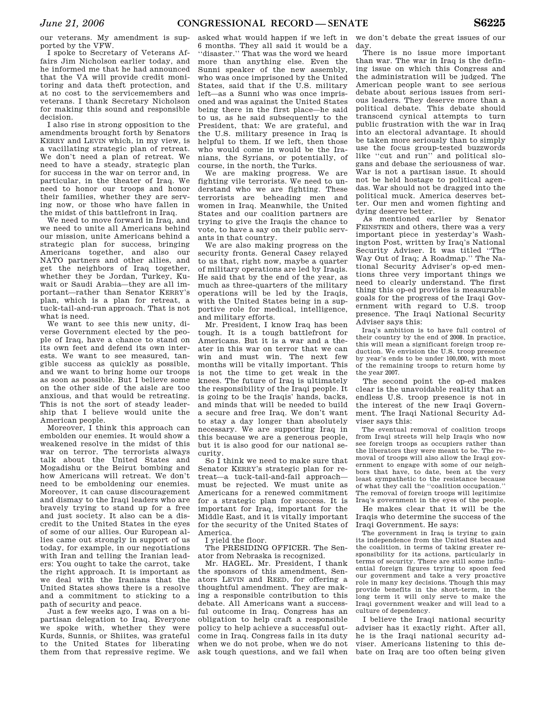our veterans. My amendment is supported by the VFW.

I spoke to Secretary of Veterans Affairs Jim Nicholson earlier today, and he informed me that he had announced that the VA will provide credit monitoring and data theft protection, and at no cost to the servicemembers and veterans. I thank Secretary Nicholson for making this sound and responsible decision.

I also rise in strong opposition to the amendments brought forth by Senators KERRY and LEVIN which, in my view, is a vacillating strategic plan of retreat. We don't need a plan of retreat. We need to have a steady, strategic plan for success in the war on terror and, in particular, in the theater of Iraq. We need to honor our troops and honor their families, whether they are serving now, or those who have fallen in the midst of this battlefront in Iraq.

We need to move forward in Iraq, and we need to unite all Americans behind our mission, unite Americans behind a strategic plan for success, bringing Americans together, and also our NATO partners and other allies, and get the neighbors of Iraq together, whether they be Jordan, Turkey, Kuwait or Saudi Arabia—they are all important—rather than Senator KERRY's plan, which is a plan for retreat, a tuck-tail-and-run approach. That is not what is need.

We want to see this new unity, diverse Government elected by the people of Iraq, have a chance to stand on its own feet and defend its own interests. We want to see measured, tangible success as quickly as possible, and we want to bring home our troops as soon as possible. But I believe some on the other side of the aisle are too anxious, and that would be retreating. This is not the sort of steady leadership that I believe would unite the American people.

Moreover, I think this approach can embolden our enemies. It would show a weakened resolve in the midst of this war on terror. The terrorists always talk about the United States and Mogadishu or the Beirut bombing and how Americans will retreat. We don't need to be emboldening our enemies. Moreover, it can cause discouragement and dismay to the Iraqi leaders who are bravely trying to stand up for a free and just society. It also can be a discredit to the United States in the eyes of some of our allies. Our European allies came out strongly in support of us today, for example, in our negotiations with Iran and telling the Iranian leaders: You ought to take the carrot, take the right approach. It is important as we deal with the Iranians that the United States shows there is a resolve and a commitment to sticking to a path of security and peace.

Just a few weeks ago, I was on a bipartisan delegation to Iraq. Everyone we spoke with, whether they were Kurds, Sunnis, or Shiites, was grateful to the United States for liberating them from that repressive regime. We

asked what would happen if we left in 6 months. They all said it would be a ''disaster.'' That was the word we heard more than anything else. Even the Sunni speaker of the new assembly, who was once imprisoned by the United States, said that if the U.S. military left—as a Sunni who was once imprisoned and was against the United States being there in the first place—he said to us, as he said subsequently to the President, that: We are grateful, and the U.S. military presence in Iraq is helpful to them. If we left, then those who would come in would be the Iranians, the Syrians, or potentially, of course, in the north, the Turks.

We are making progress. We are fighting vile terrorists. We need to understand who we are fighting. These terrorists are beheading men and women in Iraq. Meanwhile, the United States and our coalition partners are trying to give the Iraqis the chance to vote, to have a say on their public servants in that country.

We are also making progress on the security fronts. General Casey relayed to us that, right now, maybe a quarter of military operations are led by Iraqis. He said that by the end of the year, as much as three-quarters of the military operations will be led by the Iraqis, with the United States being in a supportive role for medical, intelligence, and military efforts.

Mr. President, I know Iraq has been tough. It is a tough battlefront for Americans. But it is a war and a theater in this war on terror that we can win and must win. The next few months will be vitally important. This is not the time to get weak in the knees. The future of Iraq is ultimately the responsibility of the Iraqi people. It is going to be the Iraqis' hands, backs, and minds that will be needed to build a secure and free Iraq. We don't want to stay a day longer than absolutely necessary. We are supporting Iraq in this because we are a generous people, but it is also good for our national security.

So I think we need to make sure that Senator KERRY's strategic plan for retreat—a tuck-tail-and-fail approach must be rejected. We must unite as Americans for a renewed commitment for a strategic plan for success. It is important for Iraq, important for the Middle East, and it is vitally important for the security of the United States of America.

I yield the floor.

The PRESIDING OFFICER. The Senator from Nebraska is recognized.

Mr. HAGEL. Mr. President, I thank the sponsors of this amendment, Senators LEVIN and REED, for offering a thoughtful amendment. They are making a responsible contribution to this debate. All Americans want a successful outcome in Iraq. Congress has an obligation to help craft a responsible policy to help achieve a successful outcome in Iraq. Congress fails in its duty when we do not probe, when we do not ask tough questions, and we fail when

we don't debate the great issues of our day.

There is no issue more important than war. The war in Iraq is the defining issue on which this Congress and the administration will be judged. The American people want to see serious debate about serious issues from serious leaders. They deserve more than a political debate. This debate should transcend cynical attempts to turn public frustration with the war in Iraq into an electoral advantage. It should be taken more seriously than to simply use the focus group-tested buzzwords like "cut and run" and political slogans and debase the seriousness of war. War is not a partisan issue. It should not be held hostage to political agendas. War should not be dragged into the political muck. America deserves better. Our men and women fighting and dying deserve better.

As mentioned earlier by Senator FEINSTEIN and others, there was a very important piece in yesterday's Washington Post, written by Iraq's National Security Adviser. It was titled ''The Way Out of Iraq; A Roadmap.'' The National Security Adviser's op-ed mentions three very important things we need to clearly understand. The first thing this op-ed provides is measurable goals for the progress of the Iraqi Government with regard to U.S. troop presence. The Iraqi National Security Adviser says this:

Iraq's ambition is to have full control of their country by the end of 2008. In practice, this will mean a significant foreign troop reduction. We envision the U.S. troop presence by year's ends to be under 100,000, with most of the remaining troops to return home by the year 2007.

The second point the op-ed makes clear is the unavoidable reality that an endless U.S. troop presence is not in the interest of the new Iraqi Government. The Iraqi National Security Adviser says this:

The eventual removal of coalition troops from Iraqi streets will help Iraqis who now see foreign troops as occupiers rather than the liberators they were meant to be. The removal of troops will also allow the Iraqi government to engage with some of our neighbors that have, to date, been at the very least sympathetic to the resistance because of what they call the ''coalition occupation.'' The removal of foreign troops will legitimize Iraq's government in the eyes of the people.

He makes clear that it will be the Iraqis who determine the success of the Iraqi Government. He says:

The government in Iraq is trying to gain its independence from the United States and the coalition, in terms of taking greater responsibility for its actions, particularly in terms of security. There are still some influential foreign figures trying to spoon feed our government and take a very proactive role in many key decisions. Though this may provide benefits in the short-term, in the long term it will only serve to make the Iraqi government weaker and will lead to a culture of dependency.

I believe the Iraqi national security adviser has it exactly right. After all, he is the Iraqi national security adviser. Americans listening to this debate on Iraq are too often being given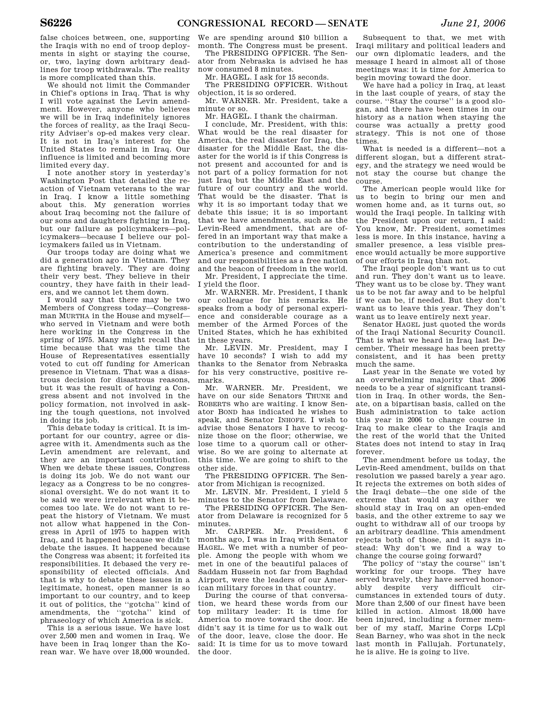false choices between, one, supporting the Iraqis with no end of troop deployments in sight or staying the course, or, two, laying down arbitrary deadlines for troop withdrawals. The reality is more complicated than this.

We should not limit the Commander in Chief's options in Iraq. That is why I will vote against the Levin amendment. However, anyone who believes we will be in Iraq indefinitely ignores the forces of reality, as the Iraqi Security Adviser's op-ed makes very clear. It is not in Iraq's interest for the United States to remain in Iraq. Our influence is limited and becoming more limited every day.

I note another story in yesterday's Washington Post that detailed the reaction of Vietnam veterans to the war in Iraq. I know a little something about this. My generation worries about Iraq becoming not the failure of our sons and daughters fighting in Iraq, but our failure as policymakers—policymakers—because I believe our policymakers failed us in Vietnam.

Our troops today are doing what we did a generation ago in Vietnam. They are fighting bravely. They are doing their very best. They believe in their country, they have faith in their leaders, and we cannot let them down.

I would say that there may be two Members of Congress today—Congressman MURTHA in the House and myself who served in Vietnam and were both here working in the Congress in the spring of 1975. Many might recall that time because that was the time the House of Representatives essentially voted to cut off funding for American presence in Vietnam. That was a disastrous decision for disastrous reasons, but it was the result of having a Congress absent and not involved in the policy formation, not involved in asking the tough questions, not involved in doing its job.

This debate today is critical. It is important for our country, agree or disagree with it. Amendments such as the Levin amendment are relevant, and they are an important contribution. When we debate these issues, Congress is doing its job. We do not want our legacy as a Congress to be no congressional oversight. We do not want it to be said we were irrelevant when it becomes too late. We do not want to repeat the history of Vietnam. We must not allow what happened in the Congress in April of 1975 to happen with Iraq, and it happened because we didn't debate the issues. It happened because the Congress was absent; it forfeited its responsibilities. It debased the very responsibility of elected officials. And that is why to debate these issues in a legitimate, honest, open manner is so important to our country, and to keep it out of politics, the ''gotcha'' kind of amendments, the ''gotcha'' kind of phraseology of which America is sick.

This is a serious issue. We have lost over 2,500 men and women in Iraq. We have been in Iraq longer than the Korean war. We have over 18,000 wounded.

We are spending around \$10 billion a month. The Congress must be present.

The PRESIDING OFFICER. The Senator from Nebraska is advised he has

now consumed 8 minutes. Mr. HAGEL. I ask for 15 seconds.

The PRESIDING OFFICER. Without

objection, it is so ordered.

Mr. WARNER. Mr. President, take a minute or so.

Mr. HAGEL. I thank the chairman.

I conclude, Mr. President, with this: What would be the real disaster for America, the real disaster for Iraq, the disaster for the Middle East, the disaster for the world is if this Congress is not present and accounted for and is not part of a policy formation for not just Iraq but the Middle East and the future of our country and the world. That would be the disaster. That is why it is so important today that we debate this issue; it is so important that we have amendments, such as the Levin-Reed amendment, that are offered in an important way that make a contribution to the understanding of America's presence and commitment and our responsibilities as a free nation and the beacon of freedom in the world.

Mr. President, I appreciate the time. I yield the floor.

Mr. WARNER. Mr. President, I thank our colleague for his remarks. He speaks from a body of personal experience and considerable courage as a member of the Armed Forces of the United States, which he has exhibited in these years.

Mr. LEVIN. Mr. President, may I have 10 seconds? I wish to add my thanks to the Senator from Nebraska for his very constructive, positive remarks.

Mr. WARNER. Mr. President, we have on our side Senators THUNE and ROBERTS who are waiting. I know Senator BOND has indicated he wishes to speak, and Senator INHOFE. I wish to advise those Senators I have to recognize those on the floor; otherwise, we lose time to a quorum call or otherwise. So we are going to alternate at this time. We are going to shift to the other side.

The PRESIDING OFFICER. The Senator from Michigan is recognized.

Mr. LEVIN. Mr. President, I yield 5 minutes to the Senator from Delaware.

The PRESIDING OFFICER. The Senator from Delaware is recognized for 5 minutes.

Mr. CARPER. Mr. President, 6 months ago, I was in Iraq with Senator HAGEL. We met with a number of people. Among the people with whom we met in one of the beautiful palaces of Saddam Hussein not far from Baghdad Airport, were the leaders of our American military forces in that country.

During the course of that conversation, we heard these words from our top military leader: It is time for America to move toward the door. He didn't say it is time for us to walk out of the door, leave, close the door. He said: It is time for us to move toward the door.

Subsequent to that, we met with Iraqi military and political leaders and our own diplomatic leaders, and the message I heard in almost all of those meetings was: it is time for America to begin moving toward the door.

We have had a policy in Iraq, at least in the last couple of years, of stay the course. ''Stay the course'' is a good slogan, and there have been times in our history as a nation when staying the course was actually a pretty good strategy. This is not one of those times.

What is needed is a different—not a different slogan, but a different strategy, and the strategy we need would be not stay the course but change the course.

The American people would like for us to begin to bring our men and women home and, as it turns out, so would the Iraqi people. In talking with the President upon our return, I said: You know, Mr. President, sometimes less is more. In this instance, having a smaller presence, a less visible presence would actually be more supportive of our efforts in Iraq than not.

The Iraqi people don't want us to cut and run. They don't want us to leave. They want us to be close by. They want us to be not far away and to be helpful if we can be, if needed. But they don't want us to leave this year. They don't want us to leave entirely next year.

Senator HAGEL just quoted the words of the Iraqi National Security Council. That is what we heard in Iraq last December. Their message has been pretty consistent, and it has been pretty much the same.

Last year in the Senate we voted by an overwhelming majority that 2006 needs to be a year of significant transition in Iraq. In other words, the Senate, on a bipartisan basis, called on the Bush administration to take action this year in 2006 to change course in Iraq to make clear to the Iraqis and the rest of the world that the United States does not intend to stay in Iraq forever.

The amendment before us today, the Levin-Reed amendment, builds on that resolution we passed barely a year ago. It rejects the extremes on both sides of the Iraqi debate—the one side of the extreme that would say either we should stay in Iraq on an open-ended basis, and the other extreme to say we ought to withdraw all of our troops by an arbitrary deadline. This amendment rejects both of those, and it says instead: Why don't we find a way to change the course going forward?

The policy of ''stay the course'' isn't working for our troops. They have served bravely, they have served honorably despite very difficult circumstances in extended tours of duty. More than 2,500 of our finest have been killed in action. Almost 18,000 have been injured, including a former member of my staff, Marine Corps LCpl Sean Barney, who was shot in the neck last month in Fallujah. Fortunately, he is alive. He is going to live.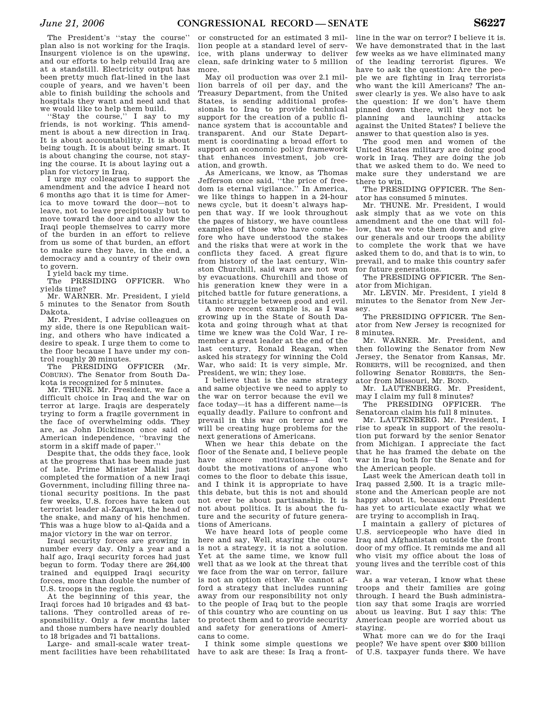The President's ''stay the course'' plan also is not working for the Iraqis. Insurgent violence is on the upswing, and our efforts to help rebuild Iraq are at a standstill. Electricity output has been pretty much flat-lined in the last couple of years, and we haven't been able to finish building the schools and hospitals they want and need and that we would like to help them build.

"Stay the course," I say to my friends, is not working. This amendment is about a new direction in Iraq. It is about accountability. It is about being tough. It is about being smart. It is about changing the course, not staying the course. It is about laying out a plan for victory in Iraq.

I urge my colleagues to support the amendment and the advice I heard not 6 months ago that it is time for America to move toward the door—not to leave, not to leave precipitously but to move toward the door and to allow the Iraqi people themselves to carry more of the burden in an effort to relieve from us some of that burden, an effort to make sure they have, in the end, a democracy and a country of their own to govern.

I yield back my time.

The PRESIDING OFFICER. Who yields time?

Mr. WARNER. Mr. President, I yield 5 minutes to the Senator from South Dakota.

Mr. President, I advise colleagues on my side, there is one Republican waiting, and others who have indicated a desire to speak. I urge them to come to the floor because I have under my control roughly 20 minutes.

The PRESIDING OFFICER (Mr. COBURN). The Senator from South Dakota is recognized for 5 minutes.

Mr. THUNE. Mr. President, we face a difficult choice in Iraq and the war on terror at large. Iraqis are desperately trying to form a fragile government in the face of overwhelming odds. They are, as John Dickinson once said of American independence, ''braving the storm in a skiff made of paper.''

Despite that, the odds they face, look at the progress that has been made just of late. Prime Minister Maliki just completed the formation of a new Iraqi Government, including filling three national security positions. In the past few weeks, U.S. forces have taken out terrorist leader al-Zarqawi, the head of the snake, and many of his henchmen. This was a huge blow to al-Qaida and a major victory in the war on terror.

Iraqi security forces are growing in number every day. Only a year and a half ago, Iraqi security forces had just begun to form. Today there are 264,400 trained and equipped Iraqi security forces, more than double the number of U.S. troops in the region.

At the beginning of this year, the Iraqi forces had 10 brigades and 43 battalions. They controlled areas of responsibility. Only a few months later and those numbers have nearly doubled to 18 brigades and 71 battalions.

Large- and small-scale water treatment facilities have been rehabilitated

or constructed for an estimated 3 million people at a standard level of service, with plans underway to deliver clean, safe drinking water to 5 million more.

May oil production was over 2.1 million barrels of oil per day, and the Treasury Department, from the United States, is sending additional professionals to Iraq to provide technical support for the creation of a public finance system that is accountable and transparent. And our State Department is coordinating a broad effort to support an economic policy framework that enhances investment, job creation, and growth.

As Americans, we know, as Thomas Jefferson once said, ''the price of freedom is eternal vigilance.'' In America, we like things to happen in a 24-hour news cycle, but it doesn't always happen that way. If we look throughout the pages of history, we have countless examples of those who have come before who have understood the stakes and the risks that were at work in the conflicts they faced. A great figure from history of the last century, Winston Churchill, said wars are not won by evacuations. Churchill and those of his generation knew they were in a pitched battle for future generations, a titanic struggle between good and evil.

A more recent example is, as I was growing up in the State of South Dakota and going through what at that time we knew was the Cold War, I remember a great leader at the end of the last century, Ronald Reagan, when asked his strategy for winning the Cold War, who said: It is very simple, Mr. President, we win; they lose.

I believe that is the same strategy and same objective we need to apply to the war on terror because the evil we face today—it has a different name—is equally deadly. Failure to confront and prevail in this war on terror and we will be creating huge problems for the next generations of Americans.

When we hear this debate on the floor of the Senate and, I believe people have sincere motivations—I don't doubt the motivations of anyone who comes to the floor to debate this issue, and I think it is appropriate to have this debate, but this is not and should not ever be about partisanship. It is not about politics. It is about the future and the security of future generations of Americans.

We have heard lots of people come here and say, Well, staying the course is not a strategy, it is not a solution. Yet at the same time, we know full well that as we look at the threat that we face from the war on terror, failure is not an option either. We cannot afford a strategy that includes running away from our responsibility not only to the people of Iraq but to the people of this country who are counting on us to protect them and to provide security and safety for generations of Americans to come.

I think some simple questions we

line in the war on terror? I believe it is. We have demonstrated that in the last few weeks as we have eliminated many of the leading terrorist figures. We have to ask the question: Are the people we are fighting in Iraq terrorists who want the kill Americans? The answer clearly is yes. We also have to ask the question: If we don't have them pinned down there, will they not be planning and launching attacks against the United States? I believe the answer to that question also is yes.

The good men and women of the United States military are doing good work in Iraq. They are doing the job that we asked them to do. We need to make sure they understand we are there to win.

The PRESIDING OFFICER. The Senator has consumed 5 minutes.

Mr. THUNE. Mr. President, I would ask simply that as we vote on this amendment and the one that will follow, that we vote them down and give our generals and our troops the ability to complete the work that we have asked them to do, and that is to win, to prevail, and to make this country safer for future generations.

The PRESIDING OFFICER. The Senator from Michigan.

Mr. LEVIN. Mr. President, I yield 8 minutes to the Senator from New Jersey.

The PRESIDING OFFICER. The Senator from New Jersey is recognized for 8 minutes.

Mr. WARNER. Mr. President, and then following the Senator from New Jersey, the Senator from Kansas, Mr. ROBERTS, will be recognized, and then following Senator ROBERTS, the Senator from Missouri, Mr. BOND.

Mr. LAUTENBERG. Mr. President, may I claim my full 8 minutes?

The PRESIDING OFFICER. The Senatorcan claim his full 8 minutes.

Mr. LAUTENBERG. Mr. President, I rise to speak in support of the resolution put forward by the senior Senator from Michigan. I appreciate the fact that he has framed the debate on the war in Iraq both for the Senate and for the American people.

Last week the American death toll in Iraq passed 2,500. It is a tragic milestone and the American people are not happy about it, because our President has yet to articulate exactly what we are trying to accomplish in Iraq.

I maintain a gallery of pictures of U.S. servicepeople who have died in Iraq and Afghanistan outside the front door of my office. It reminds me and all who visit my office about the loss of young lives and the terrible cost of this war.

As a war veteran, I know what these troops and their families are going through. I heard the Bush administration say that some Iraqis are worried about us leaving. But I say this: The American people are worried about us staying.

have to ask are these: Is Iraq a front-of U.S. taxpayer funds there. We have What more can we do for the Iraqi people? We have spent over \$300 billion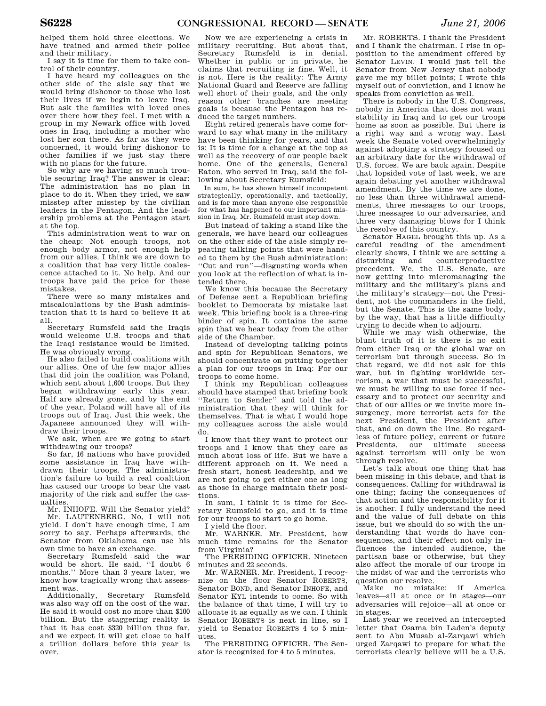helped them hold three elections. We have trained and armed their police and their military.

I say it is time for them to take control of their country.

I have heard my colleagues on the other side of the aisle say that we would bring dishonor to those who lost their lives if we begin to leave Iraq. But ask the families with loved ones over there how they feel. I met with a group in my Newark office with loved ones in Iraq, including a mother who lost her son there. As far as they were concerned, it would bring dishonor to other families if we just stay there with no plans for the future.

So why are we having so much trouble securing Iraq? The answer is clear: The administration has no plan in place to do it. When they tried, we saw misstep after misstep by the civilian leaders in the Pentagon. And the leadership problems at the Pentagon start at the top.

This administration went to war on the cheap: Not enough troops, not enough body armor, not enough help from our allies. I think we are down to a coalition that has very little coalescence attached to it. No help. And our troops have paid the price for these mistakes.

There were so many mistakes and miscalculations by the Bush administration that it is hard to believe it at all.

Secretary Rumsfeld said the Iraqis would welcome U.S. troops and that the Iraqi resistance would be limited. He was obviously wrong.

He also failed to build coalitions with our allies. One of the few major allies that did join the coalition was Poland, which sent about 1,600 troops. But they began withdrawing early this year. Half are already gone, and by the end of the year, Poland will have all of its troops out of Iraq. Just this week, the Japanese announced they will withdraw their troops.

We ask, when are we going to start withdrawing our troops?

So far, 16 nations who have provided some assistance in Iraq have withdrawn their troops. The administration's failure to build a real coalition has caused our troops to bear the vast majority of the risk and suffer the casualties.

Mr. INHOFE. Will the Senator yield? Mr. LAUTENBERG. No, I will not yield. I don't have enough time, I am sorry to say. Perhaps afterwards, the Senator from Oklahoma can use his own time to have an exchange.

Secretary Rumsfeld said the war would be short. He said, ''I doubt 6 months.'' More than 3 years later, we know how tragically wrong that assessment was.

Additionally, Secretary Rumsfeld was also way off on the cost of the war. He said it would cost no more than \$100 billion. But the staggering reality is that it has cost \$320 billion thus far, and we expect it will get close to half a trillion dollars before this year is over.

Now we are experiencing a crisis in military recruiting. But about that, Secretary Rumsfeld is in denial. Whether in public or in private, he claims that recruiting is fine. Well, it is not. Here is the reality: The Army National Guard and Reserve are falling well short of their goals, and the only reason other branches are meeting goals is because the Pentagon has reduced the target numbers.

Eight retired generals have come forward to say what many in the military have been thinking for years, and that is: It is time for a change at the top as well as the recovery of our people back home. One of the generals, General Eaton, who served in Iraq, said the following about Secretary Rumsfeld:

In sum, he has shown himself incompetent strategically, operationally, and tactically, and is far more than anyone else responsible for what has happened to our important mission in Iraq. Mr. Rumsfeld must step down.

But instead of taking a stand like the generals, we have heard our colleagues on the other side of the aisle simply repeating talking points that were handed to them by the Bush administration: ''Cut and run''—disgusting words when you look at the reflection of what is intended there.

We know this because the Secretary of Defense sent a Republican briefing booklet to Democrats by mistake last week. This briefing book is a three-ring binder of spin. It contains the same spin that we hear today from the other side of the Chamber.

Instead of developing talking points and spin for Republican Senators, we should concentrate on putting together a plan for our troops in Iraq: For our troops to come home.

I think my Republican colleagues should have stamped that briefing book ''Return to Sender'' and told the administration that they will think for themselves. That is what I would hope my colleagues across the aisle would do.

I know that they want to protect our troops and I know that they care as much about loss of life. But we have a different approach on it. We need a fresh start, honest leadership, and we are not going to get either one as long as those in charge maintain their positions.

In sum, I think it is time for Secretary Rumsfeld to go, and it is time for our troops to start to go home.

I yield the floor.

Mr. WARNER. Mr. President, how much time remains for the Senator from Virginia?

The PRESIDING OFFICER. Nineteen minutes and 22 seconds.

Mr. WARNER. Mr. President, I recognize on the floor Senator ROBERTS, Senator BOND, and Senator INHOFE, and Senator KYL intends to come. So with the balance of that time, I will try to allocate it as equally as we can. I think Senator ROBERTS is next in line, so I yield to Senator ROBERTS 4 to 5 minutes.

The PRESIDING OFFICER. The Senator is recognized for 4 to 5 minutes.

Mr. ROBERTS. I thank the President and I thank the chairman. I rise in opposition to the amendment offered by Senator LEVIN. I would just tell the Senator from New Jersey that nobody gave me my billet points; I wrote this myself out of conviction, and I know he speaks from conviction as well.

There is nobody in the U.S. Congress, nobody in America that does not want stability in Iraq and to get our troops home as soon as possible. But there is a right way and a wrong way. Last week the Senate voted overwhelmingly against adopting a strategy focused on an arbitrary date for the withdrawal of U.S. forces. We are back again. Despite that lopsided vote of last week, we are again debating yet another withdrawal amendment. By the time we are done, no less than three withdrawal amendments, three messages to our troops, three messages to our adversaries, and three very damaging blows for I think the resolve of this country.

Senator HAGEL brought this up. As a careful reading of the amendment clearly shows, I think we are setting a disturbing and counterproductive precedent. We, the U.S. Senate, are now getting into micromanaging the military and the military's plans and the military's strategy—not the President, not the commanders in the field, but the Senate. This is the same body, by the way, that has a little difficulty trying to decide when to adjourn.

While we may wish otherwise, the blunt truth of it is there is no exit from either Iraq or the global war on terrorism but through success. So in that regard, we did not ask for this war, but in fighting worldwide terrorism, a war that must be successful, we must be willing to use force if necessary and to protect our security and that of our allies or we invite more insurgency, more terrorist acts for the next President, the President after that, and on down the line. So regardless of future policy, current or future Presidents, our ultimate success against terrorism will only be won through resolve.

Let's talk about one thing that has been missing in this debate, and that is consequences. Calling for withdrawal is one thing; facing the consequences of that action and the responsibility for it is another. I fully understand the need and the value of full debate on this issue, but we should do so with the understanding that words do have consequences, and their effect not only influences the intended audience, the partisan base or otherwise, but they also affect the morale of our troops in the midst of war and the terrorists who question our resolve.

Make no mistake: if America leaves—all at once or in stages—our adversaries will rejoice—all at once or in stages.

Last year we received an intercepted letter that Osama bin Laden's deputy sent to Abu Musab al-Zarqawi which urged Zarqawi to prepare for what the terrorists clearly believe will be a U.S.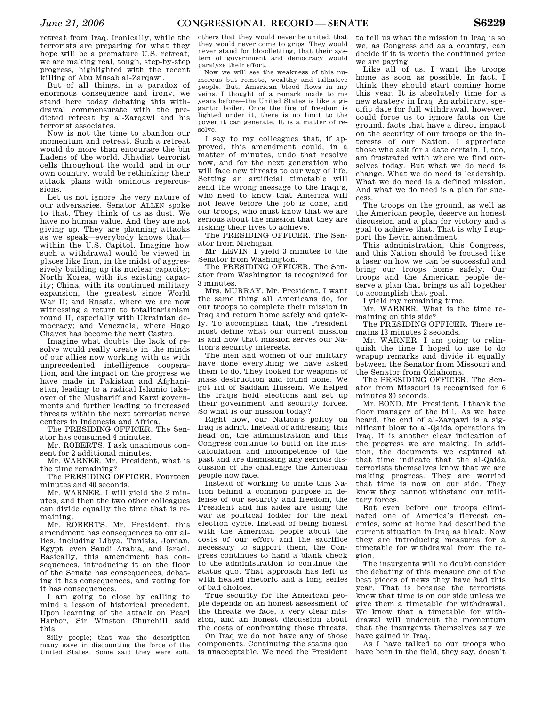retreat from Iraq. Ironically, while the terrorists are preparing for what they hope will be a premature U.S. retreat, we are making real, tough, step-by-step progress, highlighted with the recent killing of Abu Musab al-Zarqawi.

But of all things, in a paradox of enormous consequence and irony, we stand here today debating this withdrawal commensurate with the predicted retreat by al-Zarqawi and his terrorist associates.

Now is not the time to abandon our momentum and retreat. Such a retreat would do more than encourage the bin Ladens of the world. Jihadist terrorist cells throughout the world, and in our own country, would be rethinking their attack plans with ominous repercussions.

Let us not ignore the very nature of our adversaries. Senator ALLEN spoke to that. They think of us as dust. We have no human value. And they are not giving up. They are planning attacks as we speak—everybody knows that within the U.S. Capitol. Imagine how such a withdrawal would be viewed in places like Iran, in the midst of aggressively building up its nuclear capacity; North Korea, with its existing capacity; China, with its continued military expansion, the greatest since World War II; and Russia, where we are now witnessing a return to totalitarianism round II, especially with Ukrainian democracy; and Venezuela, where Hugo Chavez has become the next Castro.

Imagine what doubts the lack of resolve would really create in the minds of our allies now working with us with unprecedented intelligence cooperation, and the impact on the progress we have made in Pakistan and Afghanistan, leading to a radical Islamic takeover of the Mushariff and Karzi governments and further leading to increased threats within the next terrorist nerve centers in Indonesia and Africa.

The PRESIDING OFFICER. The Senator has consumed 4 minutes.

Mr. ROBERTS. I ask unanimous consent for 2 additional minutes.

Mr. WARNER. Mr. President, what is the time remaining?

The PRESIDING OFFICER. Fourteen minutes and 40 seconds.

Mr. WARNER. I will yield the 2 minutes, and then the two other colleagues can divide equally the time that is remaining.

Mr. ROBERTS. Mr. President, this amendment has consequences to our allies, including Libya, Tunisia, Jordan, Egypt, even Saudi Arabia, and Israel. Basically, this amendment has consequences, introducing it on the floor of the Senate has consequences, debating it has consequences, and voting for it has consequences.

I am going to close by calling to mind a lesson of historical precedent. Upon learning of the attack on Pearl Harbor, Sir Winston Churchill said this:

Silly people; that was the description many gave in discounting the force of the United States. Some said they were soft,

others that they would never be united, that they would never come to grips. They would never stand for bloodletting, that their system of government and democracy would paralyze their effort.

Now we will see the weakness of this numerous but remote, wealthy and talkative people. But, American blood flows in my veins. I thought of a remark made to me years before—the United States is like a gigantic boiler. Once the fire of freedom is lighted under it, there is no limit to the power it can generate. It is a matter of resolve.

I say to my colleagues that, if approved, this amendment could, in a matter of minutes, undo that resolve now, and for the next generation who will face new threats to our way of life. Setting an artificial timetable will send the wrong message to the Iraqi's, who need to know that America will not leave before the job is done, and our troops, who must know that we are serious about the mission that they are risking their lives to achieve.

The PRESIDING OFFICER. The Senator from Michigan.

Mr. LEVIN. I yield 3 minutes to the Senator from Washington.

The PRESIDING OFFICER. The Senator from Washington is recognized for 3 minutes.

Mrs. MURRAY. Mr. President, I want the same thing all Americans do, for our troops to complete their mission in Iraq and return home safely and quickly. To accomplish that, the President must define what our current mission is and how that mission serves our Nation's security interests.

The men and women of our military have done everything we have asked them to do. They looked for weapons of mass destruction and found none. We got rid of Saddam Hussein. We helped the Iraqis hold elections and set up their government and security forces. So what is our mission today?

Right now, our Nation's policy on Iraq is adrift. Instead of addressing this head on, the administration and this Congress continue to build on the miscalculation and incompetence of the past and are dismissing any serious discussion of the challenge the American people now face.

Instead of working to unite this Nation behind a common purpose in defense of our security and freedom, the President and his aides are using the war as political fodder for the next election cycle. Instead of being honest with the American people about the costs of our effort and the sacrifice necessary to support them, the Congress continues to hand a blank check to the administration to continue the status quo. That approach has left us with heated rhetoric and a long series of bad choices.

True security for the American people depends on an honest assessment of the threats we face, a very clear mission, and an honest discussion about the costs of confronting those threats.

On Iraq we do not have any of those components. Continuing the status quo is unacceptable. We need the President

to tell us what the mission in Iraq is so we, as Congress and as a country, can decide if it is worth the continued price we are paying.

Like all of us, I want the troops home as soon as possible. In fact, I think they should start coming home this year. It is absolutely time for a new strategy in Iraq. An arbitrary, specific date for full withdrawal, however, could force us to ignore facts on the ground, facts that have a direct impact on the security of our troops or the interests of our Nation. I appreciate those who ask for a date certain. I, too, am frustrated with where we find ourselves today. But what we do need is change. What we do need is leadership. What we do need is a defined mission. And what we do need is a plan for success.

The troops on the ground, as well as the American people, deserve an honest discussion and a plan for victory and a goal to achieve that. That is why I support the Levin amendment.

This administration, this Congress, and this Nation should be focused like a laser on how we can be successful and bring our troops home safely. Our troops and the American people deserve a plan that brings us all together to accomplish that goal.

I yield my remaining time.

Mr. WARNER. What is the time remaining on this side?

The PRESIDING OFFICER. There remains 13 minutes 2 seconds.

Mr. WARNER. I am going to relinquish the time I hoped to use to do wrapup remarks and divide it equally between the Senator from Missouri and the Senator from Oklahoma.

The PRESIDING OFFICER. The Senator from Missouri is recognized for 6 minutes 30 seconds.

Mr. BOND. Mr. President, I thank the floor manager of the bill. As we have heard, the end of al-Zarqawi is a significant blow to al-Qaida operations in Iraq. It is another clear indication of the progress we are making. In addition, the documents we captured at that time indicate that the al-Qaida terrorists themselves know that we are making progress. They are worried that time is now on our side. They know they cannot withstand our military forces.

But even before our troops eliminated one of America's fiercest enemies, some at home had described the current situation in Iraq as bleak. Now they are introducing measures for a timetable for withdrawal from the region.

The insurgents will no doubt consider the debating of this measure one of the best pieces of news they have had this year. That is because the terrorists know that time is on our side unless we give them a timetable for withdrawal. We know that a timetable for withdrawal will undercut the momentum that the insurgents themselves say we have gained in Iraq.

As I have talked to our troops who have been in the field, they say, doesn't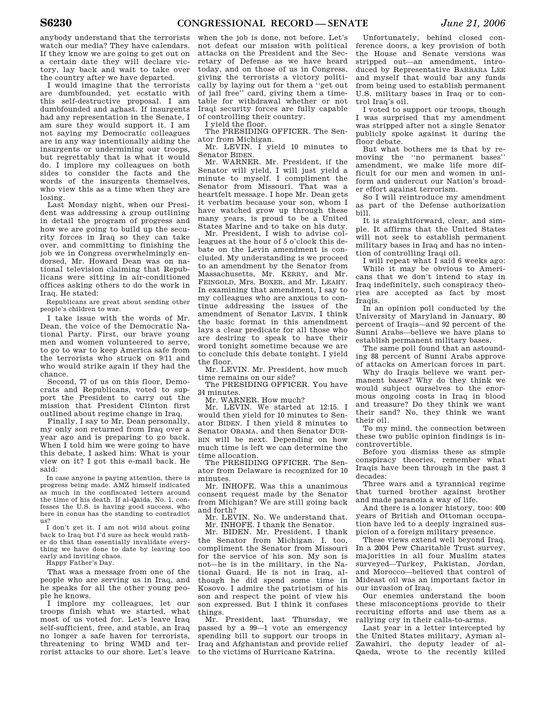anybody understand that the terrorists watch our media? They have calendars. If they know we are going to get out on a certain date they will declare victory, lay back and wait to take over the country after we have departed.

I would imagine that the terrorists are dumbfounded, yet ecstatic with this self-destructive proposal. I am dumbfounded and aghast. If insurgents had any representation in the Senate, I am sure they would support it. I am not saying my Democratic colleagues are in any way intentionally aiding the insurgents or undermining our troops, but regrettably that is what it would do. I implore my colleagues on both sides to consider the facts and the words of the insurgents themselves, who view this as a time when they are losing.

Last Monday night, when our President was addressing a group outlining in detail the program of progress and how we are going to build up the security forces in Iraq so they can take over, and committing to finishing the job we in Congress overwhelmingly endorsed, Mr. Howard Dean was on national television claiming that Republicans were sitting in air-conditioned offices asking others to do the work in Iraq. He stated:

Republicans are great about sending other people's children to war.

I take issue with the words of Mr. Dean, the voice of the Democratic National Party. First, our brave young men and women volunteered to serve, to go to war to keep America safe from the terrorists who struck on 9/11 and who would strike again if they had the chance.

Second, 77 of us on this floor, Democrats and Republicans, voted to support the President to carry out the mission that President Clinton first outlined about regime change in Iraq.

Finally, I say to Mr. Dean personally, my only son returned from Iraq over a year ago and is preparing to go back. When I told him we were going to have this debate, I asked him: What is your view on it? I got this e-mail back. He said:

In case anyone is paying attention, there is progress being made. AMZ himself indicated as much in the confiscated letters around the time of his death. If al-Qaida, No. 1, confesses the U.S. is having good success, who here in conus has the standing to contradict us?

I don't get it. I am not wild about going back to Iraq but I'd sure as heck would rather do that than essentially invalidate everything we have done to date by leaving too early and inviting chaos.

Happy Father's Day.

That was a message from one of the people who are serving us in Iraq, and he speaks for all the other young people he knows.

I implore my colleagues, let our troops finish what we started, what most of us voted for. Let's leave Iraq self-sufficient, free, and stable, an Iraq no longer a safe haven for terrorists, threatening to bring WMD and terrorist attacks to our shore. Let's leave

when the job is done, not before. Let's not defeat our mission with political attacks on the President and the Secretary of Defense as we have heard today, and on those of us in Congress, giving the terrorists a victory politically by laying out for them a ''get out of jail free'' card, giving them a timetable for withdrawal whether or not Iraqi security forces are fully capable of controlling their country.

I yield the floor.

The PRESIDING OFFICER. The Senator from Michigan.

Mr. LEVIN. I yield 10 minutes to Senator BIDEN.

Mr. WARNER. Mr. President, if the Senator will yield, I will just yield a minute to myself. I compliment the Senator from Missouri. That was a heartfelt message. I hope Mr. Dean gets it verbatim because your son, whom I have watched grow up through these many years, is proud to be a United States Marine and to take on his duty.

Mr. President, I wish to advise colleagues at the hour of 5 o'clock this debate on the Levin amendment is concluded. My understanding is we proceed to an amendment by the Senator from Massachusetts, Mr. KERRY, and Mr. FEINGOLD, Mrs. BOXER, and Mr. LEAHY. In examining that amendment, I say to my colleagues who are anxious to continue addressing the issues of the amendment of Senator LEVIN, I think the basic format in this amendment lays a clear predicate for all those who are desiring to speak to have their word tonight sometime because we are to conclude this debate tonight. I yield the floor.

Mr. LEVIN. Mr. President, how much time remains on our side?

The PRESIDING OFFICER. You have 34 minutes.

Mr. WARNER. How much?

Mr. LEVIN. We started at 12:15. I would then yield for 10 minutes to Senator BIDEN. I then yield 8 minutes to Senator OBAMA, and then Senator DUR-BIN will be next. Depending on how much time is left we can determine the time allocation.

The PRESIDING OFFICER. The Senator from Delaware is recognized for 10 minutes.

Mr. INHOFE. Was this a unanimous consent request made by the Senator from Michigan? We are still going back and forth?

Mr. LEVIN. No. We understand that. Mr. INHOFE. I thank the Senator.

Mr. BIDEN. Mr. President, I thank the Senator from Michigan. I, too, compliment the Senator from Missouri for the service of his son. My son is not—he is in the military, in the National Guard. He is not in Iraq, although he did spend some time in Kosovo. I admire the patriotism of his son and respect the point of view his son expressed. But I think it confuses things.

Mr. President, last Thursday, we passed by a 99—1 vote an emergency spending bill to support our troops in Iraq and Afghanistan and provide relief to the victims of Hurricane Katrina.

Unfortunately, behind closed conference doors, a key provision of both the House and Senate versions was stripped out—an amendment, introduced by Representative BARBARA LEE and myself that would bar any funds from being used to establish permanent U.S. military bases in Iraq or to control Iraq's oil.

I voted to support our troops, though I was surprised that my amendment was stripped after not a single Senator publicly spoke against it during the floor debate.

But what bothers me is that by removing the ''no permanent bases'' amendment, we make life more difficult for our men and women in uniform and undercut our Nation's broader effort against terrorism.

So I will reintroduce my amendment as part of the Defense authorization bill.

It is straightforward, clear, and simple. It affirms that the United States will not seek to establish permanent military bases in Iraq and has no intention of controlling Iraqi oil.

I will repeat what I said 6 weeks ago: While it may be obvious to Americans that we don't intend to stay in Iraq indefinitely, such conspiracy theories are accepted as fact by most Iraqis.

In an opinion poll conducted by the University of Maryland in January, 80 percent of Iraqis—and 92 percent of the Sunni Arabs—believe we have plans to establish permanent military bases.

The same poll found that an astounding 88 percent of Sunni Arabs approve of attacks on American forces in part.

Why do Iraqis believe we want permanent bases? Why do they think we would subject ourselves to the enormous ongoing costs in Iraq in blood and treasure? Do they think we want their sand? No, they think we want their oil.

To my mind, the connection between these two public opinion findings is incontrovertible.

Before you dismiss these as simple conspiracy theories, remember what Iraqis have been through in the past 3 decades:

Three wars and a tyrannical regime that turned brother against brother and made paranoia a way of life.

And there is a longer history, too: 400 years of British and Ottoman occupation have led to a deeply ingrained suspicion of a foreign military presence.

These views extend well beyond Iraq. In a 2004 Pew Charitable Trust survey, majorities in all four Muslim states surveyed—Turkey, Pakistan, Jordan, and Morocco—believed that control of Mideast oil was an important factor in our invasion of Iraq.

Our enemies understand the boon these misconceptions provide to their recruiting efforts and use them as a rallying cry in their calls-to-arms.

Last year in a letter intercepted by the United States military, Ayman al-Zawahiri, the deputy leader of al-Qaeda, wrote to the recently killed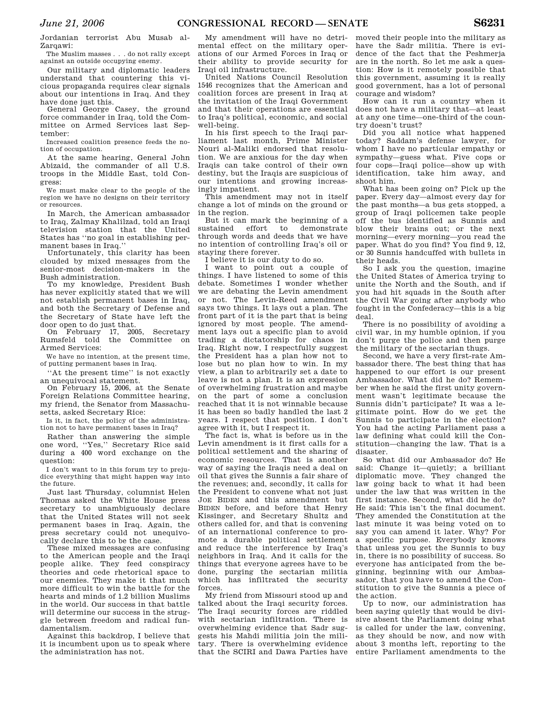Jordanian terrorist Abu Musab al-Zarqawi:

The Muslim masses . . . do not rally except against an outside occupying enemy.

Our military and diplomatic leaders understand that countering this vicious propaganda requires clear signals about our intentions in Iraq. And they have done just this.

General George Casey, the ground force commander in Iraq, told the Committee on Armed Services last September:

Increased coalition presence feeds the notion of occupation.

At the same hearing, General John Abizaid, the commander of all U.S. troops in the Middle East, told Congress:

We must make clear to the people of the region we have no designs on their territory or resources.

In March, the American ambassador to Iraq, Zalmay Khalilzad, told an Iraqi television station that the United States has ''no goal in establishing permanent bases in Iraq.''

Unfortunately, this clarity has been clouded by mixed messages from the senior-most decision-makers in the Bush administration.

To my knowledge, President Bush has never explicitly stated that we will not establish permanent bases in Iraq, and both the Secretary of Defense and the Secretary of State have left the door open to do just that.

On February 17, 2005, Secretary Rumsfeld told the Committee on Armed Services:

We have no intention, at the present time, of putting permanent bases in Iraq.

''At the present time'' is not exactly an unequivocal statement.

On February 15, 2006, at the Senate Foreign Relations Committee hearing, my friend, the Senator from Massachusetts, asked Secretary Rice:

Is it, in fact, the policy of the administration not to have permanent bases in Iraq?

Rather than answering the simple one word, ''Yes,'' Secretary Rice said during a 400 word exchange on the question:

I don't want to in this forum try to prejudice everything that might happen way into the future.

Just last Thursday, columnist Helen Thomas asked the White House press secretary to unambiguously declare that the United States will not seek permanent bases in Iraq. Again, the press secretary could not unequivocally declare this to be the case.

These mixed messages are confusing to the American people and the Iraqi people alike. They feed conspiracy theories and cede rhetorical space to our enemies. They make it that much more difficult to win the battle for the hearts and minds of 1.2 billion Muslims in the world. Our success in that battle will determine our success in the struggle between freedom and radical fundamentalism.

Against this backdrop, I believe that it is incumbent upon us to speak where the administration has not.

My amendment will have no detrimental effect on the military operations of our Armed Forces in Iraq or their ability to provide security for Iraqi oil infrastructure.

United Nations Council Resolution 1546 recognizes that the American and coalition forces are present in Iraq at the invitation of the Iraqi Government and that their operations are essential to Iraq's political, economic, and social well-being.

In his first speech to the Iraqi parliament last month, Prime Minister Nouri al-Maliki endorsed that resolution. We are anxious for the day when Iraqis can take control of their own destiny, but the Iraqis are suspicious of our intentions and growing increasingly impatient.

This amendment may not in itself change a lot of minds on the ground or in the region.

But it can mark the beginning of a sustained effort to demonstrate through words and deeds that we have no intention of controlling Iraq's oil or staying there forever.

I believe it is our duty to do so.

I want to point out a couple of things. I have listened to some of this debate. Sometimes I wonder whether we are debating the Levin amendment or not. The Levin-Reed amendment says two things. It lays out a plan. The front part of it is the part that is being ignored by most people. The amendment lays out a specific plan to avoid trading a dictatorship for chaos in Iraq. Right now, I respectfully suggest the President has a plan how not to lose but no plan how to win. In my view, a plan to arbitrarily set a date to leave is not a plan. It is an expression of overwhelming frustration and maybe on the part of some a conclusion reached that it is not winnable because it has been so badly handled the last 2 years. I respect that position. I don't agree with it, but I respect it.

The fact is, what is before us in the Levin amendment is it first calls for a political settlement and the sharing of economic resources. That is another way of saying the Iraqis need a deal on oil that gives the Sunnis a fair share of the revenues; and, secondly, it calls for the President to convene what not just JOE BIDEN and this amendment but BIDEN before, and before that Henry Kissinger, and Secretary Shultz and others called for, and that is convening of an international conference to promote a durable political settlement and reduce the interference by Iraq's neighbors in Iraq. And it calls for the things that everyone agrees have to be done, purging the sectarian militia which has infiltrated the security forces.

My friend from Missouri stood up and talked about the Iraqi security forces. The Iraqi security forces are riddled with sectarian infiltration. There is overwhelming evidence that Sadr suggests his Mahdi militia join the military. There is overwhelming evidence that the SCIRI and Dawa Parties have

moved their people into the military as have the Sadr militia. There is evidence of the fact that the Peshmerja are in the north. So let me ask a question: How is it remotely possible that this government, assuming it is really good government, has a lot of personal courage and wisdom?

How can it run a country when it does not have a military that—at least at any one time—one-third of the country doesn't trust?

Did you all notice what happened today? Saddam's defense lawyer, for whom I have no particular empathy or sympathy—guess what. Five cops or four cops—Iraqi police—show up with identification, take him away, and shoot him.

What has been going on? Pick up the paper. Every day—almost every day for the past months—a bus gets stopped, a group of Iraqi policemen take people off the bus identified as Sunnis and blow their brains out; or the next morning—every morning—you read the paper. What do you find? You find 9, 12, or 30 Sunnis handcuffed with bullets in their heads.

So I ask you the question, imagine the United States of America trying to unite the North and the South, and if you had hit squads in the South after the Civil War going after anybody who fought in the Confederacy—this is a big deal.

There is no possibility of avoiding a civil war, in my humble opinion, if you don't purge the police and then purge the military of the sectarian thugs.

Second, we have a very first-rate Ambassador there. The best thing that has happened to our effort is our present Ambassador. What did he do? Remember when he said the first unity government wasn't legitimate because the Sunnis didn't participate? It was a legitimate point. How do we get the Sunnis to participate in the election? You had the acting Parliament pass a law defining what could kill the Constitution—changing the law. That is a disaster.

So what did our Ambassador do? He said: Change it—quietly; a brilliant diplomatic move. They changed the law going back to what it had been under the law that was written in the first instance. Second, what did he do? He said: This isn't the final document. They amended the Constitution at the last minute it was being voted on to say you can amend it later. Why? For a specific purpose. Everybody knows that unless you get the Sunnis to buy in, there is no possibility of success. So everyone has anticipated from the beginning, beginning with our Ambassador, that you have to amend the Constitution to give the Sunnis a piece of the action.

Up to now, our administration has been saying quietly that would be divisive absent the Parliament doing what is called for under the law, convening, as they should be now, and now with about 3 months left, reporting to the entire Parliament amendments to the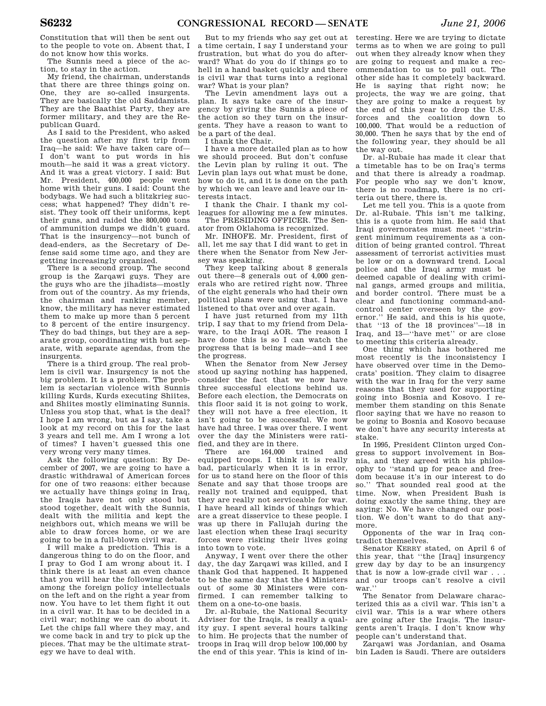Constitution that will then be sent out to the people to vote on. Absent that, I do not know how this works.

The Sunnis need a piece of the action, to stay in the action.

My friend, the chairman, understands that there are three things going on. One, they are so-called insurgents. They are basically the old Saddamists. They are the Baathist Party, they are former military, and they are the Republican Guard.

As I said to the President, who asked the question after my first trip from Iraq—he said: We have taken care of— I don't want to put words in his mouth—he said it was a great victory. And it was a great victory. I said: But Mr. President, 400,000 people went home with their guns. I said: Count the bodybags. We had such a blitzkrieg success; what happened? They didn't resist. They took off their uniforms, kept their guns, and raided the 800,000 tons of ammunition dumps we didn't guard. That is the insurgency—not bunch of dead-enders, as the Secretary of Defense said some time ago, and they are getting increasingly organized.

There is a second group. The second group is the Zarqawi guys. They are the guys who are the jihadists—mostly from out of the country. As my friends, the chairman and ranking member, know, the military has never estimated them to make up more than 5 percent to 8 percent of the entire insurgency. They do bad things, but they are a separate group, coordinating with but separate, with separate agendas, from the insurgents.

There is a third group. The real problem is civil war. Insurgency is not the big problem. It is a problem. The problem is sectarian violence with Sunnis killing Kurds, Kurds executing Shiites, and Shiites mostly eliminating Sunnis. Unless you stop that, what is the deal? I hope I am wrong, but as I say, take a look at my record on this for the last 3 years and tell me. Am I wrong a lot of times? I haven't guessed this one very wrong very many times.

Ask the following question: By December of 2007, we are going to have a drastic withdrawal of American forces for one of two reasons: either because we actually have things going in Iraq, the Iraqis have not only stood but stood together, dealt with the Sunnis, dealt with the militia and kept the neighbors out, which means we will be able to draw forces home, or we are going to be in a full-blown civil war.

I will make a prediction. This is a dangerous thing to do on the floor, and I pray to God I am wrong about it. I think there is at least an even chance that you will hear the following debate among the foreign policy intellectuals on the left and on the right a year from now. You have to let them fight it out in a civil war. It has to be decided in a civil war; nothing we can do about it. Let the chips fall where they may, and we come back in and try to pick up the pieces. That may be the ultimate strategy we have to deal with.

But to my friends who say get out at a time certain, I say I understand your frustration, but what do you do afterward? What do you do if things go to hell in a hand basket quickly and there is civil war that turns into a regional war? What is your plan?

The Levin amendment lays out a plan. It says take care of the insurgency by giving the Sunnis a piece of the action so they turn on the insurgents. They have a reason to want to be a part of the deal.

I thank the Chair.

I have a more detailed plan as to how we should proceed. But don't confuse the Levin plan by ruling it out. The Levin plan lays out what must be done, how to do it, and it is done on the path by which we can leave and leave our interests intact.

I thank the Chair. I thank my colleagues for allowing me a few minutes. The PRESIDING OFFICER. The Sen-

ator from Oklahoma is recognized.

Mr. INHOFE. Mr. President, first of all, let me say that I did want to get in there when the Senator from New Jersey was speaking.

They keep talking about 8 generals out there—8 generals out of 4,000 generals who are retired right now. Three of the eight generals who had their own political plans were using that. I have listened to that over and over again.

I have just returned from my 11th trip, I say that to my friend from Delaware, to the Iraqi AOR. The reason I have done this is so I can watch the progress that is being made—and I see the progress.

When the Senator from New Jersey stood up saying nothing has happened, consider the fact that we now have three successful elections behind us. Before each election, the Democrats on this floor said it is not going to work, they will not have a free election, it isn't going to be successful. We now have had three. I was over there. I went over the day the Ministers were ratified, and they are in there.

There are 164,000 trained and equipped troops. I think it is really bad, particularly when it is in error, for us to stand here on the floor of this Senate and say that those troops are really not trained and equipped, that they are really not serviceable for war. I have heard all kinds of things which are a great disservice to these people. I was up there in Fallujah during the last election when these Iraqi security forces were risking their lives going into town to vote.

Anyway, I went over there the other day, the day Zarqawi was killed, and I thank God that happened. It happened to be the same day that the 4 Ministers out of some 30 Ministers were confirmed. I can remember talking to them on a one-to-one basis.

Dr. al-Rubaie, the National Security Adviser for the Iraqis, is really a quality guy. I spent several hours talking to him. He projects that the number of troops in Iraq will drop below 100,000 by the end of this year. This is kind of in-

teresting. Here we are trying to dictate terms as to when we are going to pull out when they already know when they are going to request and make a recommendation to us to pull out. The other side has it completely backward. He is saying that right now; he projects, the way we are going, that they are going to make a request by the end of this year to drop the U.S. forces and the coalition down to 100,000. That would be a reduction of 30,000. Then he says that by the end of the following year, they should be all the way out.

Dr. al-Rubaie has made it clear that a timetable has to be on Iraq's terms and that there is already a roadmap. For people who say we don't know, there is no roadmap, there is no criteria out there, there is.

Let me tell you. This is a quote from Dr. al-Rubaie. This isn't me talking, this is a quote from him. He said that Iraqi governorates must meet ''stringent minimum requirements as a condition of being granted control. Threat assessment of terrorist activities must be low or on a downward trend. Local police and the Iraqi army must be deemed capable of dealing with criminal gangs, armed groups and militia, and border control. There must be a clear and functioning command-andcontrol center overseen by the governor.'' He said, and this is his quote, that ''13 of the 18 provinces''—18 in Iraq, and 13—''have met'' or are close to meeting this criteria already.

One thing which has bothered me most recently is the inconsistency I have observed over time in the Democrats' position. They claim to disagree with the war in Iraq for the very same reasons that they used for supporting going into Bosnia and Kosovo. I remember them standing on this Senate floor saying that we have no reason to be going to Bosnia and Kosovo because we don't have any security interests at stake.

In 1995, President Clinton urged Congress to support involvement in Bosnia, and they agreed with his philosophy to ''stand up for peace and freedom because it's in our interest to do so.'' That sounded real good at the time. Now, when President Bush is doing exactly the same thing, they are saying: No. We have changed our position. We don't want to do that anymore.

Opponents of the war in Iraq contradict themselves.

Senator KERRY stated, on April 6 of this year, that ''the [Iraq] insurgency grew day by day to be an insurgency that is now a low-grade civil war . . . and our troops can't resolve a civil war.''

The Senator from Delaware characterized this as a civil war. This isn't a civil war. This is a war where others are going after the Iraqis. The insurgents aren't Iraqis. I don't know why people can't understand that.

Zarqawi was Jordanian, and Osama bin Laden is Saudi. There are outsiders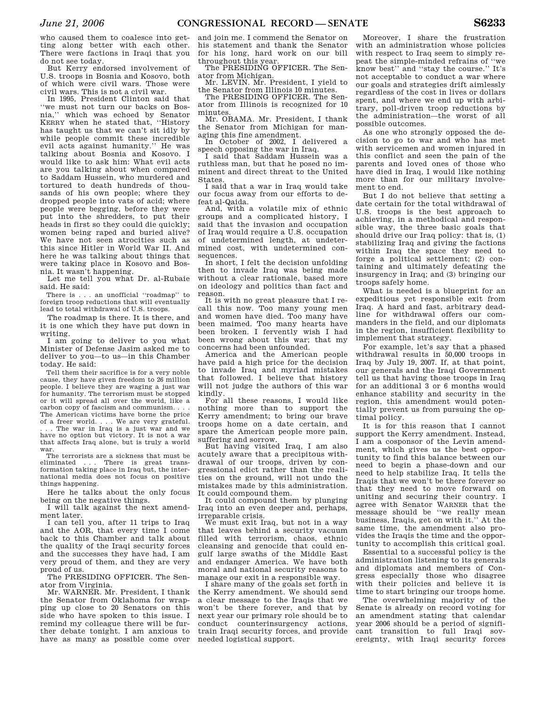who caused them to coalesce into getting along better with each other. There were factions in Iraqi that you do not see today.

But Kerry endorsed involvement of U.S. troops in Bosnia and Kosovo, both of which were civil wars. Those were civil wars. This is not a civil war.

In 1995, President Clinton said that ''we must not turn our backs on Bosnia,'' which was echoed by Senator KERRY when he stated that, ''History has taught us that we can't sit idly by while people commit these incredible evil acts against humanity.'' He was talking about Bosnia and Kosovo. I would like to ask him: What evil acts are you talking about when compared to Saddam Hussein, who murdered and tortured to death hundreds of thousands of his own people; where they dropped people into vats of acid; where people were begging, before they were put into the shredders, to put their heads in first so they could die quickly; women being raped and buried alive? We have not seen atrocities such as this since Hitler in World War II. And here he was talking about things that were taking place in Kosovo and Bosnia. It wasn't happening.

Let me tell you what Dr. al-Rubaie said. He said:

There is . . . an unofficial ''roadmap'' to foreign troop reductions that will eventually lead to total withdrawal of U.S. troops.

The roadmap is there. It is there, and it is one which they have put down in writing.

I am going to deliver to you what Minister of Defense Jasim asked me to deliver to you—to us—in this Chamber today. He said:

Tell them their sacrifice is for a very noble cause, they have given freedom to 26 million people. I believe they are waging a just war for humanity. The terrorism must be stopped or it will spread all over the world, like a carbon copy of fascism and communism. . . . The American victims have borne the price of a freer world. . . . We are very grateful. .. The war in Iraq is a just war and we have no option but victory. It is not a war that affects Iraq alone, but is truly a world war.

The terrorists are a sickness that must be eliminated . . . There is great transformation taking place in Iraq but, the international media does not focus on positive things happening.

Here he talks about the only focus being on the negative things.

I will talk against the next amendment later.

I can tell you, after 11 trips to Iraq and the AOR, that every time I come back to this Chamber and talk about the quality of the Iraqi security forces and the successes they have had, I am very proud of them, and they are very proud of us.

The PRESIDING OFFICER. The Senator from Virginia.

Mr. WARNER. Mr. President, I thank the Senator from Oklahoma for wrapping up close to 20 Senators on this side who have spoken to this issue. I remind my colleague there will be further debate tonight. I am anxious to have as many as possible come over

and join me. I commend the Senator on his statement and thank the Senator for his long, hard work on our bill throughout this year.

The PRESIDING OFFICER. The Senator from Michigan.

Mr. LEVIN. Mr. President, I yield to the Senator from Illinois 10 minutes.

The PRESIDING OFFICER. The Senator from Illinois is recognized for 10 minutes.

Mr. OBAMA. Mr. President, I thank the Senator from Michigan for managing this fine amendment.

In October of 2002, I delivered a speech opposing the war in Iraq.

I said that Saddam Hussein was a ruthless man, but that he posed no imminent and direct threat to the United States.

I said that a war in Iraq would take our focus away from our efforts to defeat al-Qaida.

And, with a volatile mix of ethnic groups and a complicated history, I said that the invasion and occupation of Iraq would require a U.S. occupation of undetermined length, at undetermined cost, with undetermined consequences.

In short, I felt the decision unfolding then to invade Iraq was being made without a clear rationale, based more on ideology and politics than fact and reason. It is with no great pleasure that I re-

call this now. Too many young men and women have died. Too many have been maimed. Too many hearts have been broken. I fervently wish I had been wrong about this war; that my concerns had been unfounded.

America and the American people have paid a high price for the decision to invade Iraq and myriad mistakes that followed. I believe that history will not judge the authors of this war kindly.

For all these reasons, I would like nothing more than to support the Kerry amendment; to bring our brave troops home on a date certain, and spare the American people more pain, suffering and sorrow.

But having visited Iraq, I am also acutely aware that a precipitous withdrawal of our troops, driven by congressional edict rather than the realities on the ground, will not undo the mistakes made by this administration. It could compound them.

It could compound them by plunging Iraq into an even deeper and, perhaps, irreparable crisis.

We must exit Iraq, but not in a way that leaves behind a security vacuum filled with terrorism, chaos, ethnic cleansing and genocide that could engulf large swaths of the Middle East and endanger America. We have both moral and national security reasons to manage our exit in a responsible way.

I share many of the goals set forth in the Kerry amendment. We should send a clear message to the Iraqis that we won't be there forever, and that by next year our primary role should be to conduct counterinsurgency actions, train Iraqi security forces, and provide needed logistical support.

Moreover, I share the frustration with an administration whose policies with respect to Iraq seem to simply repeat the simple-minded refrains of ''we know best'' and ''stay the course.'' It's not acceptable to conduct a war where our goals and strategies drift aimlessly regardless of the cost in lives or dollars spent, and where we end up with arbitrary, poll-driven troop reductions by the administration—the worst of all possible outcomes.

As one who strongly opposed the decision to go to war and who has met with servicemen and women injured in this conflict and seen the pain of the parents and loved ones of those who have died in Iraq, I would like nothing more than for our military involvement to end.

But I do not believe that setting a date certain for the total withdrawal of U.S. troops is the best approach to achieving, in a methodical and responsible way, the three basic goals that should drive our Iraq policy: that is, (1) stabilizing Iraq and giving the factions within Iraq the space they need to forge a political settlement; (2) containing and ultimately defeating the insurgency in Iraq; and (3) bringing our troops safely home.

What is needed is a blueprint for an expeditious yet responsible exit from Iraq. A hard and fast, arbitrary deadline for withdrawal offers our commanders in the field, and our diplomats in the region, insufficient flexibility to implement that strategy.

For example, let's say that a phased withdrawal results in 50,000 troops in Iraq by July 19, 2007. If, at that point, our generals and the Iraqi Government tell us that having those troops in Iraq for an additional 3 or 6 months would enhance stability and security in the region, this amendment would potentially prevent us from pursuing the optimal policy.

It is for this reason that I cannot support the Kerry amendment. Instead, I am a cosponsor of the Levin amendment, which gives us the best opportunity to find this balance between our need to begin a phase-down and our need to help stabilize Iraq. It tells the Iraqis that we won't be there forever so that they need to move forward on uniting and securing their country. I agree with Senator WARNER that the message should be ''we really mean business, Iraqis, get on with it.'' At the same time, the amendment also provides the Iraqis the time and the opportunity to accomplish this critical goal.

Essential to a successful policy is the administration listening to its generals and diplomats and members of Congress especially those who disagree with their policies and believe it is time to start bringing our troops home.

The overwhelming majority of the Senate is already on record voting for an amendment stating that calendar year 2006 should be a period of significant transition to full Iraqi sovereignty, with Iraqi security forces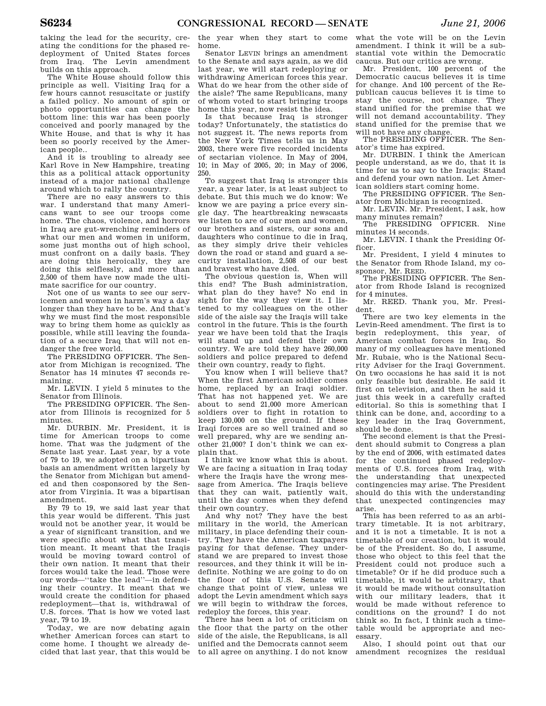taking the lead for the security, creating the conditions for the phased redeployment of United States forces from Iraq. The Levin amendment builds on this approach.

The White House should follow this principle as well. Visiting Iraq for a few hours cannot resuscitate or justify a failed policy. No amount of spin or photo opportunities can change the bottom line: this war has been poorly conceived and poorly managed by the White House, and that is why it has been so poorly received by the American people..

And it is troubling to already see Karl Rove in New Hampshire, treating this as a political attack opportunity instead of a major national challenge around which to rally the country.

There are no easy answers to this war. I understand that many Americans want to see our troops come home. The chaos, violence, and horrors in Iraq are gut-wrenching reminders of what our men and women in uniform, some just months out of high school, must confront on a daily basis. They are doing this heroically, they are doing this selflessly, and more than 2,500 of them have now made the ultimate sacrifice for our country.

Not one of us wants to see our servicemen and women in harm's way a day longer than they have to be. And that's why we must find the most responsible way to bring them home as quickly as possible, while still leaving the foundation of a secure Iraq that will not endanger the free world.

The PRESIDING OFFICER. The Senator from Michigan is recognized. The Senator has 14 minutes 47 seconds remaining.

Mr. LEVIN. I yield 5 minutes to the Senator from Illinois.

The PRESIDING OFFICER. The Senator from Illinois is recognized for 5 minutes.

Mr. DURBIN. Mr. President, it is time for American troops to come home. That was the judgment of the Senate last year. Last year, by a vote of 79 to 19, we adopted on a bipartisan basis an amendment written largely by the Senator from Michigan but amended and then cosponsored by the Senator from Virginia. It was a bipartisan amendment.

By 79 to 19, we said last year that this year would be different. This just would not be another year, it would be a year of significant transition, and we were specific about what that transition meant. It meant that the Iraqis would be moving toward control of their own nation. It meant that their forces would take the lead. Those were our words—''take the lead''—in defending their country. It meant that we would create the condition for phased redeployment—that is, withdrawal of U.S. forces. That is how we voted last year, 79 to 19.

Today, we are now debating again whether American forces can start to come home. I thought we already decided that last year, that this would be

the year when they start to come home.

Senator LEVIN brings an amendment to the Senate and says again, as we did last year, we will start redeploying or withdrawing American forces this year. What do we hear from the other side of the aisle? The same Republicans, many of whom voted to start bringing troops home this year, now resist the idea.

Is that because Iraq is stronger today? Unfortunately, the statistics do not suggest it. The news reports from the New York Times tells us in May 2003, there were five recorded incidents of sectarian violence. In May of 2004, 10; in May of 2005, 20; in May of 2006, 250.

To suggest that Iraq is stronger this year, a year later, is at least subject to debate. But this much we do know: We know we are paying a price every single day. The heartbreaking newscasts we listen to are of our men and women, our brothers and sisters, our sons and daughters who continue to die in Iraq, as they simply drive their vehicles down the road or stand and guard a security installation, 2,508 of our best and bravest who have died.

The obvious question is, When will this end? The Bush administration, what plan do they have? No end in sight for the way they view it. I listened to my colleagues on the other side of the aisle say the Iraqis will take control in the future. This is the fourth year we have been told that the Iraqis will stand up and defend their own country. We are told they have 260,000 soldiers and police prepared to defend their own country, ready to fight.

You know when I will believe that? When the first American soldier comes home, replaced by an Iraqi soldier. That has not happened yet. We are about to send 21,000 more American soldiers over to fight in rotation to keep 130,000 on the ground. If these Iraqi forces are so well trained and so well prepared, why are we sending another 21,000? I don't think we can explain that.

I think we know what this is about. We are facing a situation in Iraq today where the Iraqis have the wrong message from America. The Iraqis believe that they can wait, patiently wait, until the day comes when they defend their own country.

And why not? They have the best military in the world, the American military, in place defending their country. They have the American taxpayers paying for that defense. They understand we are prepared to invest those resources, and they think it will be indefinite. Nothing we are going to do on the floor of this U.S. Senate will change that point of view, unless we adopt the Levin amendment which says we will begin to withdraw the forces, redeploy the forces, this year.

There has been a lot of criticism on the floor that the party on the other side of the aisle, the Republicans, is all unified and the Democrats cannot seem to all agree on anything. I do not know

what the vote will be on the Levin amendment. I think it will be a substantial vote within the Democratic caucus. But our critics are wrong.

Mr. President, 100 percent of the Democratic caucus believes it is time for change. And 100 percent of the Republican caucus believes it is time to stay the course, not change. They stand unified for the premise that we will not demand accountability. They stand unified for the premise that we will not have any change.

The PRESIDING OFFICER. The Senator's time has expired.

Mr. DURBIN. I think the American people understand, as we do, that it is time for us to say to the Iraqis: Stand and defend your own nation. Let American soldiers start coming home.

The PRESIDING OFFICER. The Senator from Michigan is recognized.

Mr. LEVIN. Mr. President, I ask, how many minutes remain?<br>The PRESIDING (

OFFICER. Nine minutes 14 seconds.

Mr. LEVIN. I thank the Presiding Officer.

Mr. President, I yield 4 minutes to the Senator from Rhode Island, my cosponsor, Mr. REED.

The PRESIDING OFFICER. The Senator from Rhode Island is recognized for 4 minutes.

Mr. REED. Thank you, Mr. President.

There are two key elements in the Levin-Reed amendment. The first is to begin redeployment, this year, of American combat forces in Iraq. So many of my colleagues have mentioned Mr. Rubaie, who is the National Security Adviser for the Iraqi Government. On two occasions he has said it is not only feasible but desirable. He said it first on television, and then he said it just this week in a carefully crafted editorial. So this is something that I think can be done, and, according to a key leader in the Iraq Government, should be done.

The second element is that the President should submit to Congress a plan by the end of 2006, with estimated dates for the continued phased redeployments of U.S. forces from Iraq, with the understanding that unexpected contingencies may arise. The President should do this with the understanding that unexpected contingencies may arise.

This has been referred to as an arbitrary timetable. It is not arbitrary, and it is not a timetable. It is not a timetable of our creation, but it would be of the President. So do, I assume, those who object to this feel that the President could not produce such a timetable? Or if he did produce such a timetable, it would be arbitrary, that it would be made without consultation with our military leaders, that it would be made without reference to conditions on the ground? I do not think so. In fact, I think such a timetable would be appropriate and necessary.

Also, I should point out that our amendment recognizes the residual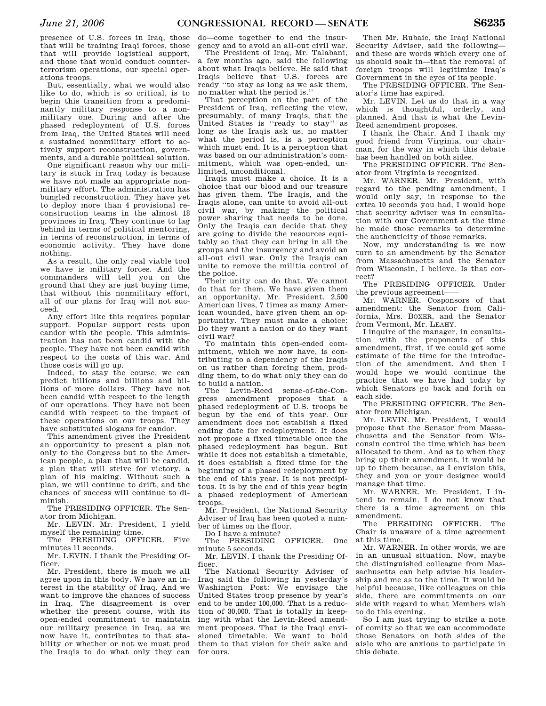presence of U.S. forces in Iraq, those that will be training Iraqi forces, those that will provide logistical support, and those that would conduct counterterrorism operations, our special operations troops.

But, essentially, what we would also like to do, which is so critical, is to begin this transition from a predominantly military response to a nonmilitary one. During and after the phased redeployment of U.S. forces from Iraq, the United States will need a sustained nonmilitary effort to actively support reconstruction, governments, and a durable political solution.

One significant reason why our military is stuck in Iraq today is because we have not made an appropriate nonmilitary effort. The administration has bungled reconstruction. They have yet to deploy more than 4 provisional reconstruction teams in the almost 18 provinces in Iraq. They continue to lag behind in terms of political mentoring, in terms of reconstruction, in terms of economic activity. They have done nothing.

As a result, the only real viable tool we have is military forces. And the commanders will tell you on the ground that they are just buying time, that without this nonmilitary effort, all of our plans for Iraq will not succeed.

Any effort like this requires popular support. Popular support rests upon candor with the people. This administration has not been candid with the people. They have not been candid with respect to the costs of this war. And those costs will go up.

Indeed, to stay the course, we can predict billions and billions and billions of more dollars. They have not been candid with respect to the length of our operations. They have not been candid with respect to the impact of these operations on our troops. They have substituted slogans for candor.

This amendment gives the President an opportunity to present a plan not only to the Congress but to the American people, a plan that will be candid, a plan that will strive for victory, a plan of his making. Without such a plan, we will continue to drift, and the chances of success will continue to diminish.

The PRESIDING OFFICER. The Senator from Michigan.

Mr. LEVIN. Mr. President, I yield myself the remaining time.

The PRESIDING OFFICER. Five minutes 11 seconds.

Mr. LEVIN. I thank the Presiding Officer.

Mr. President, there is much we all agree upon in this body. We have an interest in the stability of Iraq. And we want to improve the chances of success in Iraq. The disagreement is over whether the present course, with its open-ended commitment to maintain our military presence in Iraq, as we now have it, contributes to that stability or whether or not we must prod the Iraqis to do what only they can

do—come together to end the insurgency and to avoid an all-out civil war.

The President of Iraq, Mr. Talabani, a few months ago, said the following about what Iraqis believe. He said that Iraqis believe that U.S. forces are ready ''to stay as long as we ask them, no matter what the period is.''

That perception on the part of the President of Iraq, reflecting the view, presumably, of many Iraqis, that the United States is ''ready to stay'' as long as the Iraqis ask us, no matter what the period is, is a perception which must end. It is a perception that was based on our administration's commitment, which was open-ended, unlimited, unconditional.

Iraqis must make a choice. It is a choice that our blood and our treasure has given them. The Iraqis, and the Iraqis alone, can unite to avoid all-out civil war, by making the political power sharing that needs to be done. Only the Iraqis can decide that they are going to divide the resources equitably so that they can bring in all the groups and the insurgency and avoid an all-out civil war. Only the Iraqis can unite to remove the militia control of the police.

Their unity can do that. We cannot do that for them. We have given them an opportunity. Mr. President, 2,500 American lives, 7 times as many American wounded, have given them an opportunity. They must make a choice: Do they want a nation or do they want civil war?

To maintain this open-ended commitment, which we now have, is contributing to a dependency of the Iraqis on us rather than forcing them, prodding them, to do what only they can do to build a nation.

Levin-Reed sense-of-the-Congress amendment proposes that a phased redeployment of U.S. troops be begun by the end of this year. Our amendment does not establish a fixed ending date for redeployment. It does not propose a fixed timetable once the phased redeployment has begun. But while it does not establish a timetable. it does establish a fixed time for the beginning of a phased redeployment by the end of this year. It is not precipitous. It is by the end of this year begin a phased redeployment of American troops.

Mr. President, the National Security Adviser of Iraq has been quoted a number of times on the floor.

Do I have a minute?

The PRESIDING OFFICER. One minute 5 seconds.

Mr. LEVIN. I thank the Presiding Officer.

The National Security Adviser of Iraq said the following in yesterday's Washington Post: We envisage the United States troop presence by year's end to be under 100,000. That is a reduction of 30,000. That is totally in keeping with what the Levin-Reed amendment proposes. That is the Iraqi envisioned timetable. We want to hold them to that vision for their sake and for ours.

Then Mr. Rubaie, the Iraqi National Security Adviser, said the following and these are words which every one of us should soak in—that the removal of foreign troops will legitimize Iraq's Government in the eyes of its people.

The PRESIDING OFFICER. The Senator's time has expired.

Mr. LEVIN. Let us do that in a way which is thoughtful, orderly, and planned. And that is what the Levin-Reed amendment proposes.

I thank the Chair. And I thank my good friend from Virginia, our chairman, for the way in which this debate has been handled on both sides.

The PRESIDING OFFICER. The Senator from Virginia is recognized.

Mr. WARNER. Mr. President, with regard to the pending amendment, I would only say, in response to the extra 10 seconds you had, I would hope that security adviser was in consultation with our Government at the time he made those remarks to determine the authenticity of those remarks.

Now, my understanding is we now turn to an amendment by the Senator from Massachusetts and the Senator from Wisconsin, I believe. Is that correct?

The PRESIDING OFFICER. Under the previous agreement-

Mr. WARNER. Cosponsors of that amendment: the Senator from California, Mrs. BOXER, and the Senator from Vermont, Mr. LEAHY.

I inquire of the manager, in consultation with the proponents of this amendment, first, if we could get some estimate of the time for the introduction of the amendment. And then I would hope we would continue the practice that we have had today by which Senators go back and forth on each side.

The PRESIDING OFFICER. The Senator from Michigan.

Mr. LEVIN. Mr. President, I would propose that the Senator from Massachusetts and the Senator from Wisconsin control the time which has been allocated to them. And as to when they bring up their amendment, it would be up to them because, as I envision this, they and you or your designee would manage that time.

Mr. WARNER. Mr. President, I intend to remain. I do not know that there is a time agreement on this amendment.

The PRESIDING OFFICER. The Chair is unaware of a time agreement at this time.

Mr. WARNER. In other words, we are in an unusual situation. Now, maybe the distinguished colleague from Massachusetts can help advise his leadership and me as to the time. It would be helpful because, like colleagues on this side, there are commitments on our side with regard to what Members wish to do this evening.

So I am just trying to strike a note of comity so that we can accommodate those Senators on both sides of the aisle who are anxious to participate in this debate.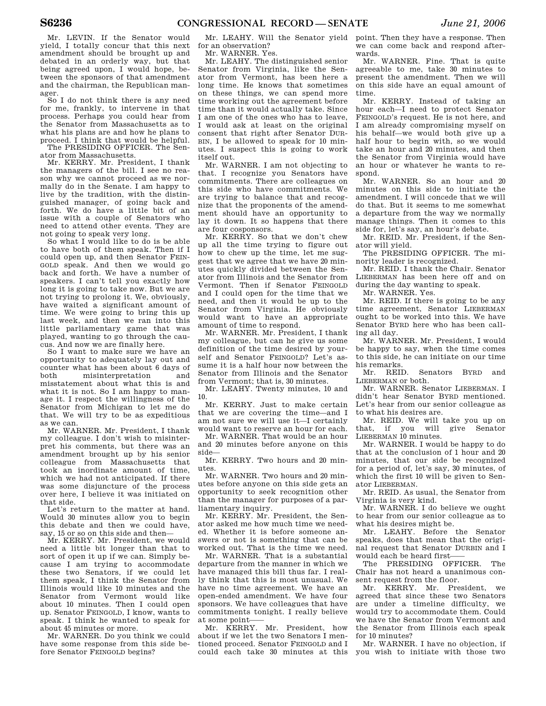Mr. LEVIN. If the Senator would yield, I totally concur that this next amendment should be brought up and debated in an orderly way, but that being agreed upon, I would hope, between the sponsors of that amendment and the chairman, the Republican manager.

So I do not think there is any need for me, frankly, to intervene in that process. Perhaps you could hear from the Senator from Massachusetts as to what his plans are and how he plans to proceed. I think that would be helpful. The PRESIDING OFFICER. The Senator from Massachusetts.

Mr. KERRY. Mr. President, I thank the managers of the bill. I see no reason why we cannot proceed as we normally do in the Senate. I am happy to live by the tradition, with the distinguished manager, of going back and forth. We do have a little bit of an issue with a couple of Senators who need to attend other events. They are not going to speak very long.

So what I would like to do is be able to have both of them speak. Then if I could open up, and then Senator FEIN-GOLD speak. And then we would go back and forth. We have a number of speakers. I can't tell you exactly how long it is going to take now. But we are not trying to prolong it. We, obviously, have waited a significant amount of time. We were going to bring this up last week, and then we ran into this little parliamentary game that was played, wanting to go through the caucus. And now we are finally here.

So I want to make sure we have an opportunity to adequately lay out and counter what has been about 6 days of both misinterpretation and misstatement about what this is and what it is not. So I am happy to manage it. I respect the willingness of the Senator from Michigan to let me do that. We will try to be as expeditious as we can.

Mr. WARNER. Mr. President, I thank my colleague. I don't wish to misinterpret his comments, but there was an amendment brought up by his senior colleague from Massachusetts that took an inordinate amount of time, which we had not anticipated. If there was some disjuncture of the process over here, I believe it was initiated on that side.

Let's return to the matter at hand. Would 30 minutes allow you to begin this debate and then we could have, say, 15 or so on this side and then—

Mr. KERRY. Mr. President, we would need a little bit longer than that to sort of open it up if we can. Simply because I am trying to accommodate these two Senators, if we could let them speak, I think the Senator from Illinois would like 10 minutes and the Senator from Vermont would like about 10 minutes. Then I could open up. Senator FEINGOLD, I know, wants to speak. I think he wanted to speak for about 45 minutes or more.

Mr. WARNER. Do you think we could have some response from this side before Senator FEINGOLD begins?

Mr. LEAHY. Will the Senator yield for an observation?

Mr. WARNER. Yes.

Mr. LEAHY. The distinguished senior Senator from Virginia, like the Senator from Vermont, has been here a long time. He knows that sometimes on these things, we can spend more time working out the agreement before time than it would actually take. Since I am one of the ones who has to leave, I would ask at least on the original consent that right after Senator DUR-BIN, I be allowed to speak for 10 minutes. I suspect this is going to work itself out.

Mr. WARNER. I am not objecting to that. I recognize you Senators have commitments. There are colleagues on this side who have commitments. We are trying to balance that and recognize that the proponents of the amendment should have an opportunity to lay it down. It so happens that there are four cosponsors.

Mr. KERRY. So that we don't chew up all the time trying to figure out how to chew up the time, let me suggest that we agree that we have 20 minutes quickly divided between the Senator from Illinois and the Senator from Vermont. Then if Senator FEINGOLD and I could open for the time that we need, and then it would be up to the Senator from Virginia. He obviously would want to have an appropriate amount of time to respond.

Mr. WARNER. Mr. President, I thank my colleague, but can he give us some definition of the time desired by yourself and Senator FEINGOLD? Let's assume it is a half hour now between the Senator from Illinois and the Senator from Vermont; that is, 30 minutes.

Mr. LEAHY. Twenty minutes, 10 and 10.

Mr. KERRY. Just to make certain that we are covering the time—and I am not sure we will use it—I certainly would want to reserve an hour for each.

Mr. WARNER. That would be an hour and 20 minutes before anyone on this side—

Mr. KERRY. Two hours and 20 minutes.

Mr. WARNER. Two hours and 20 minutes before anyone on this side gets an opportunity to seek recognition other than the manager for purposes of a parliamentary inquiry.

Mr. KERRY. Mr. President, the Senator asked me how much time we needed. Whether it is before someone answers or not is something that can be worked out. That is the time we need.

Mr. WARNER. That is a substantial departure from the manner in which we have managed this bill thus far. I really think that this is most unusual. We have no time agreement. We have an open-ended amendment. We have four sponsors. We have colleagues that have commitments tonight. I really believe at some point——

Mr. KERRY. Mr. President, how about if we let the two Senators I mentioned proceed. Senator FEINGOLD and I could each take 30 minutes at this

point. Then they have a response. Then we can come back and respond afterwards.

Mr. WARNER. Fine. That is quite agreeable to me, take 30 minutes to present the amendment. Then we will on this side have an equal amount of time.

Mr. KERRY. Instead of taking an hour each—I need to protect Senator FEINGOLD's request. He is not here, and I am already compromising myself on his behalf—we would both give up a half hour to begin with, so we would take an hour and 20 minutes, and then the Senator from Virginia would have an hour or whatever he wants to respond.

Mr. WARNER. So an hour and 20 minutes on this side to initiate the amendment. I will concede that we will do that. But it seems to me somewhat a departure from the way we normally manage things. Then it comes to this side for, let's say, an hour's debate.

Mr. REID. Mr. President, if the Senator will yield.

The PRESIDING OFFICER. The minority leader is recognized.

Mr. REID. I thank the Chair. Senator LIEBERMAN has been here off and on during the day wanting to speak.

Mr. WARNER. Yes.

Mr. REID. If there is going to be any time agreement, Senator LIEBERMAN ought to be worked into this. We have Senator BYRD here who has been calling all day.

Mr. WARNER. Mr. President, I would be happy to say, when the time comes to this side, he can initiate on our time his remarks.<br>Mr. REID.

Senators BYRD and LIEBERMAN or both.

Mr. WARNER. Senator LIEBERMAN. I didn't hear Senator BYRD mentioned. Let's hear from our senior colleague as to what his desires are.

Mr. REID. We will take you up on that, if you will give Senator LIEBERMAN 10 minutes.

Mr. WARNER. I would be happy to do that at the conclusion of 1 hour and 20 minutes, that our side be recognized for a period of, let's say, 30 minutes, of which the first 10 will be given to Senator LIEBERMAN.

Mr. REID. As usual, the Senator from Virginia is very kind.

Mr. WARNER. I do believe we ought to hear from our senior colleague as to what his desires might be.

Mr. LEAHY. Before the Senator speaks, does that mean that the original request that Senator DURBIN and I would each be heard first-

The PRESIDING OFFICER. The Chair has not heard a unanimous consent request from the floor.

Mr. KERRY. Mr. President, we agreed that since these two Senators are under a timeline difficulty, we would try to accommodate them. Could we have the Senator from Vermont and the Senator from Illinois each speak for 10 minutes?

Mr. WARNER. I have no objection, if you wish to initiate with those two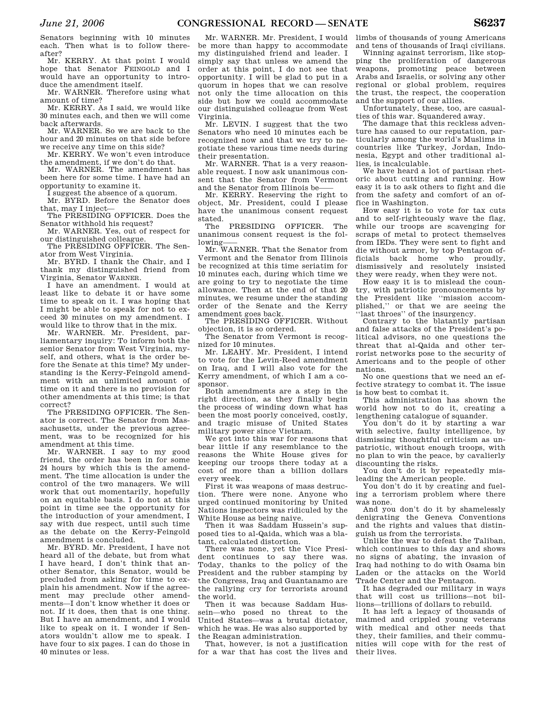Senators beginning with 10 minutes each. Then what is to follow thereafter?

Mr. KERRY. At that point I would hope that Senator FEINGOLD and I would have an opportunity to introduce the amendment itself.

Mr. WARNER. Therefore using what amount of time?

Mr. KERRY. As I said, we would like 30 minutes each, and then we will come back afterwards.

Mr. WARNER. So we are back to the hour and 20 minutes on that side before we receive any time on this side?

Mr. KERRY. We won't even introduce the amendment, if we don't do that.

Mr. WARNER. The amendment has been here for some time. I have had an

opportunity to examine it.

I suggest the absence of a quorum. Mr. BYRD. Before the Senator does

that, may I inject— The PRESIDING OFFICER. Does the Senator withhold his request?

Mr. WARNER. Yes, out of respect for our distinguished colleague.

The PRESIDING OFFICER. The Senator from West Virginia.

Mr. BYRD. I thank the Chair, and I thank my distinguished friend from Virginia, Senator WARNER.

I have an amendment. I would at least like to debate it or have some time to speak on it. I was hoping that I might be able to speak for not to exceed 30 minutes on my amendment. I would like to throw that in the mix.

Mr. WARNER. Mr. President, parliamentary inquiry: To inform both the senior Senator from West Virginia, myself, and others, what is the order before the Senate at this time? My understanding is the Kerry-Feingold amendment with an unlimited amount of time on it and there is no provision for other amendments at this time; is that correct?

The PRESIDING OFFICER. The Senator is correct. The Senator from Massachusetts, under the previous agreement, was to be recognized for his amendment at this time.

Mr. WARNER. I say to my good friend, the order has been in for some 24 hours by which this is the amendment. The time allocation is under the control of the two managers. We will work that out momentarily, hopefully on an equitable basis. I do not at this point in time see the opportunity for the introduction of your amendment, I say with due respect, until such time as the debate on the Kerry-Feingold amendment is concluded.

Mr. BYRD. Mr. President, I have not heard all of the debate, but from what I have heard, I don't think that another Senator, this Senator, would be precluded from asking for time to explain his amendment. Now if the agreement may preclude other amendments—I don't know whether it does or not. If it does, then that is one thing. But I have an amendment, and I would like to speak on it. I wonder if Senators wouldn't allow me to speak. I have four to six pages. I can do those in 40 minutes or less.

Mr. WARNER. Mr. President, I would be more than happy to accommodate my distinguished friend and leader. I simply say that unless we amend the order at this point, I do not see that opportunity. I will be glad to put in a quorum in hopes that we can resolve not only the time allocation on this side but how we could accommodate our distinguished colleague from West Virginia.

Mr. LEVIN. I suggest that the two Senators who need 10 minutes each be recognized now and that we try to negotiate these various time needs during their presentation.

Mr. WARNER. That is a very reasonable request. I now ask unanimous consent that the Senator from Vermont and the Senator from Illinois be-

Mr. KERRY. Reserving the right to object, Mr. President, could I please have the unanimous consent request stated.

The PRESIDING OFFICER. The unanimous consent request is the following-

Mr. WARNER. That the Senator from Vermont and the Senator from Illinois be recognized at this time seriatim for 10 minutes each, during which time we are going to try to negotiate the time allowance. Then at the end of that 20 minutes, we resume under the standing order of the Senate and the Kerry amendment goes back.

The PRESIDING OFFICER. Without objection, it is so ordered.

The Senator from Vermont is recognized for 10 minutes.

Mr. LEAHY. Mr. President, I intend to vote for the Levin-Reed amendment on Iraq, and I will also vote for the Kerry amendment, of which I am a cosponsor.

Both amendments are a step in the right direction, as they finally begin the process of winding down what has been the most poorly conceived, costly, and tragic misuse of United States military power since Vietnam.

We got into this war for reasons that bear little if any resemblance to the reasons the White House gives for keeping our troops there today at a cost of more than a billion dollars every week.

First it was weapons of mass destruction. There were none. Anyone who urged continued monitoring by United Nations inspectors was ridiculed by the White House as being naive.

Then it was Saddam Hussein's supposed ties to al-Qaida, which was a blatant, calculated distortion.

There was none, yet the Vice President continues to say there was. Today, thanks to the policy of the President and the rubber stamping by the Congress, Iraq and Guantanamo are the rallying cry for terrorists around the world.

Then it was because Saddam Hussein—who posed no threat to the United States—was a brutal dictator, which he was. He was also supported by the Reagan administration.

That, however, is not a justification for a war that has cost the lives and limbs of thousands of young Americans and tens of thousands of Iraqi civilians.

Winning against terrorism, like stopping the proliferation of dangerous weapons, promoting peace between Arabs and Israelis, or solving any other regional or global problem, requires the trust, the respect, the cooperation and the support of our allies.

Unfortunately, these, too, are casualties of this war. Squandered away.

The damage that this reckless adventure has caused to our reputation, particularly among the world's Muslims in countries like Turkey, Jordan, Indonesia, Egypt and other traditional allies, is incalculable.

We have heard a lot of partisan rhetoric about cutting and running. How easy it is to ask others to fight and die from the safety and comfort of an office in Washington.

How easy it is to vote for tax cuts and to self-righteously wave the flag, while our troops are scavenging for scraps of metal to protect themselves from IEDs. They were sent to fight and die without armor, by top Pentagon officials back home who proudly, dismissively and resolutely insisted they were ready, when they were not.

How easy it is to mislead the country, with patriotic pronouncements by the President like ''mission accomplished,'' or that we are seeing the 'last throes'' of the insurgency.

Contrary to the blatantly partisan and false attacks of the President's political advisors, no one questions the threat that al-Qaida and other terrorist networks pose to the security of Americans and to the people of other nations.

No one questions that we need an effective strategy to combat it. The issue is how best to combat it.

This administration has shown the world how not to do it, creating a lengthening catalogue of squander.

You don't do it by starting a war with selective, faulty intelligence, by dismissing thoughtful criticism as unpatriotic, without enough troops, with no plan to win the peace, by cavalierly discounting the risks.

You don't do it by repeatedly misleading the American people.

You don't do it by creating and fueling a terrorism problem where there was none.

And you don't do it by shamelessly denigrating the Geneva Conventions and the rights and values that distinguish us from the terrorists.

Unlike the war to defeat the Taliban, which continues to this day and shows no signs of abating, the invasion of Iraq had nothing to do with Osama bin Laden or the attacks on the World Trade Center and the Pentagon.

It has degraded our military in ways that will cost us trillions—not billions—trillions of dollars to rebuild.

It has left a legacy of thousands of maimed and crippled young veterans with medical and other needs that they, their families, and their communities will cope with for the rest of their lives.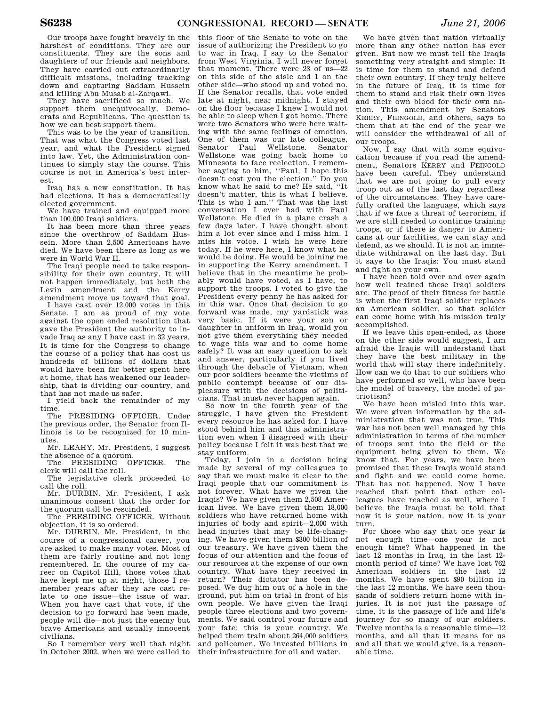Our troops have fought bravely in the harshest of conditions. They are our constituents. They are the sons and daughters of our friends and neighbors. They have carried out extraordinarily difficult missions, including tracking down and capturing Saddam Hussein and killing Abu Musab al-Zarqawi.

They have sacrificed so much. We support them unequivocally, Democrats and Republicans. The question is how we can best support them.

This was to be the year of transition. That was what the Congress voted last year, and what the President signed into law. Yet, the Administration continues to simply stay the course. This course is not in America's best interest.

Iraq has a new constitution. It has had elections. It has a democratically elected government.

We have trained and equipped more than 100,000 Iraqi soldiers.

It has been more than three years since the overthrow of Saddam Hussein. More than 2,500 Americans have died. We have been there as long as we were in World War II.

The Iraqi people need to take responsibility for their own country. It will not happen immediately, but both the Levin amendment and the Kerry amendment move us toward that goal.

I have cast over 12,000 votes in this Senate. I am as proud of my vote against the open ended resolution that gave the President the authority to invade Iraq as any I have cast in 32 years. It is time for the Congress to change the course of a policy that has cost us hundreds of billions of dollars that would have been far better spent here at home, that has weakened our leadership, that is dividing our country, and that has not made us safer.

I yield back the remainder of my time.

The PRESIDING OFFICER. Under the previous order, the Senator from Illinois is to be recognized for 10 minutes.

Mr. LEAHY. Mr. President, I suggest the absence of a quorum.

The PRESIDING OFFICER. The clerk will call the roll.

The legislative clerk proceeded to call the roll.

Mr. DURBIN. Mr. President, I ask unanimous consent that the order for the quorum call be rescinded.

The PRESIDING OFFICER. Without objection, it is so ordered.

Mr. DURBIN. Mr. President, in the course of a congressional career, you are asked to make many votes. Most of them are fairly routine and not long remembered. In the course of my career on Capitol Hill, those votes that have kept me up at night, those I remember years after they are cast relate to one issue—the issue of war. When you have cast that vote, if the decision to go forward has been made, people will die—not just the enemy but brave Americans and usually innocent civilians.

So I remember very well that night in October 2002, when we were called to

this floor of the Senate to vote on the issue of authorizing the President to go to war in Iraq. I say to the Senator from West Virginia, I will never forget that moment. There were 23 of us—22 on this side of the aisle and 1 on the other side—who stood up and voted no. If the Senator recalls, that vote ended late at night, near midnight. I stayed on the floor because I knew I would not be able to sleep when I got home. There were two Senators who were here waiting with the same feelings of emotion. One of them was our late colleague, Senator Paul Wellstone. Senator Wellstone was going back home to Minnesota to face reelection. I remember saying to him, ''Paul, I hope this doesn't cost you the election.'' Do you know what he said to me? He said, ''It doesn't matter, this is what I believe. This is who I am.'' That was the last conversation I ever had with Paul Wellstone. He died in a plane crash a few days later. I have thought about him a lot ever since and I miss him. I miss his voice. I wish he were here today. If he were here, I know what he would be doing. He would be joining me in supporting the Kerry amendment. I believe that in the meantime he probably would have voted, as I have, to support the troops. I voted to give the President every penny he has asked for in this war. Once that decision to go forward was made, my yardstick was very basic. If it were your son or daughter in uniform in Iraq, would you not give them everything they needed to wage this war and to come home safely? It was an easy question to ask and answer, particularly if you lived through the debacle of Vietnam, when our poor soldiers became the victims of public contempt because of our displeasure with the decisions of politicians. That must never happen again.

So now in the fourth year of the struggle, I have given the President every resource he has asked for. I have stood behind him and this administration even when I disagreed with their policy because I felt it was best that we stay uniform.

Today, I join in a decision being made by several of my colleagues to say that we must make it clear to the Iraqi people that our commitment is not forever. What have we given the Iraqis? We have given them 2,508 American lives. We have given them 18,000 soldiers who have returned home with injuries of body and spirit—2,000 with head injuries that may be life-changing. We have given them \$300 billion of our treasury. We have given them the focus of our attention and the focus of our resources at the expense of our own country. What have they received in return? Their dictator has been deposed. We dug him out of a hole in the ground, put him on trial in front of his own people. We have given the Iraqi people three elections and two governments. We said control your future and your fate; this is your country. We helped them train about 264,000 soldiers and policemen. We invested billions in their infrastructure for oil and water.

We have given that nation virtually more than any other nation has ever given. But now we must tell the Iraqis something very straight and simple: It is time for them to stand and defend their own country. If they truly believe in the future of Iraq, it is time for them to stand and risk their own lives and their own blood for their own nation. This amendment by Senators KERRY, FEINGOLD, and others, says to them that at the end of the year we will consider the withdrawal of all of our troops.

Now, I say that with some equivocation because if you read the amendment, Senators KERRY and FEINGOLD have been careful. They understand that we are not going to pull every troop out as of the last day regardless of the circumstances. They have carefully crafted the language, which says that if we face a threat of terrorism, if we are still needed to continue training troops, or if there is danger to Americans at our facilities, we can stay and defend, as we should. It is not an immediate withdrawal on the last day. But it says to the Iraqis: You must stand and fight on your own.

I have been told over and over again how well trained these Iraqi soldiers are. The proof of their fitness for battle is when the first Iraqi soldier replaces an American soldier, so that soldier can come home with his mission truly accomplished.

If we leave this open-ended, as those on the other side would suggest, I am afraid the Iraqis will understand that they have the best military in the world that will stay there indefinitely. How can we do that to our soldiers who have performed so well, who have been the model of bravery, the model of patriotism?

We have been misled into this war. We were given information by the administration that was not true. This war has not been well managed by this administration in terms of the number of troops sent into the field or the equipment being given to them. We know that. For years, we have been promised that these Iraqis would stand and fight and we could come home. That has not happened. Now I have reached that point that other colleagues have reached as well, where I believe the Iraqis must be told that now it is your nation, now it is your turn.

For those who say that one year is not enough time—one year is not enough time? What happened in the last 12 months in Iraq, in the last 12 month period of time? We have lost 762 American soldiers in the last 12 months. We have spent \$90 billion in the last 12 months. We have seen thousands of soldiers return home with injuries. It is not just the passage of time, it is the passage of life and life's journey for so many of our soldiers. Twelve months is a reasonable time—12 months, and all that it means for us and all that we would give, is a reasonable time.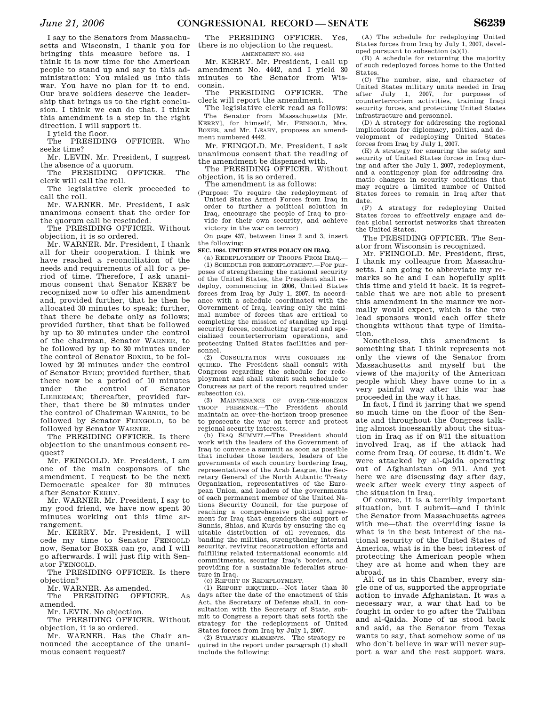I say to the Senators from Massachusetts and Wisconsin, I thank you for bringing this measure before us. I think it is now time for the American people to stand up and say to this administration: You misled us into this war. You have no plan for it to end. Our brave soldiers deserve the leadership that brings us to the right conclusion. I think we can do that. I think this amendment is a step in the right direction. I will support it.

I yield the floor.

The PRESIDING OFFICER. Who seeks time?

Mr. LEVIN. Mr. President, I suggest the absence of a quorum.

The PRESIDING OFFICER. The clerk will call the roll.

The legislative clerk proceeded to call the roll.

Mr. WARNER. Mr. President, I ask unanimous consent that the order for the quorum call be rescinded.

The PRESIDING OFFICER. Without objection, it is so ordered.

Mr. WARNER. Mr. President, I thank all for their cooperation. I think we have reached a reconciliation of the needs and requirements of all for a period of time. Therefore, I ask unanimous consent that Senator KERRY be recognized now to offer his amendment and, provided further, that he then be allocated 30 minutes to speak; further, that there be debate only as follows; provided further, that that be followed by up to 30 minutes under the control of the chairman, Senator WARNER, to be followed by up to 30 minutes under the control of Senator BOXER, to be followed by 20 minutes under the control of Senator BYRD; provided further, that there now be a period of 10 minutes<br>under the control of Senator control of Senator LIEBERMAN; thereafter, provided further, that there be 30 minutes under the control of Chairman WARNER, to be followed by Senator FEINGOLD, to be followed by Senator WARNER.

The PRESIDING OFFICER. Is there objection to the unanimous consent request?

Mr. FEINGOLD. Mr. President, I am one of the main cosponsors of the amendment. I request to be the next Democratic speaker for 30 minutes after Senator KERRY.

Mr. WARNER. Mr. President, I say to my good friend, we have now spent 30 minutes working out this time arrangement.

Mr. KERRY. Mr. President, I will cede my time to Senator FEINGOLD now, Senator BOXER can go, and I will go afterwards. I will just flip with Senator FEINGOLD.

The PRESIDING OFFICER. Is there objection?

Mr. WARNER. As amended.<br>The PRESIDING OFFI

PRESIDING OFFICER. As amended.

Mr. LEVIN. No objection.

The PRESIDING OFFICER. Without objection, it is so ordered.

Mr. WARNER. Has the Chair announced the acceptance of the unanimous consent request?

The PRESIDING OFFICER. Yes, there is no objection to the request. AMENDMENT NO. 4442

Mr. KERRY. Mr. President, I call up amendment No. 4442, and I yield 30 minutes to the Senator from Wisconsin.

The PRESIDING OFFICER. The clerk will report the amendment.

The legislative clerk read as follows: The Senator from Massachusetts [Mr. KERRY], for himself, Mr. FEINGOLD, Mrs. BOXER, and Mr. LEAHY, proposes an amendment numbered 4442.

Mr. FEINGOLD. Mr. President, I ask unanimous consent that the reading of the amendment be dispensed with.

The PRESIDING OFFICER. Without objection, it is so ordered.

The amendment is as follows:

(Purpose: To require the redeployment of United States Armed Forces from Iraq in order to further a political solution in Iraq, encourage the people of Iraq to provide for their own security, and achieve victory in the war on terror)

On page 437, between lines 2 and 3, insert the following:

## **SEC. 1084. UNITED STATES POLICY ON IRAQ.**

(a) REDEPLOYMENT OF TROOPS FROM IRAQ.— (1) SCHEDULE FOR REDEPLOYMENT.—For purposes of strengthening the national security of the United States, the President shall redeploy, commencing in 2006, United States forces from Iraq by July 1, 2007, in accordance with a schedule coordinated with the Government of Iraq, leaving only the minimal number of forces that are critical to completing the mission of standing up Iraqi security forces, conducting targeted and specialized counterterrorism operations, and protecting United States facilities and personnel.

(2) CONSULTATION WITH CONGRESS RE-QUIRED.—The President shall consult with Congress regarding the schedule for redeployment and shall submit such schedule to Congress as part of the report required under  $subsection (c)$ .

(3) MAINTENANCE OF OVER-THE-HORIZON TROOP PRESENCE.—The President should maintain an over-the-horizon troop presence to prosecute the war on terror and protect regional security interests.

(b) IRAQ SUMMIT.—The President should work with the leaders of the Government of Iraq to convene a summit as soon as possible that includes those leaders, leaders of the governments of each country bordering Iraq, representatives of the Arab League, the Secretary General of the North Atlantic Treaty Organization, representatives of the European Union, and leaders of the governments of each permanent member of the United Nations Security Council, for the purpose of reaching a comprehensive political agreement for Iraq that engenders the support of Sunnis, Shias, and Kurds by ensuring the equitable distribution of oil revenues, dis-banding the militias, strengthening internal security, reviving reconstruction efforts and fulfilling related international economic aid commitments, securing Iraq's borders, and providing for a sustainable federalist structure in Iraq.

(c) REPORT ON REDEPLOYMENT.—

(1) REPORT REQUIRED.—Not later than 30 days after the date of the enactment of this Act, the Secretary of Defense shall, in consultation with the Secretary of State, submit to Congress a report that sets forth the strategy for the redeployment of United States forces from Iraq by July 1, 2007.

(2) STRATEGY ELEMENTS.—The strategy required in the report under paragraph (1) shall include the following:

(A) The schedule for redeploying United States forces from Iraq by July 1, 2007, developed pursuant to subsection (a)(1).

(B) A schedule for returning the majority of such redeployed forces home to the United States.

(C) The number, size, and character of United States military units needed in Iraq after July 1, 2007, for purposes of counterterrorism activities, training Iraqi security forces, and protecting United States infrastructure and personnel.

(D) A strategy for addressing the regional implications for diplomacy, politics, and development of redeploying United States forces from Iraq by July 1, 2007.

(E) A strategy for ensuring the safety and security of United States forces in Iraq during and after the July 1, 2007, redeployment, and a contingency plan for addressing dramatic changes in security conditions that may require a limited number of United States forces to remain in Iraq after that date.

(F) A strategy for redeploying United States forces to effectively engage and defeat global terrorist networks that threaten the United States.

The PRESIDING OFFICER. The Senator from Wisconsin is recognized.

Mr. FEINGOLD. Mr. President, first, I thank my colleague from Massachusetts. I am going to abbreviate my remarks so he and I can hopefully split this time and yield it back. It is regrettable that we are not able to present this amendment in the manner we normally would expect, which is the two lead sponsors would each offer their thoughts without that type of limitation.

Nonetheless, this amendment is something that I think represents not only the views of the Senator from Massachusetts and myself but the views of the majority of the American people which they have come to in a very painful way after this war has proceeded in the way it has.

In fact, I find it jarring that we spend so much time on the floor of the Senate and throughout the Congress talking almost incessantly about the situation in Iraq as if on 9/11 the situation involved Iraq, as if the attack had come from Iraq. Of course, it didn't. We were attacked by al-Qaida operating out of Afghanistan on 9/11. And yet here we are discussing day after day, week after week every tiny aspect of the situation in Iraq.

Of course, it is a terribly important situation, but I submit—and I think the Senator from Massachusetts agrees with me—that the overriding issue is what is in the best interest of the national security of the United States of America, what is in the best interest of protecting the American people when they are at home and when they are abroad.

All of us in this Chamber, every single one of us, supported the appropriate action to invade Afghanistan. It was a necessary war, a war that had to be fought in order to go after the Taliban and al-Qaida. None of us stood back and said, as the Senator from Texas wants to say, that somehow some of us who don't believe in war will never support a war and the rest support wars.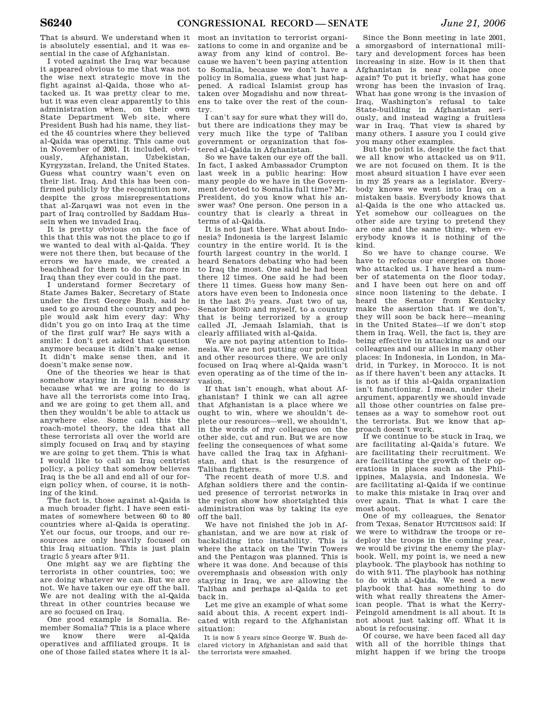That is absurd. We understand when it is absolutely essential, and it was essential in the case of Afghanistan.

I voted against the Iraq war because it appeared obvious to me that was not the wise next strategic move in the fight against al-Qaida, those who attacked us. It was pretty clear to me, but it was even clear apparently to this administration when, on their own State Department Web site, where President Bush had his name, they listed the 45 countries where they believed al-Qaida was operating. This came out in November of 2001. It included, obviously, Afghanistan, Uzbekistan, Kyrgyzstan, Ireland, the United States. Guess what country wasn't even on their list. Iraq. And this has been confirmed publicly by the recognition now, despite the gross misrepresentations that al-Zarqawi was not even in the part of Iraq controlled by Saddam Hussein when we invaded Iraq.

It is pretty obvious on the face of this that this was not the place to go if we wanted to deal with al-Qaida. They were not there then, but because of the errors we have made, we created a beachhead for them to do far more in Iraq than they ever could in the past.

I understand former Secretary of State James Baker, Secretary of State under the first George Bush, said he used to go around the country and people would ask him every day: Why didn't you go on into Iraq at the time of the first gulf war? He says with a smile: I don't get asked that question anymore because it didn't make sense. It didn't make sense then, and it doesn't make sense now.

One of the theories we hear is that somehow staying in Iraq is necessary because what we are going to do is have all the terrorists come into Iraq, and we are going to get them all, and then they wouldn't be able to attack us anywhere else. Some call this the roach-motel theory, the idea that all these terrorists all over the world are simply focused on Iraq and by staying we are going to get them. This is what I would like to call an Iraq centrist policy, a policy that somehow believes Iraq is the be all and end all of our foreign policy when, of course, it is nothing of the kind.

The fact is, those against al-Qaida is a much broader fight. I have seen estimates of somewhere between 60 to 80 countries where al-Qaida is operating. Yet our focus, our troops, and our resources are only heavily focused on this Iraq situation. This is just plain tragic 5 years after 9/11.

One might say we are fighting the terrorists in other countries, too; we are doing whatever we can. But we are not. We have taken our eye off the ball. We are not dealing with the al-Qaida threat in other countries because we are so focused on Iraq.

One good example is Somalia. Remember Somalia? This is a place where we know there were al-Qaida operatives and affiliated groups. It is one of those failed states where it is al-

most an invitation to terrorist organizations to come in and organize and be away from any kind of control. Because we haven't been paying attention to Somalia, because we don't have a policy in Somalia, guess what just happened. A radical Islamist group has taken over Mogadishu and now threatens to take over the rest of the country.

I can't say for sure what they will do, but there are indications they may be very much like the type of Taliban government or organization that fostered al-Qaida in Afghanistan.

So we have taken our eye off the ball. In fact, I asked Ambassador Crumpton last week in a public hearing: How many people do we have in the Government devoted to Somalia full time? Mr. President, do you know what his answer was? One person. One person in a country that is clearly a threat in terms of al-Qaida.

It is not just there. What about Indonesia? Indonesia is the largest Islamic country in the entire world. It is the fourth largest country in the world. I heard Senators debating who had been to Iraq the most. One said he had been there 12 times. One said he had been there 11 times. Guess how many Senators have even been to Indonesia once in the last  $2\frac{1}{2}$  years. Just two of us, Senator BOND and myself, to a country that is being terrorized by a group called JI, Jemaah Islamiah, that is clearly affiliated with al-Qaida.

We are not paying attention to Indonesia. We are not putting our political and other resources there. We are only focused on Iraq where al-Qaida wasn't even operating as of the time of the invasion.

If that isn't enough, what about Afghanistan? I think we can all agree that Afghanistan is a place where we ought to win, where we shouldn't deplete our resources—well, we shouldn't, in the words of my colleagues on the other side, cut and run. But we are now feeling the consequences of what some have called the Iraq tax in Afghanistan, and that is the resurgence of Taliban fighters.

The recent death of more U.S. and Afghan soldiers there and the continued presence of terrorist networks in the region show how shortsighted this administration was by taking its eye off the ball.

We have not finished the job in Afghanistan, and we are now at risk of backsliding into instability. This is where the attack on the Twin Towers and the Pentagon was planned. This is where it was done. And because of this overemphasis and obsession with only staying in Iraq, we are allowing the Taliban and perhaps al-Qaida to get back in.

Let me give an example of what some said about this. A recent expert indicated with regard to the Afghanistan situation:

It is now 5 years since George W. Bush declared victory in Afghanistan and said that the terrorists were smashed.

Since the Bonn meeting in late 2001, a smorgasbord of international military and development forces has been increasing in size. How is it then that Afghanistan is near collapse once again? To put it briefly, what has gone wrong has been the invasion of Iraq. What has gone wrong is the invasion of Iraq, Washington's refusal to take State-building in Afghanistan seriously, and instead waging a fruitless war in Iraq. That view is shared by many others. I assure you I could give you many other examples.

But the point is, despite the fact that we all know who attacked us on 9/11, we are not focused on them. It is the most absurd situation I have ever seen in my 25 years as a legislator. Everybody knows we went into Iraq on a mistaken basis. Everybody knows that al-Qaida is the one who attacked us. Yet somehow our colleagues on the other side are trying to pretend they are one and the same thing, when everybody knows it is nothing of the kind.

So we have to change course. We have to refocus our energies on those who attacked us. I have heard a number of statements on the floor today, and I have been out here on and off since noon listening to the debate. I heard the Senator from Kentucky make the assertion that if we don't, they will soon be back here—meaning in the United States—if we don't stop them in Iraq. Well, the fact is, they are being effective in attacking us and our colleagues and our allies in many other places: In Indonesia, in London, in Madrid, in Turkey, in Morocco. It is not as if there haven't been any attacks. It is not as if this al-Qaida organization isn't functioning. I mean, under their argument, apparently we should invade all those other countries on false pretenses as a way to somehow root out the terrorists. But we know that approach doesn't work.

If we continue to be stuck in Iraq, we are facilitating al-Qaida's future. We are facilitating their recruitment. We are facilitating the growth of their operations in places such as the Philippines, Malaysia, and Indonesia. We are facilitating al-Qaida if we continue to make this mistake in Iraq over and over again. That is what I care the most about.

One of my colleagues, the Senator from Texas, Senator HUTCHISON said: If we were to withdraw the troops or redeploy the troops in the coming year, we would be giving the enemy the playbook. Well, my point is, we need a new playbook. The playbook has nothing to do with 9/11. The playbook has nothing to do with al-Qaida. We need a new playbook that has something to do with what really threatens the American people. That is what the Kerry-Feingold amendment is all about. It is not about just taking off. What it is about is refocusing.

Of course, we have been faced all day with all of the horrible things that might happen if we bring the troops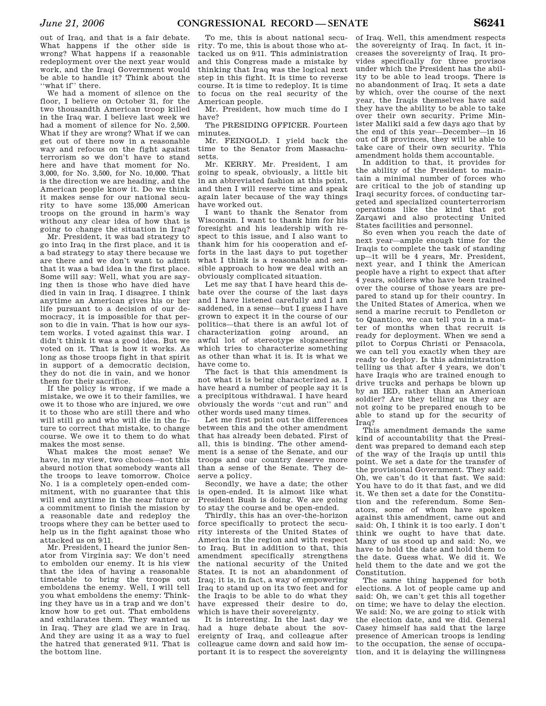out of Iraq, and that is a fair debate. What happens if the other side is wrong? What happens if a reasonable redeployment over the next year would work, and the Iraqi Government would be able to handle it? Think about the 'what if" there.

We had a moment of silence on the floor, I believe on October 31, for the two thousandth American troop killed in the Iraq war. I believe last week we had a moment of silence for No. 2,500. What if they are wrong? What if we can get out of there now in a reasonable way and refocus on the fight against terrorism so we don't have to stand here and have that moment for No. 3,000, for No. 3,500, for No. 10,000. That is the direction we are heading, and the American people know it. Do we think it makes sense for our national security to have some 135,000 American troops on the ground in harm's way without any clear idea of how that is going to change the situation in Iraq?

Mr. President, it was bad strategy to go into Iraq in the first place, and it is a bad strategy to stay there because we are there and we don't want to admit that it was a bad idea in the first place. Some will say: Well, what you are saying then is those who have died have died in vain in Iraq. I disagree. I think anytime an American gives his or her life pursuant to a decision of our democracy, it is impossible for that person to die in vain. That is how our system works. I voted against this war. I didn't think it was a good idea. But we voted on it. That is how it works. As long as those troops fight in that spirit in support of a democratic decision, they do not die in vain, and we honor them for their sacrifice.

If the policy is wrong, if we made a mistake, we owe it to their families, we owe it to those who are injured, we owe it to those who are still there and who will still go and who will die in the future to correct that mistake, to change course. We owe it to them to do what makes the most sense.

What makes the most sense? We have, in my view, two choices—not this absurd notion that somebody wants all the troops to leave tomorrow. Choice No. 1 is a completely open-ended commitment, with no guarantee that this will end anytime in the near future or a commitment to finish the mission by a reasonable date and redeploy the troops where they can be better used to help us in the fight against those who attacked us on 9/11.

Mr. President, I heard the junior Senator from Virginia say: We don't need to embolden our enemy. It is his view that the idea of having a reasonable timetable to bring the troops out emboldens the enemy. Well, I will tell you what emboldens the enemy: Thinking they have us in a trap and we don't know how to get out. That emboldens and exhilarates them. They wanted us in Iraq. They are glad we are in Iraq. And they are using it as a way to fuel the hatred that generated 9/11. That is the bottom line.

To me, this is about national security. To me, this is about those who attacked us on 9/11. This administration and this Congress made a mistake by thinking that Iraq was the logical next step in this fight. It is time to reverse course. It is time to redeploy. It is time to focus on the real security of the American people.

Mr. President, how much time do I have?

The PRESIDING OFFICER. Fourteen minutes.

Mr. FEINGOLD. I yield back the time to the Senator from Massachusetts.

Mr. KERRY. Mr. President, I am going to speak, obviously, a little bit in an abbreviated fashion at this point, and then I will reserve time and speak again later because of the way things have worked out.

I want to thank the Senator from Wisconsin. I want to thank him for his foresight and his leadership with respect to this issue, and I also want to thank him for his cooperation and efforts in the last days to put together what I think is a reasonable and sensible approach to how we deal with an obviously complicated situation.

Let me say that I have heard this debate over the course of the last days and I have listened carefully and I am saddened, in a sense—but I guess I have grown to expect it in the course of our politics—that there is an awful lot of characterization going around, an awful lot of stereotype sloganeering which tries to characterize something as other than what it is. It is what we have come to.

The fact is that this amendment is not what it is being characterized as. I have heard a number of people say it is a precipitous withdrawal. I have heard obviously the words ''cut and run'' and other words used many times.

Let me first point out the differences between this and the other amendment that has already been debated. First of all, this is binding. The other amendment is a sense of the Senate, and our troops and our country deserve more than a sense of the Senate. They deserve a policy.

Secondly, we have a date; the other is open-ended. It is almost like what President Bush is doing. We are going to stay the course and be open-ended.

Thirdly, this has an over-the-horizon force specifically to protect the security interests of the United States of America in the region and with respect to Iraq. But in addition to that, this amendment specifically strengthens the national security of the United States. It is not an abandonment of Iraq; it is, in fact, a way of empowering Iraq to stand up on its two feet and for the Iraqis to be able to do what they have expressed their desire to do, which is have their sovereignty.

It is interesting. In the last day we had a huge debate about the sovereignty of Iraq, and colleague after colleague came down and said how important it is to respect the sovereignty

of Iraq. Well, this amendment respects the sovereignty of Iraq. In fact, it increases the sovereignty of Iraq. It provides specifically for three provisos under which the President has the ability to be able to lead troops. There is no abandonment of Iraq. It sets a date by which, over the course of the next year, the Iraqis themselves have said they have the ability to be able to take over their own security. Prime Minister Maliki said a few days ago that by the end of this year—December—in 16 out of 18 provinces, they will be able to take care of their own security. This amendment holds them accountable.

In addition to that, it provides for the ability of the President to maintain a minimal number of forces who are critical to the job of standing up Iraqi security forces, of conducting targeted and specialized counterterrorism operations like the kind that got Zarqawi and also protecting United States facilities and personnel.

So even when you reach the date of next year—ample enough time for the Iraqis to complete the task of standing up—it will be 4 years, Mr. President, next year, and I think the American people have a right to expect that after 4 years, soldiers who have been trained over the course of those years are prepared to stand up for their country. In the United States of America, when we send a marine recruit to Pendleton or to Quantico, we can tell you in a matter of months when that recruit is ready for deployment. When we send a pilot to Corpus Christi or Pensacola, we can tell you exactly when they are ready to deploy. Is this administration telling us that after 4 years, we don't have Iraqis who are trained enough to drive trucks and perhaps be blown up by an IED, rather than an American soldier? Are they telling us they are not going to be prepared enough to be able to stand up for the security of Iraq?

This amendment demands the same kind of accountability that the President was prepared to demand each step of the way of the Iraqis up until this point. We set a date for the transfer of the provisional Government. They said: Oh, we can't do it that fast. We said: You have to do it that fast, and we did it. We then set a date for the Constitution and the referendum. Some Senators, some of whom have spoken against this amendment, came out and said: Oh, I think it is too early. I don't think we ought to have that date. Many of us stood up and said: No, we have to hold the date and hold them to the date. Guess what. We did it. We held them to the date and we got the Constitution.

The same thing happened for both elections. A lot of people came up and said: Oh, we can't get this all together on time; we have to delay the election. We said: No, we are going to stick with the election date, and we did. General Casey himself has said that the large presence of American troops is lending to the occupation, the sense of occupation, and it is delaying the willingness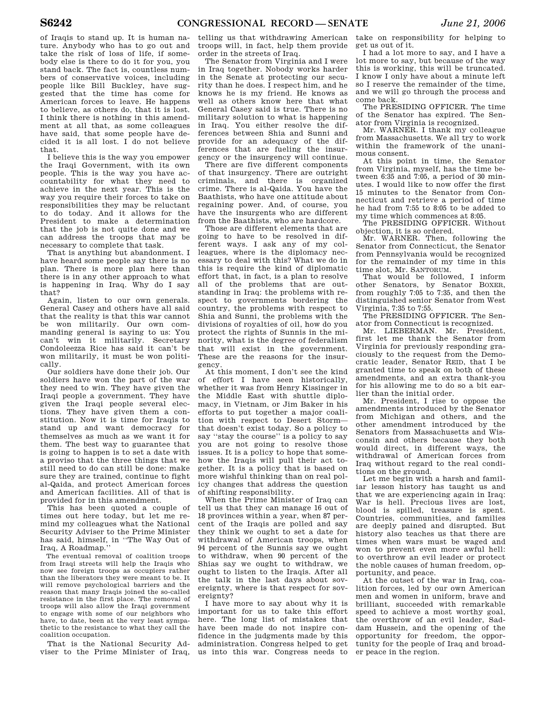of Iraqis to stand up. It is human nature. Anybody who has to go out and take the risk of loss of life, if somebody else is there to do it for you, you stand back. The fact is, countless numbers of conservative voices, including people like Bill Buckley, have suggested that the time has come for American forces to leave. He happens to believe, as others do, that it is lost. I think there is nothing in this amendment at all that, as some colleagues have said, that some people have decided it is all lost. I do not believe that.

I believe this is the way you empower the Iraqi Government, with its own people. This is the way you have accountability for what they need to achieve in the next year. This is the way you require their forces to take on responsibilities they may be reluctant to do today. And it allows for the President to make a determination that the job is not quite done and we can address the troops that may be necessary to complete that task.

That is anything but abandonment. I have heard some people say there is no plan. There is more plan here than there is in any other approach to what is happening in Iraq. Why do I say that?

Again, listen to our own generals. General Casey and others have all said that the reality is that this war cannot be won militarily. Our own commanding general is saying to us: You can't win it militarily. Secretary Condoleezza Rice has said it can't be won militarily, it must be won politically.

Our soldiers have done their job. Our soldiers have won the part of the war they need to win. They have given the Iraqi people a government. They have given the Iraqi people several elections. They have given them a constitution. Now it is time for Iraqis to stand up and want democracy for themselves as much as we want it for them. The best way to guarantee that is going to happen is to set a date with a proviso that the three things that we still need to do can still be done: make sure they are trained, continue to fight al-Qaida, and protect American forces and American facilities. All of that is provided for in this amendment.

This has been quoted a couple of times out here today, but let me remind my colleagues what the National Security Adviser to the Prime Minister has said, himself, in ''The Way Out of Iraq, A Roadmap.''

The eventual removal of coalition troops from Iraqi streets will help the Iraqis who now see foreign troops as occupiers rather than the liberators they were meant to be. It will remove psychological barriers and the reason that many Iraqis joined the so-called resistance in the first place. The removal of troops will also allow the Iraqi government to engage with some of our neighbors who have, to date, been at the very least sympathetic to the resistance to what they call the coalition occupation.

That is the National Security Adviser to the Prime Minister of Iraq,

telling us that withdrawing American troops will, in fact, help them provide order in the streets of Iraq.

The Senator from Virginia and I were in Iraq together. Nobody works harder in the Senate at protecting our security than he does. I respect him, and he knows he is my friend. He knows as well as others know here that what General Casey said is true. There is no military solution to what is happening in Iraq. You either resolve the differences between Shia and Sunni and provide for an adequacy of the differences that are fueling the insurgency or the insurgency will continue.

There are five different components of that insurgency. There are outright criminals, and there is organized crime. There is al-Qaida. You have the Baathists, who have one attitude about regaining power. And, of course, you have the insurgents who are different from the Baathists, who are hardcore.

Those are different elements that are going to have to be resolved in different ways. I ask any of my colleagues, where is the diplomacy necessary to deal with this? What we do in this is require the kind of diplomatic effort that, in fact, is a plan to resolve all of the problems that are outstanding in Iraq: the problems with respect to governments bordering the country, the problems with respect to Shia and Sunni, the problems with the divisions of royalties of oil, how do you protect the rights of Sunnis in the minority, what is the degree of federalism that will exist in the government. These are the reasons for the insurgency.

At this moment, I don't see the kind of effort I have seen historically, whether it was from Henry Kissinger in the Middle East with shuttle diplomacy, in Vietnam, or Jim Baker in his efforts to put together a major coalition with respect to Desert Storm that doesn't exist today. So a policy to say ''stay the course'' is a policy to say you are not going to resolve those issues. It is a policy to hope that somehow the Iraqis will pull their act together. It is a policy that is based on more wishful thinking than on real policy changes that address the question of shifting responsibility.

When the Prime Minister of Iraq can tell us that they can manage 16 out of 18 provinces within a year, when 87 percent of the Iraqis are polled and say they think we ought to set a date for withdrawal of American troops, when 94 percent of the Sunnis say we ought to withdraw, when 90 percent of the Shias say we ought to withdraw, we ought to listen to the Iraqis. After all the talk in the last days about sovereignty, where is that respect for sovereignty?

I have more to say about why it is important for us to take this effort here. The long list of mistakes that have been made do not inspire confidence in the judgments made by this administration. Congress helped to get us into this war. Congress needs to

take on responsibility for helping to get us out of it.

I had a lot more to say, and I have a lot more to say, but because of the way this is working, this will be truncated. I know I only have about a minute left so I reserve the remainder of the time, and we will go through the process and come back.

The PRESIDING OFFICER. The time of the Senator has expired. The Senator from Virginia is recognized.

Mr. WARNER. I thank my colleague from Massachusetts. We all try to work within the framework of the unanimous consent.

At this point in time, the Senator from Virginia, myself, has the time between 6:35 and 7:05, a period of 30 minutes. I would like to now offer the first 15 minutes to the Senator from Connecticut and retrieve a period of time he had from 7:55 to 8:05 to be added to my time which commences at 8:05.

The PRESIDING OFFICER. Without objection, it is so ordered.

Mr. WARNER. Then, following the Senator from Connecticut, the Senator from Pennsylvania would be recognized for the remainder of my time in this time slot, Mr. SANTORUM.

That would be followed, I inform other Senators, by Senator BOXER, from roughly 7:05 to 7:35, and then the distinguished senior Senator from West Virginia, 7:35 to 7:55.

The PRESIDING OFFICER. The Senator from Connecticut is recognized.

Mr. LIEBERMAN. Mr. President, first let me thank the Senator from Virginia for previously responding graciously to the request from the Democratic leader, Senator REID, that I be granted time to speak on both of these amendments, and an extra thank-you for his allowing me to do so a bit earlier than the initial order.

Mr. President, I rise to oppose the amendments introduced by the Senator from Michigan and others, and the other amendment introduced by the Senators from Massachusetts and Wisconsin and others because they both would direct, in different ways, the withdrawal of American forces from Iraq without regard to the real conditions on the ground.

Let me begin with a harsh and familiar lesson history has taught us and that we are experiencing again in Iraq: War is hell. Precious lives are lost, blood is spilled, treasure is spent. Countries, communities, and families are deeply pained and disrupted. But history also teaches us that there are times when wars must be waged and won to prevent even more awful hell: to overthrow an evil leader or protect the noble causes of human freedom, opportunity, and peace.

At the outset of the war in Iraq, coalition forces, led by our own American men and women in uniform, brave and brilliant, succeeded with remarkable speed to achieve a most worthy goal, the overthrow of an evil leader, Saddam Hussein, and the opening of the opportunity for freedom, the opportunity for the people of Iraq and broader peace in the region.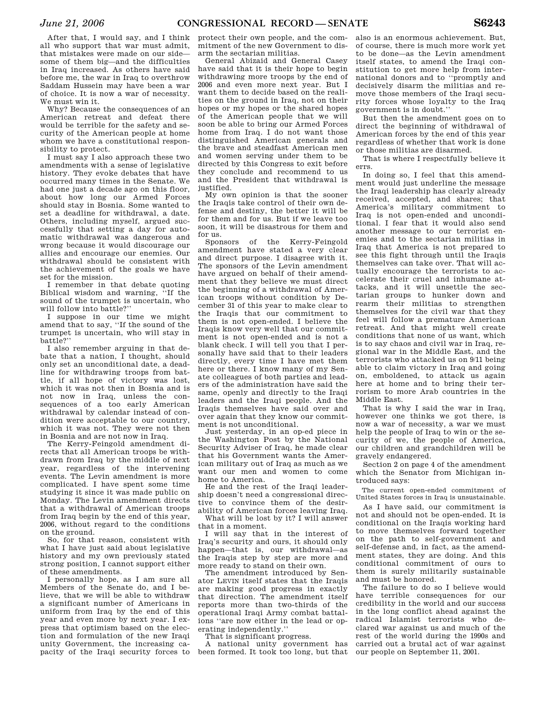After that, I would say, and I think all who support that war must admit, that mistakes were made on our side some of them big—and the difficulties in Iraq increased. As others have said before me, the war in Iraq to overthrow Saddam Hussein may have been a war of choice. It is now a war of necessity. We must win it.

Why? Because the consequences of an American retreat and defeat there would be terrible for the safety and security of the American people at home whom we have a constitutional responsibility to protect.

I must say I also approach these two amendments with a sense of legislative history. They evoke debates that have occurred many times in the Senate. We had one just a decade ago on this floor, about how long our Armed Forces should stay in Bosnia. Some wanted to set a deadline for withdrawal, a date. Others, including myself, argued successfully that setting a day for automatic withdrawal was dangerous and wrong because it would discourage our allies and encourage our enemies. Our withdrawal should be consistent with the achievement of the goals we have set for the mission.

I remember in that debate quoting Biblical wisdom and warning, ''If the sound of the trumpet is uncertain, who will follow into battle?''

I suppose in our time we might amend that to say, ''If the sound of the trumpet is uncertain, who will stay in battle?''

I also remember arguing in that debate that a nation, I thought, should only set an unconditional date, a deadline for withdrawing troops from battle, if all hope of victory was lost, which it was not then in Bosnia and is not now in Iraq, unless the consequences of a too early American withdrawal by calendar instead of condition were acceptable to our country, which it was not. They were not then in Bosnia and are not now in Iraq.

The Kerry-Feingold amendment directs that all American troops be withdrawn from Iraq by the middle of next year, regardless of the intervening events. The Levin amendment is more complicated. I have spent some time studying it since it was made public on Monday. The Levin amendment directs that a withdrawal of American troops from Iraq begin by the end of this year, 2006, without regard to the conditions on the ground.

So, for that reason, consistent with what I have just said about legislative history and my own previously stated strong position, I cannot support either of these amendments.

I personally hope, as I am sure all Members of the Senate do, and I believe, that we will be able to withdraw a significant number of Americans in uniform from Iraq by the end of this year and even more by next year. I express that optimism based on the election and formulation of the new Iraqi unity Government, the increasing capacity of the Iraqi security forces to

protect their own people, and the commitment of the new Government to disarm the sectarian militias.

General Abizaid and General Casey have said that it is their hope to begin withdrawing more troops by the end of 2006 and even more next year. But I want them to decide based on the realities on the ground in Iraq, not on their hopes or my hopes or the shared hopes of the American people that we will soon be able to bring our Armed Forces home from Iraq. I do not want those distinguished American generals and the brave and steadfast American men and women serving under them to be directed by this Congress to exit before they conclude and recommend to us and the President that withdrawal is justified.

My own opinion is that the sooner the Iraqis take control of their own defense and destiny, the better it will be for them and for us. But if we leave too soon, it will be disastrous for them and for us.

Sponsors of the Kerry-Feingold amendment have stated a very clear and direct purpose. I disagree with it. The sponsors of the Levin amendment have argued on behalf of their amendment that they believe we must direct the beginning of a withdrawal of American troops without condition by December 31 of this year to make clear to the Iraqis that our commitment to them is not open-ended. I believe the Iraqis know very well that our commitment is not open-ended and is not a blank check. I will tell you that I personally have said that to their leaders directly, every time I have met them here or there. I know many of my Senate colleagues of both parties and leaders of the administration have said the same, openly and directly to the Iraqi leaders and the Iraqi people. And the Iraqis themselves have said over and over again that they know our commitment is not unconditional.

Just yesterday, in an op-ed piece in the Washington Post by the National Security Adviser of Iraq, he made clear that his Government wants the American military out of Iraq as much as we want our men and women to come home to America.

He and the rest of the Iraqi leadership doesn't need a congressional directive to convince them of the desirability of American forces leaving Iraq.

What will be lost by it? I will answer that in a moment.

I will say that in the interest of Iraq's security and ours, it should only happen—that is, our withdrawal—as the Iraqis step by step are more and more ready to stand on their own.

The amendment introduced by Senator LEVIN itself states that the Iraqis are making good progress in exactly that direction. The amendment itself reports more than two-thirds of the operational Iraqi Army combat battalions ''are now either in the lead or operating independently.''

That is significant progress.

A national unity government has been formed. It took too long, but that

also is an enormous achievement. But, of course, there is much more work yet to be done—as the Levin amendment itself states, to amend the Iraqi constitution to get more help from international donors and to ''promptly and decisively disarm the militias and remove those members of the Iraqi security forces whose loyalty to the Iraq government is in doubt.''

But then the amendment goes on to direct the beginning of withdrawal of American forces by the end of this year regardless of whether that work is done or those militias are disarmed.

That is where I respectfully believe it errs.

In doing so, I feel that this amendment would just underline the message the Iraqi leadership has clearly already received, accepted, and shares; that America's military commitment to Iraq is not open-ended and unconditional. I fear that it would also send another message to our terrorist enemies and to the sectarian militias in Iraq that America is not prepared to see this fight through until the Iraqis themselves can take over. That will actually encourage the terrorists to accelerate their cruel and inhumane attacks, and it will unsettle the sectarian groups to hunker down and rearm their militias to strengthen themselves for the civil war that they feel will follow a premature American retreat. And that might well create conditions that none of us want, which is to say chaos and civil war in Iraq, regional war in the Middle East, and the terrorists who attacked us on 9/11 being able to claim victory in Iraq and going on, emboldened, to attack us again here at home and to bring their terrorism to more Arab countries in the Middle East.

That is why I said the war in Iraq, however one thinks we got there, is now a war of necessity, a war we must help the people of Iraq to win or the security of we, the people of America, our children and grandchildren will be gravely endangered.

Section 2 on page 4 of the amendment which the Senator from Michigan introduced says:

The current open-ended commitment of United States forces in Iraq is unsustainable.

As I have said, our commitment is not and should not be open-ended. It is conditional on the Iraqis working hard to move themselves forward together on the path to self-government and self-defense and, in fact, as the amendment states, they are doing. And this conditional commitment of ours to them is surely militarily sustainable and must be honored.

The failure to do so I believe would have terrible consequences for our credibility in the world and our success in the long conflict ahead against the radical Islamist terrorists who declared war against us and much of the rest of the world during the 1990s and carried out a brutal act of war against our people on September 11, 2001.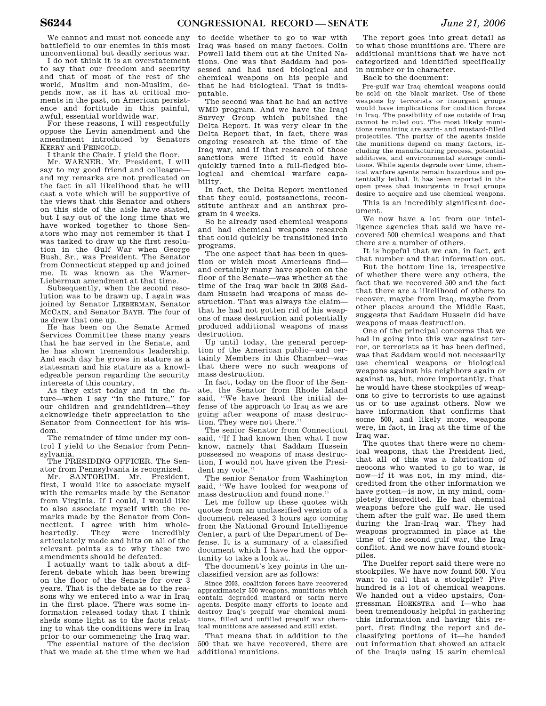We cannot and must not concede any battlefield to our enemies in this most unconventional but deadly serious war.

I do not think it is an overstatement to say that our freedom and security and that of most of the rest of the world, Muslim and non-Muslim, depends now, as it has at critical moments in the past, on American persistence and fortitude in this painful, awful, essential worldwide war.

For these reasons, I will respectfully oppose the Levin amendment and the amendment introduced by Senators KERRY and FEINGOLD.

I thank the Chair. I yield the floor.

Mr. WARNER. Mr. President, I will say to my good friend and colleague and my remarks are not predicated on the fact in all likelihood that he will cast a vote which will be supportive of the views that this Senator and others on this side of the aisle have stated, but I say out of the long time that we have worked together to those Senators who may not remember it that I was tasked to draw up the first resolution in the Gulf War when George Bush, Sr., was President. The Senator from Connecticut stepped up and joined me. It was known as the Warner-Lieberman amendment at that time.

Subsequently, when the second resolution was to be drawn up, I again was joined by Senator LIEBERMAN, Senator MCCAIN, and Senator BAYH. The four of us drew that one up.

He has been on the Senate Armed Services Committee these many years that he has served in the Senate, and he has shown tremendous leadership. And each day he grows in stature as a statesman and his stature as a knowledgeable person regarding the security interests of this country.

As they exist today and in the future—when I say ''in the future,'' for our children and grandchildren—they acknowledge their appreciation to the Senator from Connecticut for his wisdom.

The remainder of time under my control I yield to the Senator from Pennsylvania.

The PRESIDING OFFICER. The Senator from Pennsylvania is recognized.

Mr. SANTORUM. Mr. President, first, I would like to associate myself with the remarks made by the Senator from Virginia. If I could, I would like to also associate myself with the remarks made by the Senator from Connecticut. I agree with him wholeheartedly. They were incredibly articulately made and hits on all of the relevant points as to why these two amendments should be defeated.

I actually want to talk about a different debate which has been brewing on the floor of the Senate for over 3 years. That is the debate as to the reasons why we entered into a war in Iraq in the first place. There was some information released today that I think sheds some light as to the facts relating to what the conditions were in Iraq prior to our commencing the Iraq war.

The essential nature of the decision that we made at the time when we had

to decide whether to go to war with Iraq was based on many factors. Colin Powell laid them out at the United Nations. One was that Saddam had possessed and had used biological and chemical weapons on his people and that he had biological. That is indisputable.

The second was that he had an active WMD program. And we have the Iraqi Survey Group which published the Delta Report. It was very clear in the Delta Report that, in fact, there was ongoing research at the time of the Iraq war, and if that research of those sanctions were lifted it could have quickly turned into a full-fledged biological and chemical warfare capability.

In fact, the Delta Report mentioned that they could, postsanctions, reconstitute anthrax and an anthrax program in 4 weeks.

So he already used chemical weapons and had chemical weapons research that could quickly be transitioned into programs.

The one aspect that has been in question or which most Americans find and certainly many have spoken on the floor of the Senate—was whether at the time of the Iraq war back in 2003 Saddam Hussein had weapons of mass destruction. That was always the claim that he had not gotten rid of his weapons of mass destruction and potentially produced additional weapons of mass destruction.

Up until today, the general perception of the American public—and certainly Members in this Chamber—was that there were no such weapons of mass destruction.

In fact, today on the floor of the Senate, the Senator from Rhode Island said, ''We have heard the initial defense of the approach to Iraq as we are going after weapons of mass destruction. They were not there.''

The senior Senator from Connecticut said, ''If I had known then what I now know, namely that Saddam Hussein possessed no weapons of mass destruction, I would not have given the President my vote.''

The senior Senator from Washington said, ''We have looked for weapons of mass destruction and found none.''

Let me follow up these quotes with quotes from an unclassified version of a document released 3 hours ago coming from the National Ground Intelligence Center, a part of the Department of Defense. It is a summary of a classified document which I have had the opportunity to take a look at.

The document's key points in the unclassified version are as follows:

Since 2003, coalition forces have recovered approximately 500 weapons, munitions which contain degraded mustard or sarin nerve agents. Despite many efforts to locate and destroy Iraq's pregulf war chemical munitions, filled and unfilled pregulf war chemical munitions are assessed and still exist.

That means that in addition to the 500 that we have recovered, there are additional munitions.

The report goes into great detail as to what those munitions are. There are additional munitions that we have not categorized and identified specifically in number or in character.

Back to the document:

Pre-gulf war Iraq chemical weapons could be sold on the black market. Use of these weapons by terrorists or insurgent groups would have implications for coalition forces in Iraq. The possibility of use outside of Iraq cannot be ruled out. The most likely munitions remaining are sarin- and mustard-filled projectiles. The purity of the agents inside the munitions depend on many factors, including the manufacturing process, potential additives, and environmental storage conditions. While agents degrade over time, chemical warfare agents remain hazardous and potentially lethal. It has been reported in the open press that insurgents in Iraqi groups desire to acquire and use chemical weapons.

This is an incredibly significant document.

We now have a lot from our intelligence agencies that said we have recovered 500 chemical weapons and that there are a number of others.

It is hopeful that we can, in fact, get that number and that information out.

But the bottom line is, irrespective of whether there were any others, the fact that we recovered 500 and the fact that there are a likelihood of others to recover, maybe from Iraq, maybe from other places around the Middle East, suggests that Saddam Hussein did have weapons of mass destruction.

One of the principal concerns that we had in going into this war against terror, or terrorists as it has been defined, was that Saddam would not necessarily use chemical weapons or biological weapons against his neighbors again or against us, but, more importantly, that he would have these stockpiles of weapons to give to terrorists to use against us or to use against others. Now we have information that confirms that some 500, and likely more, weapons were, in fact, in Iraq at the time of the Iraq war.

The quotes that there were no chemical weapons, that the President lied, that all of this was a fabrication of neocons who wanted to go to war, is now—if it was not, in my mind, discredited from the other information we have gotten—is now, in my mind, completely discredited. He had chemical weapons before the gulf war. He used them after the gulf war. He used them during the Iran-Iraq war. They had weapons programmed in place at the time of the second gulf war, the Iraq conflict. And we now have found stockpiles.

The Duelfer report said there were no stockpiles. We have now found 500. You want to call that a stockpile? Five hundred is a lot of chemical weapons. We handed out a video upstairs, Congressman HOEKSTRA and I—who has been tremendously helpful in gathering this information and having this report, first finding the report and declassifying portions of it—he handed out information that showed an attack of the Iraqis using 15 sarin chemical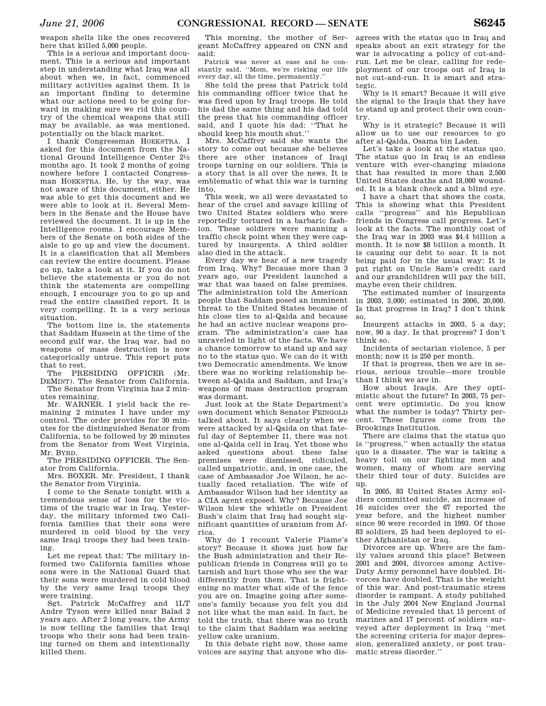weapon shells like the ones recovered here that killed 5,000 people.

This is a serious and important document. This is a serious and important step in understanding what Iraq was all about when we, in fact, commenced military activities against them. It is an important finding to determine what our actions need to be going forward in making sure we rid this country of the chemical weapons that still may be available, as was mentioned, potentially on the black market.

I thank Congressman HOEKSTRA. asked for this document from the National Ground Intelligence Center 21⁄2 months ago. It took 2 months of going nowhere before I contacted Congressman HOEKSTRA. He, by the way, was not aware of this document, either. He was able to get this document and we were able to look at it. Several Members in the Senate and the House have reviewed the document. It is up in the Intelligence rooms. I encourage Members of the Senate on both sides of the aisle to go up and view the document. It is a classification that all Members can review the entire document. Please go up, take a look at it. If you do not believe the statements or you do not think the statements are compelling enough, I encourage you to go up and read the entire classified report. It is very compelling. It is a very serious situation.

The bottom line is, the statements that Saddam Hussein at the time of the second gulf war, the Iraq war, had no weapons of mass destruction is now categorically untrue. This report puts that to rest.

The PRESIDING OFFICER (Mr. DEMINT). The Senator from California. The Senator from Virginia has 2 min-

utes remaining.

Mr. WARNER. I yield back the remaining 2 minutes I have under my control. The order provides for 30 minutes for the distinguished Senator from California, to be followed by 20 minutes from the Senator from West Virginia, Mr. BYRD.

The PRESIDING OFFICER. The Senator from California.

Mrs. BOXER. Mr. President, I thank the Senator from Virginia.

I come to the Senate tonight with a tremendous sense of loss for the victims of the tragic war in Iraq. Yesterday, the military informed two California families that their sons were murdered in cold blood by the very same Iraqi troops they had been training.

Let me repeat that: The military informed two California families whose sons were in the National Guard that their sons were murdered in cold blood by the very same Iraqi troops they were training.

Sgt. Patrick McCaffrey and 1LT Andre Tyson were killed near Balad 2 years ago. After 2 long years, the Army is now telling the families that Iraqi troops who their sons had been training turned on them and intentionally killed them.

This morning, the mother of Sergeant McCaffrey appeared on CNN and said:

Patrick was never at ease and he constantly said, ''Mom, we're risking our life every day, all the time, permanently.''

She told the press that Patrick told his commanding officer twice that he was fired upon by Iraqi troops. He told his dad the same thing and his dad told the press that his commanding officer said, and I quote his dad: ''That he should keep his mouth shut.''

Mrs. McCaffrey said she wants the story to come out because she believes there are other instances of Iraqi troops turning on our soldiers. This is a story that is all over the news. It is emblematic of what this war is turning into.

This week, we all were devastated to hear of the cruel and savage killing of two United States soldiers who were reportedly tortured in a barbaric fashion. These soldiers were manning a traffic check point when they were captured by insurgents. A third soldier also died in the attack.

Every day we hear of a new tragedy from Iraq. Why? Because more than 3 years ago, our President launched a war that was based on false premises. The administration told the American people that Saddam posed an imminent threat to the United States because of his close ties to al-Qaida and because he had an active nuclear weapons program. The administration's case has unraveled in light of the facts. We have a chance tomorrow to stand up and say no to the status quo. We can do it with two Democratic amendments. We know there was no working relationship between al-Qaida and Saddam, and Iraq's weapons of mass destruction program was dormant.

Just look at the State Department's own document which Senator FEINGOLD talked about. It says clearly when we were attacked by al-Qaida on that fateful day of September 11, there was not one al-Qaida cell in Iraq. Yet those who asked questions about these false premises were dismissed, ridiculed, called unpatriotic, and, in one case, the case of Ambassador Joe Wilson, he actually faced retaliation. The wife of Ambassador Wilson had her identity as a CIA agent exposed. Why? Because Joe Wilson blew the whistle on President Bush's claim that Iraq had sought significant quantities of uranium from Africa.

Why do I recount Valerie Plame's story? Because it shows just how far the Bush administration and their Republican friends in Congress will go to tarnish and hurt those who see the war differently from them. That is frightening no matter what side of the fence you are on. Imagine going after someone's family because you felt you did not like what the man said. In fact, he told the truth, that there was no truth to the claim that Saddam was seeking yellow cake uranium.

In this debate right now, those same voices are saying that anyone who disagrees with the status quo in Iraq and speaks about an exit strategy for the war is advocating a policy of cut-andrun. Let me be clear, calling for redeployment of our troops out of Iraq is not cut-and-run. It is smart and strategic.

Why is it smart? Because it will give the signal to the Iraqis that they have to stand up and protect their own country.

Why is it strategic? Because it will allow us to use our resources to go after al-Qaida, Osama bin Laden.

Let's take a look at the status quo. The status quo in Iraq is an endless venture with ever-changing missions that has resulted in more than 2,500 United States deaths and 18,000 wounded. It is a blank check and a blind eye.

I have a chart that shows the costs. This is showing what this President calls ''progress'' and his Republican friends in Congress call progress. Let's look at the facts. The monthly cost of the Iraq war in 2003 was \$4.4 billion a month. It is now \$8 billion a month. It is causing our debt to soar. It is not being paid for in the usual way: It is put right on Uncle Sam's credit card and our grandchildren will pay the bill, maybe even their children.

The estimated number of insurgents in 2003, 3,000; estimated in 2006, 20,000. Is that progress in Iraq? I don't think so.

Insurgent attacks in 2003, 5 a day; now, 90 a day. Is that progress? I don't think so.

Incidents of sectarian violence, 5 per month; now it is 250 per month.

If that is progress, then we are in serious, serious trouble—more trouble than I think we are in.

How about Iraqis. Are they optimistic about the future? In 2003, 75 percent were optimistic. Do you know what the number is today? Thirty percent. These figures come from the Brookings Institution.

There are claims that the status quo is ''progress,'' when actually the status quo is a disaster. The war is taking a heavy toll on our fighting men and women, many of whom are serving their third tour of duty. Suicides are up.

In 2005, 83 United States Army soldiers committed suicide, an increase of 16 suicides over the 67 reported the year before, and the highest number since 90 were recorded in 1993. Of those 83 soldiers, 25 had been deployed to either Afghanistan or Iraq.

Divorces are up. Where are the family values around this place? Between 2001 and 2004, divorces among Active-Duty Army personnel have doubled. Divorces have doubled. That is the weight of this war. And post-traumatic stress disorder is rampant. A study published in the July 2004 New England Journal of Medicine revealed that 15 percent of marines and 17 percent of soldiers surveyed after deployment in Iraq ''met the screening criteria for major depression, generalized anxiety, or post traumatic stress disorder.''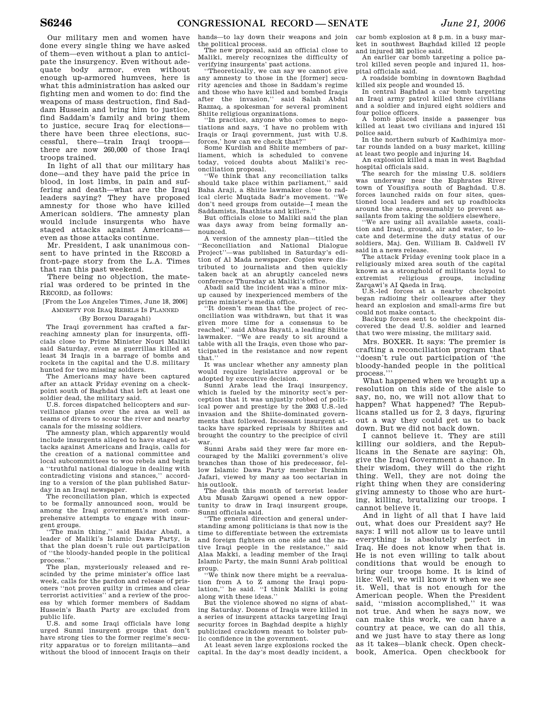Our military men and women have done every single thing we have asked of them—even without a plan to anticipate the insurgency. Even without adequate body armor, even without enough up-armored humvees, here is what this administration has asked our fighting men and women to do: find the weapons of mass destruction, find Saddam Hussein and bring him to justice, find Saddam's family and bring them to justice, secure Iraq for elections there have been three elections, successful, there—train Iraqi troops there are now 260,000 of those Iraqi troops trained.

In light of all that our military has done—and they have paid the price in blood, in lost limbs, in pain and suffering and death—what are the Iraqi leaders saying? They have proposed amnesty for those who have killed American soldiers. The amnesty plan would include insurgents who have staged attacks against Americans even as those attacks continue.

Mr. President, I ask unanimous consent to have printed in the RECORD a front-page story from the L.A. Times that ran this past weekend.

There being no objection, the material was ordered to be printed in the RECORD, as follows:

[From the Los Angeles Times, June 18, 2006] AMNESTY FOR IRAQ REBELS IS PLANNED

## (By Borzou Daragahi)

The Iraqi government has crafted a farreaching amnesty plan for insurgents, officials close to Prime Minister Nouri Maliki said Saturday, even as guerrillas killed at least 34 Iraqis in a barrage of bombs and rockets in the capital and the U.S. military hunted for two missing soldiers.

The Americans may have been captured after an attack Friday evening on a checkpoint south of Baghdad that left at least one soldier dead, the military said.

U.S. forces dispatched helicopters and surveillance planes over the area as well as teams of divers to scour the river and nearby canals for the missing soldiers.

The amnesty plan, which apparently would include insurgents alleged to have staged attacks against Americans and Iraqis, calls for the creation of a national committee and local subcommittees to woo rebels and begin a ''truthful national dialogue in dealing with contradicting visions and stances,'' according to a version of the plan published Saturday in an Iraqi newspaper.

The reconciliation plan, which is expected to be formally announced soon, would be among the Iraqi government's most comprehensive attempts to engage with insurgent groups.

''The main thing,'' said Haidar Abadi, a leader of Maliki's Islamic Dawa Party, is that the plan doesn't rule out participation of ''the bloody-handed people in the political process.

The plan, mysteriously released and rescinded by the prime minister's office last week, calls for the pardon and release of prisoners ''not proven guilty in crimes and clear terrorist activities'' and a review of the process by which former members of Saddam Hussein's Baath Party are excluded from public life.

U.S. and some Iraqi officials have long urged Sunni insurgent groups that don't have strong ties to the former regime's security apparatus or to foreign militants—and without the blood of innocent Iraqis on their hands—to lay down their weapons and join the political process.

The new proposal, said an official close to Maliki, merely recognizes the difficulty of verifying insurgents' past actions.

Theoretically, we can say we cannot give any amnesty to those in the [former] security agencies and those in Saddam's regime and those who have killed and bombed Iraqis after the invasion,'' said Salah Abdul Razzaq, a spokesman for several prominent Shiite religious organizations.

''In practice, anyone who comes to negotiations and says, 'I have no problem with Iraqis or Iraqi government, just with U.S. forces,' how can we check that?''

Some Kurdish and Shiite members of parliament, which is scheduled to convene today, voiced doubts about Maliki's reconciliation proposal.

''We think that any reconciliation talks should take place within parliament,'' said Baha Araji, a Shiite lawmaker close to radical cleric Muqtada Sadr's movement. ''We don't need groups from outside—I mean the Saddamists, Baathists and killers.''

But officials close to Maliki said the plan was days away from being formally announced.

A version of the amnesty plan—titled the 'Reconciliation and National Dialogue Project''—was published in Saturday's edition of Al Mada newspaper. Copies were distributed to journalists and then quickly taken back at an abruptly canceled news conference Thursday at Maliki's office.

Abadi said the incident was a minor mixup caused by inexperienced members of the prime minister's media office.

''It doesn't mean that the project of reconciliation was withdrawn, but that it was given more time for a consensus to be reached,'' said Abbas Bayati, a leading Shiite lawmaker. ''We are ready to sit around a table with all the Iraqis, even those who participated in the resistance and now repent that.''

It was unclear whether any amnesty plan would require legislative approval or be adopted by executive decision.

Sunni Arabs lead the Iraqi insurgency, which is fueled by the minority sect's perception that it was unjustly robbed of political power and prestige by the 2003 U.S.-led invasion and the Shiite-dominated governments that followed. Incessant insurgent attacks have sparked reprisals by Shiites and brought the country to the precipice of civil war.

Sunni Arabs said they were far more encouraged by the Maliki government's olive branches than those of his predecessor, fellow Islamic Dawa Party member Ibrahim Jafari, viewed by many as too sectarian in his outlook.

The death this month of terrorist leader Abu Musab Zarqawi opened a new opportunity to draw in Iraqi insurgent groups, Sunni officials said.

''The general direction and general understanding among politicians is that now is the time to differentiate between the extremists and foreign fighters on one side and the native Iraqi people in the resistance,'' said Alaa Makki, a leading member of the Iraqi Islamic Party, the main Sunni Arab political group.

''We think now there might be a reevaluation from A to Z among the Iraqi population,'' he said. ''I think Maliki is going along with these ideas.''

But the violence showed no signs of abating Saturday. Dozens of Iraqis were killed in a series of insurgent attacks targeting Iraqi security forces in Baghdad despite a highly publicized crackdown meant to bolster public confidence in the government.

At least seven large explosions rocked the capital. In the day's most deadly incident, a car bomb explosion at 8 p.m. in a busy market in southwest Baghdad killed 12 people and injured 381 police said.

An earlier car bomb targeting a police patrol killed seven people and injured 11, hospital officials said.

A roadside bombing in downtown Baghdad killed six people and wounded 15.

In central Baghdad a car bomb targeting an Iraqi army patrol killed three civilians and a soldier and injured eight soldiers and four police officers. A bomb placed inside a passenger bus

killed at least two civilians and injured 151 police said.

In the northern suburb of Kadhimiya mortar rounds landed on a busy market, killing at least two people and injuring 14.

An explosion killed a man in west Baghdad hospital officials said.

The search for the missing U.S. soldiers was underway near the Euphrates River town of Yousifiya south of Baghdad. U.S. forces launched raids on four sites, questioned local leaders and set up roadblocks around the area, presumably to prevent assailants from taking the soldiers elsewhere.

''We are using all available assets, coalition and Iraqi, ground, air and water, to locate and determine the duty status of our soldiers, Mai. Gen. William B. Caldwell IV said in a news release.

The attack Friday evening took place in a religiously mixed area south of the capital known as a stronghold of militants loyal to religious Zarqawi's AI Qaeda in Iraq.

U.S.-led forces at a nearby checkpoint began radioing their colleagues after they heard an explosion and small-arms fire but could not make contact.

Backup forces sent to the checkpoint discovered the dead U.S. soldier and learned that two were missing, the military said.

Mrs. BOXER. It says: The premier is crafting a reconciliation program that ''doesn't rule out participation of 'the bloody-handed people in the political process.'''

What happened when we brought up a resolution on this side of the aisle to say, no, no, we will not allow that to happen? What happened? The Republicans stalled us for 2, 3 days, figuring out a way they could get us to back down. But we did not back down.

I cannot believe it. They are still killing our soldiers, and the Republicans in the Senate are saying: Oh, give the Iraqi Government a chance. In their wisdom, they will do the right thing. Well, they are not doing the right thing when they are considering giving amnesty to those who are hurting, killing, brutalizing our troops. I cannot believe it.

And in light of all that I have laid out, what does our President say? He says: I will not allow us to leave until everything is absolutely perfect in Iraq. He does not know when that is. He is not even willing to talk about conditions that would be enough to bring our troops home. It is kind of like: Well, we will know it when we see it. Well, that is not enough for the American people. When the President said, ''mission accomplished,'' it was not true. And when he says now, we can make this work, we can have a country at peace, we can do all this, and we just have to stay there as long as it takes—blank check. Open checkbook, America. Open checkbook for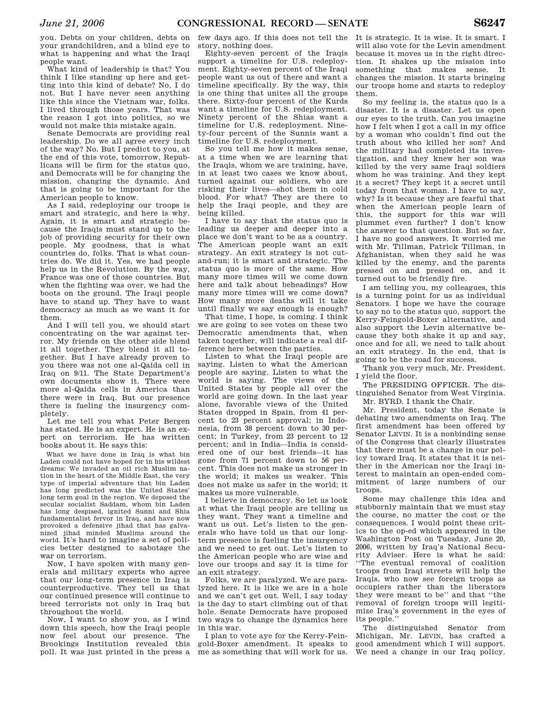you. Debts on your children, debts on your grandchildren, and a blind eye to what is happening and what the Iraqi people want.

What kind of leadership is that? You think I like standing up here and getting into this kind of debate? No, I do not. But I have never seen anything like this since the Vietnam war, folks. I lived through those years. That was the reason I got into politics, so we would not make this mistake again.

Senate Democrats are providing real leadership. Do we all agree every inch of the way? No. But I predict to you, at the end of this vote, tomorrow, Republicans will be firm for the status quo, and Democrats will be for changing the mission, changing the dynamic. And that is going to be important for the American people to know.

As I said, redeploying our troops is smart and strategic, and here is why. Again, it is smart and strategic because the Iraqis must stand up to the job of providing security for their own people. My goodness, that is what countries do, folks. That is what countries do. We did it. Yes, we had people help us in the Revolution. By the way, France was one of those countries. But when the fighting was over, we had the boots on the ground. The Iraqi people have to stand up. They have to want democracy as much as we want it for them.

And I will tell you, we should start concentrating on the war against terror. My friends on the other side blend it all together. They blend it all together. But I have already proven to you there was not one al-Qaida cell in Iraq on 9/11. The State Department's own documents show it. There were more al-Qaida cells in America than there were in Iraq. But our presence there is fueling the insurgency completely.

Let me tell you what Peter Bergen has stated. He is an expert. He is an expert on terrorism. He has written books about it. He says this:

What we have done in Iraq is what bin Laden could not have hoped for in his wildest dreams: We invaded an oil rich Muslim nation in the heart of the Middle East, the very type of imperial adventure that bin Laden has long predicted was the United States' long term goal in the region. We deposed the secular socialist Saddam, whom bin Laden has long despised, ignited Sunni and Shia fundamentalist fervor in Iraq, and have now provoked a defensive jihad that has galvanized jihad minded Muslims around the world. It's hard to imagine a set of policies better designed to sabotage the war on terrorism.

Now, I have spoken with many generals and military experts who agree that our long-term presence in Iraq is counterproductive. They tell us that our continued presence will continue to breed terrorists not only in Iraq but throughout the world.

Now, I want to show you, as I wind down this speech, how the Iraqi people now feel about our presence. The Brookings Institution revealed this poll. It was just printed in the press a

few days ago. If this does not tell the story, nothing does.

Eighty-seven percent of the Iraqis support a timeline for U.S. redeployment. Eighty-seven percent of the Iraqi people want us out of there and want a timeline specifically. By the way, this is one thing that unites all the groups there. Sixty-four percent of the Kurds want a timeline for U.S. redeployment. Ninety percent of the Shias want a timeline for U.S. redeployment. Ninety-four percent of the Sunnis want a timeline for U.S. redeployment.

So you tell me how it makes sense, at a time when we are learning that the Iraqis, whom we are training, have, in at least two cases we know about, turned against our soldiers, who are risking their lives—shot them in cold blood. For what? They are there to help the Iraqi people, and they are being killed.

I have to say that the status quo is leading us deeper and deeper into a place we don't want to be as a country. The American people want an exit strategy. An exit strategy is not cutand-run; it is smart and strategic. The status quo is more of the same. How many more times will we come down here and talk about beheadings? How many more times will we come down? How many more deaths will it take until finally we say enough is enough?

That time, I hope, is coming. I think we are going to see votes on these two Democratic amendments that, when taken together, will indicate a real difference here between the parties.

Listen to what the Iraqi people are saying. Listen to what the American people are saying. Listen to what the world is saying. The views of the United States by people all over the world are going down. In the last year alone, favorable views of the United States dropped in Spain, from 41 percent to 23 percent approval; in Indonesia, from 38 percent down to 30 percent; in Turkey, from 23 percent to 12 percent; and in India—India is considered one of our best friends—it has gone from 71 percent down to 56 percent. This does not make us stronger in the world; it makes us weaker. This does not make us safer in the world; it makes us more vulnerable.

I believe in democracy. So let us look at what the Iraqi people are telling us they want. They want a timeline and want us out. Let's listen to the generals who have told us that our longterm presence is fueling the insurgency and we need to get out. Let's listen to the American people who are wise and love our troops and say it is time for an exit strategy.

Folks, we are paralyzed. We are paralyzed here. It is like we are in a hole and we can't get out. Well, I say today is the day to start climbing out of that hole. Senate Democrats have proposed two ways to change the dynamics here in this war.

I plan to vote aye for the Kerry-Feingold-Boxer amendment. It speaks to me as something that will work for us. It is strategic. It is wise. It is smart. I will also vote for the Levin amendment because it moves us in the right direction. It shakes up the mission into something that makes sense. It changes the mission. It starts bringing our troops home and starts to redeploy them.

So my feeling is, the status quo is a disaster. It is a disaster. Let us open our eyes to the truth. Can you imagine how I felt when I got a call in my office by a woman who couldn't find out the truth about who killed her son? And the military had completed its investigation, and they knew her son was killed by the very same Iraqi soldiers whom he was training. And they kept it a secret? They kept it a secret until today from that woman. I have to say, why? Is it because they are fearful that when the American people learn of this, the support for this war will plummet even further? I don't know the answer to that question. But so far, I have no good answers. It worried me with Mr. Tillman, Patrick Tillman, in Afghanistan, when they said he was killed by the enemy, and the parents pressed on and pressed on, and it turned out to be friendly fire.

I am telling you, my colleagues, this is a turning point for us as individual Senators. I hope we have the courage to say no to the status quo, support the Kerry-Feingold-Boxer alternative, and also support the Levin alternative because they both shake it up and say, once and for all, we need to talk about an exit strategy. In the end, that is going to be the road for success.

Thank you very much, Mr. President. I yield the floor.

The PRESIDING OFFICER. The distinguished Senator from West Virginia. Mr. BYRD. I thank the Chair.

Mr. President, today the Senate is debating two amendments on Iraq. The first amendment has been offered by Senator LEVIN. It is a nonbinding sense of the Congress that clearly illustrates that there must be a change in our policy toward Iraq. It states that it is neither in the American nor the Iraqi interest to maintain an open-ended commitment of large numbers of our troops.

Some may challenge this idea and stubbornly maintain that we must stay the course, no matter the cost or the consequences. I would point these critics to the op-ed which appeared in the Washington Post on Tuesday, June 20, 2006, written by Iraq's National Security Adviser. Here is what he said: ''The eventual removal of coalition troops from Iraqi streets will help the Iraqis, who now see foreign troops as occupiers rather than the liberators they were meant to be'' and that ''the removal of foreign troops will legitimize Iraq's government in the eyes of its people.''

The distinguished Senator from Michigan, Mr. LEVIN, has crafted a good amendment which I will support. We need a change in our Iraq policy.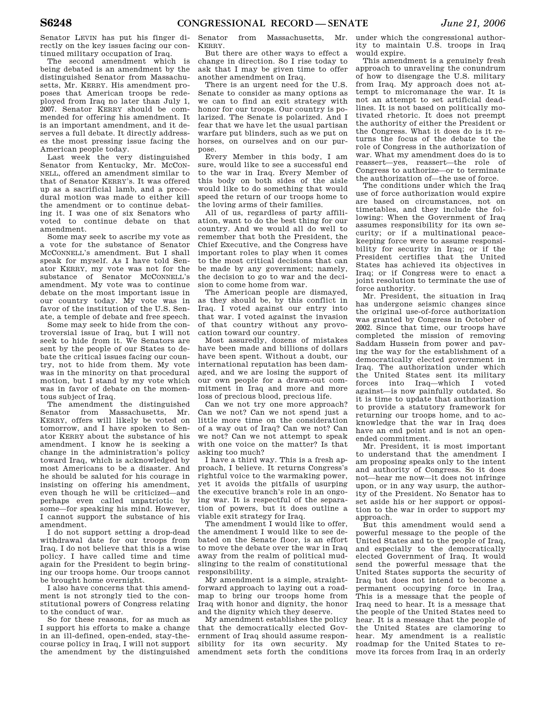Senator LEVIN has put his finger directly on the key issues facing our continued military occupation of Iraq.

The second amendment which is being debated is an amendment by the distinguished Senator from Massachusetts, Mr. KERRY. His amendment proposes that American troops be redeployed from Iraq no later than July 1, 2007. Senator KERRY should be commended for offering his amendment. It is an important amendment, and it deserves a full debate. It directly addresses the most pressing issue facing the American people today.

Last week the very distinguished Senator from Kentucky, Mr. McCon-NELL, offered an amendment similar to that of Senator KERRY's. It was offered up as a sacrificial lamb, and a procedural motion was made to either kill the amendment or to continue debating it. I was one of six Senators who voted to continue debate on that amendment.

Some may seek to ascribe my vote as a vote for the substance of Senator MCCONNELL's amendment. But I shall speak for myself. As I have told Senator KERRY, my vote was not for the substance of Senator MCCONNELL's amendment. My vote was to continue debate on the most important issue in our country today. My vote was in favor of the institution of the U.S. Senate, a temple of debate and free speech.

Some may seek to hide from the controversial issue of Iraq, but I will not seek to hide from it. We Senators are sent by the people of our States to debate the critical issues facing our country, not to hide from them. My vote was in the minority on that procedural motion, but I stand by my vote which was in favor of debate on the momentous subject of Iraq.

The amendment the distinguished Senator from Massachusetts, Mr. KERRY, offers will likely be voted on tomorrow, and I have spoken to Senator KERRY about the substance of his amendment. I know he is seeking a change in the administration's policy toward Iraq, which is acknowledged by most Americans to be a disaster. And he should be saluted for his courage in insisting on offering his amendment, even though he will be criticized—and perhaps even called unpatriotic by some—for speaking his mind. However, I cannot support the substance of his amendment.

I do not support setting a drop-dead withdrawal date for our troops from Iraq. I do not believe that this is a wise policy. I have called time and time again for the President to begin bringing our troops home. Our troops cannot be brought home overnight.

I also have concerns that this amendment is not strongly tied to the constitutional powers of Congress relating to the conduct of war.

So for these reasons, for as much as I support his efforts to make a change in an ill-defined, open-ended, stay-thecourse policy in Iraq, I will not support the amendment by the distinguished

Senator from Massachusetts, Mr. KERRY.

But there are other ways to effect a change in direction. So I rise today to ask that I may be given time to offer another amendment on Iraq.

There is an urgent need for the U.S. Senate to consider as many options as we can to find an exit strategy with honor for our troops. Our country is polarized. The Senate is polarized. And I fear that we have let the usual partisan warfare put blinders, such as we put on horses, on ourselves and on our purpose.

Every Member in this body, I am sure, would like to see a successful end to the war in Iraq. Every Member of this body on both sides of the aisle would like to do something that would speed the return of our troops home to the loving arms of their families.

All of us, regardless of party affiliation, want to do the best thing for our country. And we would all do well to remember that both the President, the Chief Executive, and the Congress have important roles to play when it comes to the most critical decisions that can be made by any government; namely, the decision to go to war and the decision to come home from war.

The American people are dismayed, as they should be, by this conflict in Iraq. I voted against our entry into that war. I voted against the invasion of that country without any provocation toward our country.

Most assuredly, dozens of mistakes have been made and billions of dollars have been spent. Without a doubt, our international reputation has been damaged, and we are losing the support of our own people for a drawn-out commitment in Iraq and more and more loss of precious blood, precious life.

Can we not try one more approach? Can we not? Can we not spend just a little more time on the consideration of a way out of Iraq? Can we not? Can we not? Can we not attempt to speak with one voice on the matter? Is that asking too much?

I have a third way. This is a fresh approach, I believe. It returns Congress's rightful voice to the warmaking power, yet it avoids the pitfalls of usurping the executive branch's role in an ongoing war. It is respectful of the separation of powers, but it does outline a viable exit strategy for Iraq.

The amendment I would like to offer. the amendment I would like to see debated on the Senate floor, is an effort to move the debate over the war in Iraq away from the realm of political mudslinging to the realm of constitutional responsibility.

My amendment is a simple, straightforward approach to laying out a roadmap to bring our troops home from Iraq with honor and dignity, the honor and the dignity which they deserve.

My amendment establishes the policy that the democratically elected Government of Iraq should assume responsibility for its own security. My amendment sets forth the conditions under which the congressional authority to maintain U.S. troops in Iraq would expire.

This amendment is a genuinely fresh approach to unraveling the conundrum of how to disengage the U.S. military from Iraq. My approach does not attempt to micromanage the war. It is not an attempt to set artificial deadlines. It is not based on politically motivated rhetoric. It does not preempt the authority of either the President or the Congress. What it does do is it returns the focus of the debate to the role of Congress in the authorization of war. What my amendment does do is to reassert—yes, reassert—the role of Congress to authorize—or to terminate the authorization of—the use of force.

The conditions under which the Iraq use of force authorization would expire are based on circumstances, not on timetables, and they include the following: When the Government of Iraq assumes responsibility for its own security; or if a multinational peacekeeping force were to assume responsibility for security in Iraq; or if the President certifies that the United States has achieved its objectives in Iraq; or if Congress were to enact a joint resolution to terminate the use of force authority.

Mr. President, the situation in Iraq has undergone seismic changes since the original use-of-force authorization was granted by Congress in October of 2002. Since that time, our troops have completed the mission of removing Saddam Hussein from power and paving the way for the establishment of a democratically elected government in Iraq. The authorization under which the United States sent its military forces into Iraq—which I voted against—is now painfully outdated. So it is time to update that authorization to provide a statutory framework for returning our troops home, and to acknowledge that the war in Iraq does have an end point and is not an openended commitment.

Mr. President, it is most important to understand that the amendment I am proposing speaks only to the intent and authority of Congress. So it does not—hear me now—it does not infringe upon, or in any way usurp, the authority of the President. No Senator has to set aside his or her support or opposition to the war in order to support my approach.

But this amendment would send a powerful message to the people of the United States and to the people of Iraq, and especially to the democratically elected Government of Iraq. It would send the powerful message that the United States supports the security of Iraq but does not intend to become a permanent occupying force in Iraq. This is a message that the people of Iraq need to hear. It is a message that the people of the United States need to hear. It is a message that the people of the United States are clamoring to hear. My amendment is a realistic roadmap for the United States to remove its forces from Iraq in an orderly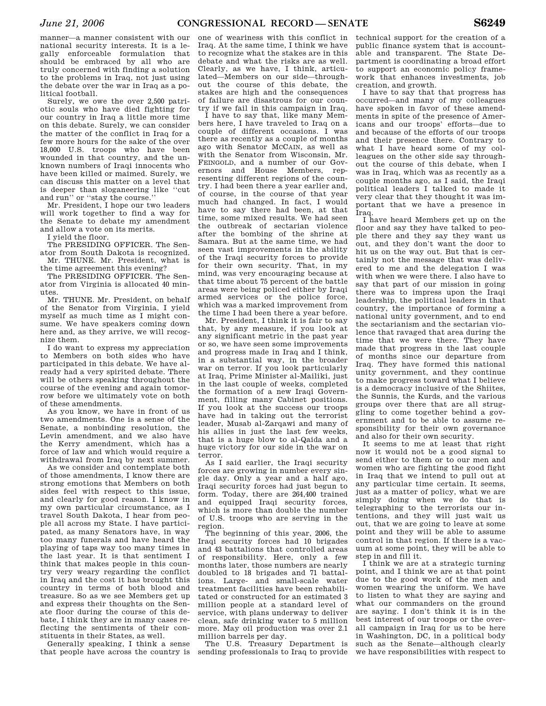manner—a manner consistent with our national security interests. It is a legally enforceable formulation that should be embraced by all who are truly concerned with finding a solution to the problems in Iraq, not just using the debate over the war in Iraq as a political football.

Surely, we owe the over 2,500 patriotic souls who have died fighting for our country in Iraq a little more time on this debate. Surely, we can consider the matter of the conflict in Iraq for a few more hours for the sake of the over 18,000 U.S. troops who have been wounded in that country, and the unknown numbers of Iraqi innocents who have been killed or maimed. Surely, we can discuss this matter on a level that is deeper than sloganeering like ''cut and run'' or ''stay the course.''

Mr. President, I hope our two leaders will work together to find a way for the Senate to debate my amendment and allow a vote on its merits.

I yield the floor.

The PRESIDING OFFICER. The Senator from South Dakota is recognized. Mr. THUNE. Mr. President, what is

the time agreement this evening?

The PRESIDING OFFICER. The Senator from Virginia is allocated 40 minutes.

Mr. THUNE. Mr. President, on behalf of the Senator from Virginia, I yield myself as much time as I might consume. We have speakers coming down here and, as they arrive, we will recognize them.

I do want to express my appreciation to Members on both sides who have participated in this debate. We have already had a very spirited debate. There will be others speaking throughout the course of the evening and again tomorrow before we ultimately vote on both of these amendments.

As you know, we have in front of us two amendments. One is a sense of the Senate, a nonbinding resolution, the Levin amendment, and we also have the Kerry amendment, which has a force of law and which would require a withdrawal from Iraq by next summer.

As we consider and contemplate both of those amendments, I know there are strong emotions that Members on both sides feel with respect to this issue, and clearly for good reason. I know in my own particular circumstance, as I travel South Dakota, I hear from people all across my State. I have participated, as many Senators have, in way too many funerals and have heard the playing of taps way too many times in the last year. It is that sentiment I think that makes people in this country very weary regarding the conflict in Iraq and the cost it has brought this country in terms of both blood and treasure. So as we see Members get up and express their thoughts on the Senate floor during the course of this debate, I think they are in many cases reflecting the sentiments of their constituents in their States, as well.

Generally speaking, I think a sense that people have across the country is

one of weariness with this conflict in Iraq. At the same time, I think we have to recognize what the stakes are in this debate and what the risks are as well. Clearly, as we have, I think, articulated—Members on our side—throughout the course of this debate, the stakes are high and the consequences of failure are disastrous for our country if we fail in this campaign in Iraq.

I have to say that, like many Members here, I have traveled to Iraq on a couple of different occasions. I was there as recently as a couple of months ago with Senator MCCAIN, as well as with the Senator from Wisconsin, Mr. FEINGOLD, and a number of our Governors and House Members, representing different regions of the country. I had been there a year earlier and, of course, in the course of that year much had changed. In fact, I would have to say there had been, at that time, some mixed results. We had seen the outbreak of sectarian violence after the bombing of the shrine at Samara. But at the same time, we had seen vast improvements in the ability of the Iraqi security forces to provide for their own security. That, in my mind, was very encouraging because at that time about 75 percent of the battle areas were being policed either by Iraqi armed services or the police force, which was a marked improvement from the time I had been there a year before.

Mr. President, I think it is fair to say that, by any measure, if you look at any significant metric in the past year or so, we have seen some improvements and progress made in Iraq and I think, in a substantial way, in the broader war on terror. If you look particularly at Iraq, Prime Minister al-Mailiki, just in the last couple of weeks, completed the formation of a new Iraqi Government, filling many Cabinet positions. If you look at the success our troops have had in taking out the terrorist leader, Musab al-Zarqawi and many of his allies in just the last few weeks, that is a huge blow to al-Qaida and a huge victory for our side in the war on terror.

As I said earlier, the Iraqi security forces are growing in number every single day. Only a year and a half ago, Iraqi security forces had just begun to form. Today, there are 264,400 trained and equipped Iraqi security forces, which is more than double the number of U.S. troops who are serving in the region.

The beginning of this year, 2006, the Iraqi security forces had 10 brigades and 43 battalions that controlled areas of responsibility. Here, only a few months later, those numbers are nearly doubled to 18 brigades and 71 battalions. Large- and small-scale water treatment facilities have been rehabilitated or constructed for an estimated 3 million people at a standard level of service, with plans underway to deliver clean, safe drinking water to 5 million more. May oil production was over 2.1 million barrels per day.

The U.S. Treasury Department is sending professionals to Iraq to provide

technical support for the creation of a public finance system that is accountable and transparent. The State Department is coordinating a broad effort to support an economic policy framework that enhances investments, job creation, and growth.

I have to say that that progress has occurred—and many of my colleagues have spoken in favor of these amendments in spite of the presence of Americans and our troops' efforts—due to and because of the efforts of our troops and their presence there. Contrary to what I have heard some of my colleagues on the other side say throughout the course of this debate, when I was in Iraq, which was as recently as a couple months ago, as I said, the Iraqi political leaders I talked to made it very clear that they thought it was important that we have a presence in Iraq.

I have heard Members get up on the floor and say they have talked to people there and they say they want us out, and they don't want the door to hit us on the way out. But that is certainly not the message that was delivered to me and the delegation I was with when we were there. I also have to say that part of our mission in going there was to impress upon the Iraqi leadership, the political leaders in that country, the importance of forming a national unity government, and to end the sectarianism and the sectarian violence that ravaged that area during the time that we were there. They have made that progress in the last couple of months since our departure from Iraq. They have formed this national unity government, and they continue to make progress toward what I believe is a democracy inclusive of the Shiites, the Sunnis, the Kurds, and the various groups over there that are all struggling to come together behind a government and to be able to assume responsibility for their own governance and also for their own security.

It seems to me at least that right now it would not be a good signal to send either to them or to our men and women who are fighting the good fight in Iraq that we intend to pull out at any particular time certain. It seems, just as a matter of policy, what we are simply doing when we do that is telegraphing to the terrorists our intentions, and they will just wait us out, that we are going to leave at some point and they will be able to assume control in that region. If there is a vacuum at some point, they will be able to step in and fill it.

I think we are at a strategic turning point, and I think we are at that point due to the good work of the men and women wearing the uniform. We have to listen to what they are saying and what our commanders on the ground are saying. I don't think it is in the best interest of our troops or the overall campaign in Iraq for us to be here in Washington, DC, in a political body such as the Senate—although clearly we have responsibilities with respect to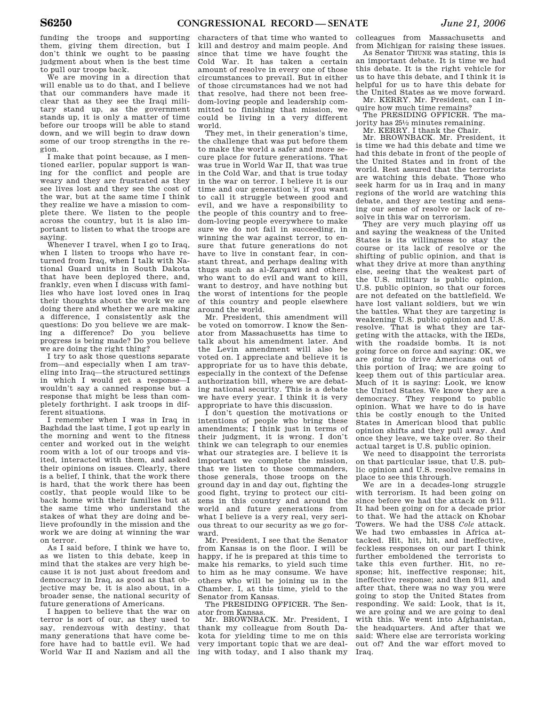funding the troops and supporting them, giving them direction, but I don't think we ought to be passing judgment about when is the best time to pull our troops back.

We are moving in a direction that will enable us to do that, and I believe that our commanders have made it clear that as they see the Iraqi military stand up, as the government stands up, it is only a matter of time before our troops will be able to stand down, and we will begin to draw down some of our troop strengths in the region.

I make that point because, as I mentioned earlier, popular support is waning for the conflict and people are weary and they are frustrated as they see lives lost and they see the cost of the war, but at the same time I think they realize we have a mission to complete there. We listen to the people across the country, but it is also important to listen to what the troops are saying.

Whenever I travel, when I go to Iraq, when I listen to troops who have returned from Iraq, when I talk with National Guard units in South Dakota that have been deployed there, and, frankly, even when I discuss with families who have lost loved ones in Iraq their thoughts about the work we are doing there and whether we are making a difference, I consistently ask the questions: Do you believe we are making a difference? Do you believe progress is being made? Do you believe we are doing the right thing?

I try to ask those questions separate from—and especially when I am traveling into Iraq—the structured settings in which I would get a response—I wouldn't say a canned response but a response that might be less than completely forthright. I ask troops in different situations.

I remember when I was in Iraq in Baghdad the last time, I got up early in the morning and went to the fitness center and worked out in the weight room with a lot of our troops and visited, interacted with them, and asked their opinions on issues. Clearly, there is a belief, I think, that the work there is hard, that the work there has been costly, that people would like to be back home with their families but at the same time who understand the stakes of what they are doing and believe profoundly in the mission and the work we are doing at winning the war on terror.

As I said before, I think we have to, as we listen to this debate, keep in mind that the stakes are very high because it is not just about freedom and democracy in Iraq, as good as that objective may be, it is also about, in a broader sense, the national security of future generations of Americans.

I happen to believe that the war on terror is sort of our, as they used to say, rendezvous with destiny, that many generations that have come before have had to battle evil. We had World War II and Nazism and all the

characters of that time who wanted to kill and destroy and maim people. And since that time we have fought the Cold War. It has taken a certain amount of resolve in every one of those circumstances to prevail. But in either of those circumstances had we not had that resolve, had there not been freedom-loving people and leadership committed to finishing that mission, we could be living in a very different world.

They met, in their generation's time, the challenge that was put before them to make the world a safer and more secure place for future generations. That was true in World War II, that was true in the Cold War, and that is true today in the war on terror. I believe it is our time and our generation's, if you want to call it struggle between good and evil, and we have a responsibility to the people of this country and to freedom-loving people everywhere to make sure we do not fail in succeeding, in winning the war against terror, to ensure that future generations do not have to live in constant fear, in constant threat, and perhaps dealing with thugs such as al-Zarqawi and others who want to do evil and want to kill, want to destroy, and have nothing but the worst of intentions for the people of this country and people elsewhere around the world.

Mr. President, this amendment will be voted on tomorrow. I know the Senator from Massachusetts has time to talk about his amendment later. And the Levin amendment will also be voted on. I appreciate and believe it is appropriate for us to have this debate, especially in the context of the Defense authorization bill, where we are debating national security. This is a debate we have every year. I think it is very appropriate to have this discussion.

I don't question the motivations or intentions of people who bring these amendments; I think just in terms of their judgment, it is wrong. I don't think we can telegraph to our enemies what our strategies are. I believe it is important we complete the mission, that we listen to those commanders, those generals, those troops on the ground day in and day out, fighting the good fight, trying to protect our citizens in this country and around the world and future generations from what I believe is a very real, very serious threat to our security as we go forward.

Mr. President, I see that the Senator from Kansas is on the floor. I will be happy, if he is prepared at this time to make his remarks, to yield such time to him as he may consume. We have others who will be joining us in the Chamber. I, at this time, yield to the Senator from Kansas.

The PRESIDING OFFICER. The Senator from Kansas.

Mr. BROWNBACK. Mr. President, I thank my colleague from South Dakota for yielding time to me on this very important topic that we are dealing with today, and I also thank my

colleagues from Massachusetts and from Michigan for raising these issues.

As Senator THUNE was stating, this is an important debate. It is time we had this debate. It is the right vehicle for us to have this debate, and I think it is helpful for us to have this debate for the United States as we move forward.

Mr. KERRY. Mr. President, can I inquire how much time remains? The PRESIDING OFFICER. The ma-

jority has 251⁄2 minutes remaining.

Mr. KERRY. I thank the Chair.

Mr. BROWNBACK. Mr. President, it is time we had this debate and time we had this debate in front of the people of the United States and in front of the world. Rest assured that the terrorists are watching this debate. Those who seek harm for us in Iraq and in many regions of the world are watching this debate, and they are testing and sensing our sense of resolve or lack of resolve in this war on terrorism.

They are very much playing off us and saying the weakness of the United States is its willingness to stay the course or its lack of resolve or the shifting of public opinion, and that is what they drive at more than anything else, seeing that the weakest part of the U.S. military is public opinion, U.S. public opinion, so that our forces are not defeated on the battlefield. We have lost valiant soldiers, but we win the battles. What they are targeting is weakening U.S. public opinion and U.S. resolve. That is what they are targeting with the attacks, with the IEDs, with the roadside bombs. It is not going force on force and saying: OK, we are going to drive Americans out of this portion of Iraq; we are going to keep them out of this particular area. Much of it is saying: Look, we know the United States. We know they are a democracy. They respond to public opinion. What we have to do is have this be costly enough to the United States in American blood that public opinion shifts and they pull away. And once they leave, we take over. So their actual target is U.S. public opinion.

We need to disappoint the terrorists on that particular issue, that U.S. public opinion and U.S. resolve remains in place to see this through.

We are in a decades-long struggle with terrorism. It had been going on since before we had the attack on 9/11. It had been going on for a decade prior to that. We had the attack on Khobar Towers. We had the USS *Cole* attack. We had two embassies in Africa attacked. Hit, hit, hit, and ineffective, feckless responses on our part I think further emboldened the terrorists to take this even further. Hit, no response; hit, ineffective response; hit, ineffective response; and then 9/11, and after that, there was no way you were going to stop the United States from responding. We said: Look, that is it, we are going and we are going to deal with this. We went into Afghanistan, the headquarters. And after that we said: Where else are terrorists working out of? And the war effort moved to Iraq.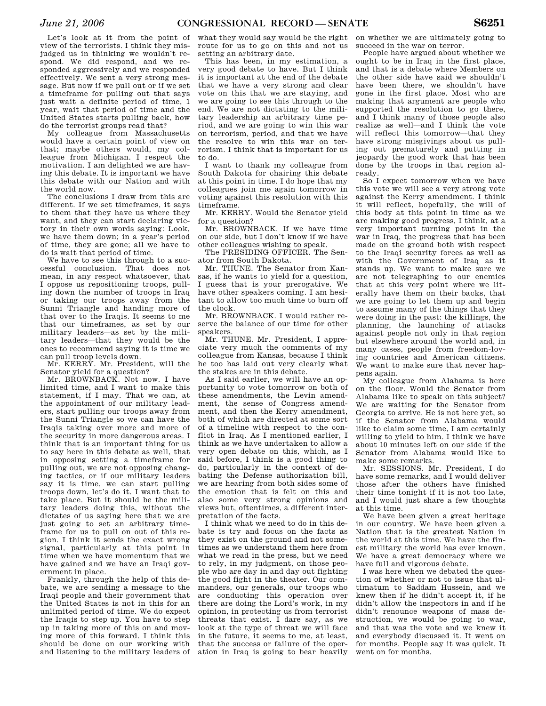Let's look at it from the point of view of the terrorists. I think they misjudged us in thinking we wouldn't respond. We did respond, and we responded aggressively and we responded effectively. We sent a very strong message. But now if we pull out or if we set a timeframe for pulling out that says just wait a definite period of time, 1 year, wait that period of time and the United States starts pulling back, how do the terrorist groups read that?

My colleague from Massachusetts would have a certain point of view on that; maybe others would, my colleague from Michigan. I respect the motivation. I am delighted we are having this debate. It is important we have this debate with our Nation and with the world now.

The conclusions I draw from this are different. If we set timeframes, it says to them that they have us where they want, and they can start declaring victory in their own words saying: Look, we have them down; in a year's period of time, they are gone; all we have to do is wait that period of time.

We have to see this through to a successful conclusion. That does not mean, in any respect whatsoever, that I oppose us repositioning troops, pulling down the number of troops in Iraq or taking our troops away from the Sunni Triangle and handing more of that over to the Iraqis. It seems to me that our timeframes, as set by our military leaders—as set by the military leaders—that they would be the ones to recommend saying it is time we can pull troop levels down.

Mr. KERRY. Mr. President, will the Senator yield for a question?

Mr. BROWNBACK. Not now. I have limited time, and I want to make this statement, if I may. That we can, at the appointment of our military leaders, start pulling our troops away from the Sunni Triangle so we can have the Iraqis taking over more and more of the security in more dangerous areas. I think that is an important thing for us to say here in this debate as well, that in opposing setting a timeframe for pulling out, we are not opposing changing tactics, or if our military leaders say it is time, we can start pulling troops down, let's do it. I want that to take place. But it should be the military leaders doing this, without the dictates of us saying here that we are just going to set an arbitrary timeframe for us to pull on out of this region. I think it sends the exact wrong signal, particularly at this point in time when we have momentum that we have gained and we have an Iraqi government in place.

Frankly, through the help of this debate, we are sending a message to the Iraqi people and their government that the United States is not in this for an unlimited period of time. We do expect the Iraqis to step up. You have to step up in taking more of this on and moving more of this forward. I think this should be done on our working with and listening to the military leaders of

what they would say would be the right route for us to go on this and not us setting an arbitrary date.

This has been, in my estimation, a very good debate to have. But I think it is important at the end of the debate that we have a very strong and clear vote on this that we are staying, and we are going to see this through to the end. We are not dictating to the military leadership an arbitrary time period, and we are going to win this war on terrorism, period, and that we have the resolve to win this war on terrorism. I think that is important for us to do.

I want to thank my colleague from South Dakota for chairing this debate at this point in time. I do hope that my colleagues join me again tomorrow in voting against this resolution with this timeframe.

Mr. KERRY. Would the Senator yield for a question?

Mr. BROWNBACK. If we have time on our side, but I don't know if we have other colleagues wishing to speak.

The PRESIDING OFFICER. The Senator from South Dakota.

Mr. THUNE. The Senator from Kansas, if he wants to yield for a question, I guess that is your prerogative. We have other speakers coming. I am hesitant to allow too much time to burn off the clock.

Mr. BROWNBACK. I would rather reserve the balance of our time for other speakers.

Mr. THUNE. Mr. President, I appreciate very much the comments of my colleague from Kansas, because I think he too has laid out very clearly what the stakes are in this debate.

As I said earlier, we will have an opportunity to vote tomorrow on both of these amendments, the Levin amendment, the sense of Congress amendment, and then the Kerry amendment, both of which are directed at some sort of a timeline with respect to the conflict in Iraq. As I mentioned earlier, I think as we have undertaken to allow a very open debate on this, which, as I said before, I think is a good thing to do, particularly in the context of debating the Defense authorization bill, we are hearing from both sides some of the emotion that is felt on this and also some very strong opinions and views but, oftentimes, a different interpretation of the facts.

I think what we need to do in this debate is try and focus on the facts as they exist on the ground and not sometimes as we understand them here from what we read in the press, but we need to rely, in my judgment, on those people who are day in and day out fighting the good fight in the theater. Our commanders, our generals, our troops who are conducting this operation over there are doing the Lord's work, in my opinion, in protecting us from terrorist threats that exist. I dare say, as we look at the type of threat we will face in the future, it seems to me, at least, that the success or failure of the operation in Iraq is going to bear heavily

on whether we are ultimately going to succeed in the war on terror.

People have argued about whether we ought to be in Iraq in the first place, and that is a debate where Members on the other side have said we shouldn't have been there, we shouldn't have gone in the first place. Most who are making that argument are people who supported the resolution to go there, and I think many of those people also realize as well—and I think the vote will reflect this tomorrow—that they have strong misgivings about us pulling out prematurely and putting in jeopardy the good work that has been done by the troops in that region already.

So I expect tomorrow when we have this vote we will see a very strong vote against the Kerry amendment. I think it will reflect, hopefully, the will of this body at this point in time as we are making good progress, I think, at a very important turning point in the war in Iraq, the progress that has been made on the ground both with respect to the Iraqi security forces as well as with the Government of Iraq as it stands up. We want to make sure we are not telegraphing to our enemies that at this very point where we literally have them on their backs, that we are going to let them up and begin to assume many of the things that they were doing in the past: the killings, the planning, the launching of attacks against people not only in that region but elsewhere around the world and, in many cases, people from freedom-loving countries and American citizens. We want to make sure that never happens again.

My colleague from Alabama is here on the floor. Would the Senator from Alabama like to speak on this subject? We are waiting for the Senator from Georgia to arrive. He is not here yet, so if the Senator from Alabama would like to claim some time, I am certainly willing to yield to him. I think we have about 10 minutes left on our side if the Senator from Alabama would like to make some remarks.

Mr. SESSIONS. Mr. President, I do have some remarks, and I would deliver those after the others have finished their time tonight if it is not too late, and I would just share a few thoughts at this time.

We have been given a great heritage in our country. We have been given a Nation that is the greatest Nation in the world at this time. We have the finest military the world has ever known. We have a great democracy where we have full and vigorous debate.

I was here when we debated the question of whether or not to issue that ultimatum to Saddam Hussein, and we knew then if he didn't accept it, if he didn't allow the inspectors in and if he didn't renounce weapons of mass destruction, we would be going to war, and that was the vote and we knew it and everybody discussed it. It went on for months. People say it was quick. It went on for months.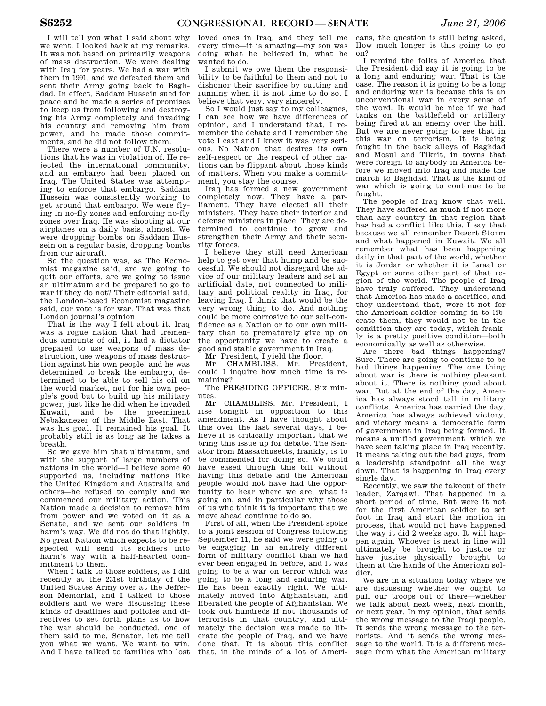I will tell you what I said about why we went. I looked back at my remarks. It was not based on primarily weapons of mass destruction. We were dealing with Iraq for years. We had a war with them in 1991, and we defeated them and sent their Army going back to Baghdad. In effect, Saddam Hussein sued for peace and he made a series of promises to keep us from following and destroying his Army completely and invading his country and removing him from power, and he made those commitments, and he did not follow them.

There were a number of U.N. resolutions that he was in violation of. He rejected the international community, and an embargo had been placed on Iraq. The United States was attempting to enforce that embargo. Saddam Hussein was consistently working to get around that embargo. We were flying in no-fly zones and enforcing no-fly zones over Iraq. He was shooting at our airplanes on a daily basis, almost. We were dropping bombs on Saddam Hussein on a regular basis, dropping bombs from our aircraft.

So the question was, as The Economist magazine said, are we going to quit our efforts, are we going to issue an ultimatum and be prepared to go to war if they do not? Their editorial said, the London-based Economist magazine said, our vote is for war. That was that London journal's opinion.

That is the way I felt about it. Iraq was a rogue nation that had tremendous amounts of oil, it had a dictator prepared to use weapons of mass destruction, use weapons of mass destruction against his own people, and he was determined to break the embargo, determined to be able to sell his oil on the world market, not for his own people's good but to build up his military power, just like he did when he invaded Kuwait, and be the preeminent Nebakanezer of the Middle East. That was his goal. It remained his goal. It probably still is as long as he takes a breath.

So we gave him that ultimatum, and with the support of large numbers of nations in the world—I believe some 60 supported us, including nations like the United Kingdom and Australia and others—he refused to comply and we commenced our military action. This Nation made a decision to remove him from power and we voted on it as a Senate, and we sent our soldiers in harm's way. We did not do that lightly. No great Nation which expects to be respected will send its soldiers into harm's way with a half-hearted commitment to them.

When I talk to those soldiers, as I did recently at the 231st birthday of the United States Army over at the Jefferson Memorial, and I talked to those soldiers and we were discussing these kinds of deadlines and policies and directives to set forth plans as to how the war should be conducted, one of them said to me, Senator, let me tell you what we want. We want to win. And I have talked to families who lost

loved ones in Iraq, and they tell me every time—it is amazing—my son was doing what he believed in, what he wanted to do.

I submit we owe them the responsibility to be faithful to them and not to dishonor their sacrifice by cutting and running when it is not time to do so. I believe that very, very sincerely.

So I would just say to my colleagues, I can see how we have differences of opinion, and I understand that. I remember the debate and I remember the vote I cast and I knew it was very serious. No Nation that desires its own self-respect or the respect of other nations can be flippant about those kinds of matters. When you make a commitment, you stay the course.

Iraq has formed a new government completely now. They have a parliament. They have elected all their ministers. They have their interior and defense ministers in place. They are determined to continue to grow and strengthen their Army and their security forces.

I believe they still need American help to get over that hump and be successful. We should not disregard the advice of our military leaders and set an artificial date, not connected to military and political reality in Iraq, for leaving Iraq. I think that would be the very wrong thing to do. And nothing could be more corrosive to our self-confidence as a Nation or to our own military than to prematurely give up on the opportunity we have to create a good and stable government in Iraq.

Mr. President, I yield the floor.

Mr. CHAMBLISS. Mr. President, could I inquire how much time is remaining?

The PRESIDING OFFICER. Six minutes.

Mr. CHAMBLISS. Mr. President, I rise tonight in opposition to this amendment. As I have thought about this over the last several days, I believe it is critically important that we bring this issue up for debate. The Senator from Massachusetts, frankly, is to be commended for doing so. We could have eased through this bill without having this debate and the American people would not have had the opportunity to hear where we are, what is going on, and in particular why those of us who think it is important that we move ahead continue to do so.

First of all, when the President spoke to a joint session of Congress following September 11, he said we were going to be engaging in an entirely different form of military conflict than we had ever been engaged in before, and it was going to be a war on terror which was going to be a long and enduring war. He has been exactly right. We ultimately moved into Afghanistan, and liberated the people of Afghanistan. We took out hundreds if not thousands of terrorists in that country, and ultimately the decision was made to liberate the people of Iraq, and we have done that. It is about this conflict that, in the minds of a lot of Ameri-

cans, the question is still being asked, How much longer is this going to go on?

I remind the folks of America that the President did say it is going to be a long and enduring war. That is the case. The reason it is going to be a long and enduring war is because this is an unconventional war in every sense of the word. It would be nice if we had tanks on the battlefield or artillery being fired at an enemy over the hill. But we are never going to see that in this war on terrorism. It is being fought in the back alleys of Baghdad and Mosul and Tikrit, in towns that were foreign to anybody in America before we moved into Iraq and made the march to Baghdad. That is the kind of war which is going to continue to be fought.

The people of Iraq know that well. They have suffered as much if not more than any country in that region that has had a conflict like this. I say that because we all remember Desert Storm and what happened in Kuwait. We all remember what has been happening daily in that part of the world, whether it is Jordan or whether it is Israel or Egypt or some other part of that region of the world. The people of Iraq have truly suffered. They understand that America has made a sacrifice, and they understand that, were it not for the American soldier coming in to liberate them, they would not be in the condition they are today, which frankly is a pretty positive condition—both economically as well as otherwise.

Are there bad things happening? Sure. There are going to continue to be bad things happening. The one thing about war is there is nothing pleasant about it. There is nothing good about war. But at the end of the day, America has always stood tall in military conflicts. America has carried the day. America has always achieved victory, and victory means a democratic form of government in Iraq being formed. It means a unified government, which we have seen taking place in Iraq recently. It means taking out the bad guys, from a leadership standpoint all the way down. That is happening in Iraq every single day.

Recently, we saw the takeout of their leader, Zarqawi. That happened in a short period of time. But were it not for the first American soldier to set foot in Iraq and start the motion in process, that would not have happened the way it did 2 weeks ago. It will happen again. Whoever is next in line will ultimately be brought to justice or have justice physically brought to them at the hands of the American soldier.

We are in a situation today where we are discussing whether we ought to pull our troops out of there—whether we talk about next week, next month, or next year. In my opinion, that sends the wrong message to the Iraqi people. It sends the wrong message to the terrorists. And it sends the wrong message to the world. It is a different message from what the American military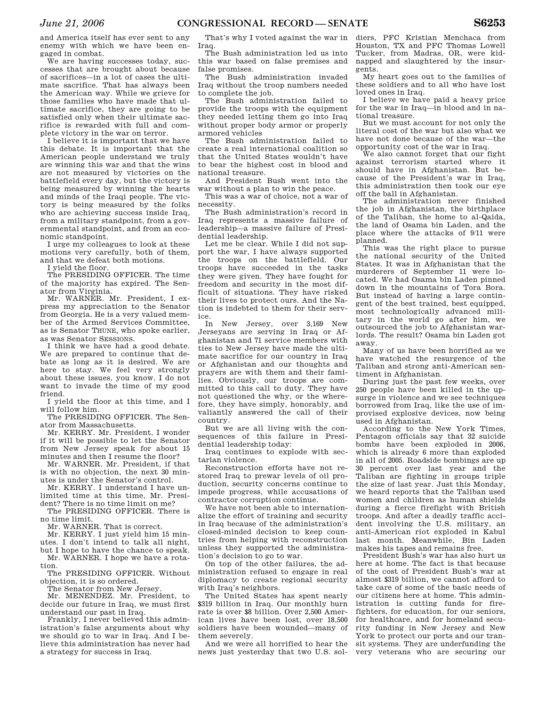and America itself has ever sent to any enemy with which we have been engaged in combat.

We are having successes today, successes that are brought about because of sacrifices—in a lot of cases the ultimate sacrifice. That has always been the American way. While we grieve for those families who have made that ultimate sacrifice, they are going to be satisfied only when their ultimate sacrifice is rewarded with full and complete victory in the war on terror.

I believe it is important that we have this debate. It is important that the American people understand we truly are winning this war and that the wins are not measured by victories on the battlefield every day, but the victory is being measured by winning the hearts and minds of the Iraqi people. The victory is being measured by the folks who are achieving success inside Iraq, from a military standpoint, from a governmental standpoint, and from an economic standpoint.

I urge my colleagues to look at these motions very carefully, both of them, and that we defeat both motions.

I yield the floor.

The PRESIDING OFFICER. The time of the majority has expired. The Senator from Virginia.

Mr. WARNER. Mr. President, I express my appreciation to the Senator from Georgia. He is a very valued member of the Armed Services Committee, as is Senator THUNE, who spoke earlier, as was Senator SESSIONS.

I think we have had a good debate. We are prepared to continue that debate as long as it is desired. We are here to stay. We feel very strongly about these issues, you know. I do not want to invade the time of my good friend.

I yield the floor at this time, and I will follow him.

The PRESIDING OFFICER. The Senator from Massachusetts.

Mr. KERRY. Mr. President, I wonder if it will be possible to let the Senator from New Jersey speak for about 15 minutes and then I resume the floor?

Mr. WARNER. Mr. President, if that is with no objection, the next 30 minutes is under the Senator's control.

Mr. KERRY. I understand I have unlimited time at this time, Mr. President? There is no time limit on me?

The PRESIDING OFFICER. There is no time limit.

Mr. WARNER. That is correct.

Mr. KERRY. I just yield him 15 minutes. I don't intend to talk all night, but I hope to have the chance to speak.

Mr. WARNER. I hope we have a rotation.

The PRESIDING OFFICER. Without objection, it is so ordered.

The Senator from New Jersey.

Mr. MENENDEZ. Mr. President, to decide our future in Iraq, we must first understand our past in Iraq.

Frankly, I never believed this administration's false arguments about why we should go to war in Iraq. And I believe this administration has never had a strategy for success in Iraq.

That's why I voted against the war in Iraq.

The Bush administration led us into this war based on false premises and false promises.

The Bush administration invaded Iraq without the troop numbers needed to complete the job.

The Bush administration failed to provide the troops with the equipment they needed letting them go into Iraq without proper body armor or properly armored vehicles

The Bush administration failed to create a real international coalition so that the United States wouldn't have to bear the highest cost in blood and national treasure.

And President Bush went into the war without a plan to win the peace.

This was a war of choice, not a war of necessity.

The Bush administration's record in Iraq represents a massive failure of leadership—a massive failure of Presidential leadership.

Let me be clear. While I did not support the war, I have always supported the troops on the battlefield. Our troops have succeeded in the tasks they were given. They have fought for freedom and security in the most difficult of situations. They have risked their lives to protect ours. And the Nation is indebted to them for their service.

In New Jersey, over 3,169 New Jerseyans are serving in Iraq or Afghanistan and 71 service members with ties to New Jersey have made the ultimate sacrifice for our country in Iraq or Afghanistan and our thoughts and prayers are with them and their families. Obviously, our troops are committed to this call to duty. They have not questioned the why, or the wherefore, they have simply, honorably, and valiantly answered the call of their country.

But we are all living with the consequences of this failure in Presidential leadership today:

Iraq continues to explode with sectarian violence.

Reconstruction efforts have not restored Iraq to prewar levels of oil production, security concerns continue to impede progress, while accusations of contractor corruption continue.

We have not been able to internationalize the effort of training and security in Iraq because of the administration's closed-minded decision to keep countries from helping with reconstruction unless they supported the administration's decision to go to war.

On top of the other failures, the administration refused to engage in real diplomacy to create regional security with Iraq's neighbors.

The United States has spent nearly \$319 billion in Iraq. Our monthly burn rate is over \$8 billion. Over 2,500 American lives have been lost, over 18,500 soldiers have been wounded—many of them severely.

And we were all horrified to hear the news just yesterday that two U.S. soldiers, PFC Kristian Menchaca from Houston, TX and PFC Thomas Lowell Tucker, from Madras, OR, were kidnapped and slaughtered by the insurgents.

My heart goes out to the families of these soldiers and to all who have lost loved ones in Iraq.

I believe we have paid a heavy price for the war in Iraq—in blood and in national treasure.

But we must account for not only the literal cost of the war but also what we have not done because of the war—the opportunity cost of the war in Iraq.

We also cannot forget that our fight against terrorism started where it should have in Afghanistan. But because of the President's war in Iraq, this administration then took our eye off the ball in Afghanistan.

The administration never finished the job in Afghanistan, the birthplace of the Taliban, the home to al-Qaida, the land of Osama bin Laden, and the place where the attacks of 9/11 were planned.

This was the right place to pursue the national security of the United States. It was in Afghanistan that the murderers of September 11 were located. We had Osama bin Laden pinned down in the mountains of Tora Bora. But instead of having a large contingent of the best trained, best equipped, most technologically advanced military in the world go after him, we outsourced the job to Afghanistan warlords. The result? Osama bin Laden got away.

Many of us have been horrified as we have watched the resurgence of the Taliban and strong anti-American sentiment in Afghanistan.

During just the past few weeks, over 250 people have been killed in the upsurge in violence and we see techniques borrowed from Iraq, like the use of improvised explosive devices, now being used in Afghanistan.

According to the New York Times, Pentagon officials say that 32 suicide bombs have been exploded in 2006, which is already 6 more than exploded in all of 2005. Roadside bombings are up 30 percent over last year and the Taliban are fighting in groups triple the size of last year. Just this Monday, we heard reports that the Taliban used women and children as human shields during a fierce firefight with British troops. And after a deadly traffic accident involving the U.S. military, an anti-American riot exploded in Kabul last month. Meanwhile, Bin Laden makes his tapes and remains free.

President Bush's war has also hurt us here at home. The fact is that because of the cost of President Bush's war at almost \$319 billion, we cannot afford to take care of some of the basic needs of our citizens here at home. This administration is cutting funds for firefighters, for education, for our seniors, for healthcare, and for homeland security funding in New Jersey and New York to protect our ports and our transit systems. They are underfunding the very veterans who are securing our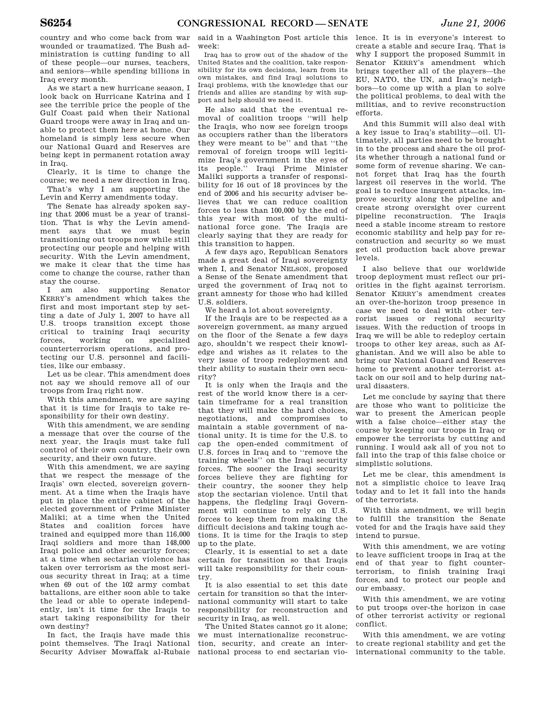country and who come back from war wounded or traumatized. The Bush administration is cutting funding to all of these people—our nurses, teachers, and seniors—while spending billions in Iraq every month.

As we start a new hurricane season, I look back on Hurricane Katrina and I see the terrible price the people of the Gulf Coast paid when their National Guard troops were away in Iraq and unable to protect them here at home. Our homeland is simply less secure when our National Guard and Reserves are being kept in permanent rotation away in Iraq.

Clearly, it is time to change the course; we need a new direction in Iraq. That's why I am supporting the Levin and Kerry amendments today.

The Senate has already spoken saying that 2006 must be a year of transition. That is why the Levin amendment says that we must begin transitioning out troops now while still protecting our people and helping with security. With the Levin amendment, we make it clear that the time has come to change the course, rather than stay the course.

I am also supporting Senator KERRY's amendment which takes the first and most important step by setting a date of July 1, 2007 to have all U.S. troops transition except those critical to training Iraqi security forces, working on specialized counterterrorism operations, and protecting our U.S. personnel and facilities, like our embassy.

Let us be clear. This amendment does not say we should remove all of our troops from Iraq right now.

With this amendment, we are saying that it is time for Iraqis to take responsibility for their own destiny.

With this amendment, we are sending a message that over the course of the next year, the Iraqis must take full control of their own country, their own security, and their own future.

With this amendment, we are saying that we respect the message of the Iraqis' own elected, sovereign government. At a time when the Iraqis have put in place the entire cabinet of the elected government of Prime Minister Maliki; at a time when the United States and coalition forces have trained and equipped more than 116,000 Iraqi soldiers and more than 148,000 Iraqi police and other security forces; at a time when sectarian violence has taken over terrorism as the most serious security threat in Iraq; at a time when 69 out of the 102 army combat battalions, are either soon able to take the lead or able to operate independently, isn't it time for the Iraqis to start taking responsibility for their own destiny?

In fact, the Iraqis have made this point themselves. The Iraqi National Security Adviser Mowaffak al-Rubaie said in a Washington Post article this week:

Iraq has to grow out of the shadow of the United States and the coalition, take responsibility for its own decisions, learn from its own mistakes, and find Iraqi solutions to Iraqi problems, with the knowledge that our friends and allies are standing by with support and help should we need it.

He also said that the eventual removal of coalition troops ''will help the Iraqis, who now see foreign troops as occupiers rather than the liberators they were meant to be'' and that ''the removal of foreign troops will legitimize Iraq's government in the eyes of its people.'' Iraqi Prime Minister Maliki supports a transfer of responsibility for 16 out of 18 provinces by the end of 2006 and his security adviser believes that we can reduce coalition forces to less than 100,000 by the end of this year with most of the multinational force gone. The Iraqis are clearly saying that they are ready for this transition to happen.

A few days ago, Republican Senators made a great deal of Iraqi sovereignty when I, and Senator NELSON, proposed a Sense of the Senate amendment that urged the government of Iraq not to grant amnesty for those who had killed U.S. soldiers.

We heard a lot about sovereignty.

If the Iraqis are to be respected as a sovereign government, as many argued on the floor of the Senate a few days ago, shouldn't we respect their knowledge and wishes as it relates to the very issue of troop redeployment and their ability to sustain their own security?

It is only when the Iraqis and the rest of the world know there is a certain timeframe for a real transition that they will make the hard choices, negotiations, and compromises to maintain a stable government of national unity. It is time for the U.S. to cap the open-ended commitment of U.S. forces in Iraq and to ''remove the training wheels'' on the Iraqi security forces. The sooner the Iraqi security forces believe they are fighting for their country, the sooner they help stop the sectarian violence. Until that happens, the fledgling Iraqi Government will continue to rely on U.S. forces to keep them from making the difficult decisions and taking tough actions. It is time for the Iraqis to step up to the plate.

Clearly, it is essential to set a date certain for transition so that Iraqis will take responsibility for their country.

It is also essential to set this date certain for transition so that the international community will start to take responsibility for reconstruction and security in Iraq, as well.

The United States cannot go it alone; we must internationalize reconstruction, security, and create an international process to end sectarian vio-

lence. It is in everyone's interest to create a stable and secure Iraq. That is why I support the proposed Summit in Senator KERRY's amendment which brings together all of the players—the EU, NATO, the UN, and Iraq's neighbors—to come up with a plan to solve the political problems, to deal with the militias, and to revive reconstruction efforts.

And this Summit will also deal with a key issue to Iraq's stability—oil. Ultimately, all parties need to be brought in to the process and share the oil profits whether through a national fund or some form of revenue sharing. We cannot forget that Iraq has the fourth largest oil reserves in the world. The goal is to reduce insurgent attacks, improve security along the pipeline and create strong oversight over current pipeline reconstruction. The Iraqis need a stable income stream to restore economic stability and help pay for reconstruction and security so we must get oil production back above prewar levels.

I also believe that our worldwide troop deployment must reflect our priorities in the fight against terrorism. Senator KERRY's amendment creates an over-the-horizon troop presence in case we need to deal with other terrorist issues or regional security issues. With the reduction of troops in Iraq we will be able to redeploy certain troops to other key areas, such as Afghanistan. And we will also be able to bring our National Guard and Reserves home to prevent another terrorist attack on our soil and to help during natural disasters.

Let me conclude by saying that there are those who want to politicize the war to present the American people with a false choice—either stay the course by keeping our troops in Iraq or empower the terrorists by cutting and running. I would ask all of you not to fall into the trap of this false choice or simplistic solutions.

Let me be clear, this amendment is not a simplistic choice to leave Iraq today and to let it fall into the hands of the terrorists.

With this amendment, we will begin to fulfill the transition the Senate voted for and the Iraqis have said they intend to pursue.

With this amendment, we are voting to leave sufficient troops in Iraq at the end of that year to fight counterterrorism, to finish training Iraqi forces, and to protect our people and our embassy.

With this amendment, we are voting to put troops over-the horizon in case of other terrorist activity or regional conflict.

With this amendment, we are voting to create regional stability and get the international community to the table.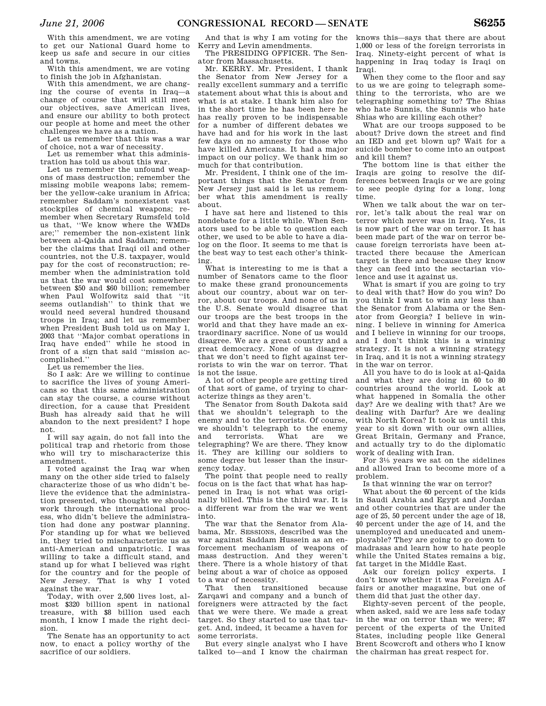With this amendment, we are voting to get our National Guard home to keep us safe and secure in our cities and towns.

With this amendment, we are voting to finish the job in Afghanistan.

With this amendment, we are changing the course of events in Iraq—a change of course that will still meet our objectives, save American lives, and ensure our ability to both protect our people at home and meet the other challenges we have as a nation.

Let us remember that this was a war of choice, not a war of necessity.

Let us remember what this administration has told us about this war.

Let us remember the unfound weapons of mass destruction; remember the missing mobile weapons labs; remember the yellow-cake uranium in Africa; remember Saddam's nonexistent vast stockpiles of chemical weapons; remember when Secretary Rumsfeld told us that, ''We know where the WMDs are;'' remember the non-existent link between al-Qaida and Saddam; remember the claims that Iraqi oil and other countries, not the U.S. taxpayer, would pay for the cost of reconstruction; remember when the administration told us that the war would cost somewhere between \$50 and \$60 billion; remember when Paul Wolfowitz said that ''it seems outlandish'' to think that we would need several hundred thousand troops in Iraq; and let us remember when President Bush told us on May 1. 2003 that ''Major combat operations in Iraq have ended'' while he stood in front of a sign that said ''mission accomplished.''

Let us remember the lies.

So I ask: Are we willing to continue to sacrifice the lives of young Americans so that this same administration can stay the course, a course without direction, for a cause that President Bush has already said that he will abandon to the next president? I hope not.

I will say again, do not fall into the political trap and rhetoric from those who will try to mischaracterize this amendment.

I voted against the Iraq war when many on the other side tried to falsely characterize those of us who didn't believe the evidence that the administration presented, who thought we should work through the international process, who didn't believe the administration had done any postwar planning. For standing up for what we believed in, they tried to mischaracterize us as anti-American and unpatriotic. I was willing to take a difficult stand, and stand up for what I believed was right for the country and for the people of New Jersey. That is why I voted against the war.

Today, with over 2,500 lives lost, almost \$320 billion spent in national treasure, with \$8 billion used each month, I know I made the right decision.

The Senate has an opportunity to act now, to enact a policy worthy of the sacrifice of our soldiers.

And that is why I am voting for the Kerry and Levin amendments.

The PRESIDING OFFICER. The Senator from Massachusetts.

Mr. KERRY. Mr. President, I thank the Senator from New Jersey for a really excellent summary and a terrific statement about what this is about and what is at stake. I thank him also for in the short time he has been here he has really proven to be indispensable for a number of different debates we have had and for his work in the last few days on no amnesty for those who have killed Americans. It had a major impact on our policy. We thank him so much for that contribution.

Mr. President, I think one of the important things that the Senator from New Jersey just said is let us remember what this amendment is really about.

I have sat here and listened to this nondebate for a little while. When Senators used to be able to question each other, we used to be able to have a dialog on the floor. It seems to me that is the best way to test each other's thinking.

What is interesting to me is that a number of Senators came to the floor to make these grand pronouncements about our country, about war on terror, about our troops. And none of us in the U.S. Senate would disagree that our troops are the best troops in the world and that they have made an extraordinary sacrifice. None of us would disagree. We are a great country and a great democracy. None of us disagree that we don't need to fight against terrorists to win the war on terror. That is not the issue.

A lot of other people are getting tired of that sort of game, of trying to characterize things as they aren't.

The Senator from South Dakota said that we shouldn't telegraph to the enemy and to the terrorists. Of course, we shouldn't telegraph to the enemy<br>and terrorists. What are we terrorists. What are we telegraphing? We are there. They know it. They are killing our soldiers to some degree but lesser than the insurgency today.

The point that people need to really focus on is the fact that what has happened in Iraq is not what was originally billed. This is the third war. It is a different war from the war we went into.

The war that the Senator from Alabama, Mr. SESSIONS, described was the war against Saddam Hussein as an enforcement mechanism of weapons of mass destruction. And they weren't there. There is a whole history of that being about a war of choice as opposed to a war of necessity.

That then transitioned because Zargawi and company and a bunch of foreigners were attracted by the fact that we were there. We made a great target. So they started to use that target. And, indeed, it became a haven for some terrorists.

But every single analyst who I have talked to—and I know the chairman

knows this—says that there are about 1,000 or less of the foreign terrorists in Iraq. Ninety-eight percent of what is happening in Iraq today is Iraqi on Iraqi.

When they come to the floor and say to us we are going to telegraph something to the terrorists, who are we telegraphing something to? The Shias who hate Sunnis, the Sunnis who hate Shias who are killing each other?

What are our troops supposed to be about? Drive down the street and find an IED and get blown up? Wait for a suicide bomber to come into an outpost and kill them?

The bottom line is that either the Iraqis are going to resolve the differences between Iraqis or we are going to see people dying for a long, long time.

When we talk about the war on terror, let's talk about the real war on terror which never was in Iraq. Yes, it is now part of the war on terror. It has been made part of the war on terror because foreign terrorists have been attracted there because the American target is there and because they know they can feed into the sectarian violence and use it against us.

What is smart if you are going to try to deal with that? How do you win? Do you think I want to win any less than the Senator from Alabama or the Senator from Georgia? I believe in winning. I believe in winning for America and I believe in winning for our troops, and I don't think this is a winning strategy. It is not a winning strategy in Iraq, and it is not a winning strategy in the war on terror.

All you have to do is look at al-Qaida and what they are doing in 60 to 80 countries around the world. Look at what happened in Somalia the other day? Are we dealing with that? Are we dealing with Darfur? Are we dealing with North Korea? It took us until this year to sit down with our own allies, Great Britain, Germany and France, and actually try to do the diplomatic work of dealing with Iran.

For 31⁄5 years we sat on the sidelines and allowed Iran to become more of a problem.

Is that winning the war on terror?

What about the 60 percent of the kids in Saudi Arabia and Egypt and Jordan and other countries that are under the age of 25, 50 percent under the age of 18, 40 percent under the age of 14, and the unemployed and uneducated and unemployable? They are going to go down to madrasas and learn how to hate people while the United States remains a big, fat target in the Middle East.

Ask our foreign policy experts. I don't know whether it was Foreign Affairs or another magazine, but one of them did that just the other day.

Eighty-seven percent of the people, when asked, said we are less safe today in the war on terror than we were; 87 percent of the experts of the United States, including people like General Brent Scowcroft and others who I know the chairman has great respect for.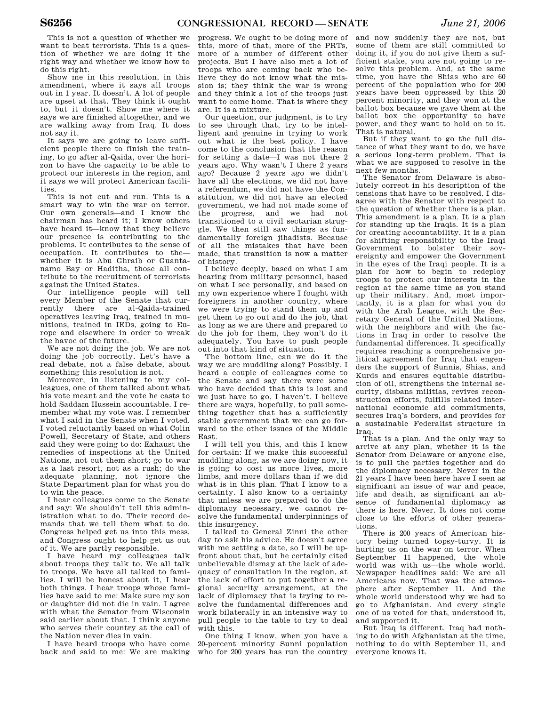This is not a question of whether we want to beat terrorists. This is a question of whether we are doing it the right way and whether we know how to do this right.

Show me in this resolution, in this amendment, where it says all troops out in 1 year. It doesn't. A lot of people are upset at that. They think it ought to, but it doesn't. Show me where it says we are finished altogether, and we are walking away from Iraq. It does not say it.

It says we are going to leave sufficient people there to finish the training, to go after al-Qaida, over the horizon to have the capacity to be able to protect our interests in the region, and it says we will protect American facilities.

This is not cut and run. This is a smart way to win the war on terror. Our own generals—and I know the chairman has heard it; I know others have heard it—know that they believe our presence is contributing to the problems. It contributes to the sense of occupation. It contributes to the whether it is Abu Ghraib or Guantanamo Bay or Haditha, those all contribute to the recruitment of terrorists against the United States.

Our intelligence people will tell every Member of the Senate that currently there are al-Qaida-trained operatives leaving Iraq, trained in munitions, trained in IEDs, going to Europe and elsewhere in order to wreak the havoc of the future.

We are not doing the job. We are not doing the job correctly. Let's have a real debate, not a false debate, about something this resolution is not.

Moreover, in listening to my colleagues, one of them talked about what his vote meant and the vote he casts to hold Saddam Hussein accountable. I remember what my vote was. I remember what I said in the Senate when I voted. I voted reluctantly based on what Colin Powell, Secretary of State, and others said they were going to do: Exhaust the remedies of inspections at the United Nations, not cut them short; go to war as a last resort, not as a rush; do the adequate planning, not ignore the State Department plan for what you do to win the peace.

I hear colleagues come to the Senate and say: We shouldn't tell this administration what to do. Their record demands that we tell them what to do. Congress helped get us into this mess, and Congress ought to help get us out of it. We are partly responsible.

I have heard my colleagues talk about troops they talk to. We all talk to troops. We have all talked to families. I will be honest about it, I hear both things. I hear troops whose families have said to me: Make sure my son or daughter did not die in vain. I agree with what the Senator from Wisconsin said earlier about that. I think anyone who serves their country at the call of the Nation never dies in vain.

I have heard troops who have come back and said to me: We are making

progress. We ought to be doing more of this, more of that, more of the PRTs, more of a number of different other projects. But I have also met a lot of troops who are coming back who believe they do not know what the mission is; they think the war is wrong and they think a lot of the troops just want to come home. That is where they are. It is a mixture.

Our question, our judgment, is to try to see through that, try to be intelligent and genuine in trying to work out what is the best policy. I have come to the conclusion that the reason for setting a date—I was not there 2 years ago. Why wasn't I there 2 years ago? Because 2 years ago we didn't have all the elections, we did not have a referendum, we did not have the Constitution, we did not have an elected government, we had not made some of the progress, and we had not transitioned to a civil sectarian struggle. We then still saw things as fundamentally foreign jihadists. Because of all the mistakes that have been made, that transition is now a matter of history.

I believe deeply, based on what I am hearing from military personnel, based on what I see personally, and based on my own experience where I fought with foreigners in another country, where we were trying to stand them up and get them to go out and do the job, that as long as we are there and prepared to do the job for them, they won't do it adequately. You have to push people out into that kind of situation.

The bottom line, can we do it the way we are muddling along? Possibly. I heard a couple of colleagues come to the Senate and say there were some who have decided that this is lost and we just have to go. I haven't. I believe there are ways, hopefully, to pull something together that has a sufficiently stable government that we can go forward to the other issues of the Middle East.

I will tell you this, and this I know for certain: If we make this successful muddling along, as we are doing now, it is going to cost us more lives, more limbs, and more dollars than if we did what is in this plan. That I know to a certainty. I also know to a certainty that unless we are prepared to do the diplomacy necessary, we cannot resolve the fundamental underpinnings of this insurgency.

I talked to General Zinni the other day to ask his advice. He doesn't agree with me setting a date, so I will be upfront about that, but he certainly cited unbelievable dismay at the lack of adequacy of consultation in the region, at the lack of effort to put together a regional security arrangement, at the lack of diplomacy that is trying to resolve the fundamental differences and work bilaterally in an intensive way to pull people to the table to try to deal with this.

One thing I know, when you have a 20-percent minority Sunni population who for 200 years has run the country

and now suddenly they are not, but some of them are still committed to doing it, if you do not give them a sufficient stake, you are not going to resolve this problem. And, at the same time, you have the Shias who are 60 percent of the population who for 200 years have been oppressed by this 20 percent minority, and they won at the ballot box because we gave them at the ballot box the opportunity to have power, and they want to hold on to it. That is natural.

But if they want to go the full distance of what they want to do, we have a serious long-term problem. That is what we are supposed to resolve in the next few months.

The Senator from Delaware is absolutely correct in his description of the tensions that have to be resolved. I disagree with the Senator with respect to the question of whether there is a plan. This amendment is a plan. It is a plan for standing up the Iraqis. It is a plan for creating accountability. It is a plan for shifting responsibility to the Iraqi Government to bolster their sovereignty and empower the Government in the eyes of the Iraqi people. It is a plan for how to begin to redeploy troops to protect our interests in the region at the same time as you stand up their military. And, most importantly, it is a plan for what you do with the Arab League, with the Secretary General of the United Nations, with the neighbors and with the factions in Iraq in order to resolve the fundamental differences. It specifically requires reaching a comprehensive political agreement for Iraq that engenders the support of Sunnis, Shias, and Kurds and ensures equitable distribution of oil, strengthens the internal security, disbans militias, revives reconstruction efforts, fulfills related international economic aid commitments, secures Iraq's borders, and provides for a sustainable Federalist structure in Iraq.

That is a plan. And the only way to arrive at any plan, whether it is the Senator from Delaware or anyone else, is to pull the parties together and do the diplomacy necessary. Never in the 21 years I have been here have I seen as significant an issue of war and peace, life and death, as significant an absence of fundamental diplomacy as there is here. Never. It does not come close to the efforts of other generations.

There is 200 years of American history being turned topsy-turvy. It is hurting us on the war on terror. When September 11 happened, the whole world was with us—the whole world. Newspaper headlines said: We are all Americans now. That was the atmosphere after September 11. And the whole world understood why we had to go to Afghanistan. And every single one of us voted for that, understood it, and supported it.

But Iraq is different. Iraq had nothing to do with Afghanistan at the time, nothing to do with September 11, and everyone knows it.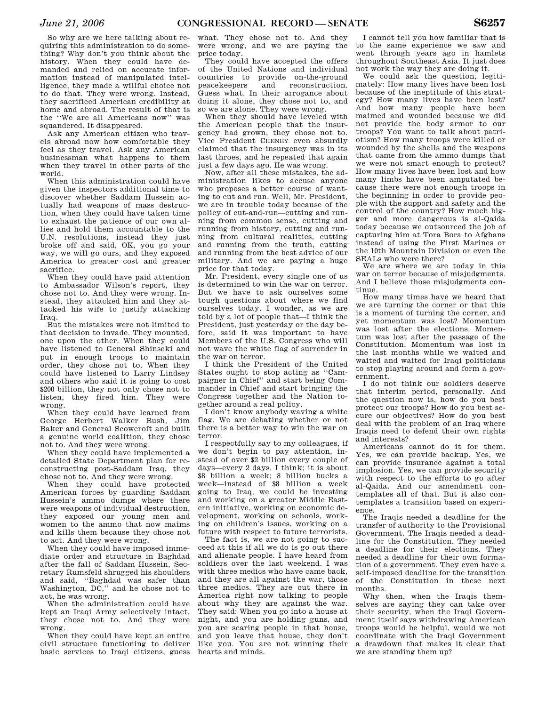They could have accepted the offers of the United Nations and individual countries to provide on-the-ground<br>peacekeepers and reconstruction. reconstruction. Guess what. In their arrogance about doing it alone, they chose not to, and so we are alone. They were wrong.

When they should have leveled with the American people that the insurgency had grown, they chose not to. Vice President CHENEY even absurdly claimed that the insurgency was in its last throes, and he repeated that again just a few days ago. He was wrong.

Now, after all these mistakes, the administration likes to accuse anyone who proposes a better course of wanting to cut and run. Well, Mr. President, we are in trouble today because of the policy of cut-and-run—cutting and running from common sense, cutting and running from history, cutting and running from cultural realities, cutting and running from the truth, cutting and running from the best advice of our military. And we are paying a huge price for that today.

Mr. President, every single one of us is determined to win the war on terror. But we have to ask ourselves some tough questions about where we find ourselves today. I wonder, as we are told by a lot of people that—I think the President, just yesterday or the day before, said it was important to have Members of the U.S. Congress who will not wave the white flag of surrender in the war on terror.

I think the President of the United States ought to stop acting as ''Campaigner in Chief'' and start being Commander in Chief and start bringing the Congress together and the Nation together around a real policy.

I don't know anybody waving a white flag. We are debating whether or not there is a better way to win the war on terror.

I respectfully say to my colleagues, if we don't begin to pay attention, instead of over \$2 billion every couple of days—every 2 days, I think; it is about \$8 billion a week; 8 billion bucks a week—instead of \$8 billion a week going to Iraq, we could be investing and working on a greater Middle Eastern initiative, working on economic development, working on schools, working on children's issues, working on a future with respect to future terrorists.

The fact is, we are not going to succeed at this if all we do is go out there and alienate people. I have heard from soldiers over the last weekend. I was with three medics who have came back, and they are all against the war, those three medics. They are out there in America right now talking to people about why they are against the war. They said: When you go into a house at night, and you are holding guns, and you are scaring people in that house, and you leave that house, they don't like you. You are not winning their hearts and minds.

I cannot tell you how familiar that is to the same experience we saw and went through years ago in hamlets throughout Southeast Asia. It just does not work the way they are doing it.

We could ask the question, legitimately: How many lives have been lost because of the ineptitude of this strategy? How many lives have been lost? And how many people have been maimed and wounded because we did not provide the body armor to our troops? You want to talk about patriotism? How many troops were killed or wounded by the shells and the weapons that came from the ammo dumps that we were not smart enough to protect? How many lives have been lost and how many limbs have been amputated because there were not enough troops in the beginning in order to provide people with the support and safety and the control of the country? How much bigger and more dangerous is al-Qaida today because we outsourced the job of capturing him at Tora Bora to Afghans instead of using the First Marines or the 10th Mountain Division or even the SEALs who were there?

We are where we are today in this war on terror because of misjudgments. And I believe those misjudgments continue.

How many times have we heard that we are turning the corner or that this is a moment of turning the corner, and yet momentum was lost? Momentum was lost after the elections. Momentum was lost after the passage of the Constitution. Momentum was lost in the last months while we waited and waited and waited for Iraqi politicians to stop playing around and form a government.

I do not think our soldiers deserve that interim period, personally. And the question now is, how do you best protect our troops? How do you best secure our objectives? How do you best deal with the problem of an Iraq where Iraqis need to defend their own rights and interests?

Americans cannot do it for them. Yes, we can provide backup. Yes, we can provide insurance against a total implosion. Yes, we can provide security with respect to the efforts to go after al-Qaida. And our amendment contemplates all of that. But it also contemplates a transition based on experience.

The Iraqis needed a deadline for the transfer of authority to the Provisional Government. The Iraqis needed a deadline for the Constitution. They needed a deadline for their elections. They needed a deadline for their own formation of a government. They even have a self-imposed deadline for the transition of the Constitution in these next months.

Why then, when the Iraqis themselves are saying they can take over their security, when the Iraqi Government itself says withdrawing American troops would be helpful, would we not coordinate with the Iraqi Government a drawdown that makes it clear that we are standing them up?

So why are we here talking about requiring this administration to do something? Why don't you think about the history. When they could have demanded and relied on accurate information instead of manipulated intelligence, they made a willful choice not to do that. They were wrong. Instead, they sacrificed American credibility at home and abroad. The result of that is the ''We are all Americans now'' was squandered. It disappeared.

Ask any American citizen who travels abroad now how comfortable they feel as they travel. Ask any American businessman what happens to them when they travel in other parts of the world.

When this administration could have given the inspectors additional time to discover whether Saddam Hussein actually had weapons of mass destruction, when they could have taken time to exhaust the patience of our own allies and hold them accountable to the U.N. resolutions, instead they just broke off and said, OK, you go your way, we will go ours, and they exposed America to greater cost and greater sacrifice.

When they could have paid attention to Ambassador Wilson's report, they chose not to. And they were wrong. Instead, they attacked him and they attacked his wife to justify attacking Iraq.

But the mistakes were not limited to that decision to invade. They mounted, one upon the other. When they could have listened to General Shinseki and put in enough troops to maintain order, they chose not to. When they could have listened to Larry Lindsey and others who said it is going to cost \$200 billion, they not only chose not to listen, they fired him. They were wrong.

When they could have learned from George Herbert Walker Bush, Jim Baker and General Scowcroft and built a genuine world coalition, they chose not to. And they were wrong.

When they could have implemented a detailed State Department plan for reconstructing post-Saddam Iraq, they chose not to. And they were wrong.

When they could have protected American forces by guarding Saddam Hussein's ammo dumps where there were weapons of individual destruction, they exposed our young men and women to the ammo that now maims and kills them because they chose not to act. And they were wrong.

When they could have imposed immediate order and structure in Baghdad after the fall of Saddam Hussein, Secretary Rumsfeld shrugged his shoulders and said, ''Baghdad was safer than Washington, DC,'' and he chose not to act, he was wrong.

When the administration could have kept an Iraqi Army selectively intact, they chose not to. And they were wrong.

When they could have kept an entire civil structure functioning to deliver basic services to Iraqi citizens, guess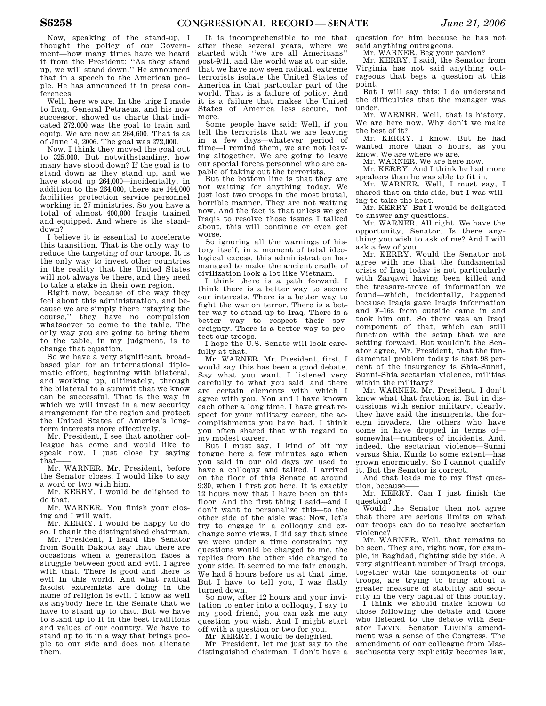Now, speaking of the stand-up, I thought the policy of our Government—how many times have we heard it from the President: ''As they stand up, we will stand down.'' He announced that in a speech to the American people. He has announced it in press conferences.

Well, here we are. In the trips I made to Iraq, General Petraeus, and his now successor, showed us charts that indicated 272,000 was the goal to train and equip. We are now at 264,600. That is as of June 14, 2006. The goal was 272,000.

Now, I think they moved the goal out to 325,000. But notwithstanding, how many have stood down? If the goal is to stand down as they stand up, and we have stood up 264,000—incidentally, in addition to the 264,000, there are 144,000 facilities protection service personnel working in 27 ministries. So you have a total of almost 400,000 Iraqis trained and equipped. And where is the standdown?

I believe it is essential to accelerate this transition. That is the only way to reduce the targeting of our troops. It is the only way to invest other countries in the reality that the United States will not always be there, and they need to take a stake in their own region.

Right now, because of the way they feel about this administration, and because we are simply there ''staying the course,'' they have no compulsion whatsoever to come to the table. The only way you are going to bring them to the table, in my judgment, is to change that equation.

So we have a very significant, broadbased plan for an international diplomatic effort, beginning with bilateral, and working up, ultimately, through the bilateral to a summit that we know can be successful. That is the way in which we will invest in a new security arrangement for the region and protect the United States of America's longterm interests more effectively.

Mr. President, I see that another colleague has come and would like to speak now. I just close by saying that-

Mr. WARNER. Mr. President, before the Senator closes, I would like to say a word or two with him.

Mr. KERRY. I would be delighted to do that.

Mr. WARNER. You finish your closing and I will wait.

Mr. KERRY. I would be happy to do so. I thank the distinguished chairman.

Mr. President, I heard the Senator from South Dakota say that there are occasions when a generation faces a struggle between good and evil. I agree with that. There is good and there is evil in this world. And what radical fascist extremists are doing in the name of religion is evil. I know as well as anybody here in the Senate that we have to stand up to that. But we have to stand up to it in the best traditions and values of our country. We have to stand up to it in a way that brings people to our side and does not alienate them.

It is incomprehensible to me that after these several years, where we started with ''we are all Americans'' post-9/11, and the world was at our side, that we have now seen radical, extreme terrorists isolate the United States of America in that particular part of the world. That is a failure of policy. And it is a failure that makes the United States of America less secure, not more.

Some people have said: Well, if you tell the terrorists that we are leaving in a few days—whatever period of time—I remind them, we are not leaving altogether. We are going to leave our special forces personnel who are capable of taking out the terrorists.

But the bottom line is that they are not waiting for anything today. We just lost two troops in the most brutal, horrible manner. They are not waiting now. And the fact is that unless we get Iraqis to resolve those issues I talked about, this will continue or even get worse.

So ignoring all the warnings of history itself, in a moment of total ideological excess, this administration has managed to make the ancient cradle of civilization look a lot like Vietnam.

I think there is a path forward. I think there is a better way to secure our interests. There is a better way to fight the war on terror. There is a better way to stand up to Iraq. There is a better way to respect their sovereignty. There is a better way to protect our troops.

I hope the U.S. Senate will look carefully at that.

Mr. WARNER. Mr. President, first, I would say this has been a good debate. Say what you want. I listened very carefully to what you said, and there are certain elements with which I agree with you. You and I have known each other a long time. I have great respect for your military career, the accomplishments you have had. I think you often shared that with regard to my modest career.

But I must say, I kind of bit my tongue here a few minutes ago when you said in our old days we used to have a colloquy and talked. I arrived on the floor of this Senate at around 9:30, when I first got here. It is exactly 12 hours now that I have been on this floor. And the first thing I said—and I don't want to personalize this—to the other side of the aisle was: Now, let's try to engage in a colloquy and exchange some views. I did say that since we were under a time constraint my questions would be charged to me, the replies from the other side charged to your side. It seemed to me fair enough. We had 5 hours before us at that time. But I have to tell you, I was flatly turned down.

So now, after 12 hours and your invitation to enter into a colloquy, I say to my good friend, you can ask me any question you wish. And I might start off with a question or two for you.

Mr. KERRY. I would be delighted.

Mr. President, let me just say to the distinguished chairman, I don't have a

question for him because he has not said anything outrageous.

Mr. WARNER. Beg your pardon?

Mr. KERRY. I said, the Senator from Virginia has not said anything outrageous that begs a question at this point.

But I will say this: I do understand the difficulties that the manager was under.

Mr. WARNER. Well, that is history. We are here now. Why don't we make the best of it?

Mr. KERRY. I know. But he had wanted more than 5 hours, as you know. We are where we are.

Mr. WARNER. We are here now.

Mr. KERRY. And I think he had more speakers than he was able to fit in.

Mr. WARNER. Well, I must say, I shared that on this side, but I was willing to take the heat.

Mr. KERRY. But I would be delighted to answer any questions.

Mr. WARNER. All right. We have the opportunity, Senator. Is there anything you wish to ask of me? And I will ask a few of you.

Mr. KERRY. Would the Senator not agree with me that the fundamental crisis of Iraq today is not particularly with Zarqawi having been killed and the treasure-trove of information we found—which, incidentally, happened because Iraqis gave Iraqis information and F–16s from outside came in and took him out. So there was an Iraqi component of that, which can still function with the setup that we are setting forward. But wouldn't the Senator agree, Mr. President, that the fundamental problem today is that 98 percent of the insurgency is Shia-Sunni, Sunni-Shia sectarian violence, militias within the military?

Mr. WARNER. Mr. President, I don't know what that fraction is. But in discussions with senior military, clearly, they have said the insurgents, the foreign invaders, the others who have come in have dropped in terms of somewhat—numbers of incidents. And, indeed, the sectarian violence—Sunni versus Shia, Kurds to some extent—has grown enormously. So I cannot qualify it. But the Senator is correct.

And that leads me to my first question, because-

Mr. KERRY. Can I just finish the question?

Would the Senator then not agree that there are serious limits on what our troops can do to resolve sectarian violence?

Mr. WARNER. Well, that remains to be seen. They are, right now, for example, in Baghdad, fighting side by side. A very significant number of Iraqi troops, together with the components of our troops, are trying to bring about a greater measure of stability and security in the very capital of this country.

I think we should make known to those following the debate and those who listened to the debate with Senator LEVIN, Senator LEVIN's amendment was a sense of the Congress. The amendment of our colleague from Massachusetts very explicitly becomes law,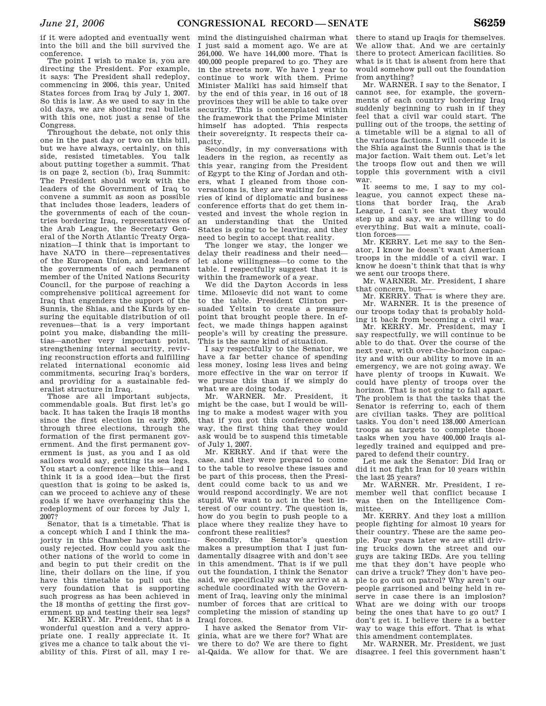if it were adopted and eventually went into the bill and the bill survived the conference.

The point I wish to make is, you are directing the President. For example, it says: The President shall redeploy, commencing in 2006, this year, United States forces from Iraq by July 1, 2007. So this is law. As we used to say in the old days, we are shooting real bullets with this one, not just a sense of the Congress.

Throughout the debate, not only this one in the past day or two on this bill, but we have always, certainly, on this side, resisted timetables. You talk about putting together a summit. That is on page 2, section (b), Iraq Summit: The President should work with the leaders of the Government of Iraq to convene a summit as soon as possible that includes those leaders, leaders of the governments of each of the countries bordering Iraq, representatives of the Arab League, the Secretary General of the North Atlantic Treaty Organization—I think that is important to have NATO in there—representatives of the European Union, and leaders of the governments of each permanent member of the United Nations Security Council, for the purpose of reaching a comprehensive political agreement for Iraq that engenders the support of the Sunnis, the Shias, and the Kurds by ensuring the equitable distribution of oil revenues—that is a very important point you make, disbanding the militias—another very important point, strengthening internal security, reviving reconstruction efforts and fulfilling related international economic aid commitments, securing Iraq's borders, and providing for a sustainable federalist structure in Iraq.

Those are all important subjects, commendable goals. But first let's go back. It has taken the Iraqis 18 months since the first election in early 2005, through three elections, through the formation of the first permanent government. And the first permanent government is just, as you and I as old sailors would say, getting its sea legs. You start a conference like this—and I think it is a good idea—but the first question that is going to be asked is, can we proceed to achieve any of these goals if we have overhanging this the redeployment of our forces by July 1, 2007?

Senator, that is a timetable. That is a concept which I and I think the majority in this Chamber have continuously rejected. How could you ask the other nations of the world to come in and begin to put their credit on the line, their dollars on the line, if you have this timetable to pull out the very foundation that is supporting such progress as has been achieved in the 18 months of getting the first government up and testing their sea legs?

Mr. KERRY. Mr. President, that is a wonderful question and a very appropriate one. I really appreciate it. It gives me a chance to talk about the viability of this. First of all, may I re-

mind the distinguished chairman what I just said a moment ago. We are at 264,000. We have 144,000 more. That is 400,000 people prepared to go. They are in the streets now. We have 1 year to continue to work with them. Prime Minister Maliki has said himself that by the end of this year, in 16 out of 18 provinces they will be able to take over security. This is contemplated within the framework that the Prime Minister himself has adopted. This respects their sovereignty. It respects their capacity.

Secondly, in my conversations with leaders in the region, as recently as this year, ranging from the President of Egypt to the King of Jordan and others, what I gleaned from those conversations is, they are waiting for a series of kind of diplomatic and business conference efforts that do get them invested and invest the whole region in an understanding that the United States is going to be leaving, and they need to begin to accept that reality.

The longer we stay, the longer we delay their readiness and their need let alone willingness—to come to the table. I respectfully suggest that it is within the framework of a year.

We did the Dayton Accords in less time. Milosevic did not want to come to the table. President Clinton persuaded Yeltsin to create a pressure point that brought people there. In effect, we made things happen against people's will by creating the pressure. This is the same kind of situation.

I say respectfully to the Senator, we have a far better chance of spending less money, losing less lives and being more effective in the war on terror if we pursue this than if we simply do what we are doing today.

Mr. WARNER. Mr. President, it might be the case, but I would be willing to make a modest wager with you that if you got this conference under way, the first thing that they would ask would be to suspend this timetable of July 1, 2007.

Mr. KERRY. And if that were the case, and they were prepared to come to the table to resolve these issues and be part of this process, then the President could come back to us and we would respond accordingly. We are not stupid. We want to act in the best interest of our country. The question is, how do you begin to push people to a place where they realize they have to confront these realities?

Secondly, the Senator's question makes a presumption that I just fundamentally disagree with and don't see in this amendment. That is if we pull out the foundation, I think the Senator said, we specifically say we arrive at a schedule coordinated with the Government of Iraq, leaving only the minimal number of forces that are critical to completing the mission of standing up Iraqi forces.

I have asked the Senator from Virginia, what are we there for? What are we there to do? We are there to fight al-Qaida. We allow for that. We are

there to stand up Iraqis for themselves. We allow that. And we are certainly there to protect American facilities. So what is it that is absent from here that would somehow pull out the foundation from anything?

Mr. WARNER. I say to the Senator, I cannot see, for example, the governments of each country bordering Iraq suddenly beginning to rush in if they feel that a civil war could start. The pulling out of the troops, the setting of a timetable will be a signal to all of the various factions. I will concede it is the Shia against the Sunnis that is the major faction. Wait them out. Let's let the troops flow out and then we will topple this government with a civil war.

It seems to me, I say to my colleague, you cannot expect these nations that border Iraq, the Arab League, I can't see that they would step up and say, we are willing to do everything. But wait a minute, coalition forces

Mr. KERRY. Let me say to the Senator, I know he doesn't want American troops in the middle of a civil war. I know he doesn't think that that is why we sent our troops there.

Mr. WARNER. Mr. President, I share that concern, but-

Mr. KERRY. That is where they are. Mr. WARNER. It is the presence of our troops today that is probably holding it back from becoming a civil war.

Mr. KERRY. Mr. President, may I say respectfully, we will continue to be able to do that. Over the course of the next year, with over-the-horizon capacity and with our ability to move in an emergency, we are not going away. We have plenty of troops in Kuwait. We could have plenty of troops over the horizon. That is not going to fall apart. The problem is that the tasks that the Senator is referring to, each of them are civilian tasks. They are political tasks. You don't need 138,000 American troops as targets to complete those tasks when you have 400,000 Iraqis allegedly trained and equipped and prepared to defend their country.

Let me ask the Senator: Did Iraq or did it not fight Iran for 10 years within the last 25 years?

Mr. WARNER. Mr. President, I remember well that conflict because I was then on the Intelligence Committee.

Mr. KERRY. And they lost a million people fighting for almost 10 years for their country. These are the same people. Four years later we are still driving trucks down the street and our guys are taking IEDs. Are you telling me that they don't have people who can drive a truck? They don't have people to go out on patrol? Why aren't our people garrisoned and being held in reserve in case there is an implosion? What are we doing with our troops being the ones that have to go out? I don't get it. I believe there is a better way to wage this effort. That is what this amendment contemplates.

Mr. WARNER. Mr. President, we just disagree. I feel this government hasn't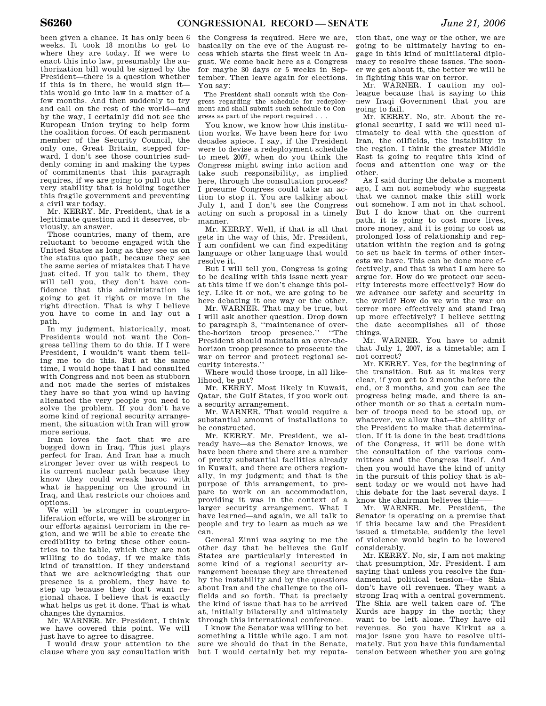been given a chance. It has only been 6 weeks. It took 18 months to get to where they are today. If we were to enact this into law, presumably the authorization bill would be signed by the President—there is a question whether if this is in there, he would sign it this would go into law in a matter of a few months. And then suddenly to try and call on the rest of the world—and by the way, I certainly did not see the European Union trying to help form the coalition forces. Of each permanent member of the Security Council, the only one, Great Britain, stepped forward. I don't see those countries suddenly coming in and making the types of commitments that this paragraph requires, if we are going to pull out the very stability that is holding together this fragile government and preventing a civil war today.

Mr. KERRY. Mr. President, that is a legitimate question and it deserves, obviously, an answer.

Those countries, many of them, are reluctant to become engaged with the United States as long as they see us on the status quo path, because they see the same series of mistakes that I have just cited. If you talk to them, they will tell you, they don't have confidence that this administration is going to get it right or move in the right direction. That is why I believe you have to come in and lay out a path.

In my judgment, historically, most Presidents would not want the Congress telling them to do this. If I were President, I wouldn't want them telling me to do this. But at the same time, I would hope that I had consulted with Congress and not been as stubborn and not made the series of mistakes they have so that you wind up having alienated the very people you need to solve the problem. If you don't have some kind of regional security arrangement, the situation with Iran will grow more serious.

Iran loves the fact that we are bogged down in Iraq. This just plays perfect for Iran. And Iran has a much stronger lever over us with respect to its current nuclear path because they know they could wreak havoc with what is happening on the ground in Iraq, and that restricts our choices and options.

We will be stronger in counterproliferation efforts, we will be stronger in our efforts against terrorism in the region, and we will be able to create the credibility to bring these other countries to the table, which they are not willing to do today, if we make this kind of transition. If they understand that we are acknowledging that our presence is a problem, they have to step up because they don't want regional chaos. I believe that is exactly what helps us get it done. That is what changes the dynamics.

Mr. WARNER. Mr. President, I think we have covered this point. We will just have to agree to disagree.

I would draw your attention to the clause where you say consultation with the Congress is required. Here we are, basically on the eve of the August recess which starts the first week in August. We come back here as a Congress for maybe 30 days or 5 weeks in September. Then leave again for elections. You say:

The President shall consult with the Congress regarding the schedule for redeployment and shall submit such schedule to Congress as part of the report required . . .

You know, we know how this institution works. We have been here for two decades apiece. I say, if the President were to devise a redeployment schedule to meet 2007, when do you think the Congress might swing into action and take such responsibility, as implied here, through the consultation process? I presume Congress could take an action to stop it. You are talking about July 1, and I don't see the Congress acting on such a proposal in a timely manner.

Mr. KERRY. Well, if that is all that gets in the way of this, Mr. President, I am confident we can find expediting language or other language that would resolve it.

But I will tell you, Congress is going to be dealing with this issue next year at this time if we don't change this policy. Like it or not, we are going to be here debating it one way or the other.

Mr. WARNER. That may be true, but I will ask another question. Drop down to paragraph 3, ''maintenance of overthe-horizon troop presence.'' ''The President should maintain an over-thehorizon troop presence to prosecute the war on terror and protect regional security interests.''

Where would those troops, in all likelihood, be put?

Mr. KERRY. Most likely in Kuwait, Qatar, the Gulf States, if you work out a security arrangement.

Mr. WARNER. That would require a substantial amount of installations to be constructed.

Mr. KERRY. Mr. President, we already have—as the Senator knows, we have been there and there are a number of pretty substantial facilities already in Kuwait, and there are others regionally, in my judgment; and that is the purpose of this arrangement, to prepare to work on an accommodation, providing it was in the context of a larger security arrangement. What I have learned—and again, we all talk to people and try to learn as much as we can.

General Zinni was saying to me the other day that he believes the Gulf States are particularly interested in some kind of a regional security arrangement because they are threatened by the instability and by the questions about Iran and the challenge to the oilfields and so forth. That is precisely the kind of issue that has to be arrived at, initially bilaterally and ultimately through this international conference.

I know the Senator was willing to bet something a little while ago. I am not sure we should do that in the Senate, but I would certainly bet my reputa-

tion that, one way or the other, we are going to be ultimately having to engage in this kind of multilateral diplomacy to resolve these issues. The sooner we get about it, the better we will be in fighting this war on terror.

Mr. WARNER. I caution my colleague because that is saying to this new Iraqi Government that you are going to fail.

Mr. KERRY. No, sir. About the regional security, I said we will need ultimately to deal with the question of Iran, the oilfields, the instability in the region. I think the greater Middle East is going to require this kind of focus and attention one way or the other.

As I said during the debate a moment ago, I am not somebody who suggests that we cannot make this still work out somehow. I am not in that school. But I do know that on the current path, it is going to cost more lives, more money, and it is going to cost us prolonged loss of relationship and reputation within the region and is going to set us back in terms of other interests we have. This can be done more effectively, and that is what I am here to argue for. How do we protect our security interests more effectively? How do we advance our safety and security in the world? How do we win the war on terror more effectively and stand Iraq up more effectively? I believe setting the date accomplishes all of those things.

Mr. WARNER. You have to admit that July 1, 2007, is a timetable; am I not correct?

Mr. KERRY. Yes, for the beginning of the transition. But as it makes very clear, if you get to 2 months before the end, or 3 months, and you can see the progress being made, and there is another month or so that a certain number of troops need to be stood up, or whatever, we allow that—the ability of the President to make that determination. If it is done in the best traditions of the Congress, it will be done with the consultation of the various committees and the Congress itself. And then you would have the kind of unity in the pursuit of this policy that is absent today or we would not have had this debate for the last several days. I know the chairman believes this——

Mr. WARNER. Mr. President, the Senator is operating on a premise that if this became law and the President issued a timetable, suddenly the level of violence would begin to be lowered considerably.

Mr. KERRY. No, sir, I am not making that presumption, Mr. President. I am saying that unless you resolve the fundamental political tension—the Shia don't have oil revenues. They want a strong Iraq with a central government. The Shia are well taken care of. The Kurds are happy in the north; they want to be left alone. They have oil revenues. So you have Kirkut as a major issue you have to resolve ultimately. But you have this fundamental tension between whether you are going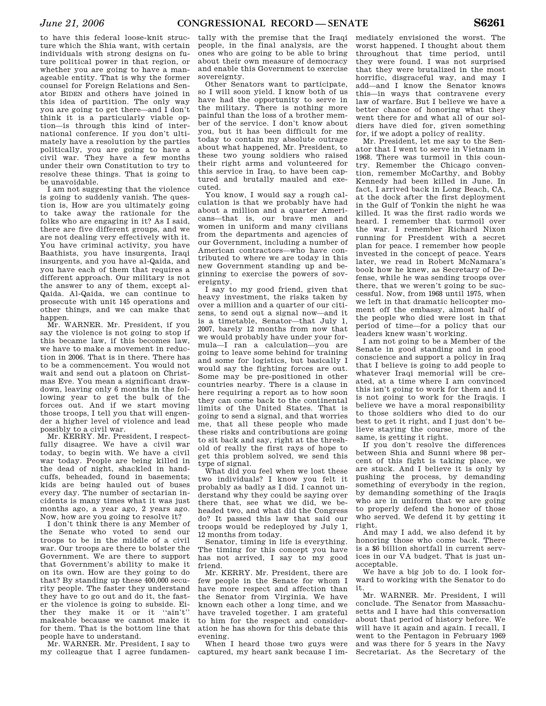to have this federal loose-knit structure which the Shia want, with certain individuals with strong designs on future political power in that region, or whether you are going to have a manageable entity. That is why the former counsel for Foreign Relations and Senator BIDEN and others have joined in this idea of partition. The only way you are going to get there—and I don't think it is a particularly viable option—is through this kind of international conference. If you don't ultimately have a resolution by the parties politically, you are going to have a civil war. They have a few months under their own Constitution to try to resolve these things. That is going to be unavoidable.

I am not suggesting that the violence is going to suddenly vanish. The question is, How are you ultimately going to take away the rationale for the folks who are engaging in it? As I said, there are five different groups, and we are not dealing very effectively with it. You have criminal activity, you have Baathists, you have insurgents, Iraqi insurgents, and you have al-Qaida, and you have each of them that requires a different approach. Our military is not the answer to any of them, except al-Qaida. Al-Qaida, we can continue to prosecute with unit 145 operations and other things, and we can make that ha.ppen.

Mr. WARNER. Mr. President, if you say the violence is not going to stop if this became law, if this becomes law, we have to make a movement in reduction in 2006. That is in there. There has to be a commencement. You would not wait and send out a platoon on Christmas Eve. You mean a significant drawdown, leaving only 6 months in the following year to get the bulk of the forces out. And if we start moving those troops, I tell you that will engender a higher level of violence and lead possibly to a civil war.

Mr. KERRY. Mr. President, I respectfully disagree. We have a civil war today, to begin with. We have a civil war today. People are being killed in the dead of night, shackled in handcuffs, beheaded, found in basements; kids are being hauled out of buses every day. The number of sectarian incidents is many times what it was just months ago, a year ago, 2 years ago. Now, how are you going to resolve it?

I don't think there is any Member of the Senate who voted to send our troops to be in the middle of a civil war. Our troops are there to bolster the Government. We are there to support that Government's ability to make it on its own. How are they going to do that? By standing up these 400,000 security people. The faster they understand they have to go out and do it, the faster the violence is going to subside. Either they make it or it "ain't" makeable because we cannot make it for them. That is the bottom line that people have to understand.

Mr. WARNER. Mr. President, I say to my colleague that I agree fundamen-

tally with the premise that the Iraqi people, in the final analysis, are the ones who are going to be able to bring about their own measure of democracy and enable this Government to exercise sovereignty.

Other Senators want to participate, so I will soon yield. I know both of us have had the opportunity to serve in the military. There is nothing more painful than the loss of a brother member of the service. I don't know about you, but it has been difficult for me today to contain my absolute outrage about what happened, Mr. President, to these two young soldiers who raised their right arms and volunteered for this service in Iraq, to have been captured and brutally mauled and executed.

You know, I would say a rough calculation is that we probably have had about a million and a quarter Americans—that is, our brave men and women in uniform and many civilians from the departments and agencies of our Government, including a number of American contractors—who have contributed to where we are today in this new Government standing up and beginning to exercise the powers of sovereignty.

I say to my good friend, given that heavy investment, the risks taken by over a million and a quarter of our citizens, to send out a signal now—and it is a timetable, Senator—that July 1, 2007, barely 12 months from now that we would probably have under your formula—I ran a calculation—you are going to leave some behind for training and some for logistics, but basically I would say the fighting forces are out. Some may be pre-positioned in other countries nearby. There is a clause in here requiring a report as to how soon they can come back to the continental limits of the United States. That is going to send a signal, and that worries me, that all these people who made these risks and contributions are going to sit back and say, right at the threshold of really the first rays of hope to get this problem solved, we send this type of signal.

What did you feel when we lost these two individuals? I know you felt it probably as badly as I did. I cannot understand why they could be saying over there that, see what we did, we beheaded two, and what did the Congress do? It passed this law that said our troops would be redeployed by July 1, 12 months from today.

Senator, timing in life is everything. The timing for this concept you have has not arrived, I say to my good friend.

Mr. KERRY. Mr. President, there are few people in the Senate for whom I have more respect and affection than the Senator from Virginia. We have known each other a long time, and we have traveled together. I am grateful to him for the respect and consideration he has shown for this debate this evening.

When I heard those two guys were captured, my heart sank because I immediately envisioned the worst. The worst happened. I thought about them throughout that time period, until they were found. I was not surprised that they were brutalized in the most horrific, disgraceful way, and may I add—and I know the Senator knows this—in ways that contravene every law of warfare. But I believe we have a better chance of honoring what they went there for and what all of our soldiers have died for, given something for, if we adopt a policy of reality.

Mr. President, let me say to the Senator that I went to serve in Vietnam in 1968. There was turmoil in this country. Remember the Chicago convention, remember McCarthy, and Bobby Kennedy had been killed in June. In fact, I arrived back in Long Beach, CA, at the dock after the first deployment in the Gulf of Tonkin the night he was killed. It was the first radio words we heard. I remember that turmoil over the war. I remember Richard Nixon running for President with a secret plan for peace. I remember how people invested in the concept of peace. Years later, we read in Robert McNamara's book how he knew, as Secretary of Defense, while he was sending troops over there, that we weren't going to be successful. Now, from 1968 until 1975, when we left in that dramatic helicopter moment off the embassy, almost half of the people who died were lost in that period of time—for a policy that our leaders knew wasn't working.

I am not going to be a Member of the Senate in good standing and in good conscience and support a policy in Iraq that I believe is going to add people to whatever Iraqi memorial will be created, at a time where I am convinced this isn't going to work for them and it is not going to work for the Iraqis. I believe we have a moral responsibility to those soldiers who died to do our best to get it right, and I just don't believe staying the course, more of the same, is getting it right.

If you don't resolve the differences between Shia and Sunni where 98 percent of this fight is taking place, we are stuck. And I believe it is only by pushing the process, by demanding something of everybody in the region, by demanding something of the Iraqis who are in uniform that we are going to properly defend the honor of those who served. We defend it by getting it right.

And may I add, we also defend it by honoring those who come back. There is a \$6 billion shortfall in current services in our VA budget. That is just unacceptable.

We have a big job to do. I look forward to working with the Senator to do it.

Mr. WARNER. Mr. President, I will conclude. The Senator from Massachusetts and I have had this conversation about that period of history before. We will have it again and again. I recall, I went to the Pentagon in February 1969 and was there for 5 years in the Navy Secretariat. As the Secretary of the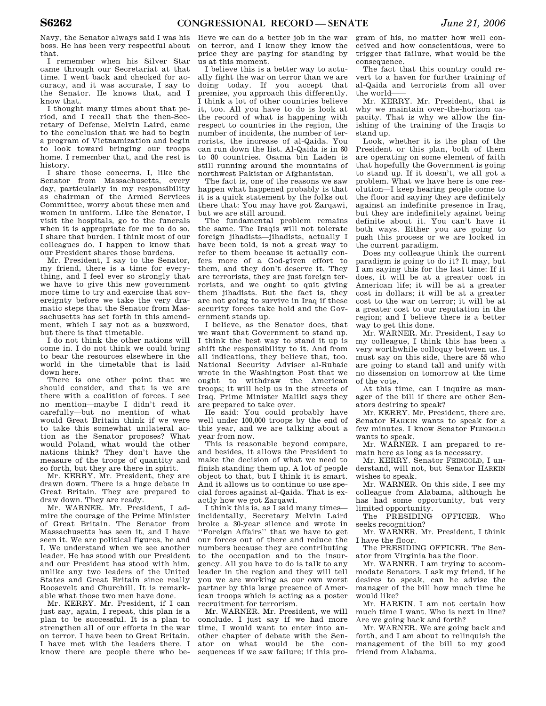Navy, the Senator always said I was his boss. He has been very respectful about that.

I remember when his Silver Star came through our Secretariat at that time. I went back and checked for accuracy, and it was accurate, I say to the Senator. He knows that, and I know that.

I thought many times about that period, and I recall that the then-Secretary of Defense, Melvin Laird, came to the conclusion that we had to begin a program of Vietnamization and begin to look toward bringing our troops home. I remember that, and the rest is history.

I share those concerns. I, like the Senator from Massachusetts, every day, particularly in my responsibility as chairman of the Armed Services Committee, worry about these men and women in uniform. Like the Senator, I visit the hospitals, go to the funerals when it is appropriate for me to do so. I share that burden. I think most of our colleagues do. I happen to know that our President shares those burdens.

Mr. President, I say to the Senator, my friend, there is a time for everything, and I feel ever so strongly that we have to give this new government more time to try and exercise that sovereignty before we take the very dramatic steps that the Senator from Massachusetts has set forth in this amendment, which I say not as a buzzword, but there is that timetable.

I do not think the other nations will come in. I do not think we could bring to bear the resources elsewhere in the world in the timetable that is laid down here.

There is one other point that we should consider, and that is we are there with a coalition of forces. I see no mention—maybe I didn't read it carefully—but no mention of what would Great Britain think if we were to take this somewhat unilateral action as the Senator proposes? What would Poland, what would the other nations think? They don't have the measure of the troops of quantity and so forth, but they are there in spirit.

Mr. KERRY. Mr. President, they are drawn down. There is a huge debate in Great Britain. They are prepared to draw down. They are ready.

Mr. WARNER. Mr. President, I admire the courage of the Prime Minister of Great Britain. The Senator from Massachusetts has seen it, and I have seen it. We are political figures, he and I. We understand when we see another leader. He has stood with our President and our President has stood with him, unlike any two leaders of the United States and Great Britain since really Roosevelt and Churchill. It is remarkable what those two men have done.

Mr. KERRY. Mr. President, if I can just say, again, I repeat, this plan is a plan to be successful. It is a plan to strengthen all of our efforts in the war on terror. I have been to Great Britain. I have met with the leaders there. I know there are people there who believe we can do a better job in the war on terror, and I know they know the price they are paying for standing by us at this moment.

I believe this is a better way to actually fight the war on terror than we are doing today. If you accept that premise, you approach this differently. I think a lot of other countries believe it, too. All you have to do is look at the record of what is happening with respect to countries in the region, the number of incidents, the number of terrorists, the increase of al-Qaida. You can run down the list. Al-Qaida is in 60 to 80 countries. Osama bin Laden is still running around the mountains of northwest Pakistan or Afghanistan.

The fact is, one of the reasons we saw happen what happened probably is that it is a quick statement by the folks out there that: You may have got Zarqawi, but we are still around.

The fundamental problem remains the same. The Iraqis will not tolerate foreign jihadists—jihadists, actually I have been told, is not a great way to refer to them because it actually confers more of a God-given effort to them, and they don't deserve it. They are terrorists, they are just foreign terrorists, and we ought to quit giving them jihadists. But the fact is, they are not going to survive in Iraq if these security forces take hold and the Government stands up.

I believe, as the Senator does, that we want that Government to stand up. I think the best way to stand it up is shift the responsibility to it. And from all indications, they believe that, too. National Security Adviser al-Rubaie wrote in the Washington Post that we ought to withdraw the American troops; it will help us in the streets of Iraq. Prime Minister Maliki says they are prepared to take over.

He said: You could probably have well under 100,000 troops by the end of this year, and we are talking about a year from now.

This is reasonable beyond compare, and besides, it allows the President to make the decision of what we need to finish standing them up. A lot of people object to that, but I think it is smart. And it allows us to continue to use special forces against al-Qaida. That is exactly how we got Zarqawi.

I think this is, as I said many times incidentally, Secretary Melvin Laird broke a 30-year silence and wrote in ''Foreign Affairs'' that we have to get our forces out of there and reduce the numbers because they are contributing to the occupation and to the insurgency. All you have to do is talk to any leader in the region and they will tell you we are working as our own worst partner by this large presence of American troops which is acting as a poster recruitment for terrorism.

Mr. WARNER. Mr. President, we will conclude. I just say if we had more time, I would want to enter into another chapter of debate with the Senator on what would be the consequences if we saw failure; if this pro-

gram of his, no matter how well conceived and how conscientious, were to trigger that failure, what would be the consequence.

The fact that this country could revert to a haven for further training of al-Qaida and terrorists from all over the world-

Mr. KERRY. Mr. President, that is why we maintain over-the-horizon capacity. That is why we allow the finishing of the training of the Iraqis to stand up.

Look, whether it is the plan of the President or this plan, both of them are operating on some element of faith that hopefully the Government is going to stand up. If it doesn't, we all got a problem. What we have here is one resolution—I keep hearing people come to the floor and saying they are definitely against an indefinite presence in Iraq, but they are indefinitely against being definite about it. You can't have it both ways. Either you are going to push this process or we are locked in the current paradigm.

Does my colleague think the current paradigm is going to do it? It may, but I am saying this for the last time: If it does, it will be at a greater cost in American life; it will be at a greater cost in dollars; it will be at a greater cost to the war on terror; it will be at a greater cost to our reputation in the region; and I believe there is a better way to get this done.

Mr. WARNER. Mr. President, I say to my colleague, I think this has been a very worthwhile colloquy between us. I must say on this side, there are 55 who are going to stand tall and unify with no dissension on tomorrow at the time of the vote.

At this time, can I inquire as manager of the bill if there are other Senators desiring to speak?

Mr. KERRY. Mr. President, there are. Senator HARKIN wants to speak for a few minutes. I know Senator FEINGOLD wants to speak.

Mr. WARNER. I am prepared to remain here as long as is necessary.

Mr. KERRY. Senator FEINGOLD, I understand, will not, but Senator HARKIN wishes to speak.

Mr. WARNER. On this side, I see my colleague from Alabama, although he has had some opportunity, but very limited opportunity.

The PRESIDING OFFICER. Who seeks recognition?

Mr. WARNER. Mr. President, I think I have the floor.

The PRESIDING OFFICER. The Senator from Virginia has the floor.

Mr. WARNER. I am trying to accommodate Senators. I ask my friend, if he desires to speak, can he advise the manager of the bill how much time he would like?

Mr. HARKIN. I am not certain how much time I want. Who is next in line? Are we going back and forth?

Mr. WARNER. We are going back and forth, and I am about to relinquish the management of the bill to my good friend from Alabama.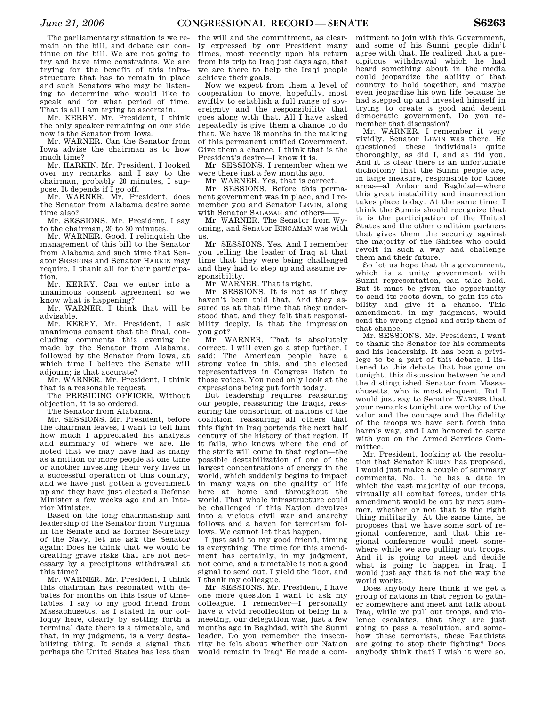The parliamentary situation is we remain on the bill, and debate can continue on the bill. We are not going to try and have time constraints. We are trying for the benefit of this infrastructure that has to remain in place and such Senators who may be listening to determine who would like to speak and for what period of time. That is all I am trying to ascertain.

Mr. KERRY. Mr. President, I think the only speaker remaining on our side now is the Senator from Iowa.

Mr. WARNER. Can the Senator from Iowa advise the chairman as to how much time?

Mr. HARKIN. Mr. President, I looked over my remarks, and I say to the chairman, probably 20 minutes, I suppose. It depends if I go off.

Mr. WARNER. Mr. President, does the Senator from Alabama desire some time also?

Mr. SESSIONS. Mr. President, I say to the chairman, 20 to 30 minutes.

Mr. WARNER. Good. I relinquish the management of this bill to the Senator from Alabama and such time that Senator SESSIONS and Senator HARKIN may require. I thank all for their participation.

Mr. KERRY. Can we enter into a unanimous consent agreement so we know what is happening?

Mr. WARNER. I think that will be advisable.

Mr. KERRY. Mr. President, I ask unanimous consent that the final, concluding comments this evening be made by the Senator from Alabama, followed by the Senator from Iowa, at which time I believe the Senate will adjourn; is that accurate?

Mr. WARNER. Mr. President, I think that is a reasonable request.

The PRESIDING OFFICER. Without objection, it is so ordered.

The Senator from Alabama.

Mr. SESSIONS. Mr. President, before the chairman leaves, I want to tell him how much I appreciated his analysis and summary of where we are. He noted that we may have had as many as a million or more people at one time or another investing their very lives in a successful operation of this country, and we have just gotten a government up and they have just elected a Defense Minister a few weeks ago and an Interior Minister.

Based on the long chairmanship and leadership of the Senator from Virginia in the Senate and as former Secretary of the Navy, let me ask the Senator again: Does he think that we would be creating grave risks that are not necessary by a precipitous withdrawal at this time?

Mr. WARNER. Mr. President, I think this chairman has resonated with debates for months on this issue of timetables. I say to my good friend from Massachusetts, as I stated in our colloquy here, clearly by setting forth a terminal date there is a timetable, and that, in my judgment, is a very destabilizing thing. It sends a signal that perhaps the United States has less than

the will and the commitment, as clearly expressed by our President many times, most recently upon his return from his trip to Iraq just days ago, that we are there to help the Iraqi people achieve their goals.

Now we expect from them a level of cooperation to move, hopefully, most swiftly to establish a full range of sovereignty and the responsibility that goes along with that. All I have asked repeatedly is give them a chance to do that. We have 18 months in the making of this permanent unified Government. Give them a chance. I think that is the President's desire—I know it is.

Mr. SESSIONS. I remember when we were there just a few months ago.

Mr. WARNER. Yes, that is correct.

Mr. SESSIONS. Before this permanent government was in place, and I remember you and Senator LEVIN, along with Senator SALAZAR and others-

Mr. WARNER. The Senator from Wyoming, and Senator BINGAMAN was with us.

Mr. SESSIONS. Yes. And I remember you telling the leader of Iraq at that time that they were being challenged and they had to step up and assume responsibility.

Mr. WARNER. That is right.

Mr. SESSIONS. It is not as if they haven't been told that. And they assured us at that time that they understood that, and they felt that responsibility deeply. Is that the impression you got?

Mr. WARNER. That is absolutely correct. I will even go a step further. I said: The American people have a strong voice in this, and the elected representatives in Congress listen to those voices. You need only look at the expressions being put forth today.

But leadership requires reassuring our people, reassuring the Iraqis, reassuring the consortium of nations of the coalition, reassuring all others that this fight in Iraq portends the next half century of the history of that region. If it fails, who knows where the end of the strife will come in that region—the possible destabilization of one of the largest concentrations of energy in the world, which suddenly begins to impact in many ways on the quality of life here at home and throughout the world. That whole infrastructure could be challenged if this Nation devolves into a vicious civil war and anarchy follows and a haven for terrorism follows. We cannot let that happen.

I just said to my good friend, timing is everything. The time for this amendment has certainly, in my judgment, not come, and a timetable is not a good signal to send out. I yield the floor, and I thank my colleague.

Mr. SESSIONS. Mr. President, I have one more question I want to ask my colleague. I remember—I personally have a vivid recollection of being in a meeting, our delegation was, just a few months ago in Baghdad, with the Sunni leader. Do you remember the insecurity he felt about whether our Nation would remain in Iraq? He made a com-

mitment to join with this Government, and some of his Sunni people didn't agree with that. He realized that a precipitous withdrawal which he had heard something about in the media could jeopardize the ability of that country to hold together, and maybe even jeopardize his own life because he had stepped up and invested himself in trying to create a good and decent democratic government. Do you remember that discussion?

Mr. WARNER. I remember it very vividly. Senator LEVIN was there. He questioned these individuals quite thoroughly, as did I, and as did you. And it is clear there is an unfortunate dichotomy that the Sunni people are, in large measure, responsible for those areas—al Anbar and Baghdad—where this great instability and insurrection takes place today. At the same time, I think the Sunnis should recognize that it is the participation of the United States and the other coalition partners that gives them the security against the majority of the Shiites who could revolt in such a way and challenge them and their future.

So let us hope that this government, which is a unity government with Sunni representation, can take hold. But it must be given the opportunity to send its roots down, to gain its stability and give it a chance. This amendment, in my judgment, would send the wrong signal and strip them of that chance.

Mr. SESSIONS. Mr. President, I want to thank the Senator for his comments and his leadership. It has been a privilege to be a part of this debate. I listened to this debate that has gone on tonight, this discussion between he and the distinguished Senator from Massachusetts, who is most eloquent. But I would just say to Senator WARNER that your remarks tonight are worthy of the valor and the courage and the fidelity of the troops we have sent forth into harm's way, and I am honored to serve with you on the Armed Services Committee.

Mr. President, looking at the resolution that Senator KERRY has proposed, I would just make a couple of summary comments. No. 1, he has a date in which the vast majority of our troops, virtually all combat forces, under this amendment would be out by next summer, whether or not that is the right thing militarily. At the same time, he proposes that we have some sort of regional conference, and that this regional conference would meet somewhere while we are pulling out troops. And it is going to meet and decide what is going to happen in Iraq. I would just say that is not the way the world works.

Does anybody here think if we get a group of nations in that region to gather somewhere and meet and talk about Iraq, while we pull out troops, and violence escalates, that they are just going to pass a resolution, and somehow these terrorists, these Baathists are going to stop their fighting? Does anybody think that? I wish it were so.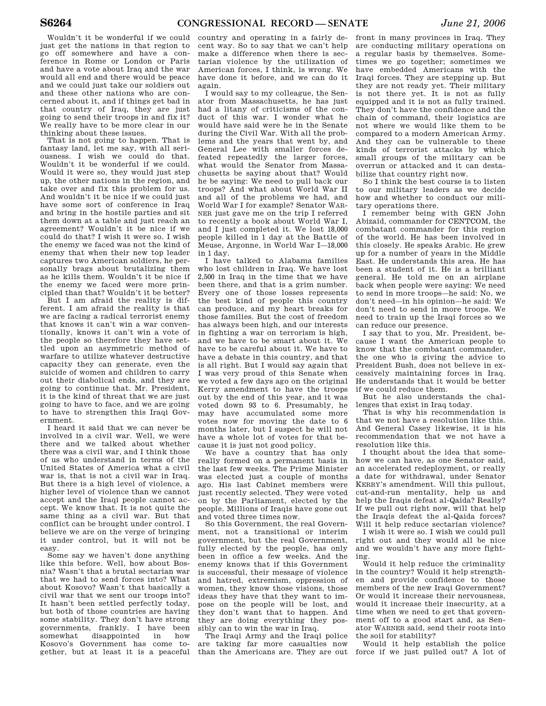Wouldn't it be wonderful if we could just get the nations in that region to go off somewhere and have a conference in Rome or London or Paris and have a vote about Iraq and the war would all end and there would be peace and we could just take our soldiers out and these other nations who are concerned about it, and if things get bad in that country of Iraq, they are just going to send their troops in and fix it? We really have to be more clear in our thinking about these issues.

That is not going to happen. That is fantasy land, let me say, with all seriousness. I wish we could do that. Wouldn't it be wonderful if we could. Would it were so, they would just step up, the other nations in the region, and take over and fix this problem for us. And wouldn't it be nice if we could just have some sort of conference in Iraq and bring in the hostile parties and sit them down at a table and just reach an agreement? Wouldn't it be nice if we could do that? I wish it were so. I wish the enemy we faced was not the kind of enemy that when their new top leader captures two American soldiers, he personally brags about brutalizing them as he kills them. Wouldn't it be nice if the enemy we faced were more principled than that? Wouldn't it be better?

But I am afraid the reality is different. I am afraid the reality is that we are facing a radical terrorist enemy that knows it can't win a war conventionally, knows it can't win a vote of the people so therefore they have settled upon an asymmetric method of warfare to utilize whatever destructive capacity they can generate, even the suicide of women and children to carry out their diabolical ends, and they are going to continue that. Mr. President, it is the kind of threat that we are just going to have to face, and we are going to have to strengthen this Iraqi Government.

I heard it said that we can never be involved in a civil war. Well, we were there and we talked about whether there was a civil war, and I think those of us who understand in terms of the United States of America what a civil war is, that is not a civil war in Iraq. But there is a high level of violence, a higher level of violence than we cannot accept and the Iraqi people cannot accept. We know that. It is not quite the same thing as a civil war. But that conflict can be brought under control. I believe we are on the verge of bringing it under control, but it will not be easy.

Some say we haven't done anything like this before. Well, how about Bosnia? Wasn't that a brutal sectarian war that we had to send forces into? What about Kosovo? Wasn't that basically a civil war that we sent our troops into? It hasn't been settled perfectly today, but both of those countries are having some stability. They don't have strong governments, frankly. I have been somewhat disappointed in how Kosovo's Government has come together, but at least it is a peaceful

country and operating in a fairly decent way. So to say that we can't help make a difference when there is sectarian violence by the utilization of American forces, I think, is wrong. We have done it before, and we can do it again.

I would say to my colleague, the Senator from Massachusetts, he has just had a litany of criticisms of the conduct of this war. I wonder what he would have said were he in the Senate during the Civil War. With all the problems and the years that went by, and General Lee with smaller forces defeated repeatedly the larger forces, what would the Senator from Massachusetts be saying about that? Would he be saying: We need to pull back our troops? And what about World War II and all of the problems we had, and World War I for example? Senator WAR-NER just gave me on the trip I referred to recently a book about World War I, and I just completed it. We lost 18,000 people killed in 1 day at the Battle of Meuse, Argonne, in World War I—18,000 in 1 day.

I have talked to Alabama families who lost children in Iraq. We have lost 2,500 in Iraq in the time that we have been there, and that is a grim number. Every one of those losses represents the best kind of people this country can produce, and my heart breaks for those families. But the cost of freedom has always been high, and our interests in fighting a war on terrorism is high, and we have to be smart about it. We have to be careful about it. We have to have a debate in this country, and that is all right. But I would say again that I was very proud of this Senate when we voted a few days ago on the original Kerry amendment to have the troops out by the end of this year, and it was voted down 93 to 6. Presumably, he may have accumulated some more votes now for moving the date to 6 months later, but I suspect he will not have a whole lot of votes for that because it is just not good policy.

We have a country that has only really formed on a permanent basis in the last few weeks. The Prime Minister was elected just a couple of months ago. His last Cabinet members were just recently selected. They were voted on by the Parliament, elected by the people. Millions of Iraqis have gone out and voted three times now.

So this Government, the real Government, not a transitional or interim government, but the real Government, fully elected by the people, has only been in office a few weeks. And the enemy knows that if this Government is successful, their message of violence and hatred, extremism, oppression of women, they know those visions, those ideas they have that they want to impose on the people will be lost, and they don't want that to happen. And they are doing everything they possibly can to win the war in Iraq.

The Iraqi Army and the Iraqi police are taking far more casualties now than the Americans are. They are out

front in many provinces in Iraq. They are conducting military operations on a regular basis by themselves. Sometimes we go together; sometimes we have embedded Americans with the Iraqi forces. They are stepping up. But they are not ready yet. Their military is not there yet. It is not as fully equipped and it is not as fully trained. They don't have the confidence and the chain of command, their logistics are not where we would like them to be compared to a modern American Army. And they can be vulnerable to these kinds of terrorist attacks by which small groups of the military can be overrun or attacked and it can destabilize that country right now.

So I think the best course is to listen to our military leaders as we decide how and whether to conduct our military operations there.

I remember being with GEN John Abizaid, commander for CENTCOM, the combatant commander for this region of the world. He has been involved in this closely. He speaks Arabic. He grew up for a number of years in the Middle East. He understands this area. He has been a student of it. He is a brilliant general. He told me on an airplane back when people were saying: We need to send in more troops—he said: No, we don't need—in his opinion—he said: We don't need to send in more troops. We need to train up the Iraqi forces so we can reduce our presence.

I say that to you, Mr. President, because I want the American people to know that the combatant commander, the one who is giving the advice to President Bush, does not believe in excessively maintaining forces in Iraq. He understands that it would be better if we could reduce them.

But he also understands the challenges that exist in Iraq today.

That is why his recommendation is that we not have a resolution like this. And General Casey likewise, it is his recommendation that we not have a resolution like this.

I thought about the idea that somehow we can have, as one Senator said, an accelerated redeployment, or really a date for withdrawal, under Senator KERRY's amendment. Will this pullout, cut-and-run mentality, help us and help the Iraqis defeat al-Qaida? Really? If we pull out right now, will that help the Iraqis defeat the al-Qaida forces? Will it help reduce sectarian violence?

I wish it were so. I wish we could pull right out and they would all be nice and we wouldn't have any more fighting.

Would it help reduce the criminality in the country? Would it help strengthen and provide confidence to those members of the new Iraqi Government? Or would it increase their nervousness, would it increase their insecurity, at a time when we need to get that government off to a good start and, as Senator WARNER said, send their roots into the soil for stability?

Would it help establish the police force if we just pulled out? A lot of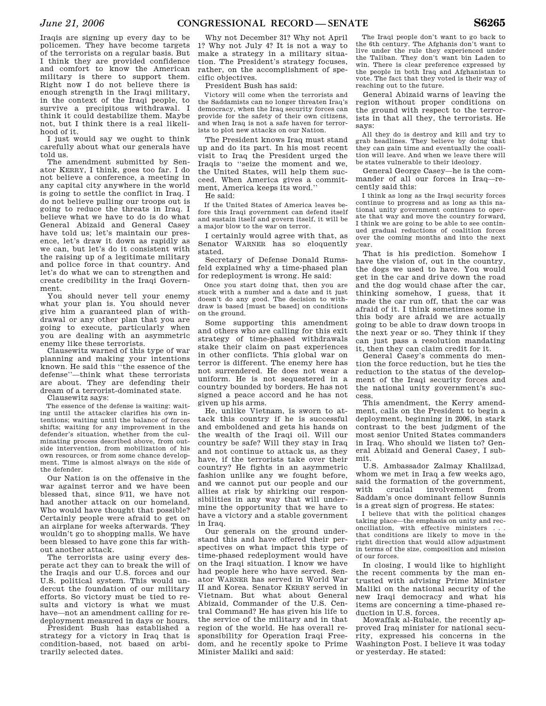Iraqis are signing up every day to be policemen. They have become targets of the terrorists on a regular basis. But I think they are provided confidence and comfort to know the American military is there to support them. Right now I do not believe there is enough strength in the Iraqi military, in the context of the Iraqi people, to survive a precipitous withdrawal. I think it could destabilize them. Maybe not, but I think there is a real likelihood of it.

I just would say we ought to think carefully about what our generals have told us.

The amendment submitted by Senator KERRY, I think, goes too far. I do not believe a conference, a meeting in any capital city anywhere in the world is going to settle the conflict in Iraq. I do not believe pulling our troops out is going to reduce the threats in Iraq. I believe what we have to do is do what General Abizaid and General Casey have told us; let's maintain our presence, let's draw it down as rapidly as we can, but let's do it consistent with the raising up of a legitimate military and police force in that country. And let's do what we can to strengthen and create credibility in the Iraqi Government.

You should never tell your enemy what your plan is. You should never give him a guaranteed plan of withdrawal or any other plan that you are going to execute, particularly when you are dealing with an asymmetric enemy like these terrorists.

Clausewitz warned of this type of war planning and making your intentions known. He said this ''the essence of the defense''—think what these terrorists are about. They are defending their dream of a terrorist-dominated state.

Clausewitz says:

The essence of the defense is waiting: waiting until the attacker clarifies his own intentions; waiting until the balance of forces shifts; waiting for any improvement in the defender's situation, whether from the culminating process described above, from outside intervention, from mobilization of his own resources, or from some chance development. Time is almost always on the side of the defender.

Our Nation is on the offensive in the war against terror and we have been blessed that, since 9/11, we have not had another attack on our homeland. Who would have thought that possible? Certainly people were afraid to get on an airplane for weeks afterwards. They wouldn't go to shopping malls. We have been blessed to have gone this far without another attack.

The terrorists are using every desperate act they can to break the will of the Iraqis and our U.S. forces and our U.S. political system. This would undercut the foundation of our military efforts. So victory must be tied to results and victory is what we must have—not an amendment calling for redeployment measured in days or hours.

President Bush has established a strategy for a victory in Iraq that is condition-based, not based on arbitrarily selected dates.

Why not December 31? Why not April 1? Why not July 4? It is not a way to make a strategy in a military situation. The President's strategy focuses, rather, on the accomplishment of specific objectives.

President Bush has said:

Victory will come when the terrorists and the Saddamists can no longer threaten Iraq's democracy, when the Iraq security forces can provide for the safety of their own citizens, and when Iraq is not a safe haven for terrorists to plot new attacks on our Nation.

The President knows Iraq must stand up and do its part. In his most recent visit to Iraq the President urged the Iraqis to ''seize the moment and we, the United States, will help them succeed. When America gives a commitment, America keeps its word.''

He said:

If the United States of America leaves before this Iraqi government can defend itself and sustain itself and govern itself, it will be a major blow to the war on terror.

I certainly would agree with that, as Senator WARNER has so eloquently stated.

Secretary of Defense Donald Rumsfeld explained why a time-phased plan for redeployment is wrong. He said:

Once you start doing that, then you are stuck with a number and a date and it just doesn't do any good. The decision to withdraw is based [must be based] on conditions on the ground.

Some supporting this amendment and others who are calling for this exit strategy of time-phased withdrawals stake their claim on past experiences in other conflicts. This global war on terror is different. The enemy here has not surrendered. He does not wear a uniform. He is not sequestered in a country bounded by borders. He has not signed a peace accord and he has not given up his arms.

He, unlike Vietnam, is sworn to attack this country if he is successful and emboldened and gets his hands on the wealth of the Iraqi oil. Will our country be safe? Will they stay in Iraq and not continue to attack us, as they have, if the terrorists take over their country? He fights in an asymmetric fashion unlike any we fought before, and we cannot put our people and our allies at risk by shirking our responsibilities in any way that will undermine the opportunity that we have to have a victory and a stable government in Iraq.

Our generals on the ground understand this and have offered their perspectives on what impact this type of time-phased redeployment would have on the Iraqi situation. I know we have had people here who have served. Senator WARNER has served in World War II and Korea. Senator KERRY served in Vietnam. But what about General Abizaid, Commander of the U.S. Central Command? He has given his life to the service of the military and in that region of the world. He has overall responsibility for Operation Iraqi Freedom, and he recently spoke to Prime Minister Maliki and said:

The Iraqi people don't want to go back to the 6th century. The Afghanis don't want to live under the rule they experienced under the Taliban. They don't want bin Laden to win. There is clear preference expressed by the people in both Iraq and Afghanistan to vote. The fact that they voted is their way of reaching out to the future.

General Abizaid warns of leaving the region without proper conditions on the ground with respect to the terrorists in that all they, the terrorists. He says:

All they do is destroy and kill and try to grab headlines. They believe by doing that they can gain time and eventually the coalition will leave. And when we leave there will be states vulnerable to their ideology.

General George Casey—he is the commander of all our forces in Iraq—recently said this:

I think as long as the Iraqi security forces continue to progress and as long as this national unity government continues to operate that way and move the country forward, I think we are going to be able to see continued gradual reductions of coalition forces over the coming months and into the next year.

That is his prediction. Somehow I have the vision of, out in the country, the dogs we used to have. You would get in the car and drive down the road and the dog would chase after the car, thinking somehow, I guess, that it made the car run off, that the car was afraid of it. I think sometimes some in this body are afraid we are actually going to be able to draw down troops in the next year or so. They think if they can just pass a resolution mandating it, then they can claim credit for it.

General Casey's comments do mention the force reduction, but he ties the reduction to the status of the development of the Iraqi security forces and the national unity government's success.

This amendment, the Kerry amendment, calls on the President to begin a deployment, beginning in 2006, in stark contrast to the best judgment of the most senior United States commanders in Iraq. Who should we listen to? General Abizaid and General Casey, I submit.

U.S. Ambassador Zalmay Khalilzad, whom we met in Iraq a few weeks ago, said the formation of the government,<br>with crucial involvement from involvement Saddam's once dominant fellow Sunnis is a great sign of progress. He states:

I believe that with the political changes taking place—the emphasis on unity and reconciliation, with effective ministers that conditions are likely to move in the right direction that would allow adjustment in terms of the size, composition and mission of our forces.

In closing, I would like to highlight the recent comments by the man entrusted with advising Prime Minister Maliki on the national security of the new Iraqi democracy and what his items are concerning a time-phased reduction in U.S. forces.

Mowaffak al-Rubaie, the recently approved Iraq minister for national security, expressed his concerns in the Washington Post. I believe it was today or yesterday. He stated: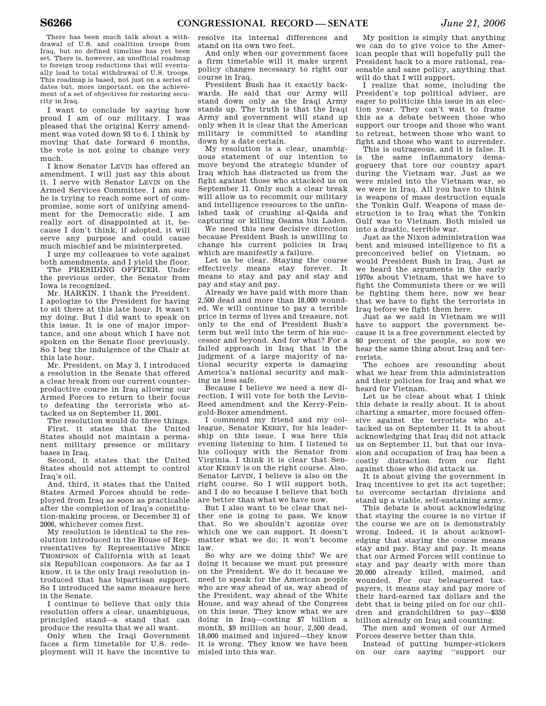There has been much talk about a withdrawal of U.S. and coalition troops from Iraq, but no defined timeline has yet been set. There is, however, an unofficial roadmap to foreign troop reductions that will eventually lead to total withdrawal of U.S. troops. This roadmap is based, not just on a series of dates but, more important, on the achievement of a set of objectives for restoring security in Iraq.

I want to conclude by saying how proud I am of our military. I was pleased that the original Kerry amendment was voted down 93 to 6. I think by moving that date forward 6 months, the vote is not going to change very much.

I know Senator LEVIN has offered an amendment. I will just say this about it. I serve with Senator LEVIN on the Armed Services Committee. I am sure he is trying to reach some sort of compromise, some sort of unifying amendment for the Democratic side. I am really sort of disappointed at it, because I don't think, if adopted, it will serve any purpose and could cause much mischief and be misinterpreted.

I urge my colleagues to vote against both amendments, and I yield the floor.

The PRESIDING OFFICER. Under the previous order, the Senator from Iowa is recognized.

Mr. HARKIN. I thank the President. I apologize to the President for having to sit there at this late hour. It wasn't my doing. But I did want to speak on this issue. It is one of major importance, and one about which I have not spoken on the Senate floor previously. So I beg the indulgence of the Chair at this late hour.

Mr. President, on May 3, I introduced a resolution in the Senate that offered a clear break from our current counterproductive course in Iraq allowing our Armed Forces to return to their focus to defeating the terrorists who attacked us on September 11, 2001.

The resolution would do three things. First, it states that the United States should not maintain a permanent military presence or military bases in Iraq.

Second, it states that the United States should not attempt to control Iraq's oil.

And, third, it states that the United States Armed Forces should be redeployed from Iraq as soon as practicable after the completion of Iraq's constitution-making process, or December 31 of 2006, whichever comes first.

My resolution is identical to the resolution introduced in the House of Representatives by Representative MIKE THOMPSON of California with at least six Republican cosponsors. As far as I know, it is the only Iraqi resolution introduced that has bipartisan support. So I introduced the same measure here in the Senate.

I continue to believe that only this resolution offers a clear, unambiguous, principled stand—a stand that can produce the results that we all want.

Only when the Iraqi Government faces a firm timetable for U.S. redeployment will it have the incentive to resolve its internal differences and stand on its own two feet.

And only when our government faces a firm timetable will it make urgent policy changes necessary to right our course in Iraq.

President Bush has it exactly backwards. He said that our Army will stand down only as the Iraqi Army stands up. The truth is that the Iraqi Army and government will stand up only when it is clear that the American military is committed to standing down by a date certain.

My resolution is a clear, unambiguous statement of our intention to move beyond the strategic blunder of Iraq which has distracted us from the fight against those who attacked us on September 11. Only such a clear break will allow us to recommit our military and intelligence resources to the unfinished task of crushing al-Qaida and capturing or killing Osama bin Laden.

We need this new decisive direction because President Bush is unwilling to change his current policies in Iraq which are manifestly a failure.

Let us be clear. Staying the course effectively means stay forever. It means to stay and pay and stay and pay and stay and pay.

Already we have paid with more than 2,500 dead and more than 18,000 wounded. We will continue to pay a terrible price in terms of lives and treasure, not only to the end of President Bush's term but well into the term of his successor and beyond. And for what? For a failed approach in Iraq that in the judgment of a large majority of national security experts is damaging America's national security and making us less safe.

Because I believe we need a new direction, I will vote for both the Levin-Reed amendment and the Kerry-Feingold-Boxer amendment.

I commend my friend and my colleague, Senator KERRY, for his leadership on this issue. I was here this evening listening to him. I listened to his colloquy with the Senator from Virginia. I think it is clear that Senator KERRY is on the right course. Also, Senator LEVIN, I believe is also on the right course. So I will support both, and I do so because I believe that both are better than what we have now.

But I also want to be clear that neither one is going to pass. We know that. So we shouldn't agonize over which one we can support. It doesn't matter what we do; it won't become law.

So why are we doing this? We are doing it because we must put pressure on the President. We do it because we need to speak for the American people who are way ahead of us, way ahead of the President, way ahead of the White House, and way ahead of the Congress on this issue. They know what we are doing in Iraq—costing \$7 billion a month, \$9 million an hour, 2,500 dead, 18,000 maimed and injured—they know it is wrong. They know we have been misled into this war.

My position is simply that anything we can do to give voice to the American people that will hopefully pull the President back to a more rational, reasonable and sane policy, anything that will do that I will support.

I realize that some, including the President's top political adviser, are eager to politicize this issue in an election year. They can't wait to frame this as a debate between those who support our troops and those who want to retreat, between those who want to fight and those who want to surrender.

This is outrageous, and it is false. It is the same inflammatory demagoguery that tore our country apart during the Vietnam war. Just as we were misled into the Vietnam war, so we were in Iraq. All you have to think is weapons of mass destruction equals the Tonkin Gulf. Weapons of mass destruction is to Iraq what the Tonkin Gulf was to Vietnam. Both misled us into a drastic, terrible war.

Just as the Nixon administration was bent and misused intelligence to fit a preconceived belief on Vietnam, so would President Bush in Iraq. Just as we heard the arguments in the early 1970s about Vietnam, that we have to fight the Communists there or we will be fighting them here, now we hear that we have to fight the terrorists in Iraq before we fight them here.

Just as we said in Vietnam we will have to support the government because it is a free government elected by 80 percent of the people, so now we hear the same thing about Iraq and terrorists.

The echoes are resounding about what we hear from this administration and their policies for Iraq and what we heard for Vietnam.

Let us be clear about what I think this debate is really about. It is about charting a smarter, more focused offensive against the terrorists who attacked us on September 11. It is about acknowledging that Iraq did not attack us on September 11, but that our invasion and occupation of Iraq has been a costly distraction from our fight against those who did attack us.

It is about giving the government in Iraq incentives to get its act together; to overcome sectarian divisions and stand up a viable, self-sustaining army.

This debate is about acknowledging that staying the course is no virtue if the course we are on is demonstrably wrong. Indeed, it is about acknowledging that staying the course means stay and pay. Stay and pay. It means that our Armed Forces will continue to stay and pay dearly with more than 20,000 already killed, maimed, and wounded. For our beleaguered taxpayers, it means stay and pay more of their hard-earned tax dollars and the debt that is being piled on for our children and grandchildren to pay—\$350 billion already on Iraq and counting.

The men and women of our Armed Forces deserve better than this.

Instead of putting bumper-stickers on our cars saying ''support our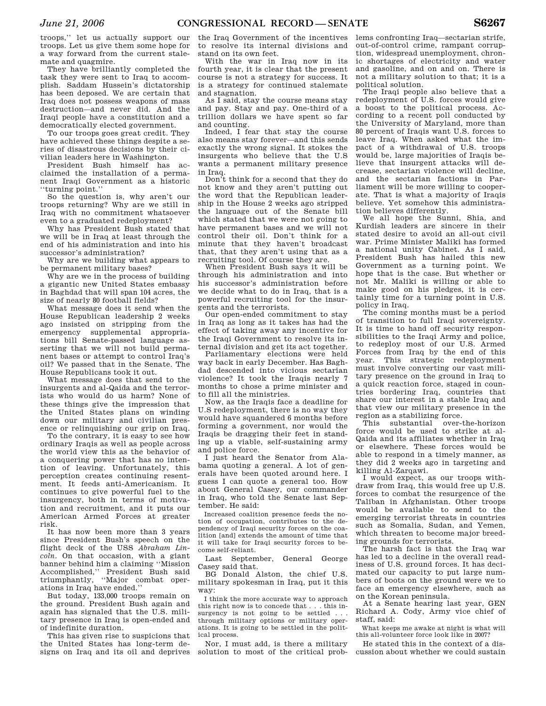troops,'' let us actually support our troops. Let us give them some hope for a way forward from the current stalemate and quagmire.

They have brilliantly completed the task they were sent to Iraq to accomplish. Saddam Hussein's dictatorship has been deposed. We are certain that Iraq does not possess weapons of mass destruction—and never did. And the Iraqi people have a constitution and a democratically elected government.

To our troops goes great credit. They have achieved these things despite a series of disastrous decisions by their civilian leaders here in Washington.

President Bush himself has acclaimed the installation of a permanent Iraqi Government as a historic ''turning point.''

So the question is, why aren't our troops returning? Why are we still in Iraq with no commitment whatsoever even to a graduated redeployment?

Why has President Bush stated that we will be in Iraq at least through the end of his administration and into his successor's administration?

Why are we building what appears to be permanent military bases?

Why are we in the process of building a gigantic new United States embassy in Baghdad that will span 104 acres, the size of nearly 80 football fields?

What message does it send when the House Republican leadership 2 weeks ago insisted on stripping from the emergency supplemental appropriations bill Senate-passed language asserting that we will not build permanent bases or attempt to control Iraq's oil? We passed that in the Senate. The House Republicans took it out.

What message does that send to the insurgents and al-Qaida and the terrorists who would do us harm? None of these things give the impression that the United States plans on winding down our military and civilian presence or relinquishing our grip on Iraq.

To the contrary, it is easy to see how ordinary Iraqis as well as people across the world view this as the behavior of a conquering power that has no intention of leaving. Unfortunately, this perception creates continuing resentment. It feeds anti-Americanism. It continues to give powerful fuel to the insurgency, both in terms of motivation and recruitment, and it puts our American Armed Forces at greater risk.

It has now been more than 3 years since President Bush's speech on the flight deck of the USS *Abraham Lincoln*. On that occasion, with a giant banner behind him a claiming ''Mission Accomplished,'' President Bush said triumphantly, ''Major combat operations in Iraq have ended.''

But today, 133,000 troops remain on the ground. President Bush again and again has signaled that the U.S. military presence in Iraq is open-ended and of indefinite duration.

This has given rise to suspicions that the United States has long-term designs on Iraq and its oil and deprives

the Iraq Government of the incentives to resolve its internal divisions and stand on its own feet.

With the war in Iraq now in its fourth year, it is clear that the present course is not a strategy for success. It is a strategy for continued stalemate and stagnation.

As I said, stay the course means stay and pay. Stay and pay. One-third of a trillion dollars we have spent so far and counting.

Indeed, I fear that stay the course also means stay forever—and this sends exactly the wrong signal. It stokes the insurgents who believe that the U.S wants a permanent military presence in Iraq.

Don't think for a second that they do not know and they aren't putting out the word that the Republican leadership in the House 2 weeks ago stripped the language out of the Senate bill which stated that we were not going to have permanent bases and we will not control their oil. Don't think for a minute that they haven't broadcast that, that they aren't using that as a recruiting tool. Of course they are.

When President Bush says it will be through his administration and into his successor's administration before we decide what to do in Iraq, that is a powerful recruiting tool for the insurgents and the terrorists.

Our open-ended commitment to stay in Iraq as long as it takes has had the effect of taking away any incentive for the Iraqi Government to resolve its internal division and get its act together.

Parliamentary elections were held way back in early December. Has Baghdad descended into vicious sectarian violence? It took the Iraqis nearly 7 months to chose a prime minister and to fill all the ministries.

Now, as the Iraqis face a deadline for U.S redeployment, there is no way they would have squandered 6 months before forming a government, nor would the Iraqis be dragging their feet in standing up a viable, self-sustaining army and police force.

I just heard the Senator from Alabama quoting a general. A lot of generals have been quoted around here. I guess I can quote a general too. How about General Casey, our commander in Iraq, who told the Senate last September. He said:

Increased coalition presence feeds the notion of occupation, contributes to the dependency of Iraqi security forces on the coalition [and] extends the amount of time that it will take for Iraqi security forces to become self-reliant.

Last September, General George Casey said that.

BG Donald Alston, the chief U.S. military spokesman in Iraq, put it this way:

I think the more accurate way to approach this right now is to concede that . . . this insurgency is not going to be settled . . . through military options or military operations. It is going to be settled in the political process.

Nor, I must add, is there a military solution to most of the critical problems confronting Iraq—sectarian strife, out-of-control crime, rampant corruption, widespread unemployment, chronic shortages of electricity and water and gasoline, and on and on. There is not a military solution to that; it is a political solution.

The Iraqi people also believe that a redeployment of U.S. forces would give a boost to the political process. According to a recent poll conducted by the University of Maryland, more than 80 percent of Iraqis want U.S. forces to leave Iraq. When asked what the impact of a withdrawal of U.S. troops would be, large majorities of Iraqis believe that insurgent attacks will decrease, sectarian violence will decline, and the sectarian factions in Parliament will be more willing to cooperate. That is what a majority of Iraqis believe. Yet somehow this administration believes differently.

We all hope the Sunni, Shia, and Kurdish leaders are sincere in their stated desire to avoid an all-out civil war. Prime Minister Maliki has formed a national unity Cabinet. As I said, President Bush has hailed this new Government as a turning point. We hope that is the case. But whether or not Mr. Maliki is willing or able to make good on his pledges, it is certainly time for a turning point in U.S. policy in Iraq.

The coming months must be a period of transition to full Iraqi sovereignty. It is time to hand off security responsibilities to the Iraqi Army and police, to redeploy most of our U.S. Armed Forces from Iraq by the end of this year. This strategic redeployment must involve converting our vast military presence on the ground in Iraq to a quick reaction force, staged in countries bordering Iraq, countries that share our interest in a stable Iraq and that view our military presence in the region as a stabilizing force.

This substantial over-the-horizon force would be used to strike at al-Qaida and its affiliates whether in Iraq or elsewhere. These forces would be able to respond in a timely manner, as they did 2 weeks ago in targeting and killing Al-Zarqawi.

I would expect, as our troops withdraw from Iraq, this would free up U.S. forces to combat the resurgence of the Taliban in Afghanistan. Other troops would be available to send to the emerging terrorist threats in countries such as Somalia, Sudan, and Yemen, which threaten to become major breeding grounds for terrorists.

The harsh fact is that the Iraq war has led to a decline in the overall readiness of U.S. ground forces. It has decimated our capacity to put large numbers of boots on the ground were we to face an emergency elsewhere, such as on the Korean peninsula.

At a Senate hearing last year, GEN Richard A. Cody, Army vice chief of staff, said:

What keeps me awake at night is what will this all-volunteer force look like in 2007?

He stated this in the context of a discussion about whether we could sustain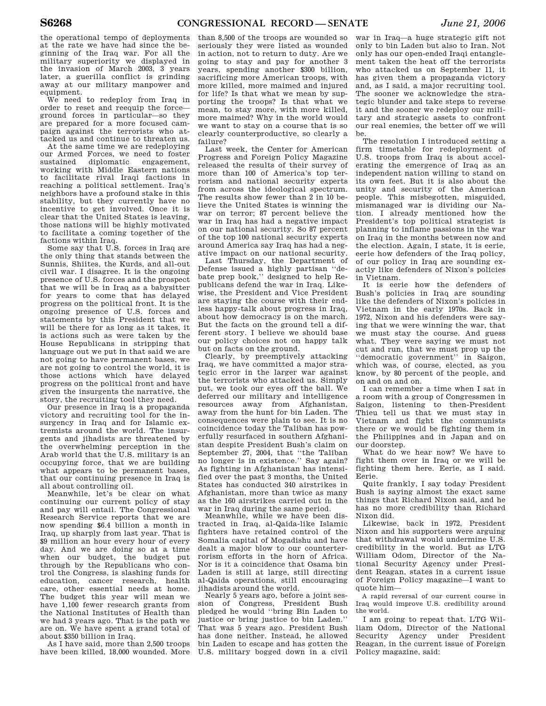the operational tempo of deployments at the rate we have had since the beginning of the Iraq war. For all the military superiority we displayed in the invasion of March 2003, 3 years later, a guerilla conflict is grinding away at our military manpower and equipment.

We need to redeploy from Iraq in order to reset and reequip the force ground forces in particular—so they are prepared for a more focused campaign against the terrorists who attacked us and continue to threaten us.

At the same time we are redeploying our Armed Forces, we need to foster sustained diplomatic engagement, working with Middle Eastern nations to facilitate rival Iraqi factions in reaching a political settlement. Iraq's neighbors have a profound stake in this stability, but they currently have no incentive to get involved. Once it is clear that the United States is leaving, those nations will be highly motivated to facilitate a coming together of the factions within Iraq.

Some say that U.S. forces in Iraq are the only thing that stands between the Sunnis, Shiites, the Kurds, and all-out civil war. I disagree. It is the ongoing presence of U.S. forces and the prospect that we will be in Iraq as a babysitter for years to come that has delayed progress on the political front. It is the ongoing presence of U.S. forces and statements by this President that we will be there for as long as it takes, it is actions such as were taken by the House Republicans in stripping that language out we put in that said we are not going to have permanent bases, we are not going to control the world, it is those actions which have delayed progress on the political front and have given the insurgents the narrative, the story, the recruiting tool they need.

Our presence in Iraq is a propaganda victory and recruiting tool for the insurgency in Iraq and for Islamic extremists around the world. The insurgents and jihadists are threatened by the overwhelming perception in the Arab world that the U.S. military is an occupying force, that we are building what appears to be permanent bases, that our continuing presence in Iraq is all about controlling oil.

Meanwhile, let's be clear on what continuing our current policy of stay and pay will entail. The Congressional Research Service reports that we are now spending \$6.4 billion a month in Iraq, up sharply from last year. That is \$9 million an hour every hour of every day. And we are doing so at a time when our budget, the budget put through by the Republicans who control the Congress, is slashing funds for education, cancer research, health care, other essential needs at home. The budget this year will mean we have 1,100 fewer research grants from the National Institutes of Health than we had 3 years ago. That is the path we are on. We have spent a grand total of about \$350 billion in Iraq.

As I have said, more than 2,500 troops have been killed, 18,000 wounded. More

than 8,500 of the troops are wounded so seriously they were listed as wounded in action, not to return to duty. Are we going to stay and pay for another 3 years, spending another \$300 billion, sacrificing more American troops, with more killed, more maimed and injured for life? Is that what we mean by supporting the troops? Is that what we mean, to stay more, with more killed, more maimed? Why in the world would we want to stay on a course that is so clearly counterproductive, so clearly a failure?

Last week, the Center for American Progress and Foreign Policy Magazine released the results of their survey of more than 100 of America's top terrorism and national security experts from across the ideological spectrum. The results show fewer than 2 in 10 believe the United States is winning the war on terror; 87 percent believe the war in Iraq has had a negative impact on our national security. So 87 percent of the top 100 national security experts around America say Iraq has had a negative impact on our national security.

Last Thursday, the Department of Defense issued a highly partisan ''debate prep book,'' designed to help Republicans defend the war in Iraq. Likewise, the President and Vice President are staying the course with their endless happy-talk about progress in Iraq, about how democracy is on the march. But the facts on the ground tell a different story. I believe we should base our policy choices not on happy talk but on facts on the ground.

Clearly, by preemptively attacking Iraq, we have committed a major strategic error in the larger war against the terrorists who attacked us. Simply put, we took our eyes off the ball. We deferred our military and intelligence resources away from Afghanistan, away from the hunt for bin Laden. The consequences were plain to see. It is no coincidence today the Taliban has powerfully resurfaced in southern Afghanistan despite President Bush's claim on September 27, 2004, that ''the Taliban no longer is in existence.'' Say again? As fighting in Afghanistan has intensified over the past 3 months, the United States has conducted 340 airstrikes in Afghanistan, more than twice as many as the 160 airstrikes carried out in the war in Iraq during the same period.

Meanwhile, while we have been distracted in Iraq, al-Qaida-like Islamic fighters have retained control of the Somalia capital of Mogadishu and have dealt a major blow to our counterterrorism efforts in the horn of Africa. Nor is it a coincidence that Osama bin Laden is still at large, still directing al-Qaida operations, still encouraging jihadists around the world.

Nearly 5 years ago, before a joint session of Congress, President Bush pledged he would ''bring Bin Laden to justice or bring justice to bin Laden.'' That was 5 years ago. President Bush has done neither. Instead, he allowed bin Laden to escape and has gotten the U.S. military bogged down in a civil

war in Iraq—a huge strategic gift not only to bin Laden but also to Iran. Not only has our open-ended Iraqi entanglement taken the heat off the terrorists who attacked us on September 11, it has given them a propaganda victory and, as I said, a major recruiting tool. The sooner we acknowledge the strategic blunder and take steps to reverse it and the sooner we redeploy our military and strategic assets to confront our real enemies, the better off we will be.

The resolution I introduced setting a firm timetable for redeployment of U.S. troops from Iraq is about accelerating the emergence of Iraq as an independent nation willing to stand on its own feet. But it is also about the unity and security of the American people. This misbegotten, misguided, mismanaged war is dividing our Nation. I already mentioned how the President's top political strategist is planning to inflame passions in the war on Iraq in the months between now and the election. Again, I state, it is eerie, eerie how defenders of the Iraq policy, of our policy in Iraq are sounding exactly like defenders of Nixon's policies in Vietnam.

It is eerie how the defenders of Bush's policies in Iraq are sounding like the defenders of Nixon's policies in Vietnam in the early 1970s. Back in 1972, Nixon and his defenders were saying that we were winning the war, that we must stay the course. And guess what. They were saying we must not cut and run, that we must prop up the ''democratic government'' in Saigon, which was, of course, elected, as you know, by 80 percent of the people, and on and on and on.

I can remember a time when I sat in a room with a group of Congressmen in Saigon, listening to then-President Thieu tell us that we must stay in Vietnam and fight the communists there or we would be fighting them in the Philippines and in Japan and on our doorstep.

What do we hear now? We have to fight them over in Iraq or we will be fighting them here. Eerie, as I said. Eerie.

Quite frankly, I say today President Bush is saying almost the exact same things that Richard Nixon said, and he has no more credibility than Richard Nixon did.

Likewise, back in 1972, President Nixon and his supporters were arguing that withdrawal would undermine U.S. credibility in the world. But as LTG William Odom, Director of the National Security Agency under President Reagan, states in a current issue of Foreign Policy magazine—I want to quote him—

A rapid reversal of our current course in Iraq would improve U.S. credibility around the world.

I am going to repeat that. LTG William Odom, Director of the National Security Agency under President Reagan, in the current issue of Foreign Policy magazine, said: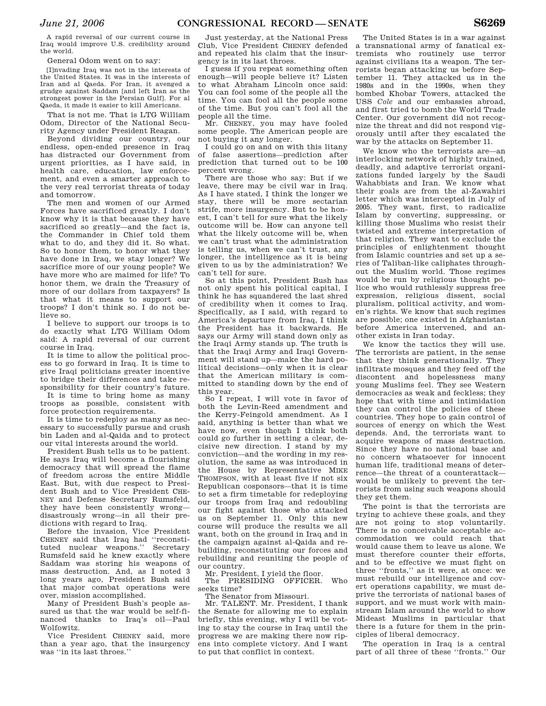A rapid reversal of our current course in Iraq would improve U.S. credibility around the world.

General Odom went on to say:

[I]nvading Iraq was not in the interests of the United States. It was in the interests of Iran and al Qaeda. For Iran, it avenged a grudge against Saddam [and left Iran as the strongest power in the Persian Gulf]. For al Qaeda, it made it easier to kill Americans.

That is not me. That is LTG William Odom, Director of the National Security Agency under President Reagan.

Beyond dividing our country, our endless, open-ended presence in Iraq has distracted our Government from urgent priorities, as I have said, in health care, education, law enforcement, and even a smarter approach to the very real terrorist threats of today and tomorrow.

The men and women of our Armed Forces have sacrificed greatly. I don't know why it is that because they have sacrificed so greatly—and the fact is, the Commander in Chief told them what to do, and they did it. So what. So to honor them, to honor what they have done in Iraq, we stay longer? We sacrifice more of our young people? We have more who are maimed for life? To honor them, we drain the Treasury of more of our dollars from taxpayers? Is that what it means to support our troops? I don't think so. I do not believe so.

I believe to support our troops is to do exactly what LTG William Odom said: A rapid reversal of our current course in Iraq.

It is time to allow the political process to go forward in Iraq. It is time to give Iraqi politicians greater incentive to bridge their differences and take responsibility for their country's future.

It is time to bring home as many troops as possible, consistent with force protection requirements.

It is time to redeploy as many as necessary to successfully pursue and crush bin Laden and al-Qaida and to protect our vital interests around the world.

President Bush tells us to be patient. He says Iraq will become a flourishing democracy that will spread the flame of freedom across the entire Middle East. But, with due respect to President Bush and to Vice President CHE-NEY and Defense Secretary Rumsfeld, they have been consistently wrong disastrously wrong—in all their predictions with regard to Iraq.

Before the invasion, Vice President CHENEY said that Iraq had ''reconstituted nuclear weapons.'' Secretary Rumsfeld said he knew exactly where Saddam was storing his weapons of mass destruction. And, as I noted 3 long years ago, President Bush said that major combat operations were over, mission accomplished.

Many of President Bush's people assured us that the war would be self-financed thanks to Iraq's oil—Paul Wolfowitz.

Vice President CHENEY said, more than a year ago, that the insurgency was ''in its last throes.''

Just yesterday, at the National Press Club, Vice President CHENEY defended and repeated his claim that the insurgency is in its last throes.

I guess if you repeat something often enough—will people believe it? Listen to what Abraham Lincoln once said: You can fool some of the people all the time. You can fool all the people some of the time. But you can't fool all the people all the time.

Mr. CHENEY, you may have fooled some people. The American people are not buying it any longer.

I could go on and on with this litany of false assertions—prediction after prediction that turned out to be 100 percent wrong.

There are those who say: But if we leave, there may be civil war in Iraq. As I have stated, I think the longer we stay, there will be more sectarian strife, more insurgency. But to be honest, I can't tell for sure what the likely outcome will be. How can anyone tell what the likely outcome will be, when we can't trust what the administration is telling us, when we can't trust, any longer, the intelligence as it is being given to us by the administration? We can't tell for sure.

So at this point, President Bush has not only spent his political capital, I think he has squandered the last shred of credibility when it comes to Iraq. Specifically, as I said, with regard to America's departure from Iraq, I think the President has it backwards. He says our Army will stand down only as the Iraqi Army stands up. The truth is that the Iraqi Army and Iraqi Government will stand up—make the hard political decisions—only when it is clear that the American military is committed to standing down by the end of this year.

So I repeat, I will vote in favor of both the Levin-Reed amendment and the Kerry-Feingold amendment. As I said, anything is better than what we have now, even though I think both could go further in setting a clear, decisive new direction. I stand by my conviction—and the wording in my resolution, the same as was introduced in the House by Representative MIKE THOMPSON, with at least five if not six Republican cosponsors—that it is time to set a firm timetable for redeploying our troops from Iraq and redoubling our fight against those who attacked us on September 11. Only this new course will produce the results we all want, both on the ground in Iraq and in the campaign against al-Qaida and rebuilding, reconstituting our forces and rebuilding and reuniting the people of our country.

Mr. President, I yield the floor.

The PRESIDING OFFICER. Who seeks time?

The Senator from Missouri.

Mr. TALENT. Mr. President, I thank the Senate for allowing me to explain briefly, this evening, why I will be voting to stay the course in Iraq until the progress we are making there now ripens into complete victory. And I want to put that conflict in context.

The United States is in a war against a transnational army of fanatical extremists who routinely use terror against civilians its a weapon. The terrorists began attacking us before September 11. They attacked us in the 1980s and in the 1990s, when they bombed Khobar Towers, attacked the USS *Cole* and our embassies abroad, and first tried to bomb the World Trade Center. Our government did not recognize the threat and did not respond vigorously until after they escalated the war by the attacks on September 11.

We know who the terrorists are—an interlocking network of highly trained, deadly, and adaptive terrorist organizations funded largely by the Saudi Wahabbists and Iran. We know what their goals are from the al-Zawahiri letter which was intercepted in July of 2005. They want, first, to radicalize Islam by converting, suppressing, or killing those Muslims who resist their twisted and extreme interpretation of that religion. They want to exclude the principles of enlightenment thought from Islamic countries and set up a series of Taliban-like caliphates throughout the Muslim world. Those regimes would be run by religious thought police who would ruthlessly suppress free expression, religious dissent, social pluralism, political activity, and women's rights. We know that such regimes are possible; one existed in Afghanistan before America intervened, and another exists in Iran today.

We know the tactics they will use. The terrorists are patient, in the sense that they think generationally. They infiltrate mosques and they feed off the discontent and hopelessness many young Muslims feel. They see Western democracies as weak and feckless; they hope that with time and intimidation they can control the policies of these countries. They hope to gain control of sources of energy on which the West depends. And, the terrorists want to acquire weapons of mass destruction. Since they have no national base and no concern whatsoever for innocent human life, traditional means of deterrence—the threat of a counterattack would be unlikely to prevent the terrorists from using such weapons should they get them.

The point is that the terrorists are trying to achieve these goals, and they are not going to stop voluntarily. There is no conceivable acceptable accommodation we could reach that would cause them to leave us alone. We must therefore counter their efforts, and to be effective we must fight on three ''fronts,'' as it were, at once: we must rebuild our intelligence and covert operations capability, we must deprive the terrorists of national bases of support, and we must work with mainstream Islam around the world to show Mideast Muslims in particular that there is a future for them in the principles of liberal democracy.

The operation in Iraq is a central part of all three of these ''fronts.'' Our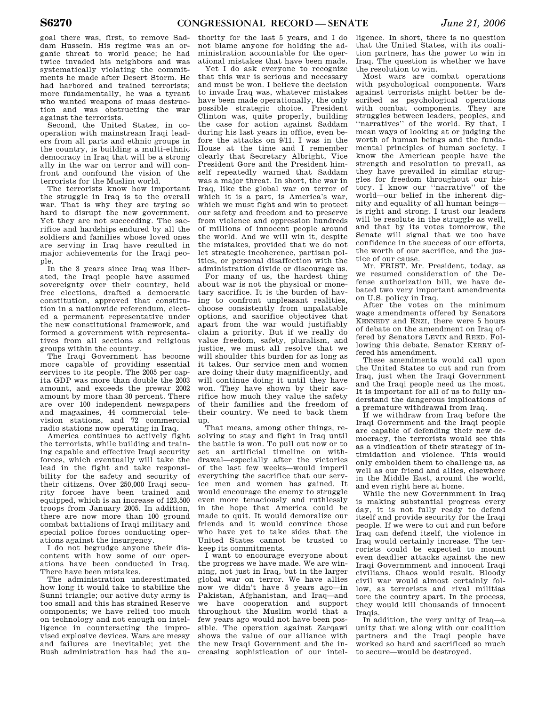goal there was, first, to remove Saddam Hussein. His regime was an organic threat to world peace; he had twice invaded his neighbors and was systematically violating the commitments he made after Desert Storm. He had harbored and trained terrorists; more fundamentally, he was a tyrant who wanted weapons of mass destruction and was obstructing the war against the terrorists.

Second, the United States, in cooperation with mainstream Iraqi leaders from all parts and ethnic groups in the country, is building a multi-ethnic democracy in Iraq that will be a strong ally in the war on terror and will confront and confound the vision of the terrorists for the Muslim world.

The terrorists know how important the struggle in Iraq is to the overall war. That is why they are trying so hard to disrupt the new government. Yet they are not succeeding. The sacrifice and hardships endured by all the soldiers and families whose loved ones are serving in Iraq have resulted in major achievements for the Iraqi people.

In the 3 years since Iraq was liberated, the Iraqi people have assumed sovereignty over their country, held free elections, drafted a democratic constitution, approved that constitution in a nationwide referendum, elected a permanent representative under the new constitutional framework, and formed a government with representatives from all sections and religious groups within the country.

The Iraqi Government has become more capable of providing essential services to its people. The 2005 per capita GDP was more than double the 2003 amount, and exceeds the prewar 2002 amount by more than 30 percent. There are over 100 independent newspapers and magazines, 44 commercial television stations, and 72 commercial radio stations now operating in Iraq.

America continues to actively fight the terrorists, while building and training capable and effective Iraqi security forces, which eventually will take the lead in the fight and take responsibility for the safety and security of their citizens. Over 250,000 Iraqi security forces have been trained and equipped, which is an increase of 123,500 troops from January 2005. In addition, there are now more than 100 ground combat battalions of Iraqi military and special police forces conducting operations against the insurgency.

I do not begrudge anyone their discontent with how some of our operations have been conducted in Iraq. There have been mistakes.

The administration underestimated how long it would take to stabilize the Sunni triangle; our active duty army is too small and this has strained Reserve components; we have relied too much on technology and not enough on intelligence in counteracting the improvised explosive devices. Wars are messy and failures are inevitable; yet the Bush administration has had the au-

thority for the last 5 years, and I do not blame anyone for holding the administration accountable for the operational mistakes that have been made.

Yet I do ask everyone to recognize that this war is serious and necessary and must be won. I believe the decision to invade Iraq was, whatever mistakes have been made operationally, the only possible strategic choice. President Clinton was, quite properly, building the case for action against Saddam during his last years in office, even before the attacks on 9/11. I was in the House at the time and I remember clearly that Secretary Albright, Vice President Gore and the President himself repeatedly warned that Saddam was a major threat. In short, the war in Iraq, like the global war on terror of which it is a part, is America's war, which we must fight and win to protect our safety and freedom and to preserve from violence and oppression hundreds of millions of innocent people around the world. And we will win it, despite the mistakes, provided that we do not let strategic incoherence, partisan politics, or personal disaffection with the administration divide or discourage us.

For many of us, the hardest thing about war is not the physical or monetary sacrifice. It is the burden of having to confront unpleasant realities, choose consistently from unpalatable options, and sacrifice objectives that apart from the war would justifiably claim a priority. But if we really do value freedom, safety, pluralism, and justice, we must all resolve that we will shoulder this burden for as long as it takes. Our service men and women are doing their duty magnificently, and will continue doing it until they have won. They have shown by their sacrifice how much they value the safety of their families and the freedom of their country. We need to back them up.

That means, among other things, resolving to stay and fight in Iraq until the battle is won. To pull out now or to set an artificial timeline on withdrawal—especially after the victories of the last few weeks—would imperil everything the sacrifice that our service men and women has gained. It would encourage the enemy to struggle even more tenaciously and ruthlessly in the hope that America could be made to quit. It would demoralize our friends and it would convince those who have yet to take sides that the United States cannot be trusted to keep its commitments.

I want to encourage everyone about the progress we have made. We are winning, not just in Iraq, but in the larger global war on terror. We have allies now we didn't have 5 years ago—in Pakistan, Afghanistan, and Iraq—and we have cooperation and support throughout the Muslim world that a few years ago would not have been possible. The operation against Zarqawi shows the value of our alliance with the new Iraqi Government and the increasing sophistication of our intel-

ligence. In short, there is no question that the United States, with its coalition partners, has the power to win in Iraq. The question is whether we have the resolution to win.

Most wars are combat operations with psychological components. Wars against terrorists might better be described as psychological operations with combat components. They are struggles between leaders, peoples, and ''narratives'' of the world. By that, I mean ways of looking at or judging the worth of human beings and the fundamental principles of human society. I know the American people have the strength and resolution to prevail, as they have prevailed in similar struggles for freedom throughout our history. I know our ''narrative'' of the world—our belief in the inherent dignity and equality of all human beings is right and strong. I trust our leaders will be resolute in the struggle as well, and that by its votes tomorrow, the Senate will signal that we too have confidence in the success of our efforts, the worth of our sacrifice, and the justice of our cause.

Mr. FRIST. Mr. President, today, as we resumed consideration of the Defense authorization bill, we have debated two very important amendments on U.S. policy in Iraq.

After the votes on the minimum wage amendments offered by Senators KENNEDY and ENZI, there were 5 hours of debate on the amendment on Iraq offered by Senators LEVIN and REED. Following this debate, Senator KERRY offered his amendment.

These amendments would call upon the United States to cut and run from Iraq, just when the Iraqi Government and the Iraqi people need us the most. It is important for all of us to fully understand the dangerous implications of a premature withdrawal from Iraq.

If we withdraw from Iraq before the Iraqi Government and the Iraqi people are capable of defending their new democracy, the terrorists would see this as a vindication of their strategy of intimidation and violence. This would only embolden them to challenge us, as well as our friend and allies, elsewhere in the Middle East, around the world, and even right here at home.

While the new Governmment in Iraq is making substantial progress every day, it is not fully ready to defend itself and provide security for the Iraqi people. If we were to cut and run before Iraq can defend itself, the violence in Iraq would certainly increase. The terrorists could be expected to mount even deadlier attacks against the new Iraqi Governmment and innocent Iraqi civilians. Chaos would result. Bloody civil war would almost certainly follow, as terrorists and rival militias tore the country apart. In the process, they would kill thousands of innocent Iraqis

In addition, the very unity of Iraq—a unity that we along with our coalition partners and the Iraqi people have worked so hard and sacrificed so much to secure—would be destroyed.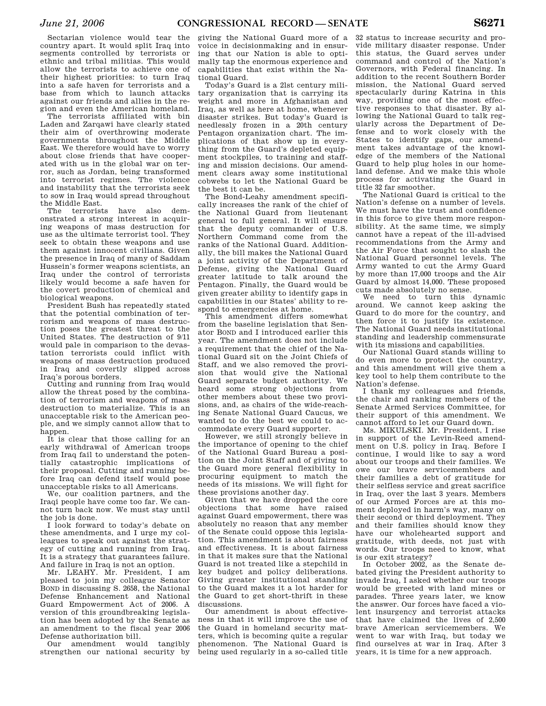Sectarian violence would tear the country apart. It would split Iraq into segments controlled by terrorists or ethnic and tribal militias. This would allow the terrorists to achieve one of their highest priorities: to turn Iraq into a safe haven for terrorists and a base from which to launch attacks against our friends and allies in the region and even the American homeland.

The terrorists affiliated with bin Laden and Zarqawi have clearly stated their aim of overthrowing moderate governments throughout the Middle East. We therefore would have to worry about close friends that have cooperated with us in the global war on terror, such as Jordan, being transformed into terrorist regimes. The violence and instability that the terrorists seek to sow in Iraq would spread throughout the Middle East.<br>The terrorists

have also demonstrated a strong interest in acquiring weapons of mass destruction for use as the ultimate terrorist tool. They seek to obtain these weapons and use them against innocent civilians. Given the presence in Iraq of many of Saddam Hussein's former weapons scientists, an Iraq under the control of terrorists likely would become a safe haven for the covert production of chemical and biological weapons.

President Bush has repeatedly stated that the potential combination of terrorism and weapons of mass destruction poses the greatest threat to the United States. The destruction of 9/11 would pale in comparison to the devastation terrorists could inflict with weapons of mass destruction produced in Iraq and covertly slipped across Iraq's porous borders.

Cutting and running from Iraq would allow the threat posed by the combination of terrorism and weapons of mass destruction to materialize. This is an unacceptable risk to the American people, and we simply cannot allow that to happen.

It is clear that those calling for an early withdrawal of American troops from Iraq fail to understand the potentially catastrophic implications of their proposal. Cutting and running before Iraq can defend itself would pose unacceptable risks to all Americans.

We, our coalition partners, and the Iraqi people have come too far. We cannot turn back now. We must stay until the job is done.

I look forward to today's debate on these amendments, and I urge my colleagues to speak out against the strategy of cutting and running from Iraq. It is a strategy that guarantees failure. And failure in Iraq is not an option.

Mr. LEAHY. Mr. President, I am pleased to join my colleague Senator BOND in discussing S. 2658, the National Defense Enhancement and National Guard Empowerment Act of 2006. A version of this groundbreaking legislation has been adopted by the Senate as an amendment to the fiscal year 2006 Defense authorization bill.

Our amendment would tangibly strengthen our national security by

giving the National Guard more of a voice in decisionmaking and in ensuring that our Nation is able to optimally tap the enormous experience and capabilities that exist within the National Guard.

Today's Guard is a 2lst century military organization that is carrying its weight and more in Afghanistan and Iraq, as well as here at home, whenever disaster strikes. But today's Guard is needlessly frozen in a 20th century Pentagon organization chart. The implications of that show up in everything from the Guard's depleted equipment stockpiles, to training and staffing and mission decisions. Our amendment clears away some institutional cobwebs to let the National Guard be the best it can be.

The Bond-Leahy amendment specifically increases the rank of the chief of the National Guard from lieutenant general to full general. It will ensure that the deputy commander of U.S. Northern Command come from the ranks of the National Guard. Additionally, the bill makes the National Guard a joint activity of the Department of Defense, giving the National Guard greater latitude to talk around the Pentagon. Finally, the Guard would be given greater ability to identify gaps in capabilities in our States' ability to respond to emergencies at home.

This amendment differs somewhat from the baseline legislation that Senator BOND and I introduced earlier this year. The amendment does not include a requirement that the chief of the National Guard sit on the Joint Chiefs of Staff, and we also removed the provision that would give the National Guard separate budget authority. We heard some strong objections from other members about these two provisions, and, as chairs of the wide-reaching Senate National Guard Caucus, we wanted to do the best we could to accommodate every Guard supporter.

However, we still strongly believe in the importance of opening to the chief of the National Guard Bureau a position on the Joint Staff and of giving to the Guard more general flexibility in procuring equipment to match the needs of its missions. We will fight for these provisions another day.

Given that we have dropped the core objections that some have raised against Guard empowerment, there was absolutely no reason that any member of the Senate could oppose this legislation. This amendment is about fairness and effectiveness. It is about fairness in that it makes sure that the National Guard is not treated like a stepchild in key budget and policy deliberations. Giving greater institutional standing to the Guard makes it a lot harder for the Guard to get short-thrift in these discussions.

Our amendment is about effectiveness in that it will improve the use of the Guard in homeland security matters, which is becoming quite a regular phenomenon. The National Guard is being used regularly in a so-called title

32 status to increase security and provide military disaster response. Under this status, the Guard serves under command and control of the Nation's Governors, with Federal financing. In addition to the recent Southern Border mission, the National Guard served spectacularly during Katrina in this way, providing one of the most effective responses to that disaster. By allowing the National Guard to talk regularly across the Department of Defense and to work closely with the States to identify gaps, our amendment takes advantage of the knowledge of the members of the National Guard to help plug holes in our homeland defense. And we make this whole process for activating the Guard in title 32 far smoother.

The National Guard is critical to the Nation's defense on a number of levels. We must have the trust and confidence in this force to give them more responsibility. At the same time, we simply cannot have a repeat of the ill-advised recommendations from the Army and the Air Force that sought to slash the National Guard personnel levels. The Army wanted to cut the Army Guard by more than 17,000 troops and the Air Guard by almost 14,000. These proposed cuts made absolutely no sense.

We need to turn this dynamic around. We cannot keep asking the Guard to do more for the country, and then force it to justify its existence. The National Guard needs institutional standing and leadership commensurate with its missions and capabilities.

Our National Guard stands willing to do even more to protect the country, and this amendment will give them a key tool to help them contribute to the Nation's defense.

I thank my colleagues and friends, the chair and ranking members of the Senate Armed Services Committee, for their support of this amendment. We cannot afford to let our Guard down.

Ms. MIKULSKI. Mr. President, I rise in support of the Levin-Reed amendment on U.S. policy in Iraq. Before I continue, I would like to say a word about our troops and their families. We owe our brave servicemembers and their families a debt of gratitude for their selfless service and great sacrifice in Iraq, over the last 3 years. Members of our Armed Forces are at this moment deployed in harm's way, many on their second or third deployment. They and their families should know they have our wholehearted support and gratitude, with deeds, not just with words. Our troops need to know, what is our exit strategy?

In October 2002, as the Senate debated giving the President authority to invade Iraq, I asked whether our troops would be greeted with land mines or parades. Three years later, we know the answer. Our forces have faced a violent insurgency and terrorist attacks that have claimed the lives of 2,500 brave American servicemembers. We went to war with Iraq, but today we find ourselves at war in Iraq. After 3 years, it is time for a new approach.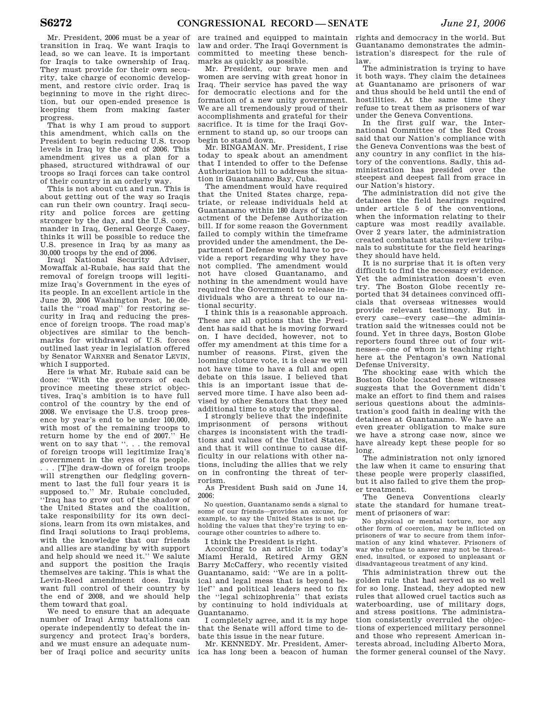Mr. President, 2006 must be a year of transition in Iraq. We want Iraqis to lead, so we can leave. It is important for Iraqis to take ownership of Iraq. They must provide for their own security, take charge of economic development, and restore civic order. Iraq is beginning to move in the right direction, but our open-ended presence is keeping them from making faster progress.

That is why I am proud to support this amendment, which calls on the President to begin reducing U.S. troop levels in Iraq by the end of 2006. This amendment gives us a plan for a phased, structured withdrawal of our troops so Iraqi forces can take control of their country in an orderly way.

This is not about cut and run. This is about getting out of the way so Iraqis can run their own country. Iraqi security and police forces are getting stronger by the day, and the U.S. commander in Iraq, General George Casey, thinks it will be possible to reduce the U.S. presence in Iraq by as many as 30,000 troops by the end of 2006.

Iraqi National Security Mowaffak al-Rubaie, has said that the removal of foreign troops will legitimize Iraq's Government in the eyes of its people. In an excellent article in the June 20, 2006 Washington Post, he details the ''road map'' for restoring security in Iraq and reducing the presence of foreign troops. The road map's objectives are similar to the benchmarks for withdrawal of U.S. forces outlined last year in legislation offered by Senator WARNER and Senator LEVIN, which I supported.

Here is what Mr. Rubaie said can be done: ''With the governors of each province meeting these strict objectives, Iraq's ambition is to have full control of the country by the end of 2008. We envisage the U.S. troop presence by year's end to be under 100,000, with most of the remaining troops to return home by the end of  $2007$ .<sup>7</sup> He went on to say that ''. . . the removal of foreign troops will legitimize Iraq's government in the eyes of its people. . . . [T]he draw-down of foreign troops will strengthen our fledgling government to last the full four years it is supposed to.'' Mr. Rubaie concluded, ''Iraq has to grow out of the shadow of the United States and the coalition, take responsibility for its own decisions, learn from its own mistakes, and find Iraqi solutions to Iraqi problems, with the knowledge that our friends and allies are standing by with support and help should we need it.'' We salute and support the position the Iraqis themselves are taking. This is what the Levin-Reed amendment does. Iraqis want full control of their country by the end of 2008, and we should help them toward that goal.

We need to ensure that an adequate number of Iraqi Army battalions can operate independently to defeat the insurgency and protect Iraq's borders, and we must ensure an adequate number of Iraqi police and security units

are trained and equipped to maintain law and order. The Iraqi Government is committed to meeting these benchmarks as quickly as possible.

Mr. President, our brave men and women are serving with great honor in Iraq. Their service has paved the way for democratic elections and for the formation of a new unity government. We are all tremendously proud of their accomplishments and grateful for their sacrifice. It is time for the Iraqi Government to stand up, so our troops can begin to stand down.

Mr. BINGAMAN. Mr. President, I rise today to speak about an amendment that I intended to offer to the Defense Authorization bill to address the situation in Guantanamo Bay, Cuba.

The amendment would have required that the United States charge, repatriate, or release individuals held at Guantanamo within 180 days of the enactment of the Defense Authorization bill. If for some reason the Government failed to comply within the timeframe provided under the amendment, the Department of Defense would have to provide a report regarding why they have not complied. The amendment would not have closed Guantanamo, and nothing in the amendment would have required the Government to release individuals who are a threat to our national security.

I think this is a reasonable approach. These are all options that the President has said that he is moving forward on. I have decided, however, not to offer my amendment at this time for a number of reasons. First, given the looming cloture vote, it is clear we will not have time to have a full and open debate on this issue. I believed that this is an important issue that deserved more time. I have also been advised by other Senators that they need additional time to study the proposal.

I strongly believe that the indefinite imprisonment of persons without charges is inconsistent with the traditions and values of the United States, and that it will continue to cause difficulty in our relations with other nations, including the allies that we rely on in confronting the threat of terrorism.

As President Bush said on June 14, 2006:

No question, Guantanamo sends a signal to some of our friends—provides an excuse, for example, to say the United States is not upholding the values that they're trying to encourage other countries to adhere to.

I think the President is right.

According to an article in today's Miami Herald, Retired Army GEN Barry McCaffery, who recently visited Guantanamo, said: ''We are in a political and legal mess that is beyond belief'' and political leaders need to fix the ''legal schizophrenia'' that exists by continuing to hold individuals at Guantanamo.

I completely agree, and it is my hope that the Senate will afford time to debate this issue in the near future.

Mr. KENNEDY. Mr. President, America has long been a beacon of human rights and democracy in the world. But Guantanamo demonstrates the administration's disrespect for the rule of law.

The administration is trying to have it both ways. They claim the detainees at Guantanamo are prisoners of war and thus should be held until the end of hostilities. At the same time they refuse to treat them as prisoners of war under the Geneva Conventions.

In the first gulf war, the International Committee of the Red Cross said that our Nation's compliance with the Geneva Conventions was the best of any country in any conflict in the history of the conventions. Sadly, this administration has presided over the steepest and deepest fall from grace in our Nation's history.

The administration did not give the detainees the field hearings required under article 5 of the conventions, when the information relating to their capture was most readily available. Over 2 years later, the administration created combatant status review tribunals to substitute for the field hearings they should have held.

It is no surprise that it is often very difficult to find the necessary evidence. Yet the administration doesn't even try. The Boston Globe recently reported that 34 detainees convinced officials that overseas witnesses would provide relevant testimony. But in every case—every case—the administration said the witnesses could not be found. Yet in three days, Boston Globe reporters found three out of four witnesses—one of whom is teaching right here at the Pentagon's own National Defense University.

The shocking ease with which the Boston Globe located these witnesses suggests that the Government didn't make an effort to find them and raises serious questions about the administration's good faith in dealing with the detainees at Guantanamo. We have an even greater obligation to make sure we have a strong case now, since we have already kept these people for so long.

The administration not only ignored the law when it came to ensuring that these people were properly classified, but it also failed to give them the proper treatment.

The Geneva Conventions clearly state the standard for humane treatment of prisoners of war:

No physical or mental torture, nor any other form of coercion, may be inflicted on prisoners of war to secure from them information of any kind whatever. Prisoners of war who refuse to answer may not be threatened, insulted, or exposed to unpleasant or disadvantageous treatment of any kind.

This administration threw out the golden rule that had served us so well for so long. Instead, they adopted new rules that allowed cruel tactics such as waterboarding, use of military dogs, and stress positions. The administration consistently overruled the objections of experienced military personnel and those who represent American interests abroad, including Alberto Mora, the former general counsel of the Navy.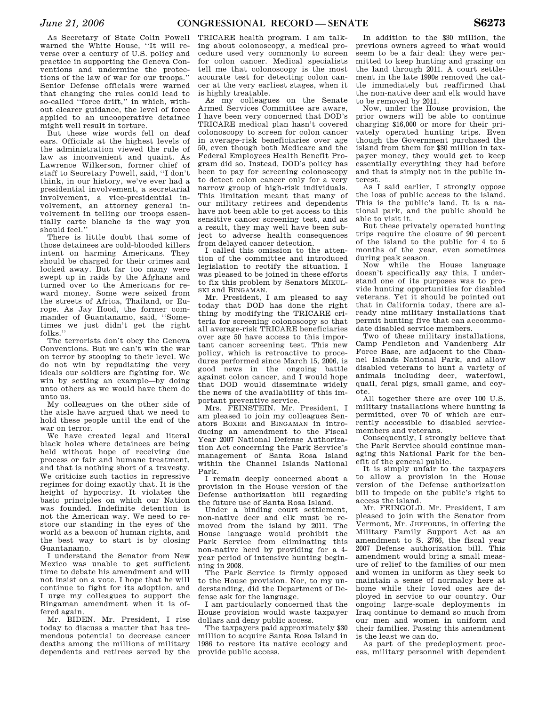As Secretary of State Colin Powell warned the White House, ''It will reverse over a century of U.S. policy and practice in supporting the Geneva Conventions and undermine the protections of the law of war for our troops.'' Senior Defense officials were warned that changing the rules could lead to so-called ''force drift,'' in which, without clearer guidance, the level of force applied to an uncooperative detainee might well result in torture.

But these wise words fell on deaf ears. Officials at the highest levels of the administration viewed the rule of law as inconvenient and quaint. As Lawrence Wilkerson, former chief of staff to Secretary Powell, said, ''I don't think, in our history, we've ever had a presidential involvement, a secretarial involvement, a vice-presidential involvement, an attorney general involvement in telling our troops essentially carte blanche is the way you should feel.''

There is little doubt that some of those detainees are cold-blooded killers intent on harming Americans. They should be charged for their crimes and locked away. But far too many were swept up in raids by the Afghans and turned over to the Americans for reward money. Some were seized from the streets of Africa, Thailand, or Europe. As Jay Hood, the former commander of Guantanamo, said, ''Sometimes we just didn't get the right folks.''

The terrorists don't obey the Geneva Conventions. But we can't win the war on terror by stooping to their level. We do not win by repudiating the very ideals our soldiers are fighting for. We win by setting an example—by doing unto others as we would have them do unto us.

My colleagues on the other side of the aisle have argued that we need to hold these people until the end of the war on terror.

We have created legal and literal black holes where detainees are being held without hope of receiving due process or fair and humane treatment, and that is nothing short of a travesty. We criticize such tactics in repressive regimes for doing exactly that. It is the height of hypocrisy. It violates the basic principles on which our Nation was founded. Indefinite detention is not the American way. We need to restore our standing in the eyes of the world as a beacon of human rights, and the best way to start is by closing Guantanamo.

I understand the Senator from New Mexico was unable to get sufficient time to debate his amendment and will not insist on a vote. I hope that he will continue to fight for its adoption, and I urge my colleagues to support the Bingaman amendment when it is offered again.

Mr. BIDEN. Mr. President, I rise today to discuss a matter that has tremendous potential to decrease cancer deaths among the millions of military dependents and retirees served by the

TRICARE health program. I am talking about colonoscopy, a medical procedure used very commonly to screen for colon cancer. Medical specialists tell me that colonoscopy is the most accurate test for detecting colon cancer at the very earliest stages, when it is highly treatable.

As my colleagues on the Senate Armed Services Committee are aware, I have been very concerned that DOD's TRICARE medical plan hasn't covered colonoscopy to screen for colon cancer in average-risk beneficiaries over age 50, even though both Medicare and the Federal Employees Health Benefit Program did so. Instead, DOD's policy has been to pay for screening colonoscopy to detect colon cancer only for a very narrow group of high-risk individuals. This limitation meant that many of our military retirees and dependents have not been able to get access to this sensitive cancer screening test, and as a result, they may well have been subject to adverse health consequences from delayed cancer detection.

I called this omission to the attention of the committee and introduced legislation to rectify the situation. I was pleased to be joined in these efforts to fix this problem by Senators MIKUL-SKI and BINGAMAN.

Mr. President, I am pleased to say today that DOD has done the right thing by modifying the TRICARE criteria for screening colonoscopy so that all average-risk TRICARE beneficiaries over age 50 have access to this important cancer screening test. This new policy, which is retroactive to procedures performed since March 15, 2006, is good news in the ongoing battle against colon cancer, and I would hope that DOD would disseminate widely the news of the availability of this important preventive service.

Mrs. FEINSTEIN. Mr. President, I am pleased to join my colleagues Senators BOXER and BINGAMAN in introducing an amendment to the Fiscal Year 2007 National Defense Authorization Act concerning the Park Service's management of Santa Rosa Island within the Channel Islands National Park.

I remain deeply concerned about a provision in the House version of the Defense authorization bill regarding the future use of Santa Rosa Island.

Under a binding court settlement, non-native deer and elk must be removed from the island by 2011. The House language would prohibit the Park Service from eliminating this non-native herd by providing for a 4 year period of intensive hunting beginning in 2008.

The Park Service is firmly opposed to the House provision. Nor, to my understanding, did the Department of Defense ask for the language.

I am particularly concerned that the House provision would waste taxpayer dollars and deny public access.

The taxpayers paid approximately \$30 million to acquire Santa Rosa Island in 1986 to restore its native ecology and provide public access.

In addition to the \$30 million, the previous owners agreed to what would seem to be a fair deal: they were permitted to keep hunting and grazing on the land through 2011. A court settlement in the late 1990s removed the cattle immediately but reaffirmed that the non-native deer and elk would have to be removed by 2011.

Now, under the House provision, the prior owners will be able to continue charging \$16,000 or more for their privately operated hunting trips. Even though the Government purchased the island from them for \$30 million in taxpayer money, they would get to keep essentially everything they had before and that is simply not in the public interest.

As I said earlier, I strongly oppose the loss of public access to the island. This is the public's land. It is a national park, and the public should be able to visit it.

But these privately operated hunting trips require the closure of 90 percent of the island to the public for 4 to 5 months of the year, even sometimes during peak season.

Now while the House language doesn't specifically say this, I understand one of its purposes was to provide hunting opportunities for disabled veterans. Yet it should be pointed out that in California today, there are already nine military installations that permit hunting five that can accommodate disabled service members.

Two of these military installations, Camp Pendleton and Vandenberg Air Force Base, are adjacent to the Channel Islands National Park, and allow disabled veterans to hunt a variety of animals including deer, waterfowl, quail, feral pigs, small game, and coyote.

All together there are over 100 U.S. military installations where hunting is permitted, over 70 of which are currently accessible to disabled servicemembers and veterans.

Consequently, I strongly believe that the Park Service should continue managing this National Park for the benefit of the general public.

It is simply unfair to the taxpayers to allow a provision in the House version of the Defense authorization bill to impede on the public's right to access the island.

Mr. FEINGOLD. Mr. President, I am pleased to join with the Senator from Vermont, Mr. JEFFORDS, in offering the Military Family Support Act as an amendment to S. 2766, the fiscal year 2007 Defense authorization bill. This amendment would bring a small measure of relief to the families of our men and women in uniform as they seek to maintain a sense of normalcy here at home while their loved ones are deployed in service to our country. Our ongoing large-scale deployments in Iraq continue to demand so much from our men and women in uniform and their families. Passing this amendment is the least we can do.

As part of the predeployment process, military personnel with dependent